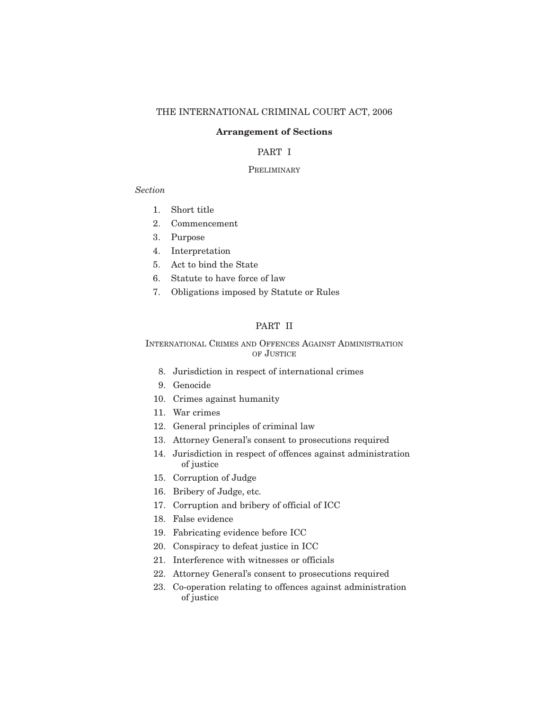#### THE INTERNATIONAL CRIMINAL COURT ACT, 2006

#### **Arrangement of Sections**

#### PART I

#### **PRELIMINARY**

#### *Section*

- 1. Short title
- 2. Commencement
- 3. Purpose
- 4. Interpretation
- 5. Act to bind the State
- 6. Statute to have force of law
- 7. Obligations imposed by Statute or Rules

# PART II

#### INTERNATIONAL CRIMES AND OFFENCES AGAINST ADMINISTRATION OF JUSTICE

- 8. Jurisdiction in respect of international crimes
- 9. Genocide
- 10. Crimes against humanity
- 11. War crimes
- 12. General principles of criminal law
- 13. Attorney General's consent to prosecutions required
- 14. Jurisdiction in respect of offences against administration of justice
- 15. Corruption of Judge
- 16. Bribery of Judge, etc.
- 17. Corruption and bribery of official of ICC
- 18. False evidence
- 19. Fabricating evidence before ICC
- 20. Conspiracy to defeat justice in ICC
- 21. Interference with witnesses or officials
- 22. Attorney General's consent to prosecutions required
- 23. Co-operation relating to offences against administration of justice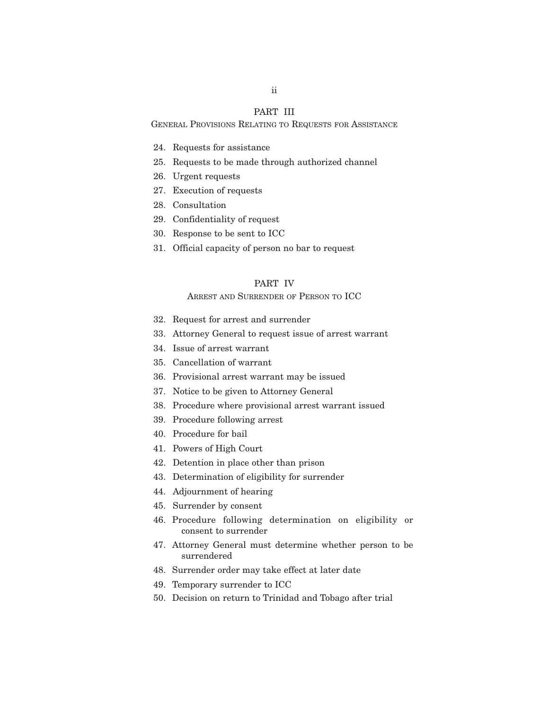#### PART III

GENERAL PROVISIONS RELATING TO REQUESTS FOR ASSISTANCE

- 24. Requests for assistance
- 25. Requests to be made through authorized channel
- 26. Urgent requests
- 27. Execution of requests
- 28. Consultation
- 29. Confidentiality of request
- 30. Response to be sent to ICC
- 31. Official capacity of person no bar to request

#### PART IV

#### ARREST AND SURRENDER OF PERSON TO ICC

- 32. Request for arrest and surrender
- 33. Attorney General to request issue of arrest warrant
- 34. Issue of arrest warrant
- 35. Cancellation of warrant
- 36. Provisional arrest warrant may be issued
- 37. Notice to be given to Attorney General
- 38. Procedure where provisional arrest warrant issued
- 39. Procedure following arrest
- 40. Procedure for bail
- 41. Powers of High Court
- 42. Detention in place other than prison
- 43. Determination of eligibility for surrender
- 44. Adjournment of hearing
- 45. Surrender by consent
- 46. Procedure following determination on eligibility or consent to surrender
- 47. Attorney General must determine whether person to be surrendered
- 48. Surrender order may take effect at later date
- 49. Temporary surrender to ICC
- 50. Decision on return to Trinidad and Tobago after trial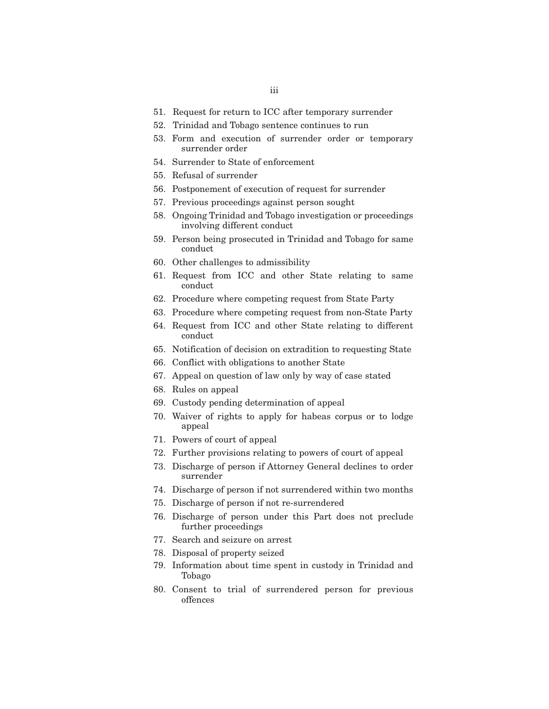- 51. Request for return to ICC after temporary surrender
- 52. Trinidad and Tobago sentence continues to run
- 53. Form and execution of surrender order or temporary surrender order
- 54. Surrender to State of enforcement
- 55. Refusal of surrender
- 56. Postponement of execution of request for surrender
- 57. Previous proceedings against person sought
- 58. Ongoing Trinidad and Tobago investigation or proceedings involving different conduct
- 59. Person being prosecuted in Trinidad and Tobago for same conduct
- 60. Other challenges to admissibility
- 61. Request from ICC and other State relating to same conduct
- 62. Procedure where competing request from State Party
- 63. Procedure where competing request from non-State Party
- 64. Request from ICC and other State relating to different conduct
- 65. Notification of decision on extradition to requesting State
- 66. Conflict with obligations to another State
- 67. Appeal on question of law only by way of case stated
- 68. Rules on appeal
- 69. Custody pending determination of appeal
- 70. Waiver of rights to apply for habeas corpus or to lodge appeal
- 71. Powers of court of appeal
- 72. Further provisions relating to powers of court of appeal
- 73. Discharge of person if Attorney General declines to order surrender
- 74. Discharge of person if not surrendered within two months
- 75. Discharge of person if not re-surrendered
- 76. Discharge of person under this Part does not preclude further proceedings
- 77. Search and seizure on arrest
- 78. Disposal of property seized
- 79. Information about time spent in custody in Trinidad and Tobago
- 80. Consent to trial of surrendered person for previous offences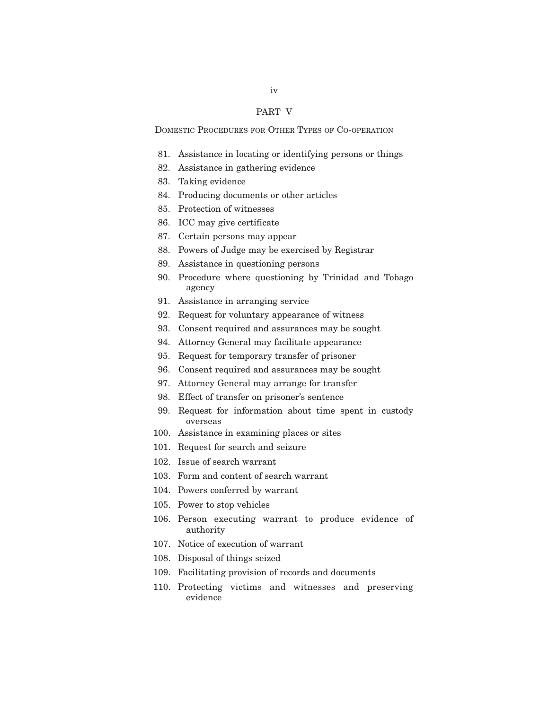#### PART V

DOMESTIC PROCEDURES FOR OTHER TYPES OF CO-OPERATION

- 81. Assistance in locating or identifying persons or things
- 82. Assistance in gathering evidence
- 83. Taking evidence
- 84. Producing documents or other articles
- 85. Protection of witnesses
- 86. ICC may give certificate
- 87. Certain persons may appear
- 88. Powers of Judge may be exercised by Registrar
- 89. Assistance in questioning persons
- 90. Procedure where questioning by Trinidad and Tobago agency
- 91. Assistance in arranging service
- 92. Request for voluntary appearance of witness
- 93. Consent required and assurances may be sought
- 94. Attorney General may facilitate appearance
- 95. Request for temporary transfer of prisoner
- 96. Consent required and assurances may be sought
- 97. Attorney General may arrange for transfer
- 98. Effect of transfer on prisoner's sentence
- 99. Request for information about time spent in custody overseas
- 100. Assistance in examining places or sites
- 101. Request for search and seizure
- 102. Issue of search warrant
- 103. Form and content of search warrant
- 104. Powers conferred by warrant
- 105. Power to stop vehicles
- 106. Person executing warrant to produce evidence of authority
- 107. Notice of execution of warrant
- 108. Disposal of things seized
- 109. Facilitating provision of records and documents
- 110. Protecting victims and witnesses and preserving evidence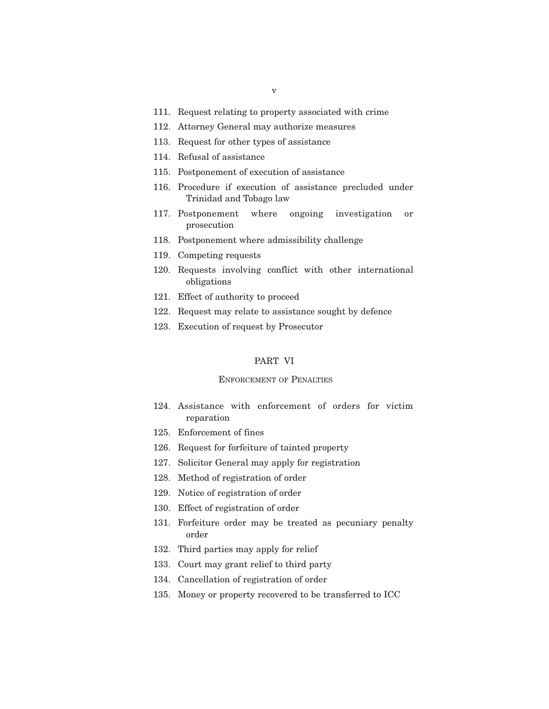- 111. Request relating to property associated with crime
- 112. Attorney General may authorize measures
- 113. Request for other types of assistance
- 114. Refusal of assistance
- 115. Postponement of execution of assistance
- 116. Procedure if execution of assistance precluded under Trinidad and Tobago law
- 117. Postponement where ongoing investigation or prosecution
- 118. Postponement where admissibility challenge
- 119. Competing requests
- 120. Requests involving conflict with other international obligations
- 121. Effect of authority to proceed
- 122. Request may relate to assistance sought by defence
- 123. Execution of request by Prosecutor

#### PART VI

#### ENFORCEMENT OF PENALTIES

- 124. Assistance with enforcement of orders for victim reparation
- 125. Enforcement of fines
- 126. Request for forfeiture of tainted property
- 127. Solicitor General may apply for registration
- 128. Method of registration of order
- 129. Notice of registration of order
- 130. Effect of registration of order
- 131. Forfeiture order may be treated as pecuniary penalty order
- 132. Third parties may apply for relief
- 133. Court may grant relief to third party
- 134. Cancellation of registration of order
- 135. Money or property recovered to be transferred to ICC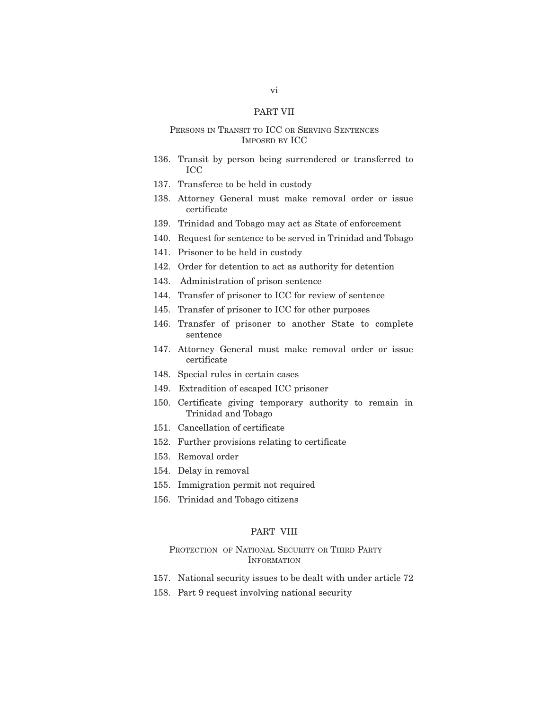#### PART VII

#### PERSONS IN TRANSIT TO ICC OR SERVING SENTENCES IMPOSED BY ICC

- 136. Transit by person being surrendered or transferred to ICC
- 137. Transferee to be held in custody
- 138. Attorney General must make removal order or issue certificate
- 139. Trinidad and Tobago may act as State of enforcement
- 140. Request for sentence to be served in Trinidad and Tobago
- 141. Prisoner to be held in custody
- 142. Order for detention to act as authority for detention
- 143. Administration of prison sentence
- 144. Transfer of prisoner to ICC for review of sentence
- 145. Transfer of prisoner to ICC for other purposes
- 146. Transfer of prisoner to another State to complete sentence
- 147. Attorney General must make removal order or issue certificate
- 148. Special rules in certain cases
- 149. Extradition of escaped ICC prisoner
- 150. Certificate giving temporary authority to remain in Trinidad and Tobago
- 151. Cancellation of certificate
- 152. Further provisions relating to certificate
- 153. Removal order
- 154. Delay in removal
- 155. Immigration permit not required
- 156. Trinidad and Tobago citizens

#### PART VIII

#### PROTECTION OF NATIONAL SECURITY OR THIRD PARTY INFORMATION

- 157. National security issues to be dealt with under article 72
- 158. Part 9 request involving national security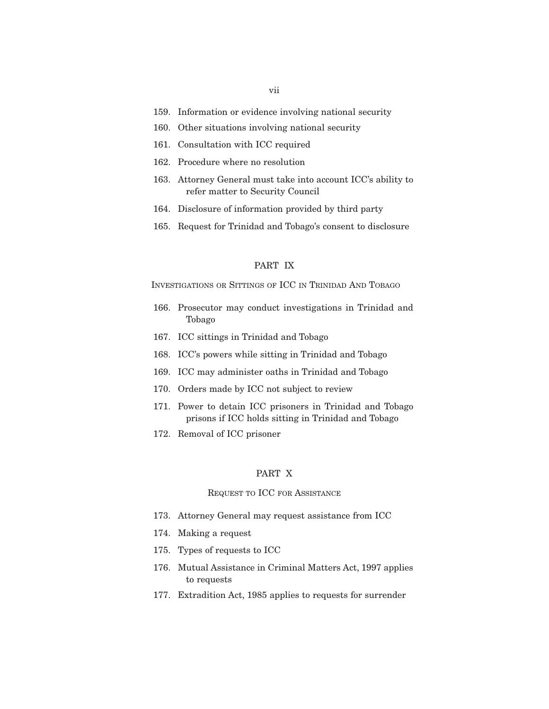- 159. Information or evidence involving national security
- 160. Other situations involving national security
- 161. Consultation with ICC required
- 162. Procedure where no resolution
- 163. Attorney General must take into account ICC's ability to refer matter to Security Council
- 164. Disclosure of information provided by third party
- 165. Request for Trinidad and Tobago's consent to disclosure

#### PART IX

INVESTIGATIONS OR SITTINGS OF ICC IN TRINIDAD AND TOBAGO

- 166. Prosecutor may conduct investigations in Trinidad and Tobago
- 167. ICC sittings in Trinidad and Tobago
- 168. ICC's powers while sitting in Trinidad and Tobago
- 169. ICC may administer oaths in Trinidad and Tobago
- 170. Orders made by ICC not subject to review
- 171. Power to detain ICC prisoners in Trinidad and Tobago prisons if ICC holds sitting in Trinidad and Tobago
- 172. Removal of ICC prisoner

#### PART X

#### REQUEST TO ICC FOR ASSISTANCE

- 173. Attorney General may request assistance from ICC
- 174. Making a request
- 175. Types of requests to ICC
- 176. Mutual Assistance in Criminal Matters Act, 1997 applies to requests
- 177. Extradition Act, 1985 applies to requests for surrender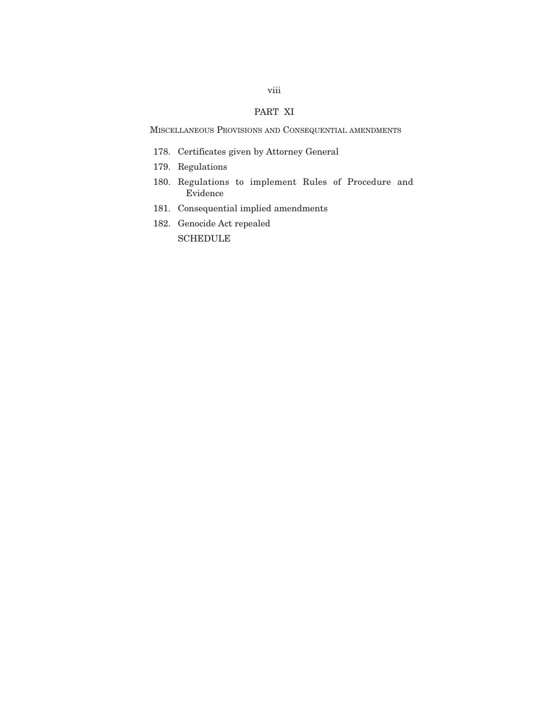# viii

### PART XI

MISCELLANEOUS PROVISIONS AND CONSEQUENTIAL AMENDMENTS

- 178. Certificates given by Attorney General
- 179. Regulations
- 180. Regulations to implement Rules of Procedure and Evidence
- 181. Consequential implied amendments
- 182. Genocide Act repealed SCHEDULE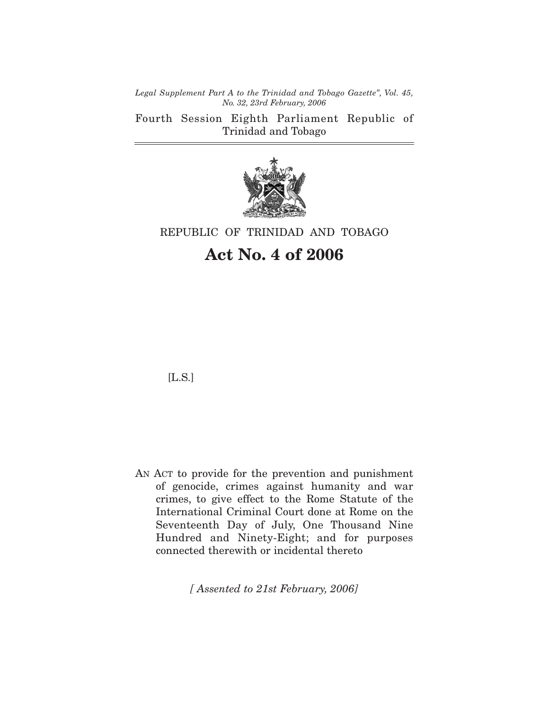*Legal Supplement Part A to the Trinidad and Tobago Gazette'', Vol. 45, No. 32, 23rd February, 2006*

Fourth Session Eighth Parliament Republic of Trinidad and Tobago



REPUBLIC OF TRINIDAD AND TOBAGO

# **Act No. 4 of 2006**

[L.S.]

AN ACT to provide for the prevention and punishment of genocide, crimes against humanity and war crimes, to give effect to the Rome Statute of the International Criminal Court done at Rome on the Seventeenth Day of July, One Thousand Nine Hundred and Ninety-Eight; and for purposes connected therewith or incidental thereto

*[ Assented to 21st February, 2006]*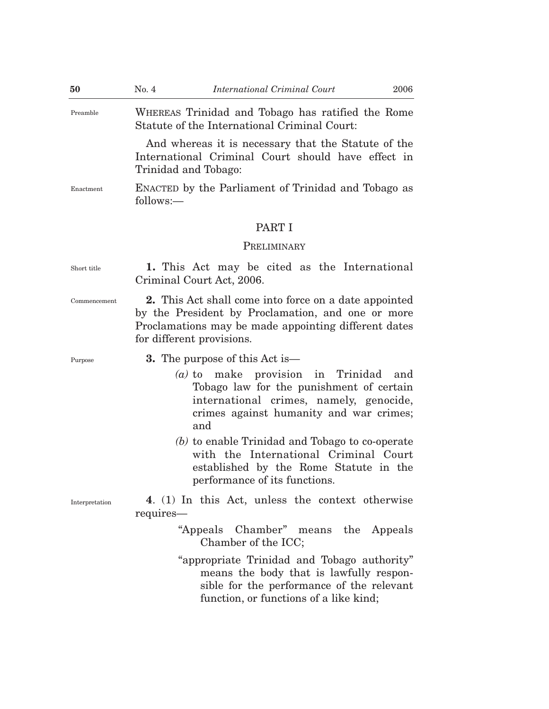| Preamble  | WHEREAS Trinidad and Tobago has ratified the Rome<br>Statute of the International Criminal Court:                                 |
|-----------|-----------------------------------------------------------------------------------------------------------------------------------|
|           | And whereas it is necessary that the Statute of the<br>International Criminal Court should have effect in<br>Trinidad and Tobago: |
| Enactment | ENACTED by the Parliament of Trinidad and Tobago as<br>follows:—                                                                  |

# PART I

# **PRELIMINARY**

| Short title    | 1. This Act may be cited as the International<br>Criminal Court Act, 2006.                                                                                                                             |
|----------------|--------------------------------------------------------------------------------------------------------------------------------------------------------------------------------------------------------|
| Commencement   | <b>2.</b> This Act shall come into force on a date appointed<br>by the President by Proclamation, and one or more<br>Proclamations may be made appointing different dates<br>for different provisions. |
| Purpose        | <b>3.</b> The purpose of this Act is —                                                                                                                                                                 |
|                | $(a)$ to make provision in Trinidad and<br>Tobago law for the punishment of certain<br>international crimes, namely, genocide,<br>crimes against humanity and war crimes;<br>and                       |
|                | $(b)$ to enable Trinidad and Tobago to co-operate<br>with the International Criminal Court<br>established by the Rome Statute in the<br>performance of its functions.                                  |
| Interpretation | 4. (1) In this Act, unless the context otherwise<br>requires—                                                                                                                                          |
|                | "Appeals Chamber" means the Appeals<br>Chamber of the ICC;                                                                                                                                             |
|                | "appropriate Trinidad and Tobago authority"                                                                                                                                                            |

means the body that is lawfully responsible for the performance of the relevant function, or functions of a like kind;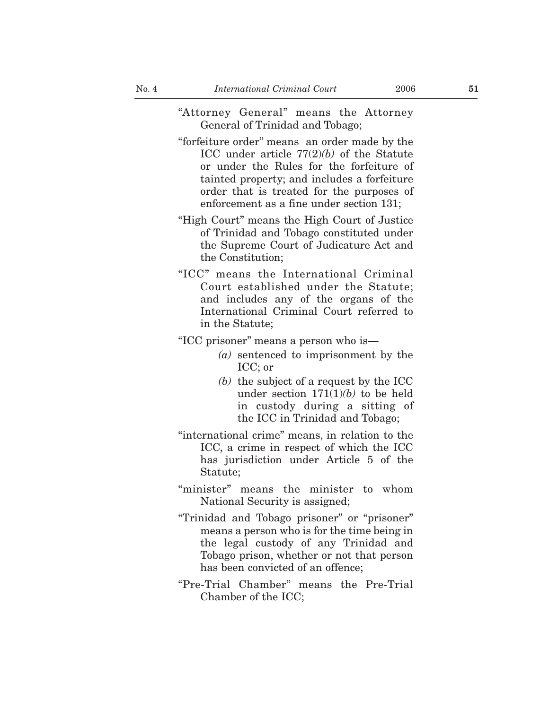- "forfeiture order" means an order made by the ICC under article 77(2)*(b)* of the Statute or under the Rules for the forfeiture of tainted property; and includes a forfeiture order that is treated for the purposes of enforcement as a fine under section 131;
- "High Court" means the High Court of Justice of Trinidad and Tobago constituted under the Supreme Court of Judicature Act and the Constitution;
- "ICC" means the International Criminal Court established under the Statute; and includes any of the organs of the International Criminal Court referred to in the Statute;

#### "ICC prisoner" means a person who is—

- *(a)* sentenced to imprisonment by the ICC; or
- *(b)* the subject of a request by the ICC under section 171(1)*(b)* to be held in custody during a sitting of the ICC in Trinidad and Tobago;
- "international crime" means, in relation to the ICC, a crime in respect of which the ICC has jurisdiction under Article 5 of the Statute;
- "minister" means the minister to whom National Security is assigned;
- "Trinidad and Tobago prisoner" or "prisoner" means a person who is for the time being in the legal custody of any Trinidad and Tobago prison, whether or not that person has been convicted of an offence;
- "Pre-Trial Chamber" means the Pre-Trial Chamber of the ICC;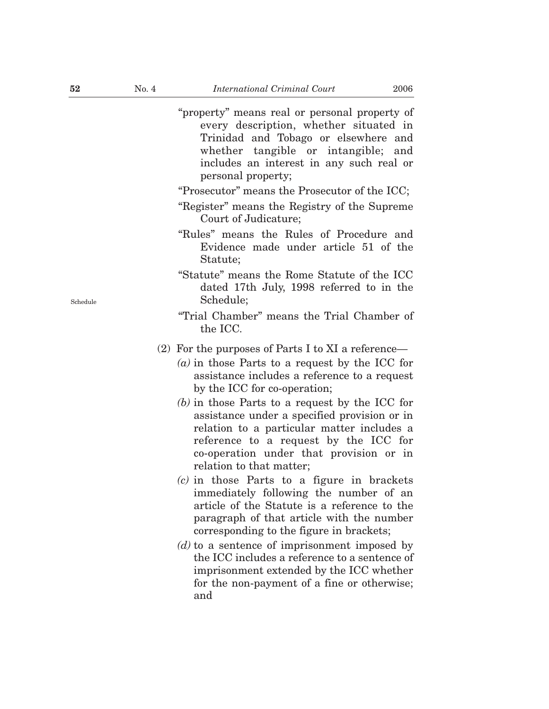"property" means real or personal property of every description, whether situated in Trinidad and Tobago or elsewhere and whether tangible or intangible; and includes an interest in any such real or personal property;

"Prosecutor" means the Prosecutor of the ICC;

- "Register" means the Registry of the Supreme Court of Judicature;
- "Rules" means the Rules of Procedure and Evidence made under article 51 of the Statute;
- "Statute" means the Rome Statute of the ICC dated 17th July, 1998 referred to in the Schedule;
- "Trial Chamber" means the Trial Chamber of the ICC.
- (2) For the purposes of Parts I to XI a reference—
	- *(a)* in those Parts to a request by the ICC for assistance includes a reference to a request by the ICC for co-operation;
	- *(b)* in those Parts to a request by the ICC for assistance under a specified provision or in relation to a particular matter includes a reference to a request by the ICC for co-operation under that provision or in relation to that matter;
	- *(c)* in those Parts to a figure in brackets immediately following the number of an article of the Statute is a reference to the paragraph of that article with the number corresponding to the figure in brackets;
	- *(d)* to a sentence of imprisonment imposed by the ICC includes a reference to a sentence of imprisonment extended by the ICC whether for the non-payment of a fine or otherwise; and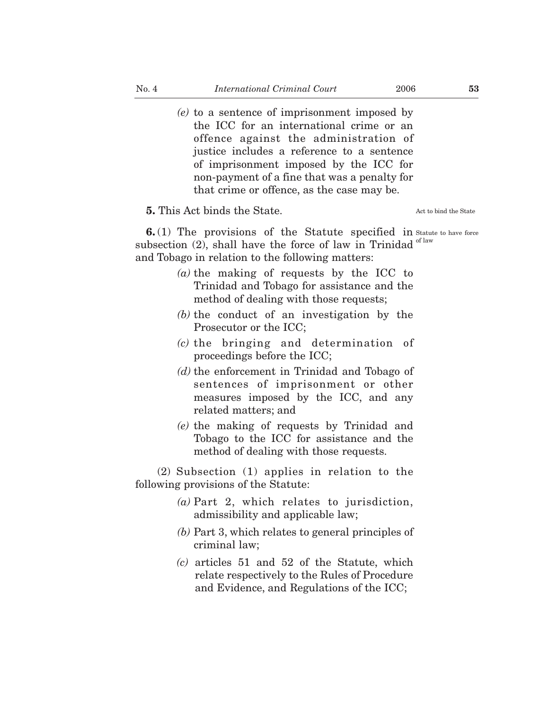*(e)* to a sentence of imprisonment imposed by the ICC for an international crime or an offence against the administration of justice includes a reference to a sentence of imprisonment imposed by the ICC for non-payment of a fine that was a penalty for that crime or offence, as the case may be.

#### **5.** This Act binds the State.

Act to bind the State

**6.** (1) The provisions of the Statute specified in Statute to have force subsection  $(2)$ , shall have the force of law in Trinidad of law and Tobago in relation to the following matters:

- *(a)* the making of requests by the ICC to Trinidad and Tobago for assistance and the method of dealing with those requests;
- *(b)* the conduct of an investigation by the Prosecutor or the ICC;
- *(c)* the bringing and determination of proceedings before the ICC;
- *(d)* the enforcement in Trinidad and Tobago of sentences of imprisonment or other measures imposed by the ICC, and any related matters; and
- *(e)* the making of requests by Trinidad and Tobago to the ICC for assistance and the method of dealing with those requests.

(2) Subsection (1) applies in relation to the following provisions of the Statute:

- *(a)* Part 2, which relates to jurisdiction, admissibility and applicable law;
- *(b)* Part 3, which relates to general principles of criminal law;
- *(c)* articles 51 and 52 of the Statute, which relate respectively to the Rules of Procedure and Evidence, and Regulations of the ICC;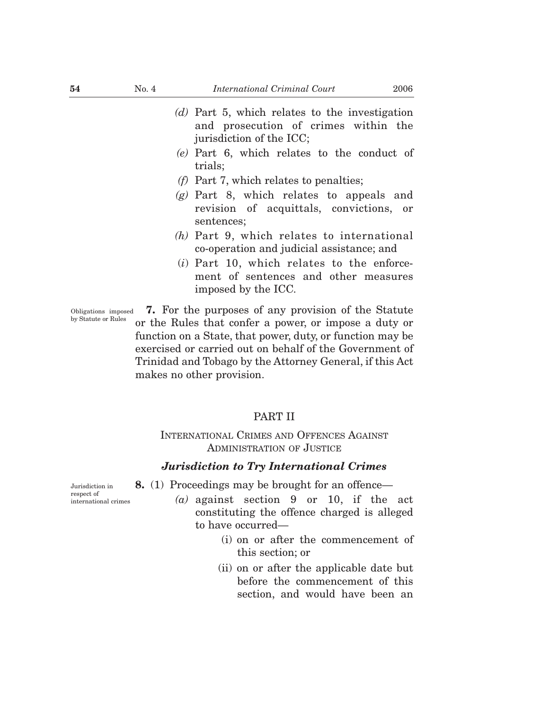- *(d)* Part 5, which relates to the investigation and prosecution of crimes within the jurisdiction of the ICC;
- *(e)* Part 6, which relates to the conduct of trials;
- *(f)* Part 7, which relates to penalties;
- *(g)* Part 8, which relates to appeals and revision of acquittals, convictions, or sentences;
- *(h)* Part 9, which relates to international co-operation and judicial assistance; and
- (*i*) Part 10, which relates to the enforcement of sentences and other measures imposed by the ICC.

**7.** For the purposes of any provision of the Statute or the Rules that confer a power, or impose a duty or function on a State, that power, duty, or function may be exercised or carried out on behalf of the Government of Trinidad and Tobago by the Attorney General, if this Act makes no other provision. Obligations imposed by Statute or Rules

### PART II

# INTERNATIONAL CRIMES AND OFFENCES AGAINST ADMINISTRATION OF JUSTICE

# *Jurisdiction to Try International Crimes*

- **8.** (1) Proceedings may be brought for an offence—
	- *(a)* against section 9 or 10, if the act constituting the offence charged is alleged to have occurred—
		- (i) on or after the commencement of this section; or
		- (ii) on or after the applicable date but before the commencement of this section, and would have been an

Jurisdiction in respect of international crimes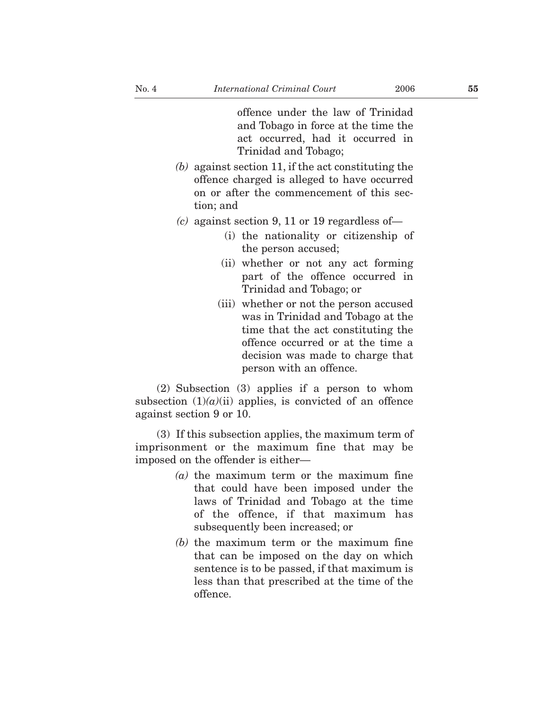offence under the law of Trinidad and Tobago in force at the time the act occurred, had it occurred in Trinidad and Tobago;

- *(b)* against section 11, if the act constituting the offence charged is alleged to have occurred on or after the commencement of this section; and
- *(c)* against section 9, 11 or 19 regardless of—
	- (i) the nationality or citizenship of the person accused;
	- (ii) whether or not any act forming part of the offence occurred in Trinidad and Tobago; or
	- (iii) whether or not the person accused was in Trinidad and Tobago at the time that the act constituting the offence occurred or at the time a decision was made to charge that person with an offence.

(2) Subsection (3) applies if a person to whom subsection  $(1)(a)(ii)$  applies, is convicted of an offence against section 9 or 10.

(3) If this subsection applies, the maximum term of imprisonment or the maximum fine that may be imposed on the offender is either—

- *(a)* the maximum term or the maximum fine that could have been imposed under the laws of Trinidad and Tobago at the time of the offence, if that maximum has subsequently been increased; or
- *(b)* the maximum term or the maximum fine that can be imposed on the day on which sentence is to be passed, if that maximum is less than that prescribed at the time of the offence.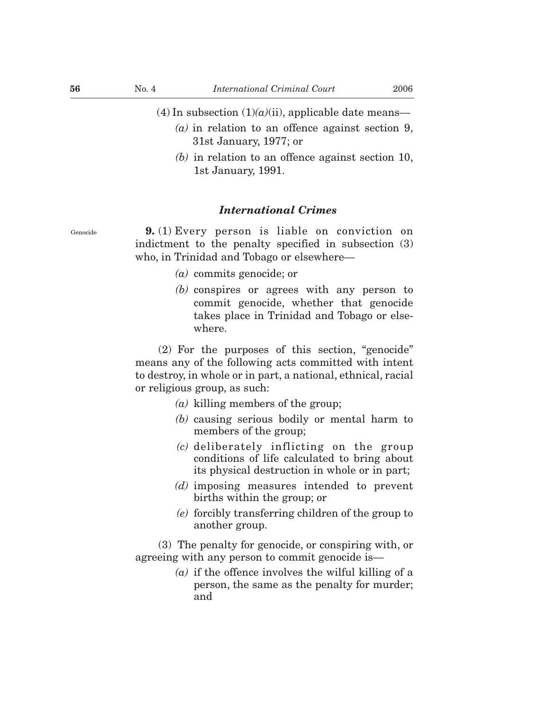$(4)$  In subsection  $(1)(a)(ii)$ , applicable date means—

- *(a)* in relation to an offence against section 9, 31st January, 1977; or
	- *(b)* in relation to an offence against section 10, 1st January, 1991.

#### *International Crimes*

**9.** (1) Every person is liable on conviction on indictment to the penalty specified in subsection (3) who, in Trinidad and Tobago or elsewhere—

- *(a)* commits genocide; or
- *(b)* conspires or agrees with any person to commit genocide, whether that genocide takes place in Trinidad and Tobago or elsewhere.

(2) For the purposes of this section, "genocide" means any of the following acts committed with intent to destroy, in whole or in part, a national, ethnical, racial or religious group, as such:

- *(a)* killing members of the group;
- *(b)* causing serious bodily or mental harm to members of the group;
- *(c)* deliberately inflicting on the group conditions of life calculated to bring about its physical destruction in whole or in part;
- *(d)* imposing measures intended to prevent births within the group; or
- *(e)* forcibly transferring children of the group to another group.

(3) The penalty for genocide, or conspiring with, or agreeing with any person to commit genocide is—

> *(a)* if the offence involves the wilful killing of a person, the same as the penalty for murder; and

Genocide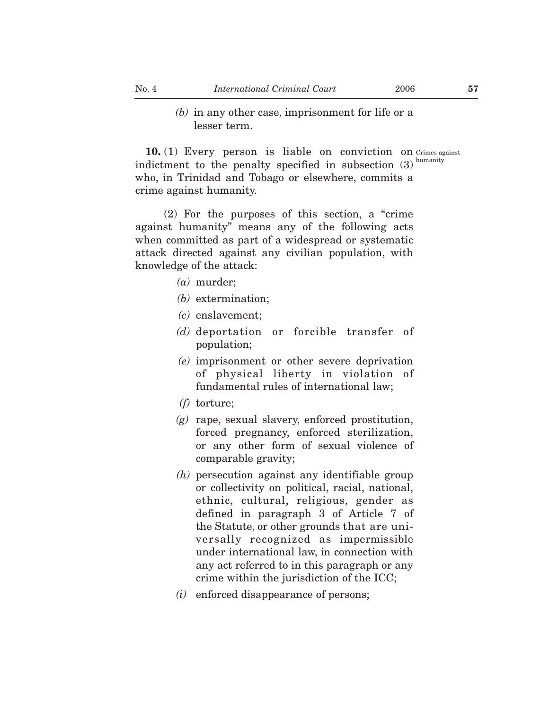*(b)* in any other case, imprisonment for life or a lesser term.

10. (1) Every person is liable on conviction on Crimes against indictment to the penalty specified in subsection  $(3)$  humanity who, in Trinidad and Tobago or elsewhere, commits a crime against humanity.

(2) For the purposes of this section, a "crime against humanity" means any of the following acts when committed as part of a widespread or systematic attack directed against any civilian population, with knowledge of the attack:

- *(a)* murder;
- *(b)* extermination;
- *(c)* enslavement;
- *(d)* deportation or forcible transfer of population;
- *(e)* imprisonment or other severe deprivation of physical liberty in violation of fundamental rules of international law;
- *(f)* torture;
- *(g)* rape, sexual slavery, enforced prostitution, forced pregnancy, enforced sterilization, or any other form of sexual violence of comparable gravity;
- *(h)* persecution against any identifiable group or collectivity on political, racial, national, ethnic, cultural, religious, gender as defined in paragraph 3 of Article 7 of the Statute, or other grounds that are universally recognized as impermissible under international law, in connection with any act referred to in this paragraph or any crime within the jurisdiction of the ICC;
- *(i)* enforced disappearance of persons;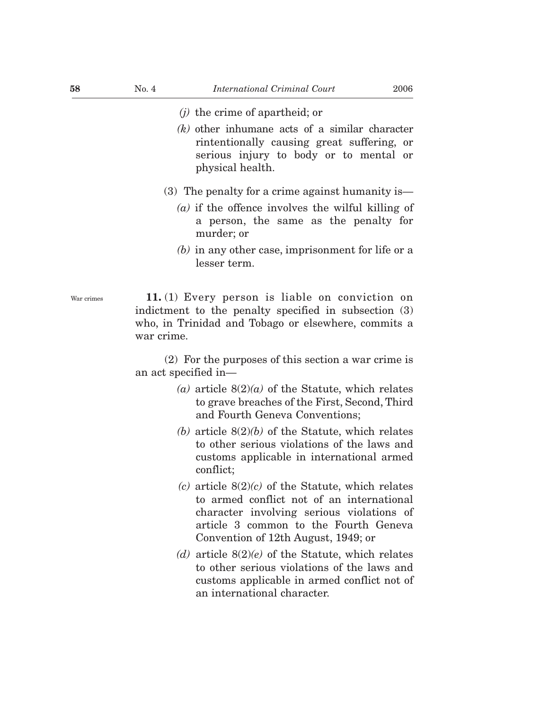physical health.

- *(k)* other inhumane acts of a similar character rintentionally causing great suffering, or serious injury to body or to mental or
- (3) The penalty for a crime against humanity is—
	- *(a)* if the offence involves the wilful killing of a person, the same as the penalty for murder; or
	- *(b)* in any other case, imprisonment for life or a lesser term.

**11.** (1) Every person is liable on conviction on indictment to the penalty specified in subsection (3) who, in Trinidad and Tobago or elsewhere, commits a war crime.

(2) For the purposes of this section a war crime is an act specified in—

- $(a)$  article  $8(2)(a)$  of the Statute, which relates to grave breaches of the First, Second, Third and Fourth Geneva Conventions;
- *(b)* article 8(2)*(b)* of the Statute, which relates to other serious violations of the laws and customs applicable in international armed conflict;
- *(c)* article 8(2)*(c)* of the Statute, which relates to armed conflict not of an international character involving serious violations of article 3 common to the Fourth Geneva Convention of 12th August, 1949; or
- *(d)* article 8(2)*(e)* of the Statute, which relates to other serious violations of the laws and customs applicable in armed conflict not of an international character.

War crimes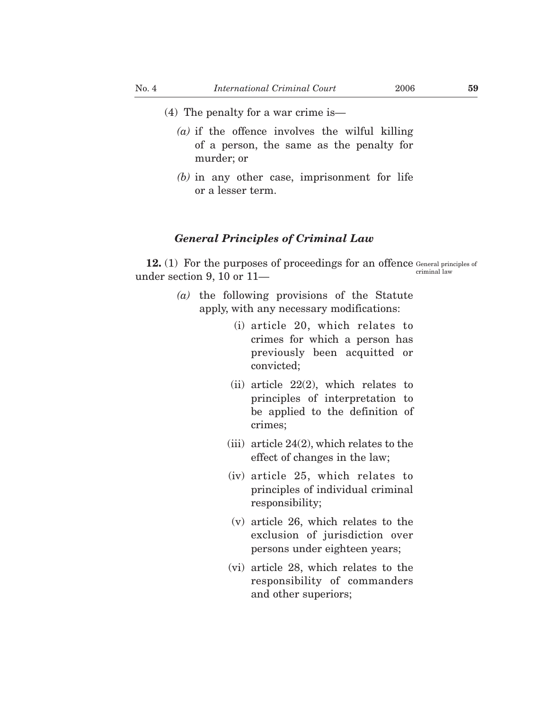- *(a)* if the offence involves the wilful killing of a person, the same as the penalty for murder; or
- *(b)* in any other case, imprisonment for life or a lesser term.

### *General Principles of Criminal Law*

12. (1) For the purposes of proceedings for an offence General principles of under section 9, 10 or 11 criminal law

- *(a)* the following provisions of the Statute apply, with any necessary modifications:
	- (i) article 20, which relates to crimes for which a person has previously been acquitted or convicted;
	- (ii) article 22(2), which relates to principles of interpretation to be applied to the definition of crimes;
	- (iii) article 24(2), which relates to the effect of changes in the law;
	- (iv) article 25, which relates to principles of individual criminal responsibility;
	- (v) article 26, which relates to the exclusion of jurisdiction over persons under eighteen years;
	- (vi) article 28, which relates to the responsibility of commanders and other superiors;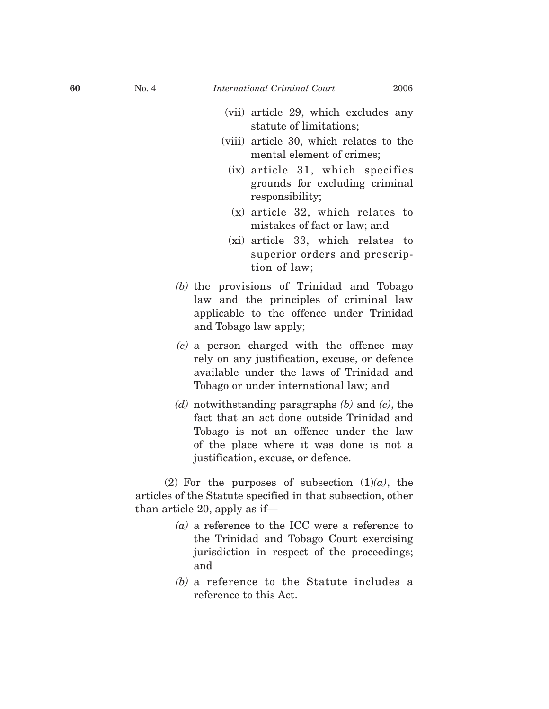(vii) article 29, which excludes any

(viii) article 30, which relates to the mental element of crimes;

statute of limitations;

(ix) article 31, which specifies grounds for excluding criminal responsibility; (x) article 32, which relates to mistakes of fact or law; and (xi) article 33, which relates to superior orders and prescription of law; *(b)* the provisions of Trinidad and Tobago law and the principles of criminal law applicable to the offence under Trinidad and Tobago law apply; *(c)* a person charged with the offence may rely on any justification, excuse, or defence available under the laws of Trinidad and Tobago or under international law; and *(d)* notwithstanding paragraphs *(b)* and *(c)*, the fact that an act done outside Trinidad and Tobago is not an offence under the law of the place where it was done is not a justification, excuse, or defence. (2) For the purposes of subsection  $(1)(a)$ , the articles of the Statute specified in that subsection, other than article 20, apply as if— *(a)* a reference to the ICC were a reference to the Trinidad and Tobago Court exercising jurisdiction in respect of the proceedings; and *(b)* a reference to the Statute includes a reference to this Act.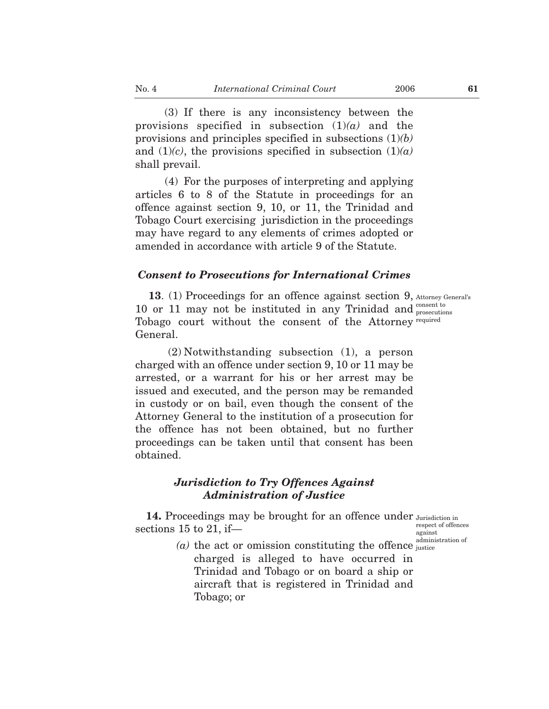(3) If there is any inconsistency between the provisions specified in subsection (1)*(a)* and the provisions and principles specified in subsections (1)*(b)* and  $(1)(c)$ , the provisions specified in subsection  $(1)(a)$ shall prevail.

(4) For the purposes of interpreting and applying articles 6 to 8 of the Statute in proceedings for an offence against section 9, 10, or 11, the Trinidad and Tobago Court exercising jurisdiction in the proceedings may have regard to any elements of crimes adopted or amended in accordance with article 9 of the Statute.

#### *Consent to Prosecutions for International Crimes*

13. (1) Proceedings for an offence against section 9, Attorney General's 10 or 11 may not be instituted in any Trinidad and  $_{\text{prosection}}^{\text{constant to}}$ Tobago court without the consent of the Attorney required General. prosecutions

(2) Notwithstanding subsection (1), a person charged with an offence under section 9, 10 or 11 may be arrested, or a warrant for his or her arrest may be issued and executed, and the person may be remanded in custody or on bail, even though the consent of the Attorney General to the institution of a prosecution for the offence has not been obtained, but no further proceedings can be taken until that consent has been obtained.

# *Jurisdiction to Try Offences Against Administration of Justice*

14. Proceedings may be brought for an offence under Jurisdiction in sections 15 to 21, if against

respect of offences administration of

 $(a)$  the act or omission constituting the offence  $\frac{1}{i}$ charged is alleged to have occurred in Trinidad and Tobago or on board a ship or aircraft that is registered in Trinidad and Tobago; or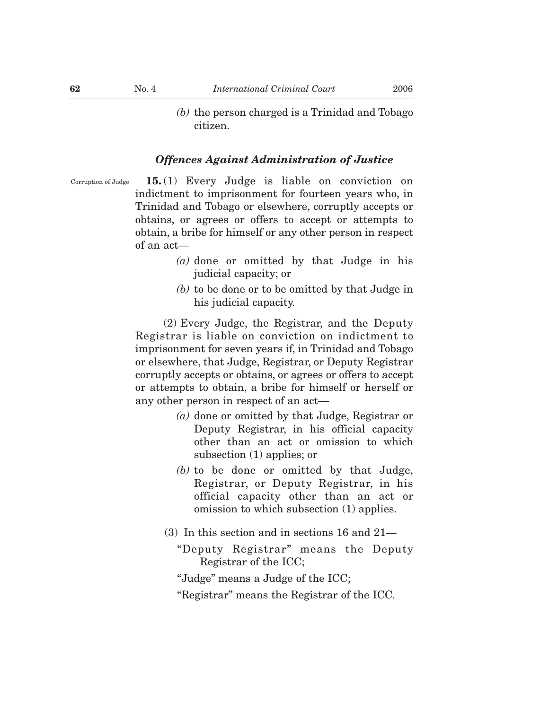*(b)* the person charged is a Trinidad and Tobago citizen.

#### *Offences Against Administration of Justice*

- **15.** (1) Every Judge is liable on conviction on indictment to imprisonment for fourteen years who, in Trinidad and Tobago or elsewhere, corruptly accepts or obtains, or agrees or offers to accept or attempts to obtain, a bribe for himself or any other person in respect of an act— Corruption of Judge
	- *(a)* done or omitted by that Judge in his judicial capacity; or
	- *(b)* to be done or to be omitted by that Judge in his judicial capacity.

(2) Every Judge, the Registrar, and the Deputy Registrar is liable on conviction on indictment to imprisonment for seven years if, in Trinidad and Tobago or elsewhere, that Judge, Registrar, or Deputy Registrar corruptly accepts or obtains, or agrees or offers to accept or attempts to obtain, a bribe for himself or herself or any other person in respect of an act—

- *(a)* done or omitted by that Judge, Registrar or Deputy Registrar, in his official capacity other than an act or omission to which subsection (1) applies; or
- *(b)* to be done or omitted by that Judge, Registrar, or Deputy Registrar, in his official capacity other than an act or omission to which subsection (1) applies.
- (3) In this section and in sections 16 and 21—
	- "Deputy Registrar" means the Deputy Registrar of the ICC;
	- "Judge" means a Judge of the ICC;
	- "Registrar" means the Registrar of the ICC.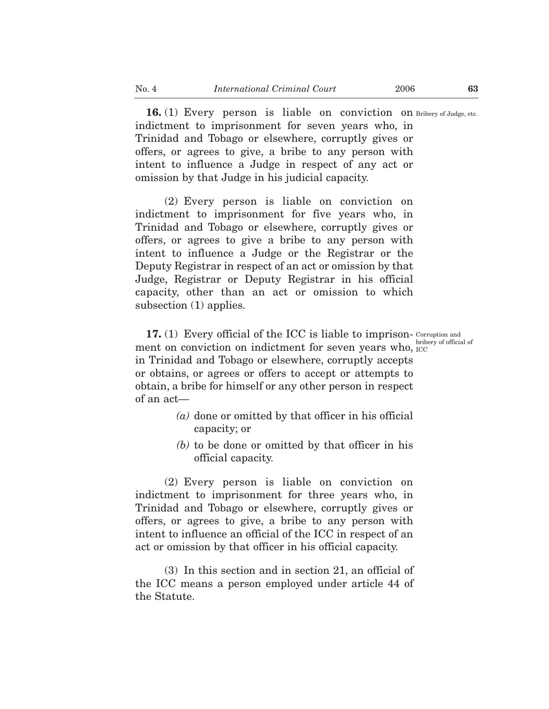16. (1) Every person is liable on conviction on Bribery of Judge, etc. indictment to imprisonment for seven years who, in

Trinidad and Tobago or elsewhere, corruptly gives or offers, or agrees to give, a bribe to any person with intent to influence a Judge in respect of any act or omission by that Judge in his judicial capacity.

(2) Every person is liable on conviction on indictment to imprisonment for five years who, in Trinidad and Tobago or elsewhere, corruptly gives or offers, or agrees to give a bribe to any person with intent to influence a Judge or the Registrar or the Deputy Registrar in respect of an act or omission by that Judge, Registrar or Deputy Registrar in his official capacity, other than an act or omission to which subsection (1) applies.

**17.** (1) Every official of the ICC is liable to imprison-Corruption and ment on conviction on indictment for seven years who, ICC in Trinidad and Tobago or elsewhere, corruptly accepts or obtains, or agrees or offers to accept or attempts to obtain, a bribe for himself or any other person in respect of an act— ICC

- *(a)* done or omitted by that officer in his official capacity; or
- *(b)* to be done or omitted by that officer in his official capacity.

(2) Every person is liable on conviction on indictment to imprisonment for three years who, in Trinidad and Tobago or elsewhere, corruptly gives or offers, or agrees to give, a bribe to any person with intent to influence an official of the ICC in respect of an act or omission by that officer in his official capacity.

(3) In this section and in section 21, an official of the ICC means a person employed under article 44 of the Statute.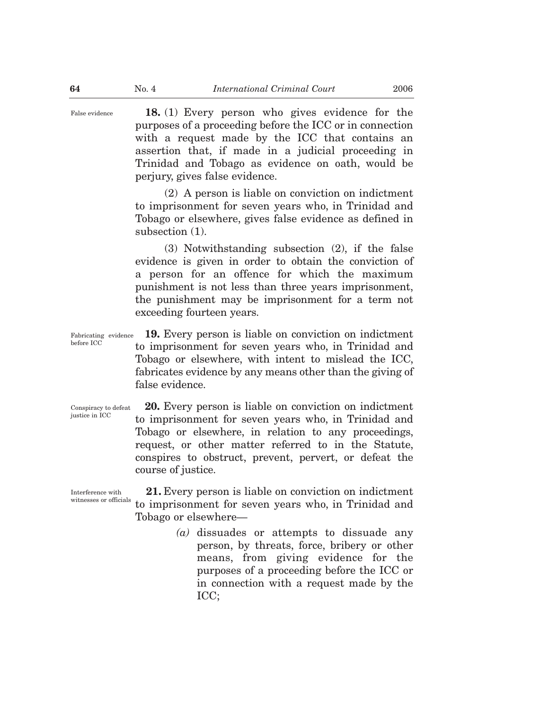**18.** (1) Every person who gives evidence for the purposes of a proceeding before the ICC or in connection with a request made by the ICC that contains an assertion that, if made in a judicial proceeding in Trinidad and Tobago as evidence on oath, would be perjury, gives false evidence. False evidence

> (2) A person is liable on conviction on indictment to imprisonment for seven years who, in Trinidad and Tobago or elsewhere, gives false evidence as defined in subsection  $(1)$ .

> (3) Notwithstanding subsection (2), if the false evidence is given in order to obtain the conviction of a person for an offence for which the maximum punishment is not less than three years imprisonment, the punishment may be imprisonment for a term not exceeding fourteen years.

**19.** Every person is liable on conviction on indictment to imprisonment for seven years who, in Trinidad and Tobago or elsewhere, with intent to mislead the ICC, fabricates evidence by any means other than the giving of false evidence. Fabricating evidence before ICC

**20.** Every person is liable on conviction on indictment to imprisonment for seven years who, in Trinidad and Tobago or elsewhere, in relation to any proceedings, request, or other matter referred to in the Statute, conspires to obstruct, prevent, pervert, or defeat the course of justice. Conspiracy to defeat justice in ICC

**21.** Every person is liable on conviction on indictment to imprisonment for seven years who, in Trinidad and Tobago or elsewhere— Interference with witnesses or officials

> *(a)* dissuades or attempts to dissuade any person, by threats, force, bribery or other means, from giving evidence for the purposes of a proceeding before the ICC or in connection with a request made by the ICC;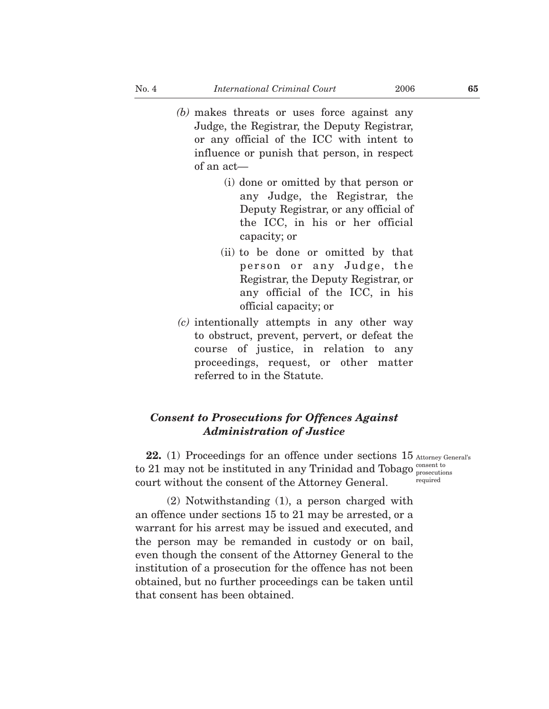- *(b)* makes threats or uses force against any Judge, the Registrar, the Deputy Registrar, or any official of the ICC with intent to influence or punish that person, in respect of an act—
	- (i) done or omitted by that person or any Judge, the Registrar, the Deputy Registrar, or any official of the ICC, in his or her official capacity; or
	- (ii) to be done or omitted by that person or any Judge, the Registrar, the Deputy Registrar, or any official of the ICC, in his official capacity; or
- *(c)* intentionally attempts in any other way to obstruct, prevent, pervert, or defeat the course of justice, in relation to any proceedings, request, or other matter referred to in the Statute.

# *Consent to Prosecutions for Offences Against Administration of Justice*

22. (1) Proceedings for an offence under sections 15 Attorney General's to 21 may not be instituted in any Trinidad and Tobago  $\frac{\text{constant to}}{\text{prosecution}}$ court without the consent of the Attorney General.

prosecutions required

(2) Notwithstanding (1), a person charged with an offence under sections 15 to 21 may be arrested, or a warrant for his arrest may be issued and executed, and the person may be remanded in custody or on bail, even though the consent of the Attorney General to the institution of a prosecution for the offence has not been obtained, but no further proceedings can be taken until that consent has been obtained.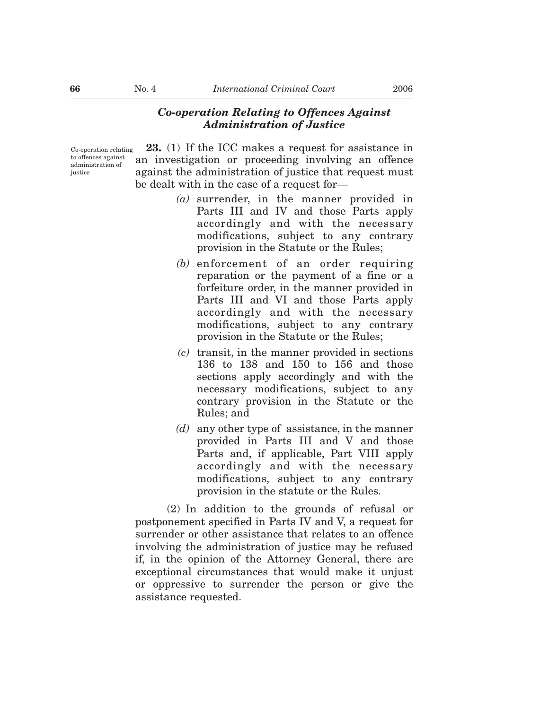# *Co-operation Relating to Offences Against Administration of Justice*

Co-operation relating to offences against administration of justice

**23.** (1) If the ICC makes a request for assistance in an investigation or proceeding involving an offence against the administration of justice that request must be dealt with in the case of a request for—

- *(a)* surrender, in the manner provided in Parts III and IV and those Parts apply accordingly and with the necessary modifications, subject to any contrary provision in the Statute or the Rules;
- *(b)* enforcement of an order requiring reparation or the payment of a fine or a forfeiture order, in the manner provided in Parts III and VI and those Parts apply accordingly and with the necessary modifications, subject to any contrary provision in the Statute or the Rules;
- *(c)* transit, in the manner provided in sections 136 to 138 and 150 to 156 and those sections apply accordingly and with the necessary modifications, subject to any contrary provision in the Statute or the Rules; and
- *(d)* any other type of assistance, in the manner provided in Parts III and V and those Parts and, if applicable, Part VIII apply accordingly and with the necessary modifications, subject to any contrary provision in the statute or the Rules.

(2) In addition to the grounds of refusal or postponement specified in Parts IV and V, a request for surrender or other assistance that relates to an offence involving the administration of justice may be refused if, in the opinion of the Attorney General, there are exceptional circumstances that would make it unjust or oppressive to surrender the person or give the assistance requested.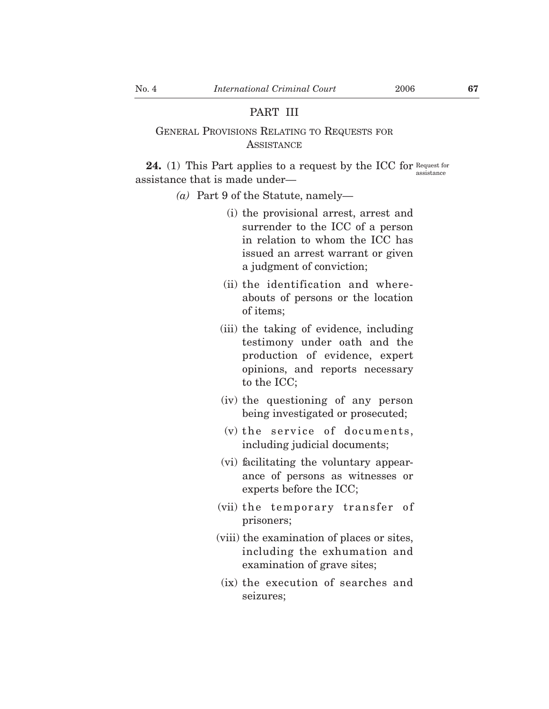# PART III

# GENERAL PROVISIONS RELATING TO REQUESTS FOR **ASSISTANCE**

24. (1) This Part applies to a request by the ICC for Request for assistance that is made under assistance

*(a)* Part 9 of the Statute, namely—

- (i) the provisional arrest, arrest and surrender to the ICC of a person in relation to whom the ICC has issued an arrest warrant or given a judgment of conviction;
- (ii) the identification and whereabouts of persons or the location of items;
- (iii) the taking of evidence, including testimony under oath and the production of evidence, expert opinions, and reports necessary to the ICC;
- (iv) the questioning of any person being investigated or prosecuted;
- (v) the service of documents, including judicial documents;
- (vi) facilitating the voluntary appearance of persons as witnesses or experts before the ICC;
- (vii) the temporary transfer of prisoners;
- (viii) the examination of places or sites, including the exhumation and examination of grave sites;
- (ix) the execution of searches and seizures;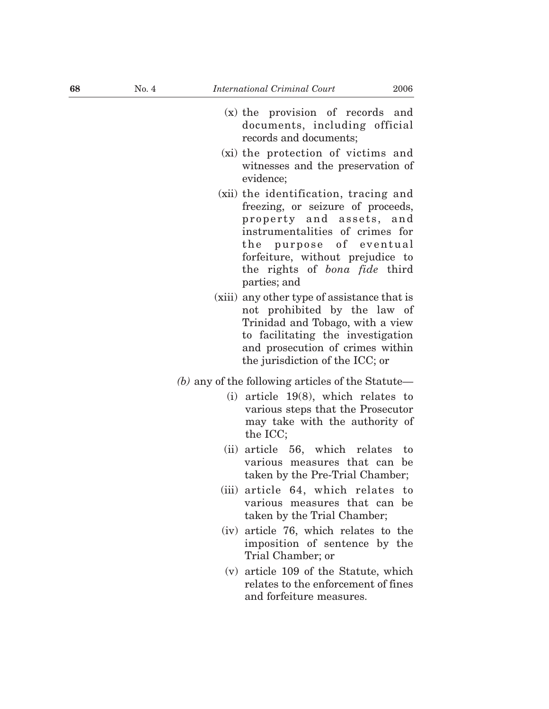- (x) the provision of records and documents, including official records and documents;
- (xi) the protection of victims and witnesses and the preservation of evidence;
- (xii) the identification, tracing and freezing, or seizure of proceeds, property and assets, and instrumentalities of crimes for the purpose of eventual forfeiture, without prejudice to the rights of *bona fide* third parties; and
- (xiii) any other type of assistance that is not prohibited by the law of Trinidad and Tobago, with a view to facilitating the investigation and prosecution of crimes within the jurisdiction of the ICC; or
- *(b)* any of the following articles of the Statute—
	- (i) article 19(8), which relates to various steps that the Prosecutor may take with the authority of the ICC;
	- (ii) article 56, which relates to various measures that can be taken by the Pre-Trial Chamber;
	- (iii) article 64, which relates to various measures that can be taken by the Trial Chamber;
	- (iv) article 76, which relates to the imposition of sentence by the Trial Chamber; or
	- (v) article 109 of the Statute, which relates to the enforcement of fines and forfeiture measures.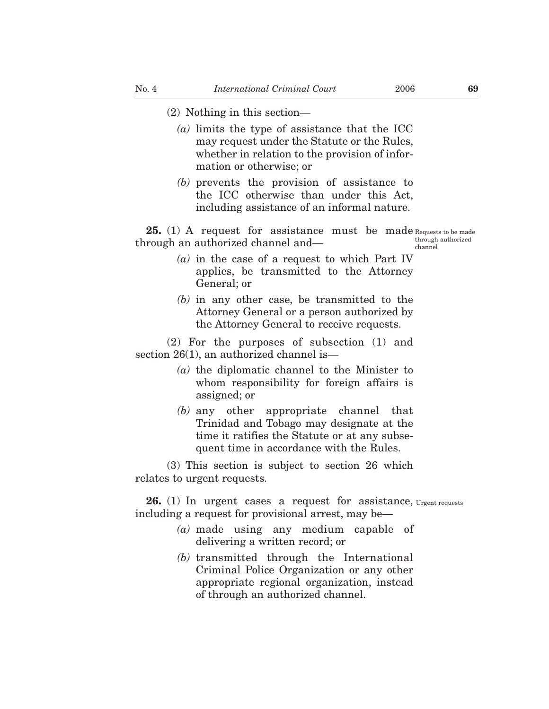(2) Nothing in this section—

- *(a)* limits the type of assistance that the ICC may request under the Statute or the Rules, whether in relation to the provision of information or otherwise; or
- *(b)* prevents the provision of assistance to the ICC otherwise than under this Act, including assistance of an informal nature.

25. (1) A request for assistance must be made Requests to be made through an authorized channel and through authorized channel

- *(a)* in the case of a request to which Part IV applies, be transmitted to the Attorney General; or
- *(b)* in any other case, be transmitted to the Attorney General or a person authorized by the Attorney General to receive requests.

(2) For the purposes of subsection (1) and section 26(1), an authorized channel is—

- *(a)* the diplomatic channel to the Minister to whom responsibility for foreign affairs is assigned; or
- *(b)* any other appropriate channel that Trinidad and Tobago may designate at the time it ratifies the Statute or at any subsequent time in accordance with the Rules.

(3) This section is subject to section 26 which relates to urgent requests.

26. (1) In urgent cases a request for assistance, Urgent requests including a request for provisional arrest, may be—

- *(a)* made using any medium capable of delivering a written record; or
- *(b)* transmitted through the International Criminal Police Organization or any other appropriate regional organization, instead of through an authorized channel.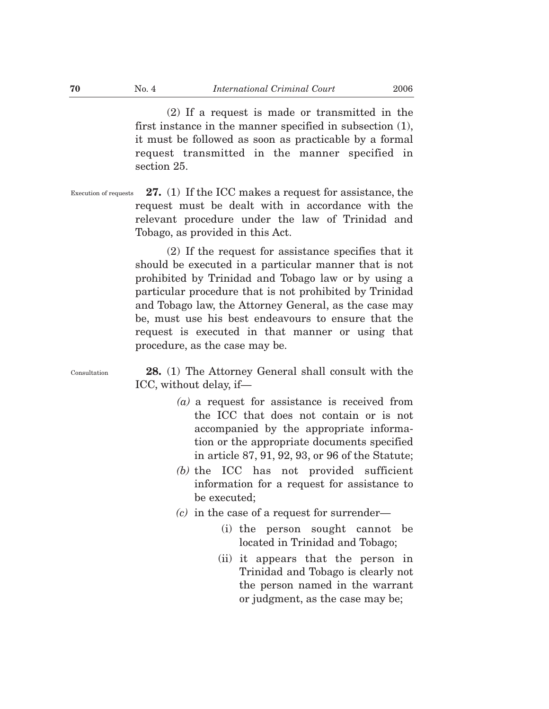(2) If a request is made or transmitted in the first instance in the manner specified in subsection (1), it must be followed as soon as practicable by a formal request transmitted in the manner specified in section 25.

**27.** (1) If the ICC makes a request for assistance, the request must be dealt with in accordance with the relevant procedure under the law of Trinidad and Tobago, as provided in this Act. Execution of requests

> (2) If the request for assistance specifies that it should be executed in a particular manner that is not prohibited by Trinidad and Tobago law or by using a particular procedure that is not prohibited by Trinidad and Tobago law, the Attorney General, as the case may be, must use his best endeavours to ensure that the request is executed in that manner or using that procedure, as the case may be.

**28.** (1) The Attorney General shall consult with the ICC, without delay, if—

- *(a)* a request for assistance is received from the ICC that does not contain or is not accompanied by the appropriate information or the appropriate documents specified in article 87, 91, 92, 93, or 96 of the Statute;
- *(b)* the ICC has not provided sufficient information for a request for assistance to be executed;
- *(c)* in the case of a request for surrender—
	- (i) the person sought cannot be located in Trinidad and Tobago;
	- (ii) it appears that the person in Trinidad and Tobago is clearly not the person named in the warrant or judgment, as the case may be;

Consultation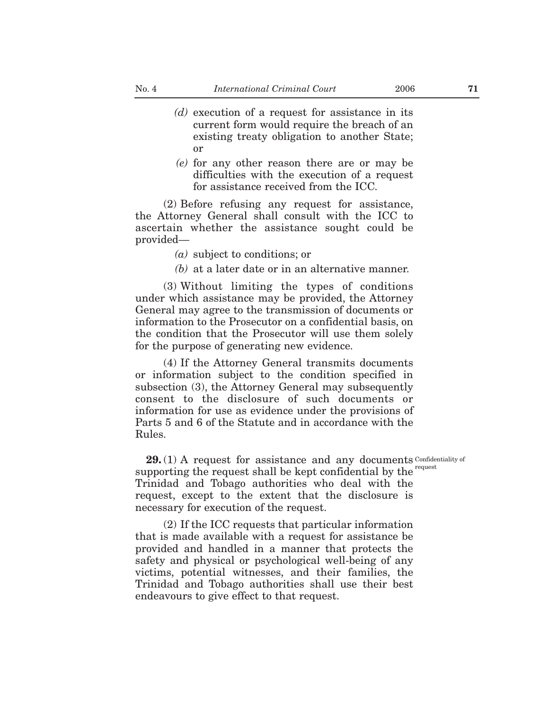- *(d)* execution of a request for assistance in its current form would require the breach of an existing treaty obligation to another State; or
- *(e)* for any other reason there are or may be difficulties with the execution of a request for assistance received from the ICC.

(2) Before refusing any request for assistance, the Attorney General shall consult with the ICC to ascertain whether the assistance sought could be provided—

*(a)* subject to conditions; or

*(b)* at a later date or in an alternative manner.

(3) Without limiting the types of conditions under which assistance may be provided, the Attorney General may agree to the transmission of documents or information to the Prosecutor on a confidential basis, on the condition that the Prosecutor will use them solely for the purpose of generating new evidence.

(4) If the Attorney General transmits documents or information subject to the condition specified in subsection (3), the Attorney General may subsequently consent to the disclosure of such documents or information for use as evidence under the provisions of Parts 5 and 6 of the Statute and in accordance with the Rules.

29. (1) A request for assistance and any documents Confidentiality of supporting the request shall be kept confidential by the request Trinidad and Tobago authorities who deal with the request, except to the extent that the disclosure is necessary for execution of the request.

(2) If the ICC requests that particular information that is made available with a request for assistance be provided and handled in a manner that protects the safety and physical or psychological well-being of any victims, potential witnesses, and their families, the Trinidad and Tobago authorities shall use their best endeavours to give effect to that request.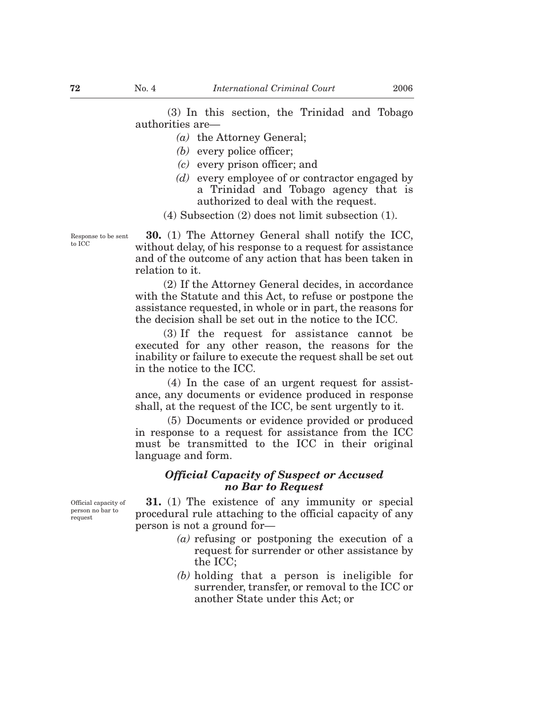(3) In this section, the Trinidad and Tobago authorities are—

- *(a)* the Attorney General;
- *(b)* every police officer;
- *(c)* every prison officer; and
- *(d)* every employee of or contractor engaged by a Trinidad and Tobago agency that is authorized to deal with the request.
- (4) Subsection (2) does not limit subsection (1).

**30.** (1) The Attorney General shall notify the ICC, without delay, of his response to a request for assistance and of the outcome of any action that has been taken in relation to it. Response to be sent

> (2) If the Attorney General decides, in accordance with the Statute and this Act, to refuse or postpone the assistance requested, in whole or in part, the reasons for the decision shall be set out in the notice to the ICC.

> (3) If the request for assistance cannot be executed for any other reason, the reasons for the inability or failure to execute the request shall be set out in the notice to the ICC.

> (4) In the case of an urgent request for assistance, any documents or evidence produced in response shall, at the request of the ICC, be sent urgently to it.

> (5) Documents or evidence provided or produced in response to a request for assistance from the ICC must be transmitted to the ICC in their original language and form.

### *Official Capacity of Suspect or Accused no Bar to Request*

**31.** (1) The existence of any immunity or special procedural rule attaching to the official capacity of any person is not a ground for—

- *(a)* refusing or postponing the execution of a request for surrender or other assistance by the ICC;
- *(b)* holding that a person is ineligible for surrender, transfer, or removal to the ICC or another State under this Act; or

Official capacity of person no bar to request

to ICC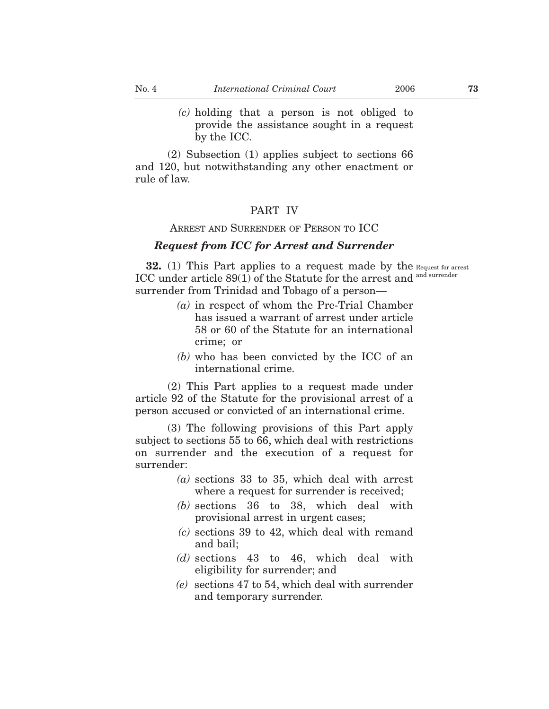*(c)* holding that a person is not obliged to provide the assistance sought in a request by the ICC.

(2) Subsection (1) applies subject to sections 66 and 120, but notwithstanding any other enactment or rule of law.

#### PART IV

#### ARREST AND SURRENDER OF PERSON TO ICC

#### *Request from ICC for Arrest and Surrender*

**32.** (1) This Part applies to a request made by the Request for arrest ICC under article 89(1) of the Statute for the arrest and and surrender surrender from Trinidad and Tobago of a person—

- *(a)* in respect of whom the Pre-Trial Chamber has issued a warrant of arrest under article 58 or 60 of the Statute for an international crime; or
- *(b)* who has been convicted by the ICC of an international crime.

(2) This Part applies to a request made under article 92 of the Statute for the provisional arrest of a person accused or convicted of an international crime.

(3) The following provisions of this Part apply subject to sections 55 to 66, which deal with restrictions on surrender and the execution of a request for surrender:

- *(a)* sections 33 to 35, which deal with arrest where a request for surrender is received;
- *(b)* sections 36 to 38, which deal with provisional arrest in urgent cases;
- *(c)* sections 39 to 42, which deal with remand and bail;
- *(d)* sections 43 to 46, which deal with eligibility for surrender; and
- *(e)* sections 47 to 54, which deal with surrender and temporary surrender.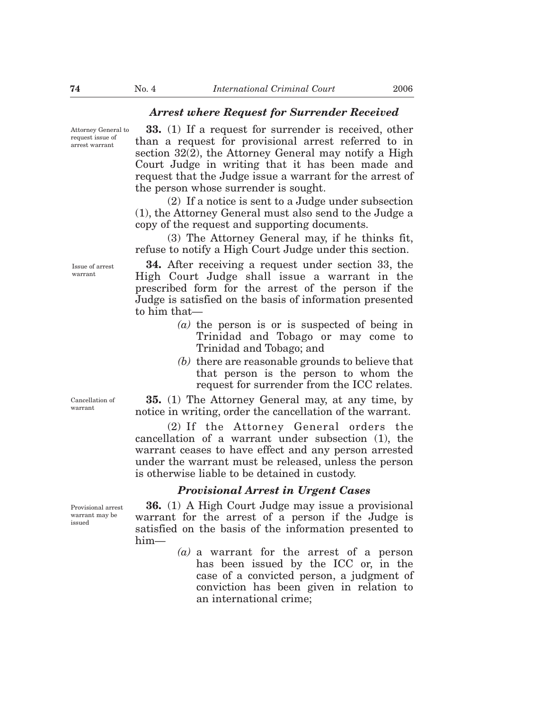# *Arrest where Request for Surrender Received*

Attorney General to request issue of arrest warrant

**33.** (1) If a request for surrender is received, other than a request for provisional arrest referred to in section 32(2), the Attorney General may notify a High Court Judge in writing that it has been made and request that the Judge issue a warrant for the arrest of the person whose surrender is sought.

(2) If a notice is sent to a Judge under subsection (1), the Attorney General must also send to the Judge a copy of the request and supporting documents.

(3) The Attorney General may, if he thinks fit, refuse to notify a High Court Judge under this section.

**34.** After receiving a request under section 33, the High Court Judge shall issue a warrant in the prescribed form for the arrest of the person if the Judge is satisfied on the basis of information presented to him that—

- *(a)* the person is or is suspected of being in Trinidad and Tobago or may come to Trinidad and Tobago; and
- *(b)* there are reasonable grounds to believe that that person is the person to whom the request for surrender from the ICC relates.

**35.** (1) The Attorney General may, at any time, by notice in writing, order the cancellation of the warrant.

(2) If the Attorney General orders the cancellation of a warrant under subsection (1), the warrant ceases to have effect and any person arrested under the warrant must be released, unless the person is otherwise liable to be detained in custody.

# *Provisional Arrest in Urgent Cases*

**36.** (1) A High Court Judge may issue a provisional warrant for the arrest of a person if the Judge is satisfied on the basis of the information presented to him—

> *(a)* a warrant for the arrest of a person has been issued by the ICC or, in the case of a convicted person, a judgment of conviction has been given in relation to an international crime;

Issue of arrest warrant

Cancellation of warrant

Provisional arrest warrant may be issued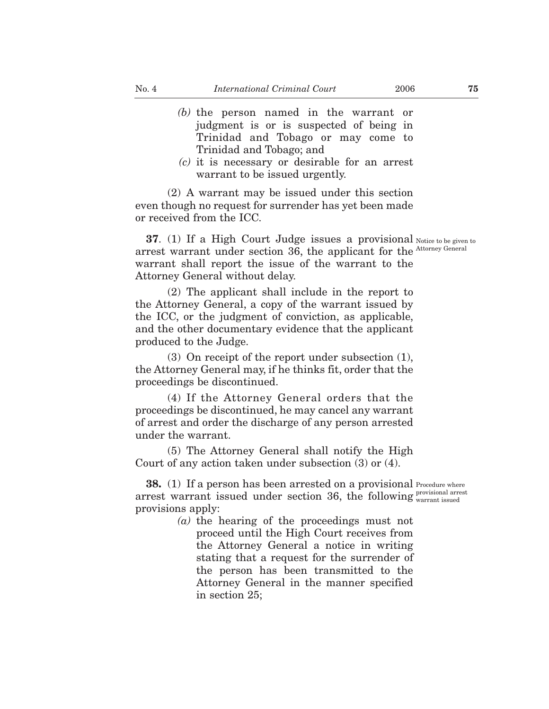- *(b)* the person named in the warrant or judgment is or is suspected of being in Trinidad and Tobago or may come to Trinidad and Tobago; and
- *(c)* it is necessary or desirable for an arrest warrant to be issued urgently.

(2) A warrant may be issued under this section even though no request for surrender has yet been made or received from the ICC.

**37.** (1) If a High Court Judge issues a provisional Notice to be given to arrest warrant under section 36, the applicant for the Attorney General warrant shall report the issue of the warrant to the Attorney General without delay.

(2) The applicant shall include in the report to the Attorney General, a copy of the warrant issued by the ICC, or the judgment of conviction, as applicable, and the other documentary evidence that the applicant produced to the Judge.

(3) On receipt of the report under subsection (1), the Attorney General may, if he thinks fit, order that the proceedings be discontinued.

(4) If the Attorney General orders that the proceedings be discontinued, he may cancel any warrant of arrest and order the discharge of any person arrested under the warrant.

(5) The Attorney General shall notify the High Court of any action taken under subsection (3) or (4).

**38.** (1) If a person has been arrested on a provisional Procedure where arrest warrant issued under section 36, the following provisional arrest provisions apply: warrant issued

> *(a)* the hearing of the proceedings must not proceed until the High Court receives from the Attorney General a notice in writing stating that a request for the surrender of the person has been transmitted to the Attorney General in the manner specified in section 25;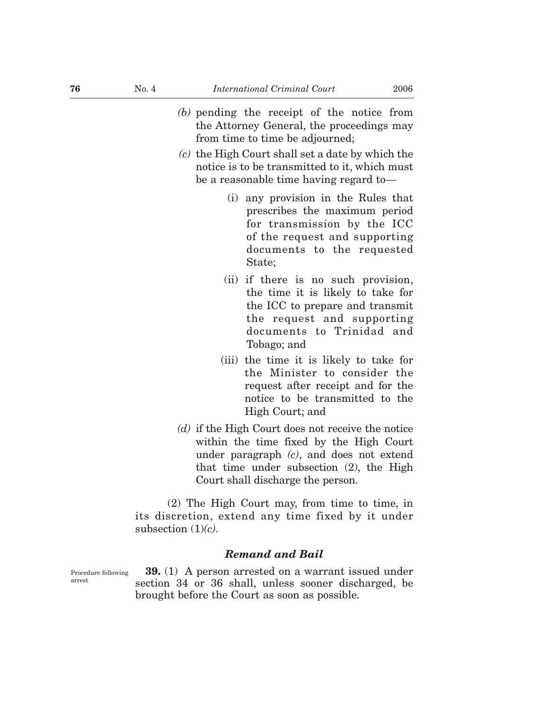- *(b)* pending the receipt of the notice from the Attorney General, the proceedings may from time to time be adjourned;
- *(c)* the High Court shall set a date by which the notice is to be transmitted to it, which must be a reasonable time having regard to—
	- (i) any provision in the Rules that prescribes the maximum period for transmission by the ICC of the request and supporting documents to the requested State;
	- (ii) if there is no such provision, the time it is likely to take for the ICC to prepare and transmit the request and supporting documents to Trinidad and Tobago; and
	- (iii) the time it is likely to take for the Minister to consider the request after receipt and for the notice to be transmitted to the High Court; and
- *(d)* if the High Court does not receive the notice within the time fixed by the High Court under paragraph *(c)*, and does not extend that time under subsection (2), the High Court shall discharge the person.

(2) The High Court may, from time to time, in its discretion, extend any time fixed by it under subsection (1)*(c).*

# *Remand and Bail*

**39.** (1) A person arrested on a warrant issued under section 34 or 36 shall, unless sooner discharged, be brought before the Court as soon as possible. Procedure following

arrest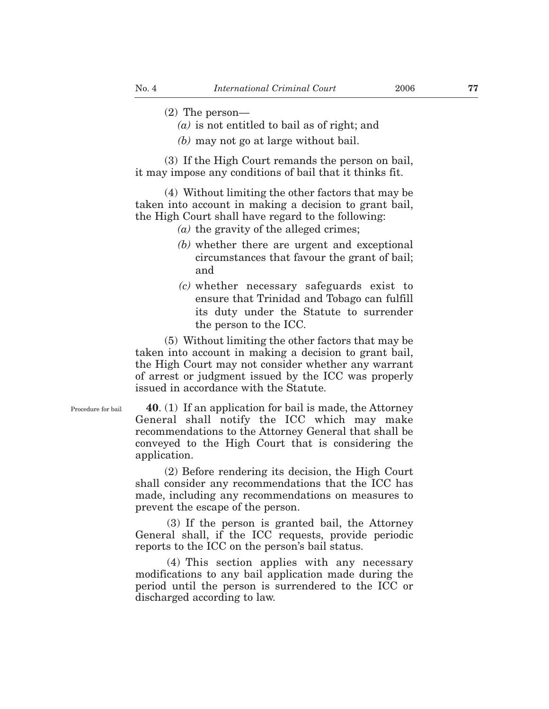(2) The person—

- *(a)* is not entitled to bail as of right; and
- *(b)* may not go at large without bail.

(3) If the High Court remands the person on bail, it may impose any conditions of bail that it thinks fit.

(4) Without limiting the other factors that may be taken into account in making a decision to grant bail, the High Court shall have regard to the following:

- *(a)* the gravity of the alleged crimes;
- *(b)* whether there are urgent and exceptional circumstances that favour the grant of bail; and
- *(c)* whether necessary safeguards exist to ensure that Trinidad and Tobago can fulfill its duty under the Statute to surrender the person to the ICC.

(5) Without limiting the other factors that may be taken into account in making a decision to grant bail, the High Court may not consider whether any warrant of arrest or judgment issued by the ICC was properly issued in accordance with the Statute.

Procedure for bail

**40**. (1) If an application for bail is made, the Attorney General shall notify the ICC which may make recommendations to the Attorney General that shall be conveyed to the High Court that is considering the application.

(2) Before rendering its decision, the High Court shall consider any recommendations that the ICC has made, including any recommendations on measures to prevent the escape of the person.

(3) If the person is granted bail, the Attorney General shall, if the ICC requests, provide periodic reports to the ICC on the person's bail status.

(4) This section applies with any necessary modifications to any bail application made during the period until the person is surrendered to the ICC or discharged according to law.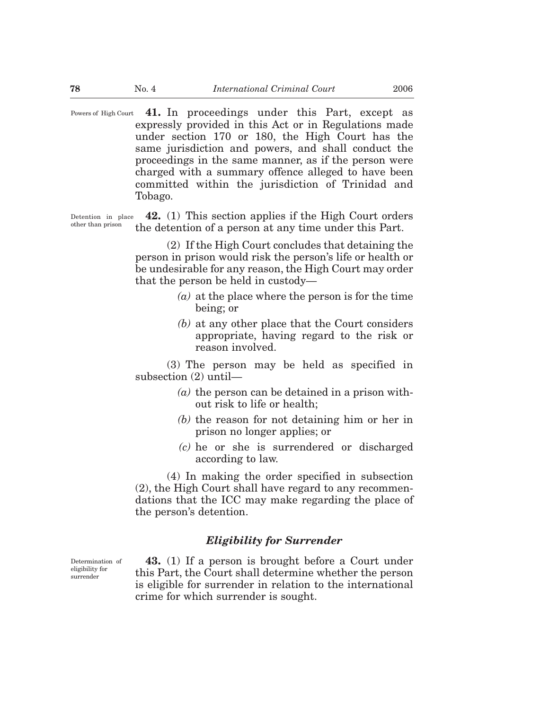Powers of High Court **41.** In proceedings under this Part, except as expressly provided in this Act or in Regulations made under section 170 or 180, the High Court has the same jurisdiction and powers, and shall conduct the proceedings in the same manner, as if the person were charged with a summary offence alleged to have been committed within the jurisdiction of Trinidad and Tobago.

**42.** (1) This section applies if the High Court orders the detention of a person at any time under this Part. Detention in place other than prison

> (2) If the High Court concludes that detaining the person in prison would risk the person's life or health or be undesirable for any reason, the High Court may order that the person be held in custody—

- *(a)* at the place where the person is for the time being; or
- *(b)* at any other place that the Court considers appropriate, having regard to the risk or reason involved.

(3) The person may be held as specified in subsection (2) until—

- *(a)* the person can be detained in a prison without risk to life or health;
- *(b)* the reason for not detaining him or her in prison no longer applies; or
- *(c)* he or she is surrendered or discharged according to law.

(4) In making the order specified in subsection (2), the High Court shall have regard to any recommendations that the ICC may make regarding the place of the person's detention.

## *Eligibility for Surrender*

Determination of eligibility for surrender

**43.** (1) If a person is brought before a Court under this Part, the Court shall determine whether the person is eligible for surrender in relation to the international crime for which surrender is sought.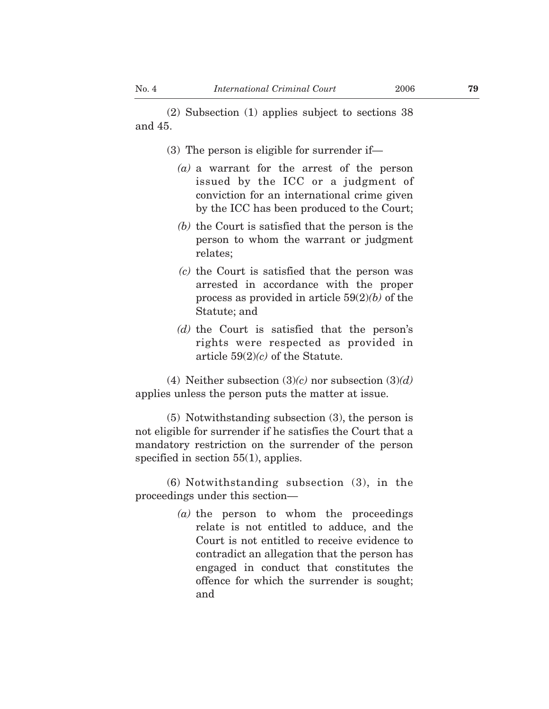(2) Subsection (1) applies subject to sections 38 and 45.

- (3) The person is eligible for surrender if—
	- *(a)* a warrant for the arrest of the person issued by the ICC or a judgment of conviction for an international crime given by the ICC has been produced to the Court;
	- *(b)* the Court is satisfied that the person is the person to whom the warrant or judgment relates;
	- *(c)* the Court is satisfied that the person was arrested in accordance with the proper process as provided in article 59(2)*(b)* of the Statute; and
	- *(d)* the Court is satisfied that the person's rights were respected as provided in article 59(2)*(c)* of the Statute.

(4) Neither subsection (3)*(c)* nor subsection (3)*(d)* applies unless the person puts the matter at issue.

(5) Notwithstanding subsection (3), the person is not eligible for surrender if he satisfies the Court that a mandatory restriction on the surrender of the person specified in section 55(1), applies.

(6) Notwithstanding subsection (3), in the proceedings under this section—

> *(a)* the person to whom the proceedings relate is not entitled to adduce, and the Court is not entitled to receive evidence to contradict an allegation that the person has engaged in conduct that constitutes the offence for which the surrender is sought; and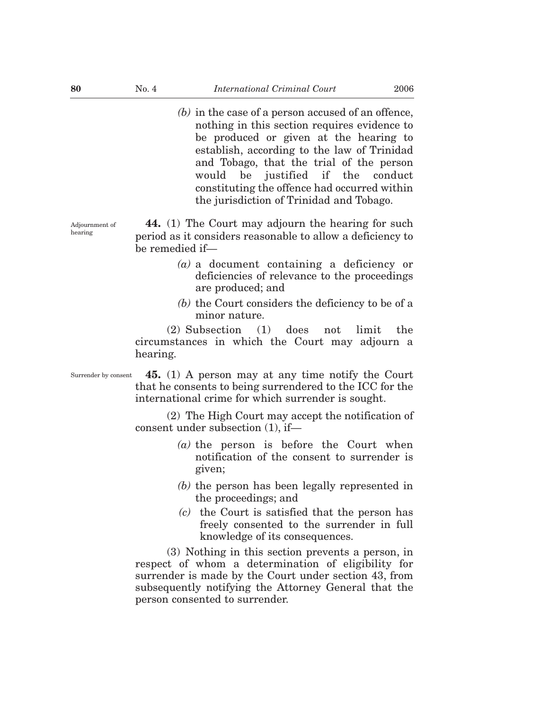*(b)* in the case of a person accused of an offence, nothing in this section requires evidence to be produced or given at the hearing to establish, according to the law of Trinidad and Tobago, that the trial of the person would be justified if the conduct constituting the offence had occurred within the jurisdiction of Trinidad and Tobago.

**44.** (1) The Court may adjourn the hearing for such period as it considers reasonable to allow a deficiency to be remedied if—

- *(a)* a document containing a deficiency or deficiencies of relevance to the proceedings are produced; and
- *(b)* the Court considers the deficiency to be of a minor nature.

(2) Subsection (1) does not limit the circumstances in which the Court may adjourn a hearing.

**45.** (1) A person may at any time notify the Court that he consents to being surrendered to the ICC for the international crime for which surrender is sought. Surrender by consent

> (2) The High Court may accept the notification of consent under subsection (1), if—

- *(a)* the person is before the Court when notification of the consent to surrender is given;
- *(b)* the person has been legally represented in the proceedings; and
- *(c)* the Court is satisfied that the person has freely consented to the surrender in full knowledge of its consequences.

(3) Nothing in this section prevents a person, in respect of whom a determination of eligibility for surrender is made by the Court under section 43, from subsequently notifying the Attorney General that the person consented to surrender.

Adjournment of hearing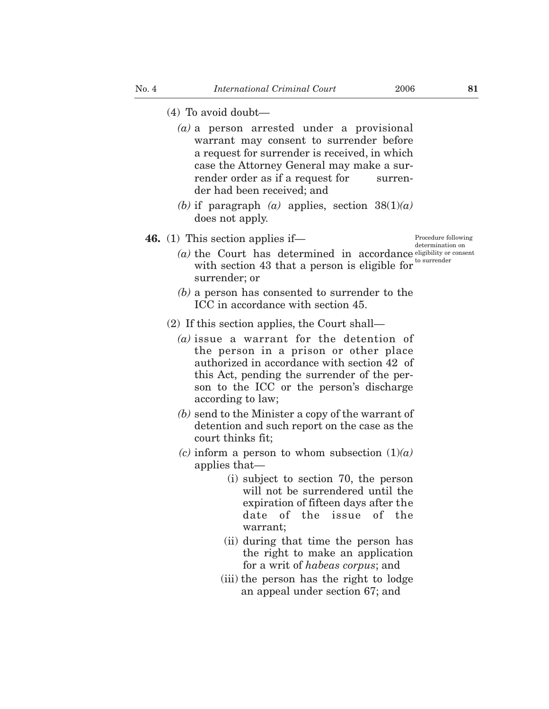- *(a)* a person arrested under a provisional warrant may consent to surrender before a request for surrender is received, in which case the Attorney General may make a surrender order as if a request for surrender had been received; and
- *(b)* if paragraph *(a)* applies, section  $38(1)(a)$ does not apply.

#### **46.** (1) This section applies if—

Procedure following determination on

- $(a)$  the Court has determined in accordance eligibility or consent with section 43 that a person is eligible for <sup>to surrender</sup> surrender; or
- *(b)* a person has consented to surrender to the ICC in accordance with section 45.
- (2) If this section applies, the Court shall—
	- *(a)* issue a warrant for the detention of the person in a prison or other place authorized in accordance with section 42 of this Act, pending the surrender of the person to the ICC or the person's discharge according to law;
	- *(b)* send to the Minister a copy of the warrant of detention and such report on the case as the court thinks fit;
	- *(c)* inform a person to whom subsection (1)*(a)* applies that—
		- (i) subject to section 70, the person will not be surrendered until the expiration of fifteen days after the date of the issue of the warrant;
		- (ii) during that time the person has the right to make an application for a writ of *habeas corpus*; and
		- (iii) the person has the right to lodge an appeal under section 67; and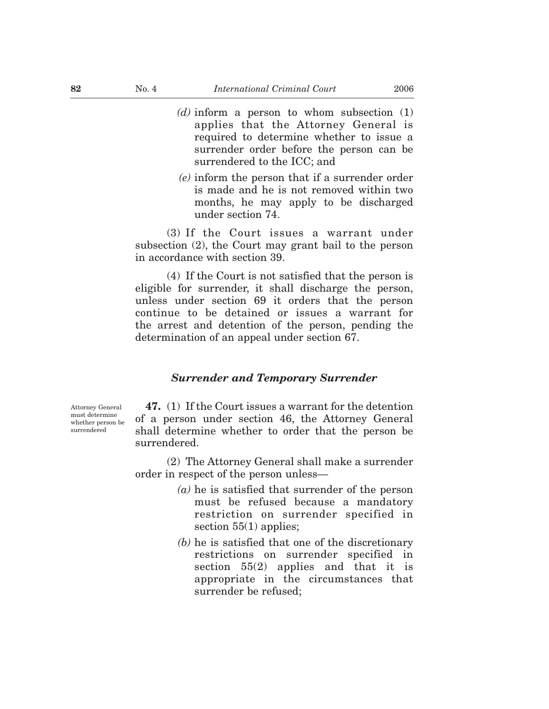- *(d)* inform a person to whom subsection (1) applies that the Attorney General is required to determine whether to issue a surrender order before the person can be surrendered to the ICC; and
- *(e)* inform the person that if a surrender order is made and he is not removed within two months, he may apply to be discharged under section 74.

(3) If the Court issues a warrant under subsection (2), the Court may grant bail to the person in accordance with section 39.

(4) If the Court is not satisfied that the person is eligible for surrender, it shall discharge the person, unless under section 69 it orders that the person continue to be detained or issues a warrant for the arrest and detention of the person, pending the determination of an appeal under section 67.

#### *Surrender and Temporary Surrender*

Attorney General must determine whether person be surrendered

**47.** (1) If the Court issues a warrant for the detention of a person under section 46, the Attorney General shall determine whether to order that the person be surrendered.

(2) The Attorney General shall make a surrender order in respect of the person unless—

- *(a)* he is satisfied that surrender of the person must be refused because a mandatory restriction on surrender specified in section 55(1) applies;
- *(b)* he is satisfied that one of the discretionary restrictions on surrender specified in section 55(2) applies and that it is appropriate in the circumstances that surrender be refused;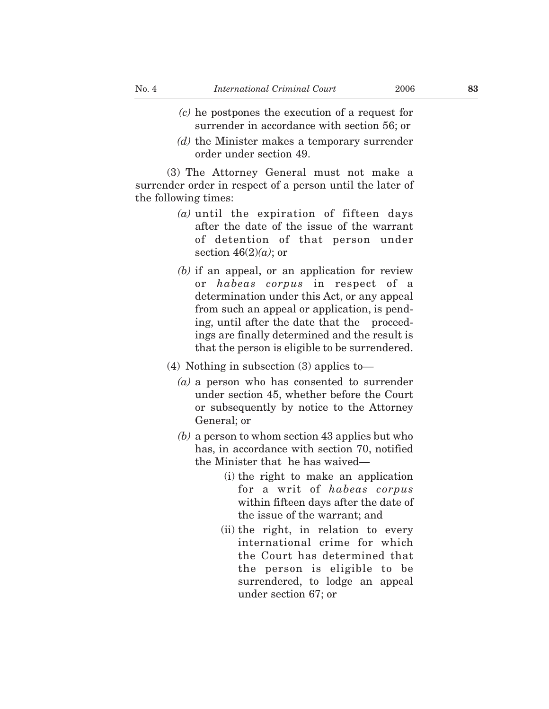- *(c)* he postpones the execution of a request for surrender in accordance with section 56; or
- *(d)* the Minister makes a temporary surrender order under section 49.

(3) The Attorney General must not make a surrender order in respect of a person until the later of the following times:

- *(a)* until the expiration of fifteen days after the date of the issue of the warrant of detention of that person under section  $46(2)(a)$ ; or
- *(b)* if an appeal, or an application for review or *habeas corpus* in respect of a determination under this Act, or any appeal from such an appeal or application, is pending, until after the date that the proceedings are finally determined and the result is that the person is eligible to be surrendered.
- (4) Nothing in subsection (3) applies to—
	- *(a)* a person who has consented to surrender under section 45, whether before the Court or subsequently by notice to the Attorney General; or
	- *(b)* a person to whom section 43 applies but who has, in accordance with section 70, notified the Minister that he has waived—
		- (i) the right to make an application for a writ of *habeas corpus* within fifteen days after the date of the issue of the warrant; and
		- (ii) the right, in relation to every international crime for which the Court has determined that the person is eligible to be surrendered, to lodge an appeal under section 67; or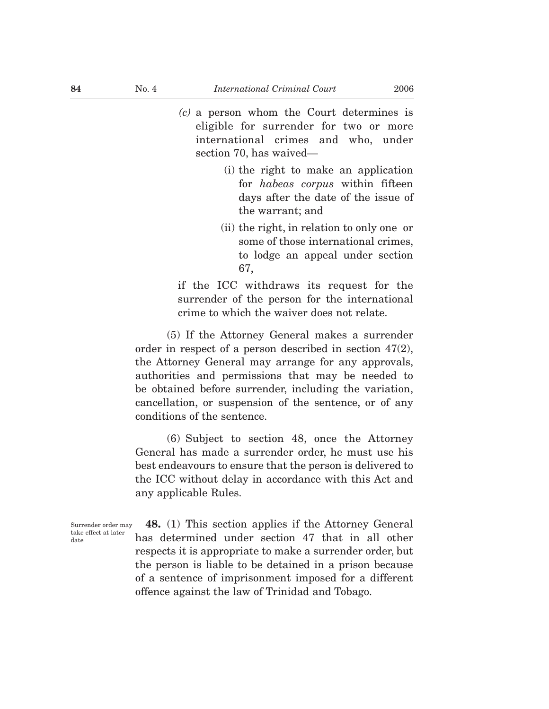- *(c)* a person whom the Court determines is eligible for surrender for two or more international crimes and who, under section 70, has waived—
	- (i) the right to make an application for *habeas corpus* within fifteen days after the date of the issue of the warrant; and
	- (ii) the right, in relation to only one or some of those international crimes, to lodge an appeal under section 67,

if the ICC withdraws its request for the surrender of the person for the international crime to which the waiver does not relate.

(5) If the Attorney General makes a surrender order in respect of a person described in section 47(2), the Attorney General may arrange for any approvals, authorities and permissions that may be needed to be obtained before surrender, including the variation, cancellation, or suspension of the sentence, or of any conditions of the sentence.

(6) Subject to section 48, once the Attorney General has made a surrender order, he must use his best endeavours to ensure that the person is delivered to the ICC without delay in accordance with this Act and any applicable Rules.

**48.** (1) This section applies if the Attorney General has determined under section 47 that in all other respects it is appropriate to make a surrender order, but the person is liable to be detained in a prison because of a sentence of imprisonment imposed for a different offence against the law of Trinidad and Tobago. Surrender order may take effect at later date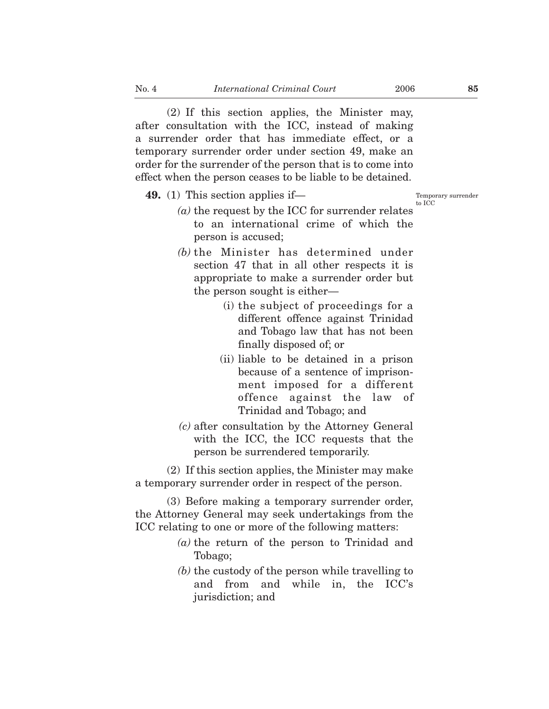(2) If this section applies, the Minister may, after consultation with the ICC, instead of making a surrender order that has immediate effect, or a temporary surrender order under section 49, make an order for the surrender of the person that is to come into effect when the person ceases to be liable to be detained.

#### **49.** (1) This section applies if—

- *(a)* the request by the ICC for surrender relates to an international crime of which the person is accused;
- *(b)* the Minister has determined under section 47 that in all other respects it is appropriate to make a surrender order but the person sought is either—
	- (i) the subject of proceedings for a different offence against Trinidad and Tobago law that has not been finally disposed of; or
	- (ii) liable to be detained in a prison because of a sentence of imprisonment imposed for a different offence against the law of Trinidad and Tobago; and
- *(c)* after consultation by the Attorney General with the ICC, the ICC requests that the person be surrendered temporarily.

(2) If this section applies, the Minister may make a temporary surrender order in respect of the person.

(3) Before making a temporary surrender order, the Attorney General may seek undertakings from the ICC relating to one or more of the following matters:

- *(a)* the return of the person to Trinidad and Tobago;
- *(b)* the custody of the person while travelling to and from and while in, the ICC's jurisdiction; and

Temporary surrender to ICC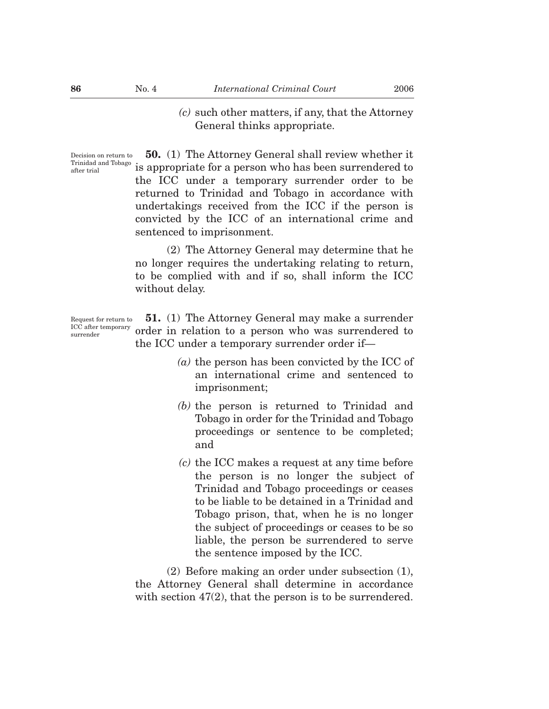Decision on return to Trinidad and Tobago after trial

**50.** (1) The Attorney General shall review whether it is appropriate for a person who has been surrendered to the ICC under a temporary surrender order to be returned to Trinidad and Tobago in accordance with undertakings received from the ICC if the person is convicted by the ICC of an international crime and sentenced to imprisonment.

(2) The Attorney General may determine that he no longer requires the undertaking relating to return, to be complied with and if so, shall inform the ICC without delay.

**51.** (1) The Attorney General may make a surrender order in relation to a person who was surrendered to the ICC under a temporary surrender order if— Request for return to ICC after temporary surrender

- *(a)* the person has been convicted by the ICC of an international crime and sentenced to imprisonment;
- *(b)* the person is returned to Trinidad and Tobago in order for the Trinidad and Tobago proceedings or sentence to be completed; and
- *(c)* the ICC makes a request at any time before the person is no longer the subject of Trinidad and Tobago proceedings or ceases to be liable to be detained in a Trinidad and Tobago prison, that, when he is no longer the subject of proceedings or ceases to be so liable, the person be surrendered to serve the sentence imposed by the ICC.

(2) Before making an order under subsection (1), the Attorney General shall determine in accordance with section 47(2), that the person is to be surrendered.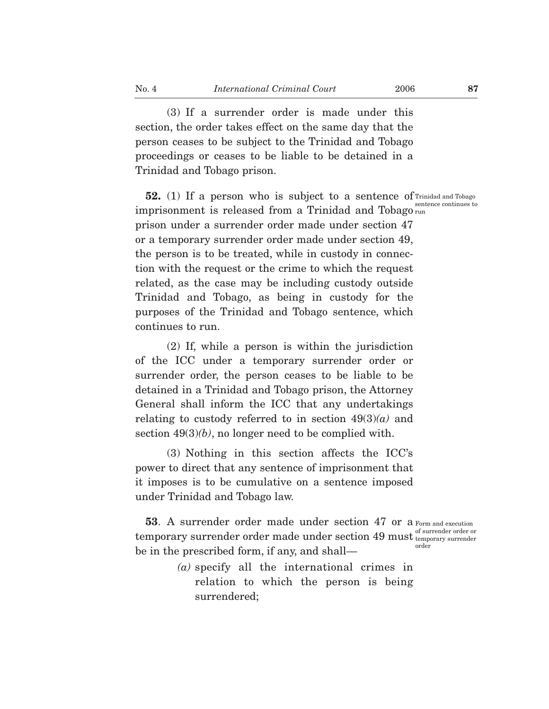(3) If a surrender order is made under this section, the order takes effect on the same day that the person ceases to be subject to the Trinidad and Tobago proceedings or ceases to be liable to be detained in a Trinidad and Tobago prison.

**52.** (1) If a person who is subject to a sentence of Trinidad and Tobago imprisonment is released from a Trinidad and Tobago run prison under a surrender order made under section 47 or a temporary surrender order made under section 49, the person is to be treated, while in custody in connection with the request or the crime to which the request related, as the case may be including custody outside Trinidad and Tobago, as being in custody for the purposes of the Trinidad and Tobago sentence, which continues to run. sentence continues to

(2) If, while a person is within the jurisdiction of the ICC under a temporary surrender order or surrender order, the person ceases to be liable to be detained in a Trinidad and Tobago prison, the Attorney General shall inform the ICC that any undertakings relating to custody referred to in section  $49(3)(a)$  and section 49(3)*(b)*, no longer need to be complied with.

(3) Nothing in this section affects the ICC's power to direct that any sentence of imprisonment that it imposes is to be cumulative on a sentence imposed under Trinidad and Tobago law.

**53**. A surrender order made under section 47 or a Form and execution  $\epsilon$  temporary surrender order made under section 49 must  $_{\rm temporary\,surrender}^{\rm of\,surrender\,order}$ be in the prescribed form, if any, and shall temporary surrender order

> *(a)* specify all the international crimes in relation to which the person is being surrendered;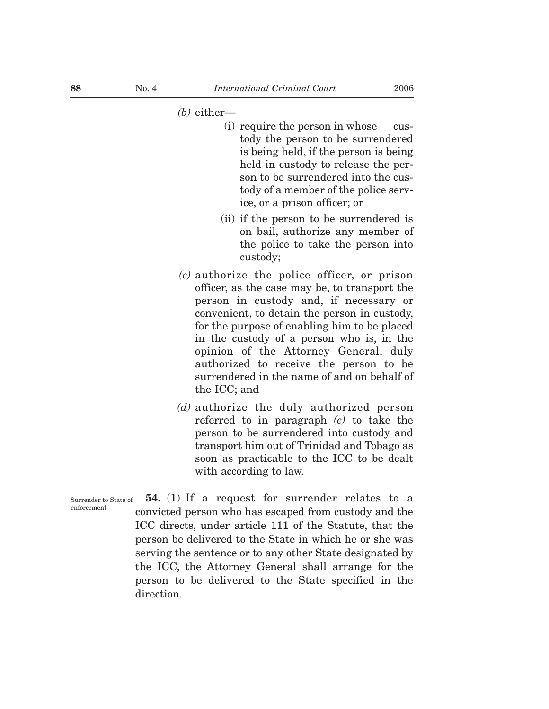## *(b)* either—

- (i) require the person in whose custody the person to be surrendered is being held, if the person is being held in custody to release the person to be surrendered into the custody of a member of the police service, or a prison officer; or
- (ii) if the person to be surrendered is on bail, authorize any member of the police to take the person into custody;
- *(c)* authorize the police officer, or prison officer, as the case may be, to transport the person in custody and, if necessary or convenient, to detain the person in custody, for the purpose of enabling him to be placed in the custody of a person who is, in the opinion of the Attorney General, duly authorized to receive the person to be surrendered in the name of and on behalf of the ICC; and
- *(d)* authorize the duly authorized person referred to in paragraph *(c)* to take the person to be surrendered into custody and transport him out of Trinidad and Tobago as soon as practicable to the ICC to be dealt with according to law.
- **54.** (1) If a request for surrender relates to a convicted person who has escaped from custody and the ICC directs, under article 111 of the Statute, that the person be delivered to the State in which he or she was serving the sentence or to any other State designated by the ICC, the Attorney General shall arrange for the person to be delivered to the State specified in the direction. Surrender to State of enforcement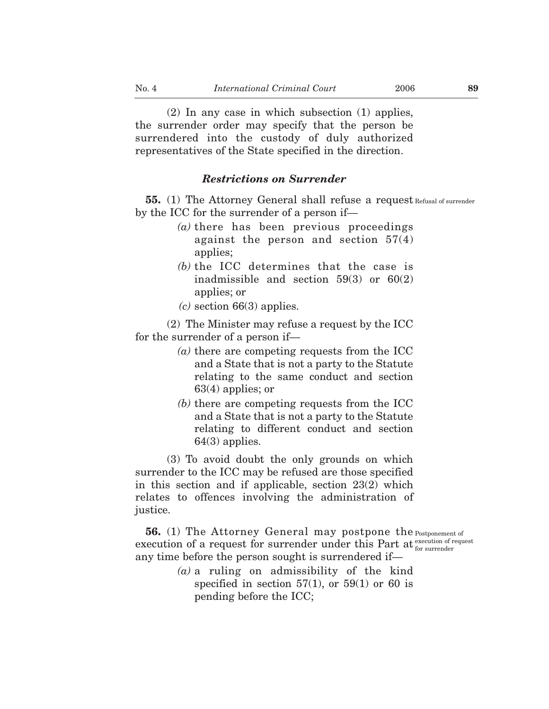(2) In any case in which subsection (1) applies, the surrender order may specify that the person be surrendered into the custody of duly authorized representatives of the State specified in the direction.

## *Restrictions on Surrender*

**55.** (1) The Attorney General shall refuse a request Refusal of surrender by the ICC for the surrender of a person if—

- *(a)* there has been previous proceedings against the person and section 57(4) applies;
- *(b)* the ICC determines that the case is inadmissible and section  $59(3)$  or  $60(2)$ applies; or
- *(c)* section 66(3) applies.

(2) The Minister may refuse a request by the ICC for the surrender of a person if—

- *(a)* there are competing requests from the ICC and a State that is not a party to the Statute relating to the same conduct and section 63(4) applies; or
- *(b)* there are competing requests from the ICC and a State that is not a party to the Statute relating to different conduct and section 64(3) applies.

(3) To avoid doubt the only grounds on which surrender to the ICC may be refused are those specified in this section and if applicable, section 23(2) which relates to offences involving the administration of justice.

**56.** (1) The Attorney General may postpone the Postponement of execution of a request for surrender under this Part at  $_{\text{for} \text{ current}$ any time before the person sought is surrendered if for surrender

> *(a)* a ruling on admissibility of the kind specified in section  $57(1)$ , or  $59(1)$  or 60 is pending before the ICC;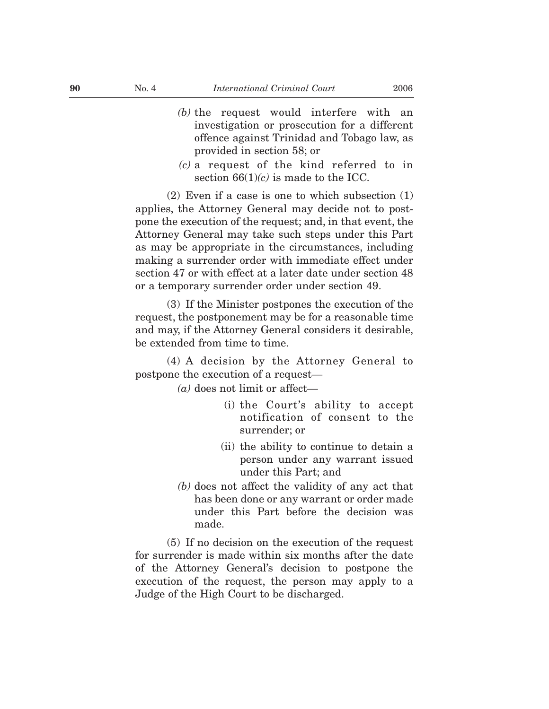- *(b)* the request would interfere with an investigation or prosecution for a different offence against Trinidad and Tobago law, as provided in section 58; or
- *(c)* a request of the kind referred to in section  $66(1)(c)$  is made to the ICC.

(2) Even if a case is one to which subsection (1) applies, the Attorney General may decide not to postpone the execution of the request; and, in that event, the Attorney General may take such steps under this Part as may be appropriate in the circumstances, including making a surrender order with immediate effect under section 47 or with effect at a later date under section 48 or a temporary surrender order under section 49.

(3) If the Minister postpones the execution of the request, the postponement may be for a reasonable time and may, if the Attorney General considers it desirable, be extended from time to time.

(4) A decision by the Attorney General to postpone the execution of a request—

*(a)* does not limit or affect—

- (i) the Court's ability to accept notification of consent to the surrender; or
- (ii) the ability to continue to detain a person under any warrant issued under this Part; and
- *(b)* does not affect the validity of any act that has been done or any warrant or order made under this Part before the decision was made.

(5) If no decision on the execution of the request for surrender is made within six months after the date of the Attorney General's decision to postpone the execution of the request, the person may apply to a Judge of the High Court to be discharged.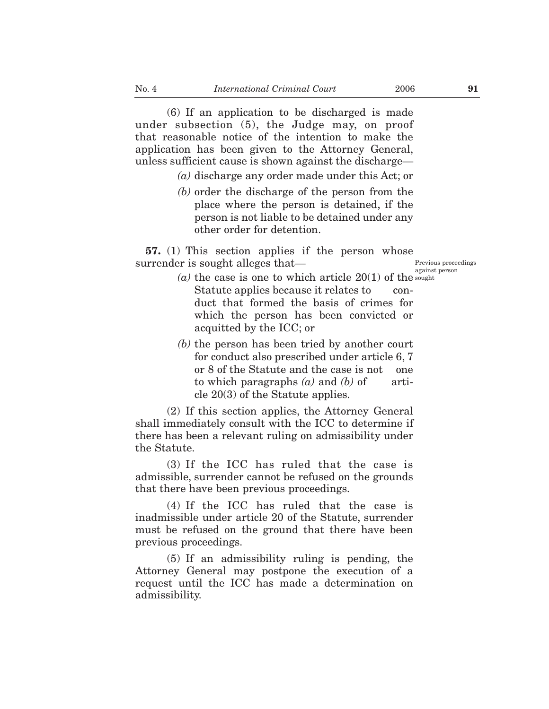(6) If an application to be discharged is made under subsection (5), the Judge may, on proof that reasonable notice of the intention to make the application has been given to the Attorney General, unless sufficient cause is shown against the discharge—

- *(a)* discharge any order made under this Act; or
- *(b)* order the discharge of the person from the place where the person is detained, if the person is not liable to be detained under any other order for detention.

**57.** (1) This section applies if the person whose surrender is sought alleges that—

Previous proceedings against person

- $(a)$  the case is one to which article  $20(1)$  of the sought Statute applies because it relates to conduct that formed the basis of crimes for which the person has been convicted or acquitted by the ICC; or
- *(b)* the person has been tried by another court for conduct also prescribed under article 6, 7 or 8 of the Statute and the case is not one to which paragraphs *(a)* and *(b)* of article 20(3) of the Statute applies.

(2) If this section applies, the Attorney General shall immediately consult with the ICC to determine if there has been a relevant ruling on admissibility under the Statute.

(3) If the ICC has ruled that the case is admissible, surrender cannot be refused on the grounds that there have been previous proceedings.

(4) If the ICC has ruled that the case is inadmissible under article 20 of the Statute, surrender must be refused on the ground that there have been previous proceedings.

(5) If an admissibility ruling is pending, the Attorney General may postpone the execution of a request until the ICC has made a determination on admissibility.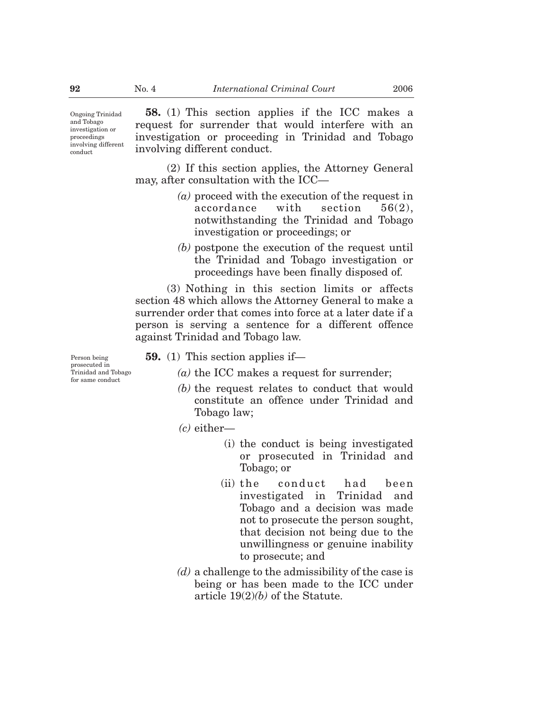Ongoing Trinidad and Tobago investigation or proceedings involving different conduct

**58.** (1) This section applies if the ICC makes a request for surrender that would interfere with an investigation or proceeding in Trinidad and Tobago involving different conduct.

(2) If this section applies, the Attorney General may, after consultation with the ICC—

- *(a)* proceed with the execution of the request in accordance with section 56(2), notwithstanding the Trinidad and Tobago investigation or proceedings; or
- *(b)* postpone the execution of the request until the Trinidad and Tobago investigation or proceedings have been finally disposed of.

(3) Nothing in this section limits or affects section 48 which allows the Attorney General to make a surrender order that comes into force at a later date if a person is serving a sentence for a different offence against Trinidad and Tobago law.

Person being prosecuted in Trinidad and Tobago for same conduct

#### **59.** (1) This section applies if—

- *(a)* the ICC makes a request for surrender;
- *(b)* the request relates to conduct that would constitute an offence under Trinidad and Tobago law;
- *(c)* either—
	- (i) the conduct is being investigated or prosecuted in Trinidad and Tobago; or
	- (ii) the conduct had been investigated in Trinidad and Tobago and a decision was made not to prosecute the person sought, that decision not being due to the unwillingness or genuine inability to prosecute; and
- *(d)* a challenge to the admissibility of the case is being or has been made to the ICC under article 19(2)*(b)* of the Statute.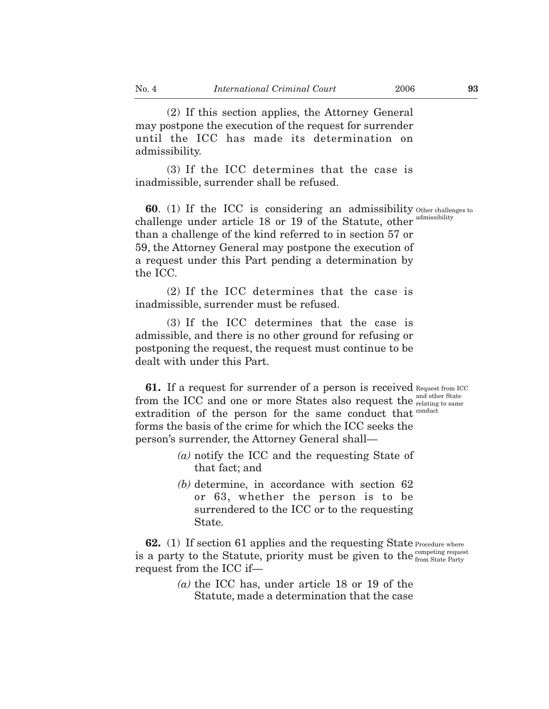(2) If this section applies, the Attorney General may postpone the execution of the request for surrender until the ICC has made its determination on admissibility.

(3) If the ICC determines that the case is inadmissible, surrender shall be refused.

**60.** (1) If the ICC is considering an admissibility Other challenges to challenge under article 18 or 19 of the Statute, other admissibility than a challenge of the kind referred to in section 57 or 59, the Attorney General may postpone the execution of a request under this Part pending a determination by the ICC.

(2) If the ICC determines that the case is inadmissible, surrender must be refused.

(3) If the ICC determines that the case is admissible, and there is no other ground for refusing or postponing the request, the request must continue to be dealt with under this Part.

**61.** If a request for surrender of a person is received Request from ICC from the ICC and one or more States also request the  $_{\text{relating to sam}}^{\text{and other State}}$ extradition of the person for the same conduct that conduct forms the basis of the crime for which the ICC seeks the person's surrender, the Attorney General shall relating to same

- *(a)* notify the ICC and the requesting State of that fact; and
- *(b)* determine, in accordance with section 62 or 63, whether the person is to be surrendered to the ICC or to the requesting State.

**62.** (1) If section 61 applies and the requesting State Procedure where is a party to the Statute, priority must be given to the  $_{\text{from State Partv}}^{\text{competing request}}$ request from the ICC if from State Party

> *(a)* the ICC has, under article 18 or 19 of the Statute, made a determination that the case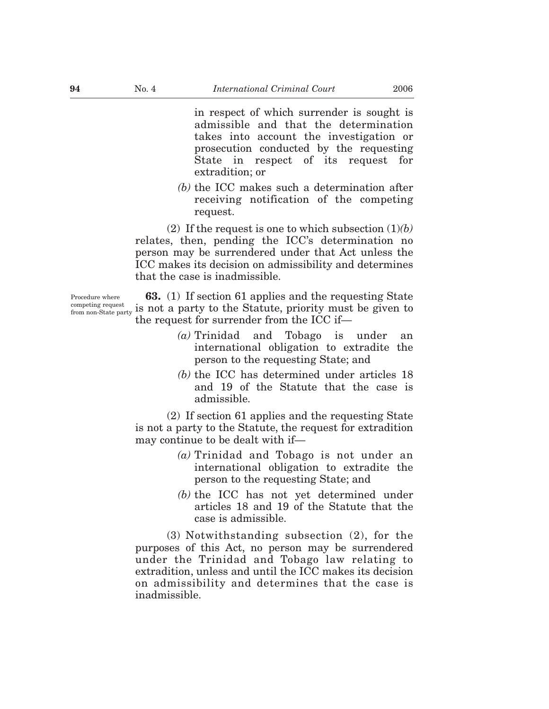in respect of which surrender is sought is admissible and that the determination takes into account the investigation or prosecution conducted by the requesting State in respect of its request for extradition; or

*(b)* the ICC makes such a determination after receiving notification of the competing request.

(2) If the request is one to which subsection (1)*(b)* relates, then, pending the ICC's determination no person may be surrendered under that Act unless the ICC makes its decision on admissibility and determines that the case is inadmissible.

Procedure where competing request from non-State party

**63.** (1) If section 61 applies and the requesting State is not a party to the Statute, priority must be given to the request for surrender from the ICC if—

- *(a)* Trinidad and Tobago is under an international obligation to extradite the person to the requesting State; and
- *(b)* the ICC has determined under articles 18 and 19 of the Statute that the case is admissible.

(2) If section 61 applies and the requesting State is not a party to the Statute, the request for extradition may continue to be dealt with if—

- *(a)* Trinidad and Tobago is not under an international obligation to extradite the person to the requesting State; and
- *(b)* the ICC has not yet determined under articles 18 and 19 of the Statute that the case is admissible.

(3) Notwithstanding subsection (2), for the purposes of this Act, no person may be surrendered under the Trinidad and Tobago law relating to extradition, unless and until the ICC makes its decision on admissibility and determines that the case is inadmissible.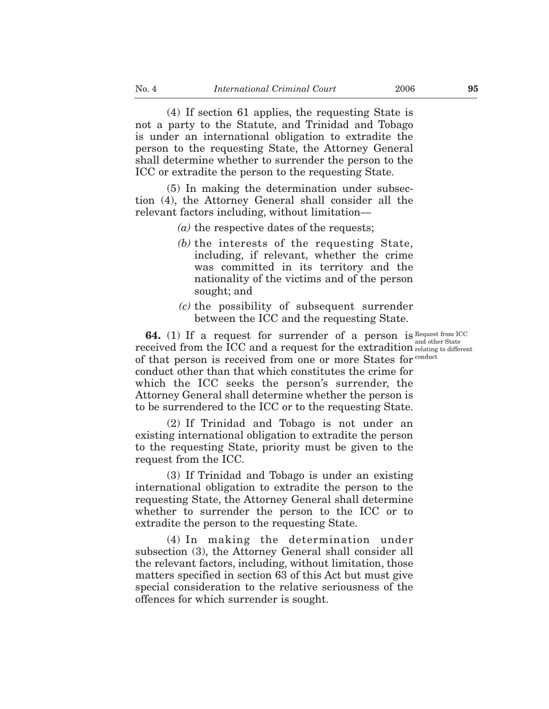(4) If section 61 applies, the requesting State is not a party to the Statute, and Trinidad and Tobago is under an international obligation to extradite the person to the requesting State, the Attorney General shall determine whether to surrender the person to the ICC or extradite the person to the requesting State.

(5) In making the determination under subsection (4), the Attorney General shall consider all the relevant factors including, without limitation—

- *(a)* the respective dates of the requests;
- *(b)* the interests of the requesting State, including, if relevant, whether the crime was committed in its territory and the nationality of the victims and of the person sought; and
- *(c)* the possibility of subsequent surrender between the ICC and the requesting State.

**64.** (1) If a request for surrender of a person is  $\frac{\text{Request from ICC}}{\text{Left of the }S}$ received from the ICC and a request for the extradition  $\frac{d}{dt}$  relating to different of that person is received from one or more States for conduct conduct other than that which constitutes the crime for which the ICC seeks the person's surrender, the Attorney General shall determine whether the person is to be surrendered to the ICC or to the requesting State. and other State

(2) If Trinidad and Tobago is not under an existing international obligation to extradite the person to the requesting State, priority must be given to the request from the ICC.

(3) If Trinidad and Tobago is under an existing international obligation to extradite the person to the requesting State, the Attorney General shall determine whether to surrender the person to the ICC or to extradite the person to the requesting State.

(4) In making the determination under subsection (3), the Attorney General shall consider all the relevant factors, including, without limitation, those matters specified in section 63 of this Act but must give special consideration to the relative seriousness of the offences for which surrender is sought.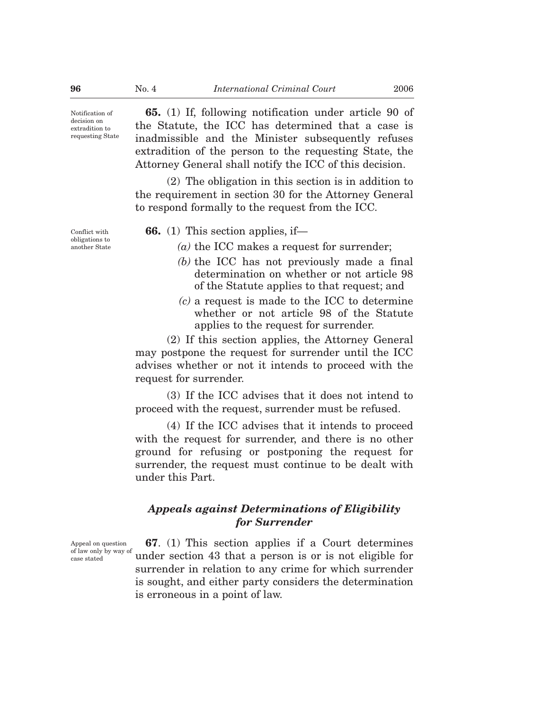**65.** (1) If, following notification under article 90 of the Statute, the ICC has determined that a case is inadmissible and the Minister subsequently refuses extradition of the person to the requesting State, the Attorney General shall notify the ICC of this decision.

(2) The obligation in this section is in addition to the requirement in section 30 for the Attorney General to respond formally to the request from the ICC.

**66.** (1) This section applies, if—

*(a)* the ICC makes a request for surrender;

- *(b)* the ICC has not previously made a final determination on whether or not article 98 of the Statute applies to that request; and
- *(c)* a request is made to the ICC to determine whether or not article 98 of the Statute applies to the request for surrender.

(2) If this section applies, the Attorney General may postpone the request for surrender until the ICC advises whether or not it intends to proceed with the request for surrender.

(3) If the ICC advises that it does not intend to proceed with the request, surrender must be refused.

(4) If the ICC advises that it intends to proceed with the request for surrender, and there is no other ground for refusing or postponing the request for surrender, the request must continue to be dealt with under this Part.

# *Appeals against Determinations of Eligibility for Surrender*

**67**. (1) This section applies if a Court determines under section 43 that a person is or is not eligible for surrender in relation to any crime for which surrender is sought, and either party considers the determination is erroneous in a point of law.

obligations to another State

Appeal on question of law only by way of case stated

Notification of decision on extradition to requesting State

Conflict with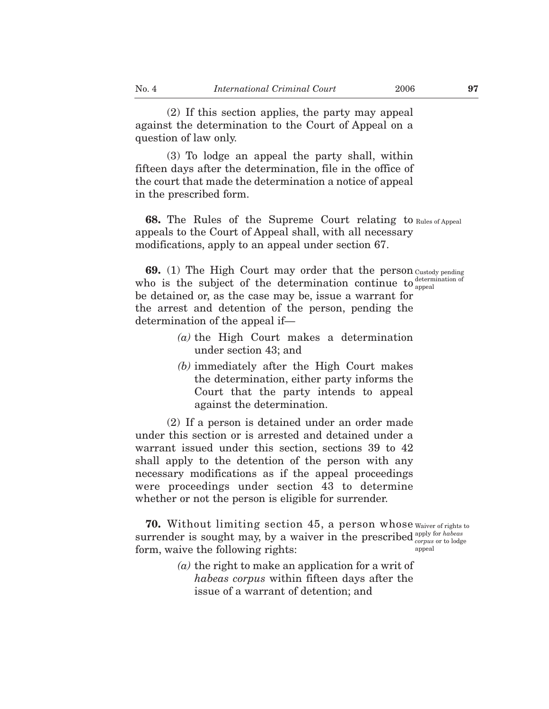(2) If this section applies, the party may appeal against the determination to the Court of Appeal on a question of law only.

(3) To lodge an appeal the party shall, within fifteen days after the determination, file in the office of the court that made the determination a notice of appeal in the prescribed form.

**68.** The Rules of the Supreme Court relating to Rules of Appeal appeals to the Court of Appeal shall, with all necessary modifications, apply to an appeal under section 67.

**69.** (1) The High Court may order that the person Custody pending who is the subject of the determination continue to  $\frac{\text{determination of}}{\text{anhead}}$ be detained or, as the case may be, issue a warrant for the arrest and detention of the person, pending the determination of the appeal if appeal

- *(a)* the High Court makes a determination under section 43; and
- *(b)* immediately after the High Court makes the determination, either party informs the Court that the party intends to appeal against the determination.

(2) If a person is detained under an order made under this section or is arrested and detained under a warrant issued under this section, sections 39 to 42 shall apply to the detention of the person with any necessary modifications as if the appeal proceedings were proceedings under section 43 to determine whether or not the person is eligible for surrender.

**70.** Without limiting section 45, a person whose waiver of rights to surrender is sought may, by a waiver in the prescribed *epply* for *habeas* form, waive the following rights: *corpus* or to lodge appeal

> *(a)* the right to make an application for a writ of *habeas corpus* within fifteen days after the issue of a warrant of detention; and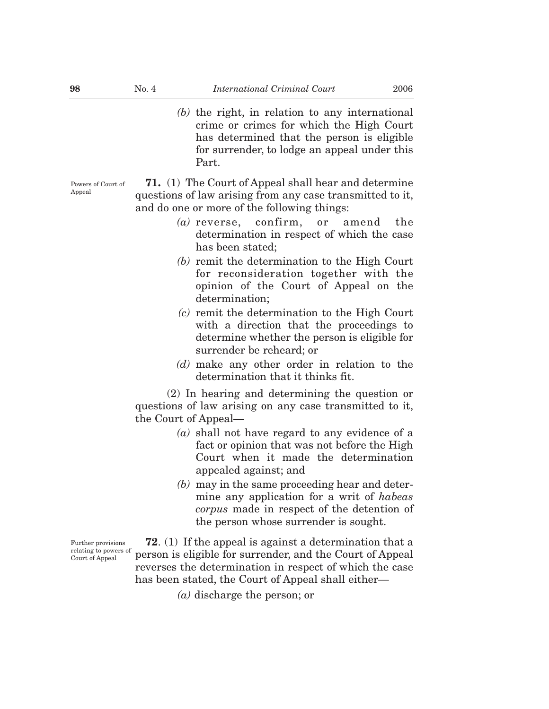*(b)* the right, in relation to any international crime or crimes for which the High Court has determined that the person is eligible for surrender, to lodge an appeal under this Part.

**71.** (1) The Court of Appeal shall hear and determine questions of law arising from any case transmitted to it, and do one or more of the following things:

- *(a)* reverse, confirm, or amend the determination in respect of which the case has been stated;
- *(b)* remit the determination to the High Court for reconsideration together with the opinion of the Court of Appeal on the determination;
- *(c)* remit the determination to the High Court with a direction that the proceedings to determine whether the person is eligible for surrender be reheard; or
- *(d)* make any other order in relation to the determination that it thinks fit.

(2) In hearing and determining the question or questions of law arising on any case transmitted to it, the Court of Appeal—

- *(a)* shall not have regard to any evidence of a fact or opinion that was not before the High Court when it made the determination appealed against; and
- *(b)* may in the same proceeding hear and determine any application for a writ of *habeas corpus* made in respect of the detention of the person whose surrender is sought.

**72**. (1) If the appeal is against a determination that a person is eligible for surrender, and the Court of Appeal reverses the determination in respect of which the case has been stated, the Court of Appeal shall either— Further provisions relating to powers of

*(a)* discharge the person; or

Powers of Court of Appeal

Court of Appeal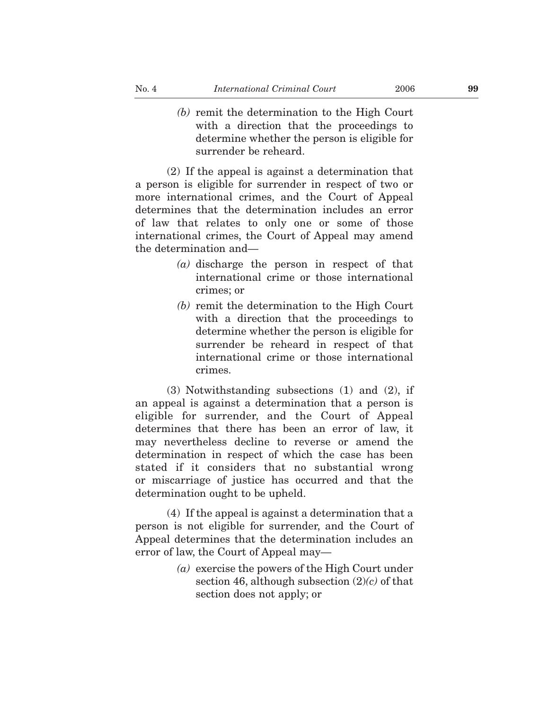*(b)* remit the determination to the High Court with a direction that the proceedings to determine whether the person is eligible for surrender be reheard.

(2) If the appeal is against a determination that a person is eligible for surrender in respect of two or more international crimes, and the Court of Appeal determines that the determination includes an error of law that relates to only one or some of those international crimes, the Court of Appeal may amend the determination and—

- *(a)* discharge the person in respect of that international crime or those international crimes; or
- *(b)* remit the determination to the High Court with a direction that the proceedings to determine whether the person is eligible for surrender be reheard in respect of that international crime or those international crimes.

(3) Notwithstanding subsections (1) and (2), if an appeal is against a determination that a person is eligible for surrender, and the Court of Appeal determines that there has been an error of law, it may nevertheless decline to reverse or amend the determination in respect of which the case has been stated if it considers that no substantial wrong or miscarriage of justice has occurred and that the determination ought to be upheld.

(4) If the appeal is against a determination that a person is not eligible for surrender, and the Court of Appeal determines that the determination includes an error of law, the Court of Appeal may—

> *(a)* exercise the powers of the High Court under section 46, although subsection (2)*(c)* of that section does not apply; or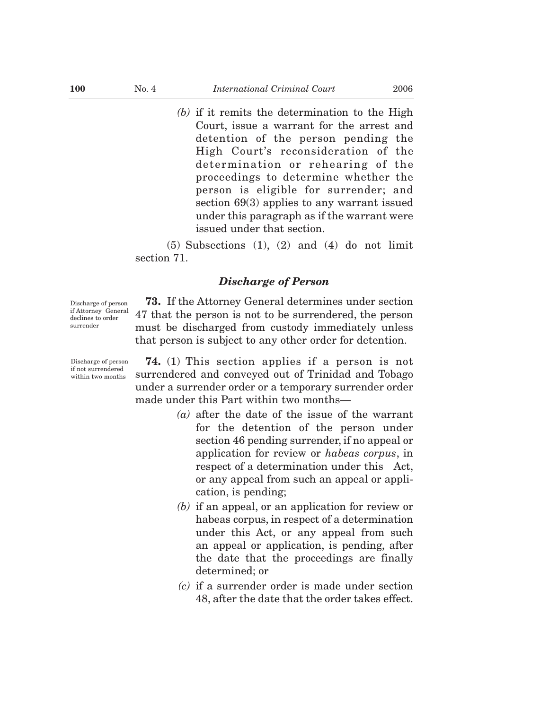*(b)* if it remits the determination to the High Court, issue a warrant for the arrest and detention of the person pending the High Court's reconsideration of the determination or rehearing of the proceedings to determine whether the person is eligible for surrender; and section 69(3) applies to any warrant issued under this paragraph as if the warrant were issued under that section.

(5) Subsections (1), (2) and (4) do not limit section 71.

## *Discharge of Person*

**73.** If the Attorney General determines under section 47 that the person is not to be surrendered, the person must be discharged from custody immediately unless that person is subject to any other order for detention.

**74.** (1) This section applies if a person is not surrendered and conveyed out of Trinidad and Tobago under a surrender order or a temporary surrender order made under this Part within two months—

- *(a)* after the date of the issue of the warrant for the detention of the person under section 46 pending surrender, if no appeal or application for review or *habeas corpus*, in respect of a determination under this Act, or any appeal from such an appeal or application, is pending;
- *(b)* if an appeal, or an application for review or habeas corpus, in respect of a determination under this Act, or any appeal from such an appeal or application, is pending, after the date that the proceedings are finally determined; or
- *(c)* if a surrender order is made under section 48, after the date that the order takes effect.

Discharge of person if Attorney General declines to order surrender

Discharge of person if not surrendered within two months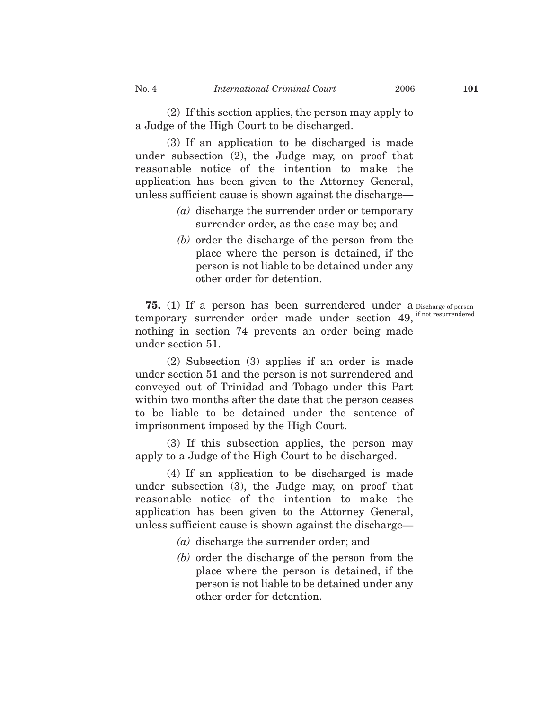(2) If this section applies, the person may apply to a Judge of the High Court to be discharged.

(3) If an application to be discharged is made under subsection (2), the Judge may, on proof that reasonable notice of the intention to make the application has been given to the Attorney General, unless sufficient cause is shown against the discharge—

- *(a)* discharge the surrender order or temporary surrender order, as the case may be; and
- *(b)* order the discharge of the person from the place where the person is detained, if the person is not liable to be detained under any other order for detention.

**75.** (1) If a person has been surrendered under a Discharge of person temporary surrender order made under section 49, if not resurrendered nothing in section 74 prevents an order being made under section 51.

(2) Subsection (3) applies if an order is made under section 51 and the person is not surrendered and conveyed out of Trinidad and Tobago under this Part within two months after the date that the person ceases to be liable to be detained under the sentence of imprisonment imposed by the High Court.

(3) If this subsection applies, the person may apply to a Judge of the High Court to be discharged.

(4) If an application to be discharged is made under subsection (3), the Judge may, on proof that reasonable notice of the intention to make the application has been given to the Attorney General, unless sufficient cause is shown against the discharge—

- *(a)* discharge the surrender order; and
- *(b)* order the discharge of the person from the place where the person is detained, if the person is not liable to be detained under any other order for detention.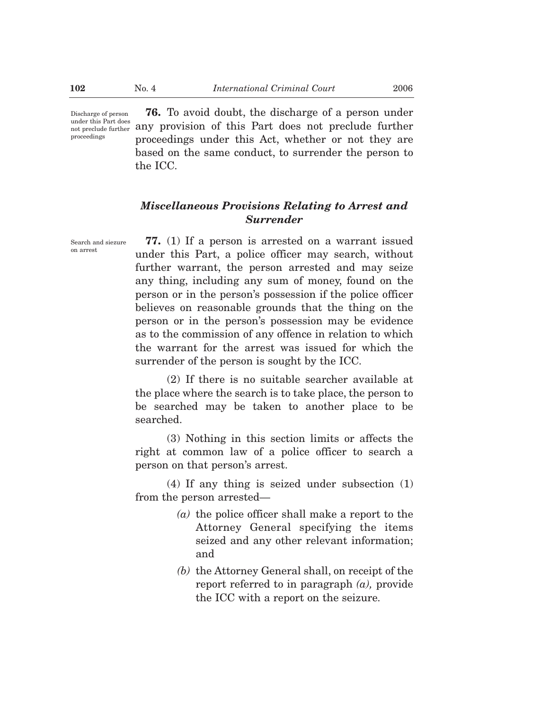Discharge of person under this Part does proceedings

**76.** To avoid doubt, the discharge of a person under not preclude further any provision of this Part does not preclude further proceedings under this Act, whether or not they are based on the same conduct, to surrender the person to the ICC.

# *Miscellaneous Provisions Relating to Arrest and Surrender*

Search and siezure on arrest

**77.** (1) If a person is arrested on a warrant issued under this Part, a police officer may search, without further warrant, the person arrested and may seize any thing, including any sum of money, found on the person or in the person's possession if the police officer believes on reasonable grounds that the thing on the person or in the person's possession may be evidence as to the commission of any offence in relation to which the warrant for the arrest was issued for which the surrender of the person is sought by the ICC.

(2) If there is no suitable searcher available at the place where the search is to take place, the person to be searched may be taken to another place to be searched.

(3) Nothing in this section limits or affects the right at common law of a police officer to search a person on that person's arrest.

(4) If any thing is seized under subsection (1) from the person arrested—

- *(a)* the police officer shall make a report to the Attorney General specifying the items seized and any other relevant information; and
- *(b)* the Attorney General shall, on receipt of the report referred to in paragraph *(a),* provide the ICC with a report on the seizure.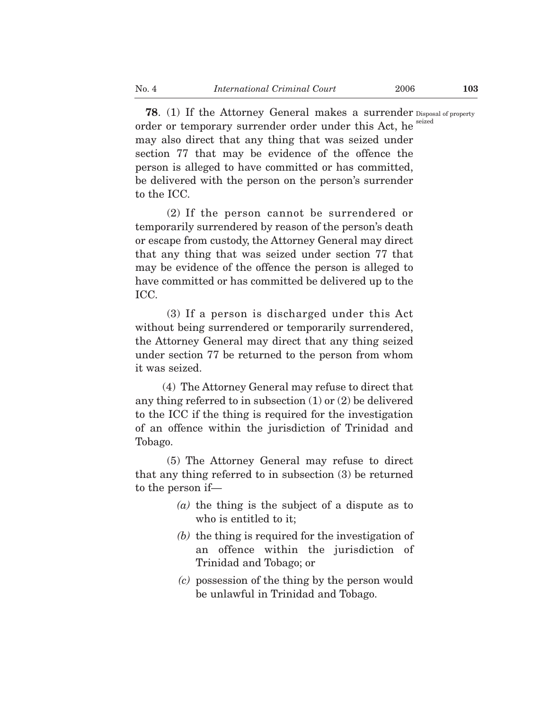**78**. (1) If the Attorney General makes a surrender Disposal of property order or temporary surrender order under this Act, he seized may also direct that any thing that was seized under

section 77 that may be evidence of the offence the person is alleged to have committed or has committed, be delivered with the person on the person's surrender to the ICC.

(2) If the person cannot be surrendered or temporarily surrendered by reason of the person's death or escape from custody, the Attorney General may direct that any thing that was seized under section 77 that may be evidence of the offence the person is alleged to have committed or has committed be delivered up to the ICC.

(3) If a person is discharged under this Act without being surrendered or temporarily surrendered, the Attorney General may direct that any thing seized under section 77 be returned to the person from whom it was seized.

(4) The Attorney General may refuse to direct that any thing referred to in subsection (1) or (2) be delivered to the ICC if the thing is required for the investigation of an offence within the jurisdiction of Trinidad and Tobago.

(5) The Attorney General may refuse to direct that any thing referred to in subsection (3) be returned to the person if—

- *(a)* the thing is the subject of a dispute as to who is entitled to it;
- *(b)* the thing is required for the investigation of an offence within the jurisdiction of Trinidad and Tobago; or
- *(c)* possession of the thing by the person would be unlawful in Trinidad and Tobago.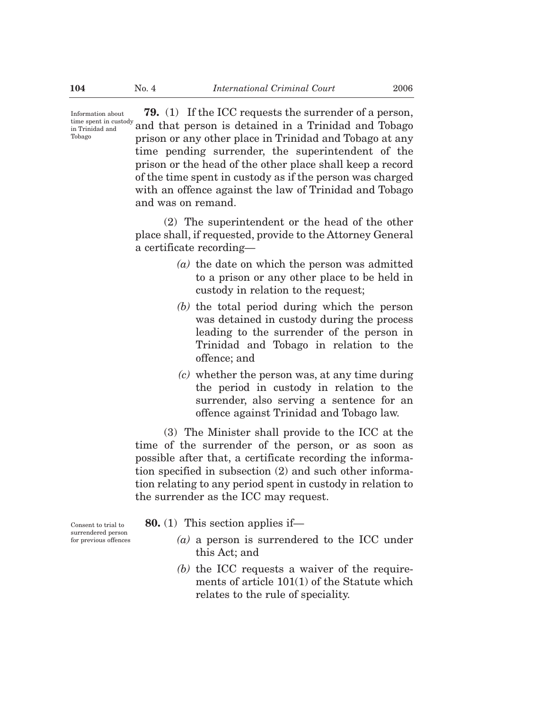**79.** (1) If the ICC requests the surrender of a person, and that person is detained in a Trinidad and Tobago prison or any other place in Trinidad and Tobago at any time pending surrender, the superintendent of the prison or the head of the other place shall keep a record of the time spent in custody as if the person was charged with an offence against the law of Trinidad and Tobago and was on remand.

(2) The superintendent or the head of the other place shall, if requested, provide to the Attorney General a certificate recording—

- *(a)* the date on which the person was admitted to a prison or any other place to be held in custody in relation to the request;
- *(b)* the total period during which the person was detained in custody during the process leading to the surrender of the person in Trinidad and Tobago in relation to the offence; and
- *(c)* whether the person was, at any time during the period in custody in relation to the surrender, also serving a sentence for an offence against Trinidad and Tobago law.

(3) The Minister shall provide to the ICC at the time of the surrender of the person, or as soon as possible after that, a certificate recording the information specified in subsection (2) and such other information relating to any period spent in custody in relation to the surrender as the ICC may request.

**80.** (1) This section applies if—

- *(a)* a person is surrendered to the ICC under this Act; and
- *(b)* the ICC requests a waiver of the requirements of article 101(1) of the Statute which relates to the rule of speciality.

Consent to trial to surrendered person for previous offences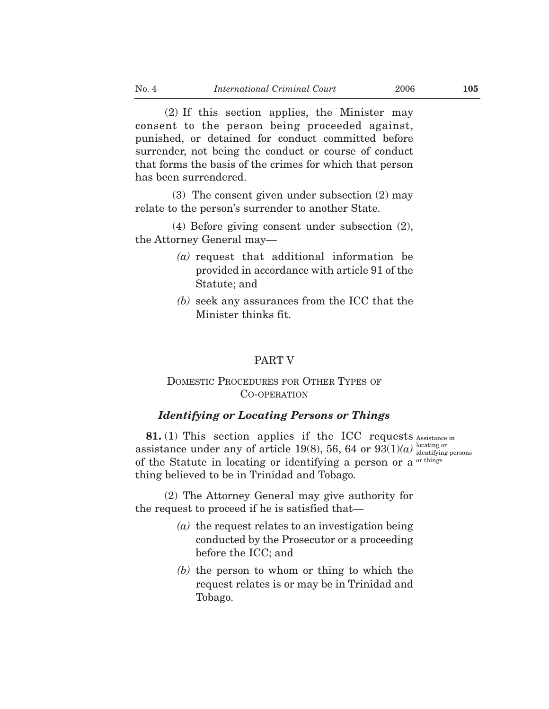(2) If this section applies, the Minister may consent to the person being proceeded against, punished, or detained for conduct committed before surrender, not being the conduct or course of conduct that forms the basis of the crimes for which that person has been surrendered.

(3) The consent given under subsection (2) may relate to the person's surrender to another State.

(4) Before giving consent under subsection (2), the Attorney General may—

- *(a)* request that additional information be provided in accordance with article 91 of the Statute; and
- *(b)* seek any assurances from the ICC that the Minister thinks fit.

## PART V

# DOMESTIC PROCEDURES FOR OTHER TYPES OF CO-OPERATION

### *Identifying or Locating Persons or Things*

**81.** (1) This section applies if the ICC requests Assistance in assistance under any of article 19(8), 56, 64 or  $93(1)(a)$  locating or of the Statute in locating or identifying a person or a <sup>or things</sup> thing believed to be in Trinidad and Tobago.

identifying persons

(2) The Attorney General may give authority for the request to proceed if he is satisfied that—

- *(a)* the request relates to an investigation being conducted by the Prosecutor or a proceeding before the ICC; and
- *(b)* the person to whom or thing to which the request relates is or may be in Trinidad and Tobago.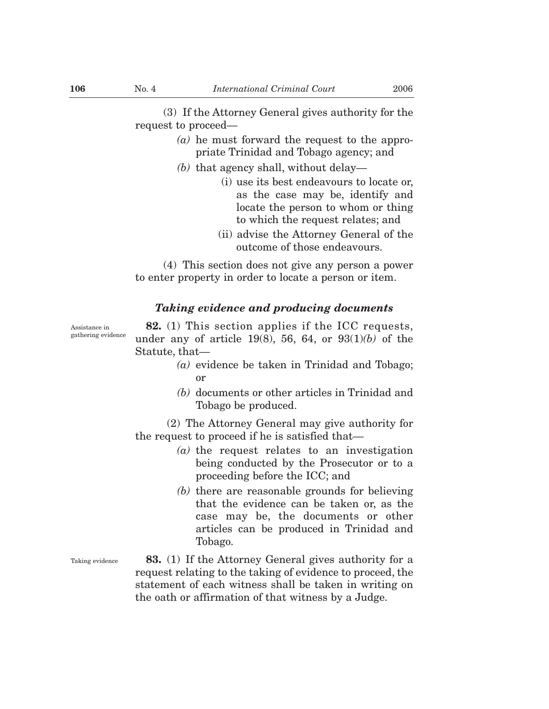(3) If the Attorney General gives authority for the request to proceed—

- *(a)* he must forward the request to the appropriate Trinidad and Tobago agency; and
- *(b)* that agency shall, without delay—
	- (i) use its best endeavours to locate or, as the case may be, identify and locate the person to whom or thing to which the request relates; and
	- (ii) advise the Attorney General of the outcome of those endeavours.

(4) This section does not give any person a power to enter property in order to locate a person or item.

## *Taking evidence and producing documents*

Assistance in gathering evidence

**82.** (1) This section applies if the ICC requests, under any of article 19(8), 56, 64, or 93(1)*(b)* of the Statute, that—

- *(a)* evidence be taken in Trinidad and Tobago; or
- *(b)* documents or other articles in Trinidad and Tobago be produced.

(2) The Attorney General may give authority for the request to proceed if he is satisfied that—

- *(a)* the request relates to an investigation being conducted by the Prosecutor or to a proceeding before the ICC; and
- *(b)* there are reasonable grounds for believing that the evidence can be taken or, as the case may be, the documents or other articles can be produced in Trinidad and Tobago.

Taking evidence

**83.** (1) If the Attorney General gives authority for a request relating to the taking of evidence to proceed, the statement of each witness shall be taken in writing on the oath or affirmation of that witness by a Judge.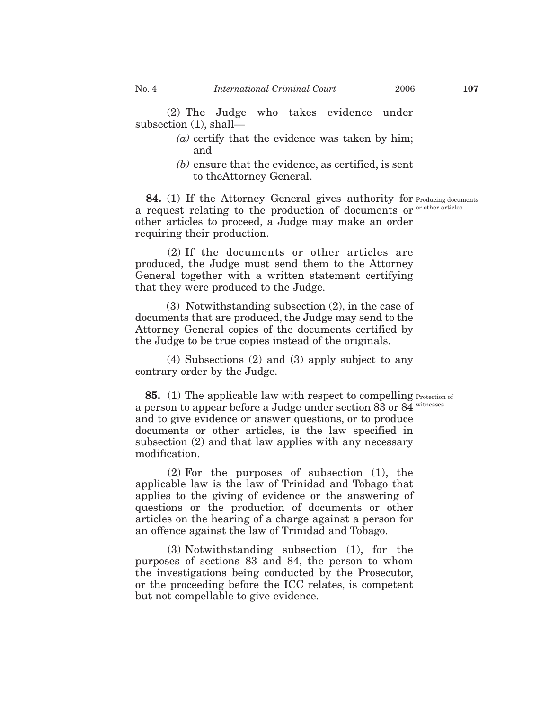(2) The Judge who takes evidence under subsection (1), shall—

- *(a)* certify that the evidence was taken by him; and
- *(b)* ensure that the evidence, as certified, is sent to theAttorney General.

**84.** (1) If the Attorney General gives authority for Producing documents a request relating to the production of documents or <sup>or other articles</sup> other articles to proceed, a Judge may make an order requiring their production.

(2) If the documents or other articles are produced, the Judge must send them to the Attorney General together with a written statement certifying that they were produced to the Judge.

(3) Notwithstanding subsection (2), in the case of documents that are produced, the Judge may send to the Attorney General copies of the documents certified by the Judge to be true copies instead of the originals.

(4) Subsections (2) and (3) apply subject to any contrary order by the Judge.

**85.** (1) The applicable law with respect to compelling Protection of a person to appear before a Judge under section 83 or 84 witnesses and to give evidence or answer questions, or to produce documents or other articles, is the law specified in subsection (2) and that law applies with any necessary modification.

(2) For the purposes of subsection (1), the applicable law is the law of Trinidad and Tobago that applies to the giving of evidence or the answering of questions or the production of documents or other articles on the hearing of a charge against a person for an offence against the law of Trinidad and Tobago.

(3) Notwithstanding subsection (1), for the purposes of sections 83 and 84, the person to whom the investigations being conducted by the Prosecutor, or the proceeding before the ICC relates, is competent but not compellable to give evidence.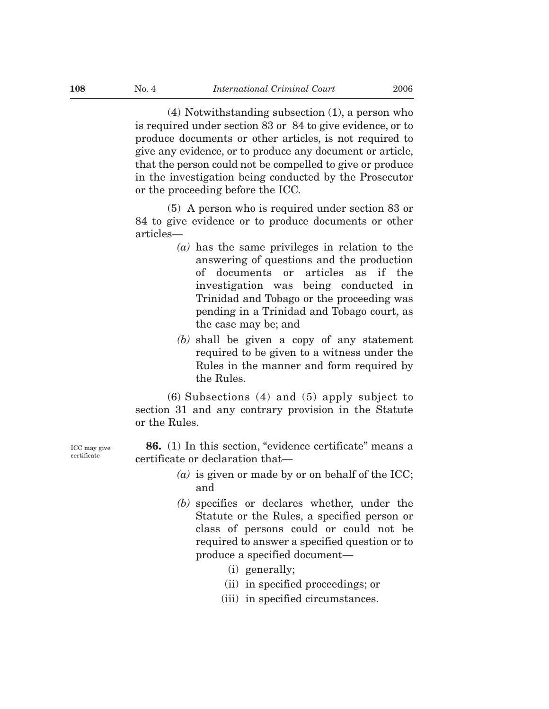(4) Notwithstanding subsection (1), a person who is required under section 83 or 84 to give evidence, or to produce documents or other articles, is not required to give any evidence, or to produce any document or article, that the person could not be compelled to give or produce in the investigation being conducted by the Prosecutor or the proceeding before the ICC.

(5) A person who is required under section 83 or 84 to give evidence or to produce documents or other articles—

- *(a)* has the same privileges in relation to the answering of questions and the production of documents or articles as if the investigation was being conducted in Trinidad and Tobago or the proceeding was pending in a Trinidad and Tobago court, as the case may be; and
- *(b)* shall be given a copy of any statement required to be given to a witness under the Rules in the manner and form required by the Rules.

(6) Subsections (4) and (5) apply subject to section 31 and any contrary provision in the Statute or the Rules.

**86.** (1) In this section, "evidence certificate" means a certificate or declaration that—

- *(a)* is given or made by or on behalf of the ICC; and
- *(b)* specifies or declares whether, under the Statute or the Rules, a specified person or class of persons could or could not be required to answer a specified question or to produce a specified document—
	- (i) generally;
	- (ii) in specified proceedings; or
	- (iii) in specified circumstances.

ICC may give certificate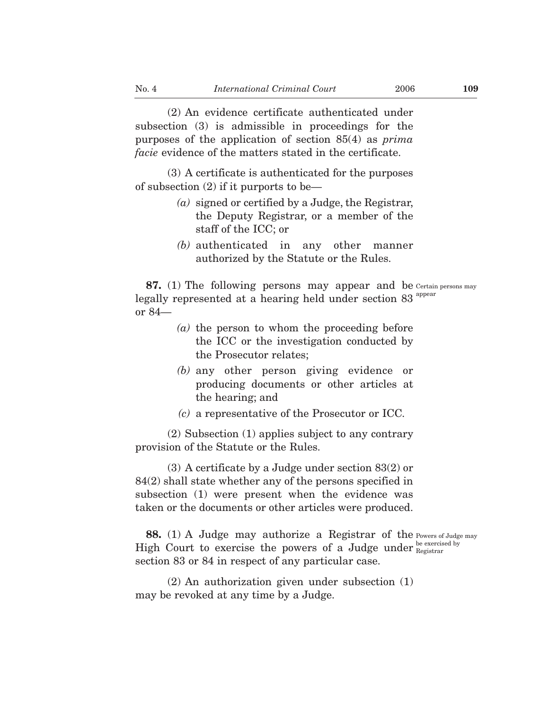(2) An evidence certificate authenticated under subsection (3) is admissible in proceedings for the purposes of the application of section 85(4) as *prima facie* evidence of the matters stated in the certificate.

(3) A certificate is authenticated for the purposes of subsection (2) if it purports to be—

- *(a)* signed or certified by a Judge, the Registrar, the Deputy Registrar, or a member of the staff of the ICC; or
- *(b)* authenticated in any other manner authorized by the Statute or the Rules.

**87.** (1) The following persons may appear and be Certain persons may legally represented at a hearing held under section 83<sup> appear</sup> or 84—

- *(a)* the person to whom the proceeding before the ICC or the investigation conducted by the Prosecutor relates;
- *(b)* any other person giving evidence or producing documents or other articles at the hearing; and
- *(c)* a representative of the Prosecutor or ICC.

(2) Subsection (1) applies subject to any contrary provision of the Statute or the Rules.

(3) A certificate by a Judge under section 83(2) or 84(2) shall state whether any of the persons specified in subsection (1) were present when the evidence was taken or the documents or other articles were produced.

**88.** (1) A Judge may authorize a Registrar of the Powers of Judge may High Court to exercise the powers of a Judge under  $_{\text{Resistrar}}^{\text{be exercised by}}$ section 83 or 84 in respect of any particular case. Registrar

(2) An authorization given under subsection (1) may be revoked at any time by a Judge.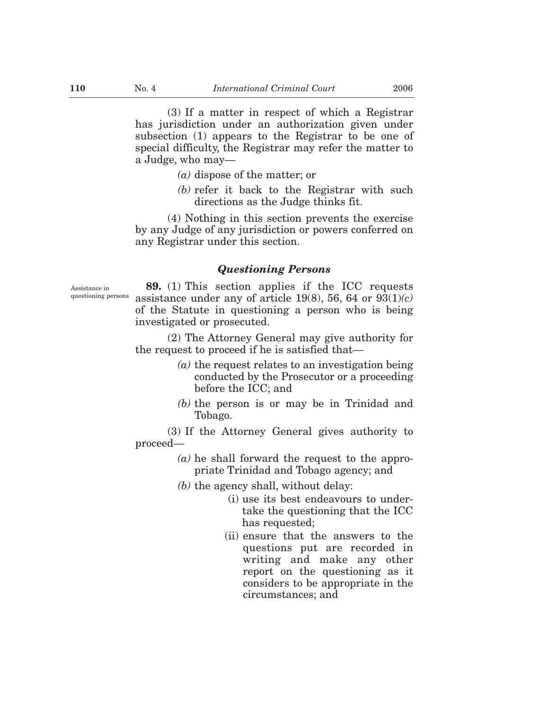(3) If a matter in respect of which a Registrar has jurisdiction under an authorization given under subsection (1) appears to the Registrar to be one of special difficulty, the Registrar may refer the matter to a Judge, who may—

- *(a)* dispose of the matter; or
- *(b)* refer it back to the Registrar with such directions as the Judge thinks fit.

(4) Nothing in this section prevents the exercise by any Judge of any jurisdiction or powers conferred on any Registrar under this section.

#### *Questioning Persons*

Assistance in questioning persons

**89.** (1) This section applies if the ICC requests assistance under any of article 19(8), 56, 64 or 93(1)*(c)* of the Statute in questioning a person who is being investigated or prosecuted.

(2) The Attorney General may give authority for the request to proceed if he is satisfied that—

- *(a)* the request relates to an investigation being conducted by the Prosecutor or a proceeding before the ICC; and
- *(b)* the person is or may be in Trinidad and Tobago.

(3) If the Attorney General gives authority to proceed—

- *(a)* he shall forward the request to the appropriate Trinidad and Tobago agency; and
- *(b)* the agency shall, without delay:
	- (i) use its best endeavours to undertake the questioning that the ICC has requested;
	- (ii) ensure that the answers to the questions put are recorded in writing and make any other report on the questioning as it considers to be appropriate in the circumstances; and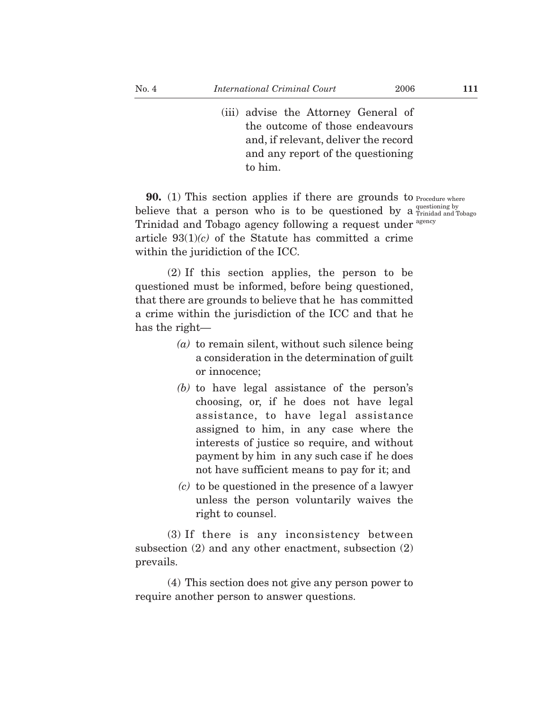(iii) advise the Attorney General of the outcome of those endeavours and, if relevant, deliver the record and any report of the questioning to him.

**90.** (1) This section applies if there are grounds to Procedure where believe that a person who is to be questioned by a  $_{{\text{Trindad and T}}}^{{\text{questioning by}}}$ Trinidad and Tobago agency following a request under <sup>agency</sup> article  $93(1)(c)$  of the Statute has committed a crime within the juridiction of the ICC. Trinidad and Tobago

(2) If this section applies, the person to be questioned must be informed, before being questioned, that there are grounds to believe that he has committed a crime within the jurisdiction of the ICC and that he has the right—

- *(a)* to remain silent, without such silence being a consideration in the determination of guilt or innocence;
- *(b)* to have legal assistance of the person's choosing, or, if he does not have legal assistance, to have legal assistance assigned to him, in any case where the interests of justice so require, and without payment by him in any such case if he does not have sufficient means to pay for it; and
- *(c)* to be questioned in the presence of a lawyer unless the person voluntarily waives the right to counsel.

(3) If there is any inconsistency between subsection (2) and any other enactment, subsection (2) prevails.

(4) This section does not give any person power to require another person to answer questions.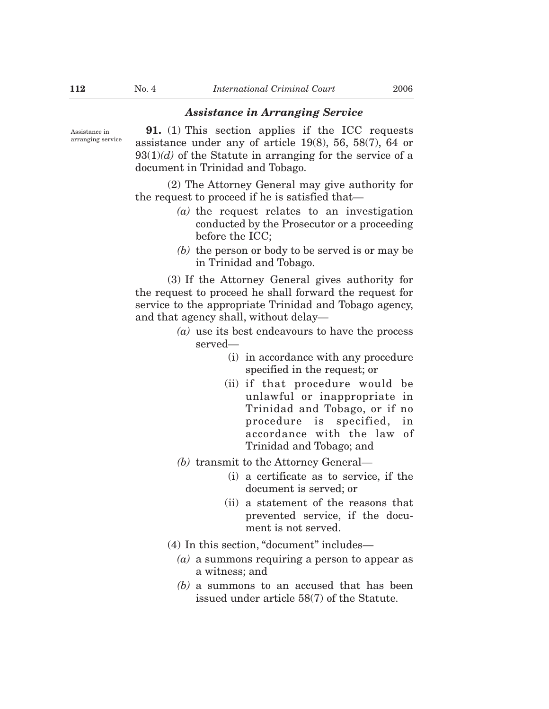Assistance in arranging service

**91.** (1) This section applies if the ICC requests assistance under any of article 19(8), 56, 58(7), 64 or 93(1)*(d)* of the Statute in arranging for the service of a document in Trinidad and Tobago.

(2) The Attorney General may give authority for the request to proceed if he is satisfied that—

- *(a)* the request relates to an investigation conducted by the Prosecutor or a proceeding before the ICC;
- *(b)* the person or body to be served is or may be in Trinidad and Tobago.

(3) If the Attorney General gives authority for the request to proceed he shall forward the request for service to the appropriate Trinidad and Tobago agency, and that agency shall, without delay—

- *(a)* use its best endeavours to have the process served—
	- (i) in accordance with any procedure specified in the request; or
	- (ii) if that procedure would be unlawful or inappropriate in Trinidad and Tobago, or if no procedure is specified, in accordance with the law of Trinidad and Tobago; and
- *(b)* transmit to the Attorney General—
	- (i) a certificate as to service, if the document is served; or
	- (ii) a statement of the reasons that prevented service, if the document is not served.
- (4) In this section, "document" includes—
	- *(a)* a summons requiring a person to appear as a witness; and
	- *(b)* a summons to an accused that has been issued under article 58(7) of the Statute.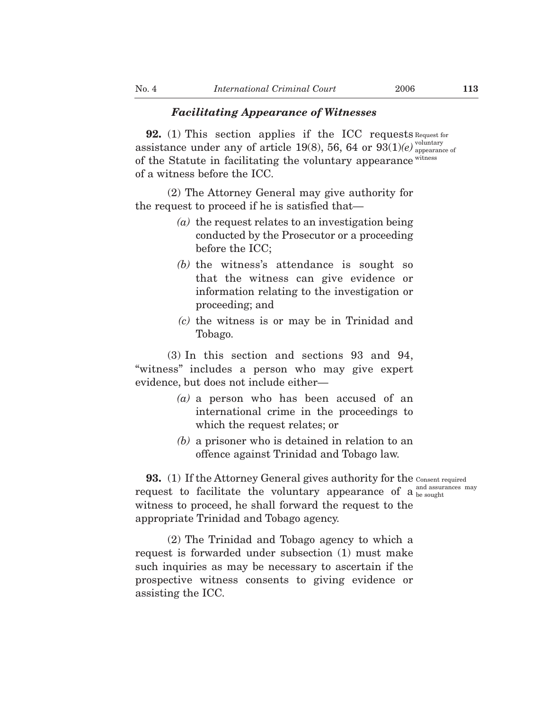## *Facilitating Appearance of Witnesses*

**92.** (1) This section applies if the ICC requests Request for assistance under any of article 19(8), 56, 64 or  $93(1)(e)$ <sup>voluntary</sup> of the Statute in facilitating the voluntary appearance witness of a witness before the ICC. appearance of

(2) The Attorney General may give authority for the request to proceed if he is satisfied that—

- *(a)* the request relates to an investigation being conducted by the Prosecutor or a proceeding before the ICC;
- *(b)* the witness's attendance is sought so that the witness can give evidence or information relating to the investigation or proceeding; and
- *(c)* the witness is or may be in Trinidad and Tobago.

(3) In this section and sections 93 and 94, "witness" includes a person who may give expert evidence, but does not include either—

- *(a)* a person who has been accused of an international crime in the proceedings to which the request relates; or
- *(b)* a prisoner who is detained in relation to an offence against Trinidad and Tobago law.

**93.** (1) If the Attorney General gives authority for the Consent required request to facilitate the voluntary appearance of a  $_{\text{be sought}}^{\text{and assumes may}}$ witness to proceed, he shall forward the request to the appropriate Trinidad and Tobago agency. be sought

(2) The Trinidad and Tobago agency to which a request is forwarded under subsection (1) must make such inquiries as may be necessary to ascertain if the prospective witness consents to giving evidence or assisting the ICC.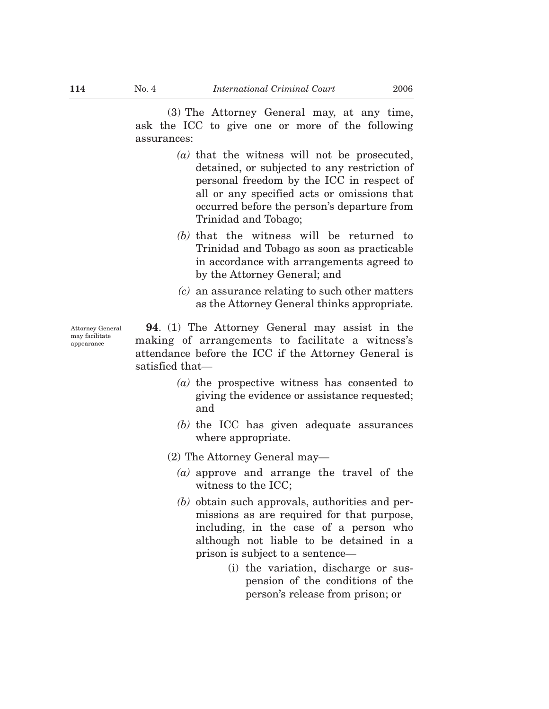(3) The Attorney General may, at any time, ask the ICC to give one or more of the following assurances:

- *(a)* that the witness will not be prosecuted, detained, or subjected to any restriction of personal freedom by the ICC in respect of all or any specified acts or omissions that occurred before the person's departure from Trinidad and Tobago;
- *(b)* that the witness will be returned to Trinidad and Tobago as soon as practicable in accordance with arrangements agreed to by the Attorney General; and
- *(c)* an assurance relating to such other matters as the Attorney General thinks appropriate.

**94**. (1) The Attorney General may assist in the making of arrangements to facilitate a witness's attendance before the ICC if the Attorney General is satisfied that—

- *(a)* the prospective witness has consented to giving the evidence or assistance requested; and
- *(b)* the ICC has given adequate assurances where appropriate.
- (2) The Attorney General may—
	- *(a)* approve and arrange the travel of the witness to the ICC;
	- *(b)* obtain such approvals, authorities and permissions as are required for that purpose, including, in the case of a person who although not liable to be detained in a prison is subject to a sentence—
		- (i) the variation, discharge or suspension of the conditions of the person's release from prison; or

Attorney General

may facilitate appearance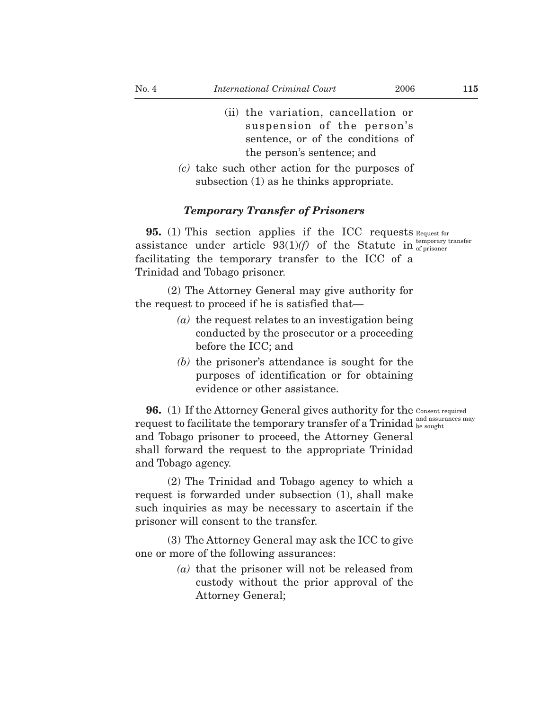- (ii) the variation, cancellation or suspension of the person's sentence, or of the conditions of the person's sentence; and
- *(c)* take such other action for the purposes of subsection (1) as he thinks appropriate.

## *Temporary Transfer of Prisoners*

**95.** (1) This section applies if the ICC requests Request for assistance under article  $93(1)/f$  of the Statute in  $_{of\text{ prisoner}}^{\text{ temporary transfer}}$ facilitating the temporary transfer to the ICC of a Trinidad and Tobago prisoner. of prisoner

(2) The Attorney General may give authority for the request to proceed if he is satisfied that—

- *(a)* the request relates to an investigation being conducted by the prosecutor or a proceeding before the ICC; and
- *(b)* the prisoner's attendance is sought for the purposes of identification or for obtaining evidence or other assistance.

**96.** (1) If the Attorney General gives authority for the Consent required request to facilitate the temporary transfer of a Trinidad  $_{\text{be sought}}^{\text{and assumes may}}$ and Tobago prisoner to proceed, the Attorney General shall forward the request to the appropriate Trinidad and Tobago agency. be sought

(2) The Trinidad and Tobago agency to which a request is forwarded under subsection (1), shall make such inquiries as may be necessary to ascertain if the prisoner will consent to the transfer.

(3) The Attorney General may ask the ICC to give one or more of the following assurances:

> *(a)* that the prisoner will not be released from custody without the prior approval of the Attorney General;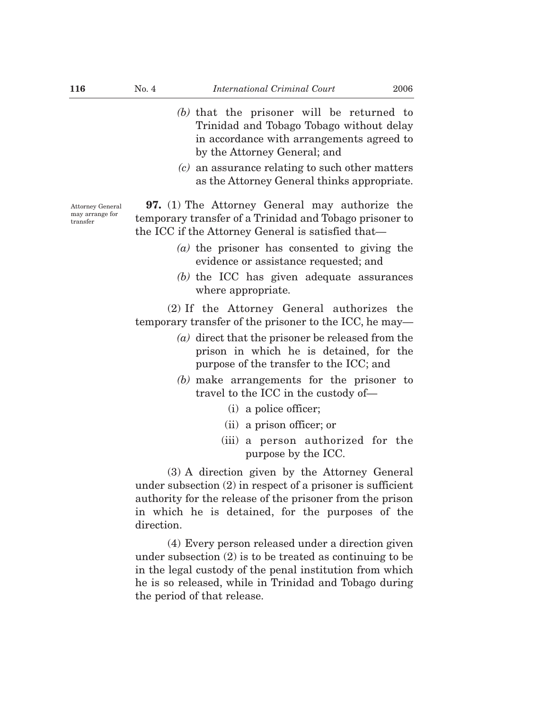- *(b)* that the prisoner will be returned to Trinidad and Tobago Tobago without delay in accordance with arrangements agreed to by the Attorney General; and
- *(c)* an assurance relating to such other matters as the Attorney General thinks appropriate.

**97.** (1) The Attorney General may authorize the temporary transfer of a Trinidad and Tobago prisoner to the ICC if the Attorney General is satisfied that—

- *(a)* the prisoner has consented to giving the evidence or assistance requested; and
- *(b)* the ICC has given adequate assurances where appropriate.

(2) If the Attorney General authorizes the temporary transfer of the prisoner to the ICC, he may—

- *(a)* direct that the prisoner be released from the prison in which he is detained, for the purpose of the transfer to the ICC; and
- *(b)* make arrangements for the prisoner to travel to the ICC in the custody of—
	- (i) a police officer;
	- (ii) a prison officer; or
	- (iii) a person authorized for the purpose by the ICC.

(3) A direction given by the Attorney General under subsection  $(2)$  in respect of a prisoner is sufficient authority for the release of the prisoner from the prison in which he is detained, for the purposes of the direction.

(4) Every person released under a direction given under subsection (2) is to be treated as continuing to be in the legal custody of the penal institution from which he is so released, while in Trinidad and Tobago during the period of that release.

Attorney General may arrange for transfer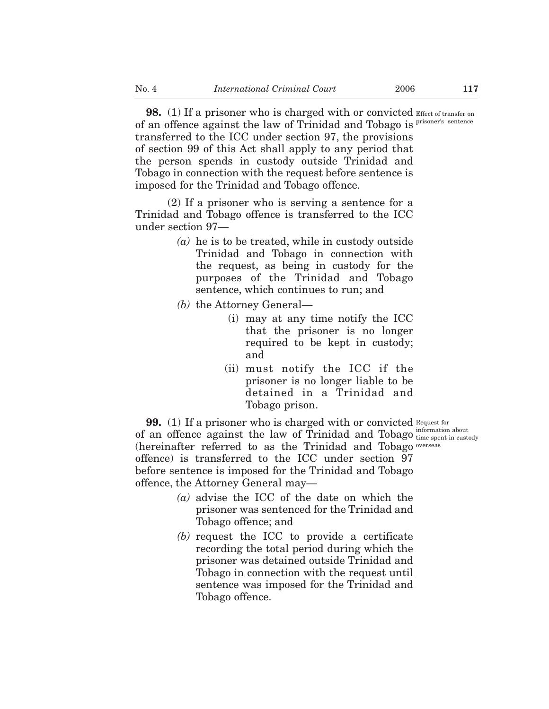**98.** (1) If a prisoner who is charged with or convicted Effect of transfer on of an offence against the law of Trinidad and Tobago is prisoner's sentence transferred to the ICC under section 97, the provisions of section 99 of this Act shall apply to any period that the person spends in custody outside Trinidad and Tobago in connection with the request before sentence is

(2) If a prisoner who is serving a sentence for a Trinidad and Tobago offence is transferred to the ICC under section 97—

- *(a)* he is to be treated, while in custody outside Trinidad and Tobago in connection with the request, as being in custody for the purposes of the Trinidad and Tobago sentence, which continues to run; and
- *(b)* the Attorney General—

imposed for the Trinidad and Tobago offence.

- (i) may at any time notify the ICC that the prisoner is no longer required to be kept in custody; and
- (ii) must notify the ICC if the prisoner is no longer liable to be detained in a Trinidad and Tobago prison.

**99.** (1) If a prisoner who is charged with or convicted Request for of an offence against the law of Trinidad and Tobago  $\frac{\text{information about}}{\text{time spent in cut}}$ (hereinafter referred to as the Trinidad and Tobago Overseas offence) is transferred to the ICC under section 97 before sentence is imposed for the Trinidad and Tobago offence, the Attorney General may—

- *(a)* advise the ICC of the date on which the
	- prisoner was sentenced for the Trinidad and Tobago offence; and
- *(b)* request the ICC to provide a certificate recording the total period during which the prisoner was detained outside Trinidad and Tobago in connection with the request until sentence was imposed for the Trinidad and Tobago offence.

time spent in custody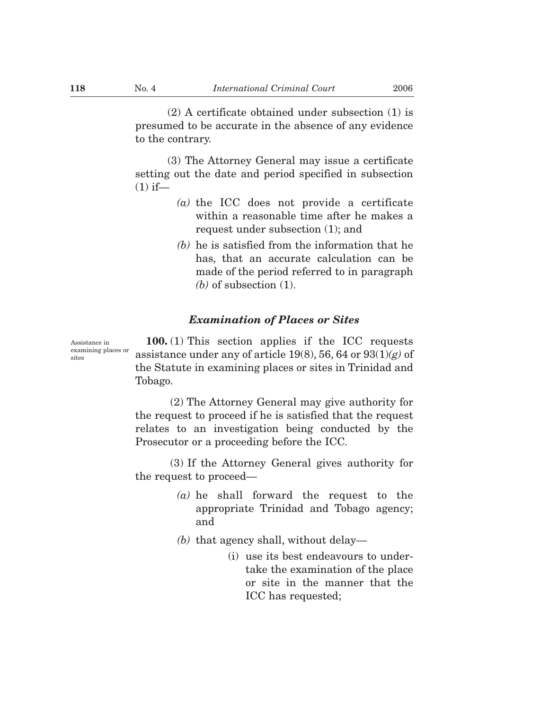(2) A certificate obtained under subsection (1) is presumed to be accurate in the absence of any evidence to the contrary.

(3) The Attorney General may issue a certificate setting out the date and period specified in subsection  $(1)$  if—

- *(a)* the ICC does not provide a certificate within a reasonable time after he makes a request under subsection (1); and
- *(b)* he is satisfied from the information that he has, that an accurate calculation can be made of the period referred to in paragraph *(b)* of subsection (1).

## *Examination of Places or Sites*

**100.** (1) This section applies if the ICC requests assistance under any of article 19(8), 56, 64 or 93(1)*(g)* of the Statute in examining places or sites in Trinidad and Tobago. examining places or

> (2) The Attorney General may give authority for the request to proceed if he is satisfied that the request relates to an investigation being conducted by the Prosecutor or a proceeding before the ICC.

> (3) If the Attorney General gives authority for the request to proceed—

- *(a)* he shall forward the request to the appropriate Trinidad and Tobago agency; and
- *(b)* that agency shall, without delay—
	- (i) use its best endeavours to undertake the examination of the place or site in the manner that the ICC has requested;

Assistance in

sites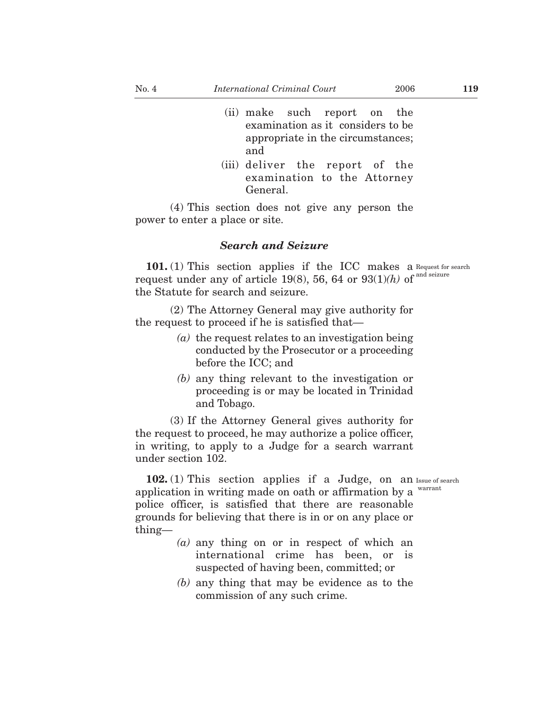- (ii) make such report on the examination as it considers to be appropriate in the circumstances; and
- (iii) deliver the report of the examination to the Attorney General.

(4) This section does not give any person the power to enter a place or site.

## *Search and Seizure*

101. (1) This section applies if the ICC makes a Request for search request under any of article 19(8), 56, 64 or  $93(1)$ (h) of and seizure the Statute for search and seizure.

(2) The Attorney General may give authority for the request to proceed if he is satisfied that—

- *(a)* the request relates to an investigation being conducted by the Prosecutor or a proceeding before the ICC; and
- *(b)* any thing relevant to the investigation or proceeding is or may be located in Trinidad and Tobago.

(3) If the Attorney General gives authority for the request to proceed, he may authorize a police officer, in writing, to apply to a Judge for a search warrant under section 102.

**102.** (1) This section applies if a Judge, on an Issue of search application in writing made on oath or affirmation by a <sup>warrant</sup> police officer, is satisfied that there are reasonable grounds for believing that there is in or on any place or thing—

- *(a)* any thing on or in respect of which an international crime has been, or is suspected of having been, committed; or
- *(b)* any thing that may be evidence as to the commission of any such crime.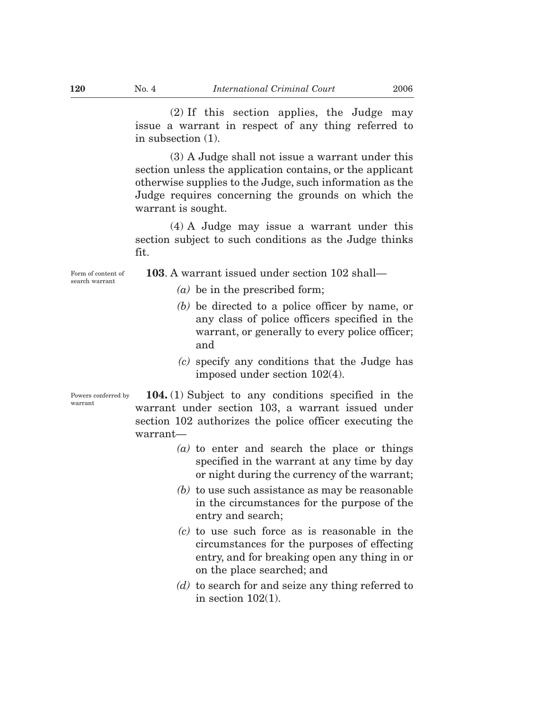(2) If this section applies, the Judge may issue a warrant in respect of any thing referred to in subsection (1).

(3) A Judge shall not issue a warrant under this section unless the application contains, or the applicant otherwise supplies to the Judge, such information as the Judge requires concerning the grounds on which the warrant is sought.

(4) A Judge may issue a warrant under this section subject to such conditions as the Judge thinks fit.

**103**. A warrant issued under section 102 shall—

- *(a)* be in the prescribed form;
- *(b)* be directed to a police officer by name, or any class of police officers specified in the warrant, or generally to every police officer; and
- *(c)* specify any conditions that the Judge has imposed under section 102(4).

**104.** (1) Subject to any conditions specified in the warrant under section 103, a warrant issued under section 102 authorizes the police officer executing the warrant—

- *(a)* to enter and search the place or things specified in the warrant at any time by day or night during the currency of the warrant;
- *(b)* to use such assistance as may be reasonable in the circumstances for the purpose of the entry and search;
- *(c)* to use such force as is reasonable in the circumstances for the purposes of effecting entry, and for breaking open any thing in or on the place searched; and
- *(d)* to search for and seize any thing referred to in section  $102(1)$ .

Form of content of search warrant

Powers conferred by

warrant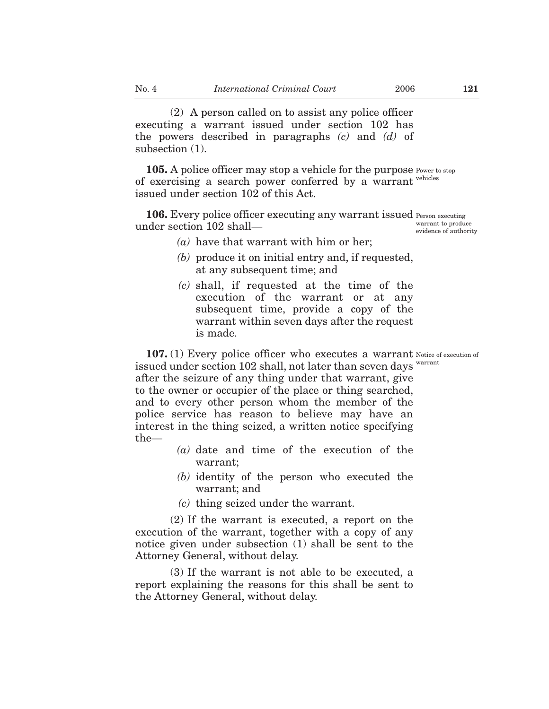(2) A person called on to assist any police officer executing a warrant issued under section 102 has the powers described in paragraphs *(c)* and *(d)* of subsection (1).

105. A police officer may stop a vehicle for the purpose Power to stop of exercising a search power conferred by a warrant vehicles issued under section 102 of this Act.

106. Every police officer executing any warrant issued Person executing under section 102 shall warrant to produce evidence of authority

*(a)* have that warrant with him or her;

- *(b)* produce it on initial entry and, if requested, at any subsequent time; and
- *(c)* shall, if requested at the time of the execution of the warrant or at any subsequent time, provide a copy of the warrant within seven days after the request is made.

107. (1) Every police officer who executes a warrant Notice of execution of issued under section 102 shall, not later than seven days warrant after the seizure of any thing under that warrant, give to the owner or occupier of the place or thing searched, and to every other person whom the member of the police service has reason to believe may have an interest in the thing seized, a written notice specifying the—

- *(a)* date and time of the execution of the warrant;
- *(b)* identity of the person who executed the warrant; and
- *(c)* thing seized under the warrant.

(2) If the warrant is executed, a report on the execution of the warrant, together with a copy of any notice given under subsection (1) shall be sent to the Attorney General, without delay.

(3) If the warrant is not able to be executed, a report explaining the reasons for this shall be sent to the Attorney General, without delay.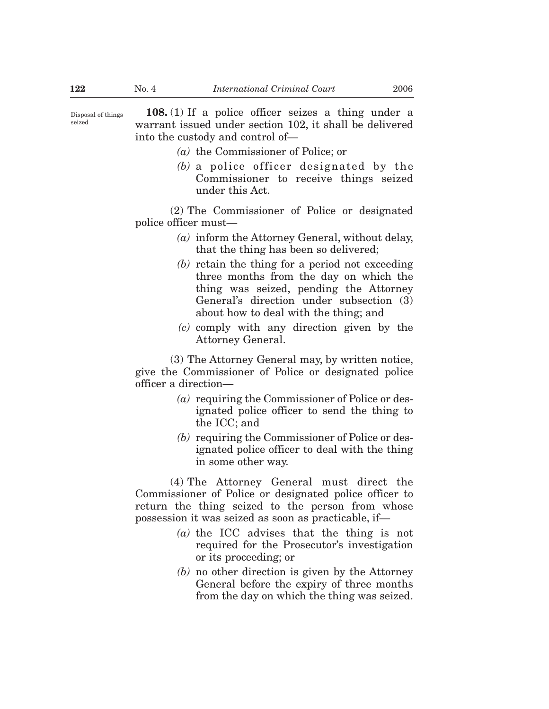**108.** (1) If a police officer seizes a thing under a warrant issued under section 102, it shall be delivered into the custody and control of— Disposal of things

- *(a)* the Commissioner of Police; or
- *(b)* a police officer designated by the Commissioner to receive things seized under this Act.

(2) The Commissioner of Police or designated police officer must—

- *(a)* inform the Attorney General, without delay, that the thing has been so delivered;
- *(b)* retain the thing for a period not exceeding three months from the day on which the thing was seized, pending the Attorney General's direction under subsection (3) about how to deal with the thing; and
- *(c)* comply with any direction given by the Attorney General.

(3) The Attorney General may, by written notice, give the Commissioner of Police or designated police officer a direction—

- *(a)* requiring the Commissioner of Police or designated police officer to send the thing to the ICC; and
- *(b)* requiring the Commissioner of Police or designated police officer to deal with the thing in some other way.

(4) The Attorney General must direct the Commissioner of Police or designated police officer to return the thing seized to the person from whose possession it was seized as soon as practicable, if—

- *(a)* the ICC advises that the thing is not required for the Prosecutor's investigation or its proceeding; or
- *(b)* no other direction is given by the Attorney General before the expiry of three months from the day on which the thing was seized.

seized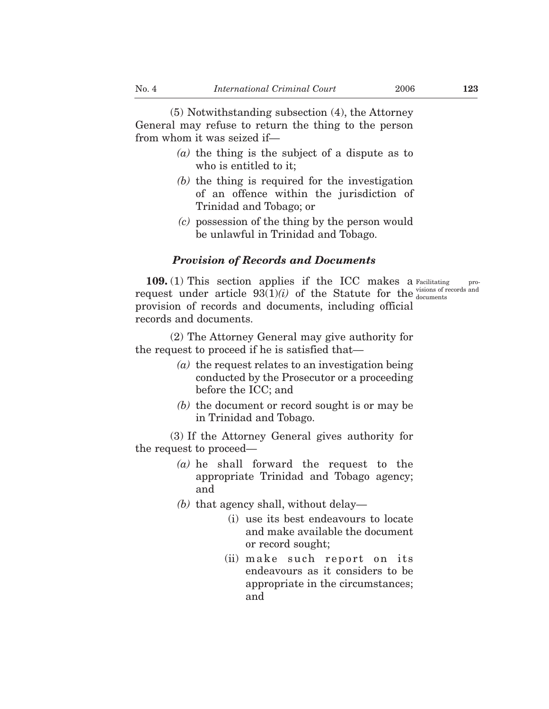(5) Notwithstanding subsection (4), the Attorney General may refuse to return the thing to the person

- from whom it was seized if— *(a)* the thing is the subject of a dispute as to who is entitled to it;
	- *(b)* the thing is required for the investigation of an offence within the jurisdiction of Trinidad and Tobago; or
	- *(c)* possession of the thing by the person would be unlawful in Trinidad and Tobago.

## *Provision of Records and Documents*

**109.** (1) This section applies if the ICC makes a Facilitating prorequest under article  $93(1)(i)$  of the Statute for the visions of records and provision of records and documents, including official records and documents. documents

(2) The Attorney General may give authority for the request to proceed if he is satisfied that—

- *(a)* the request relates to an investigation being conducted by the Prosecutor or a proceeding before the ICC; and
- *(b)* the document or record sought is or may be in Trinidad and Tobago.

(3) If the Attorney General gives authority for the request to proceed—

- *(a)* he shall forward the request to the appropriate Trinidad and Tobago agency; and
- *(b)* that agency shall, without delay—
	- (i) use its best endeavours to locate and make available the document or record sought;
	- (ii) make such report on its endeavours as it considers to be appropriate in the circumstances; and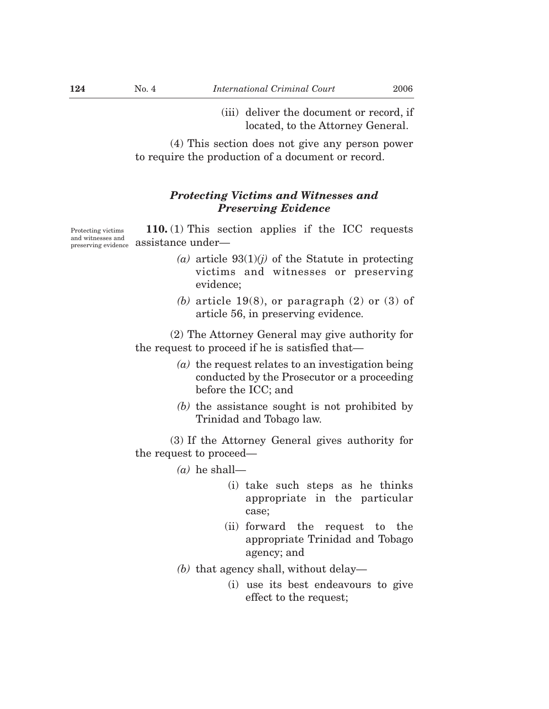(4) This section does not give any person power to require the production of a document or record.

## *Protecting Victims and Witnesses and Preserving Evidence*

**110.** (1) This section applies if the ICC requests assistance under— Protecting victims and witnesses and preserving evidence

- *(a)* article 93(1)*(j)* of the Statute in protecting victims and witnesses or preserving evidence;
- *(b)* article 19(8), or paragraph (2) or (3) of article 56, in preserving evidence.

(2) The Attorney General may give authority for the request to proceed if he is satisfied that—

- *(a)* the request relates to an investigation being conducted by the Prosecutor or a proceeding before the ICC; and
- *(b)* the assistance sought is not prohibited by Trinidad and Tobago law.

(3) If the Attorney General gives authority for the request to proceed—

- *(a)* he shall—
	- (i) take such steps as he thinks appropriate in the particular case;
	- (ii) forward the request to the appropriate Trinidad and Tobago agency; and
- *(b)* that agency shall, without delay—
	- (i) use its best endeavours to give effect to the request;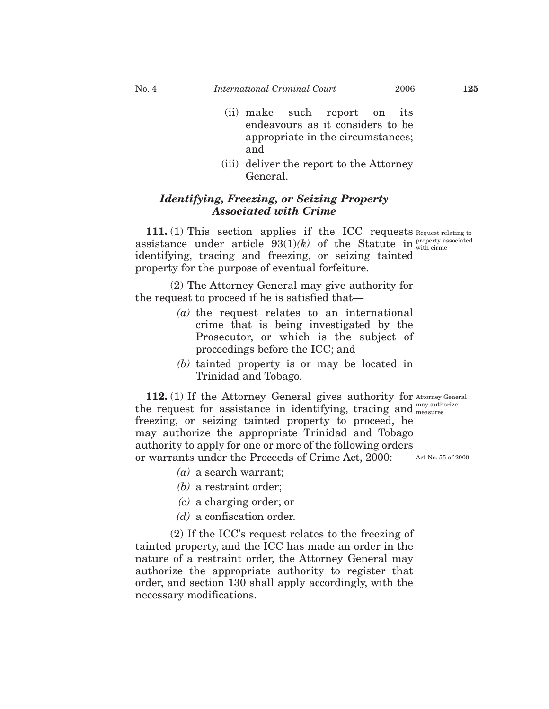- (ii) make such report on its endeavours as it considers to be appropriate in the circumstances; and
- (iii) deliver the report to the Attorney General.

## *Identifying, Freezing, or Seizing Property Associated with Crime*

**111.** (1) This section applies if the ICC requests Request relating to assistance under article  $93(1)(k)$  of the Statute in  $_{\text{with cirme}}^{\text{property associated}}$ identifying, tracing and freezing, or seizing tainted property for the purpose of eventual forfeiture. with cirme

(2) The Attorney General may give authority for the request to proceed if he is satisfied that—

- *(a)* the request relates to an international crime that is being investigated by the Prosecutor, or which is the subject of proceedings before the ICC; and
- *(b)* tainted property is or may be located in Trinidad and Tobago.

112. (1) If the Attorney General gives authority for Attorney General the request for assistance in identifying, tracing and may authorize freezing, or seizing tainted property to proceed, he may authorize the appropriate Trinidad and Tobago authority to apply for one or more of the following orders or warrants under the Proceeds of Crime Act, 2000: measures Act No. 55 of 2000

- *(a)* a search warrant;
- *(b)* a restraint order;
- *(c)* a charging order; or
- *(d)* a confiscation order.

(2) If the ICC's request relates to the freezing of tainted property, and the ICC has made an order in the nature of a restraint order, the Attorney General may authorize the appropriate authority to register that order, and section 130 shall apply accordingly, with the necessary modifications.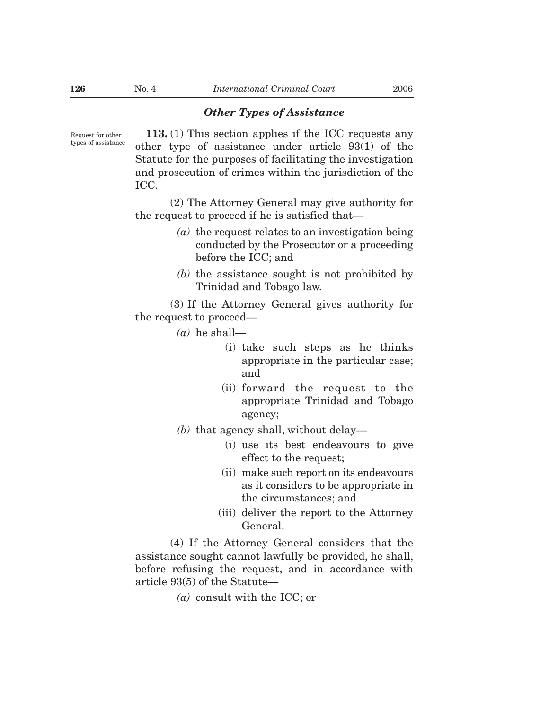## *Other Types of Assistance*

Request for other types of assistance

**113.** (1) This section applies if the ICC requests any other type of assistance under article 93(1) of the Statute for the purposes of facilitating the investigation and prosecution of crimes within the jurisdiction of the ICC.

(2) The Attorney General may give authority for the request to proceed if he is satisfied that—

- *(a)* the request relates to an investigation being conducted by the Prosecutor or a proceeding before the ICC; and
- *(b)* the assistance sought is not prohibited by Trinidad and Tobago law.

(3) If the Attorney General gives authority for the request to proceed—

*(a)* he shall—

- (i) take such steps as he thinks appropriate in the particular case; and
- (ii) forward the request to the appropriate Trinidad and Tobago agency;
- *(b)* that agency shall, without delay—
	- (i) use its best endeavours to give effect to the request;
	- (ii) make such report on its endeavours as it considers to be appropriate in the circumstances; and
	- (iii) deliver the report to the Attorney General.

(4) If the Attorney General considers that the assistance sought cannot lawfully be provided, he shall, before refusing the request, and in accordance with article 93(5) of the Statute—

*(a)* consult with the ICC; or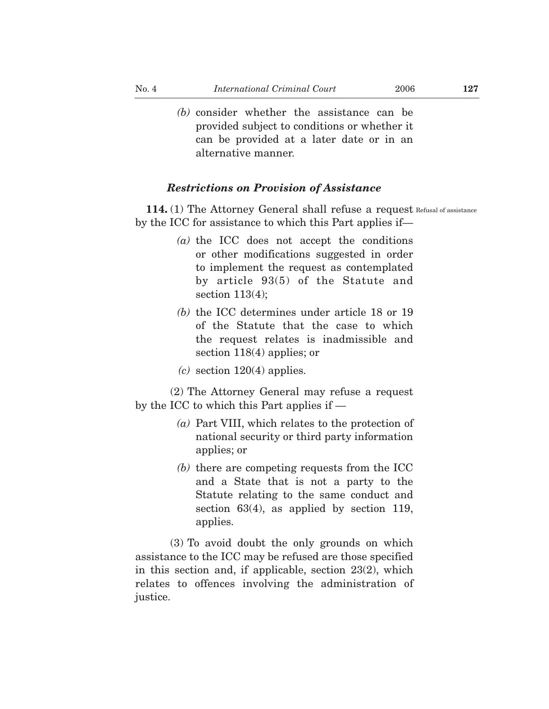*(b)* consider whether the assistance can be provided subject to conditions or whether it can be provided at a later date or in an alternative manner.

### *Restrictions on Provision of Assistance*

114. (1) The Attorney General shall refuse a request Refusal of assistance by the ICC for assistance to which this Part applies if—

- *(a)* the ICC does not accept the conditions or other modifications suggested in order to implement the request as contemplated by article 93(5) of the Statute and section 113(4);
- *(b)* the ICC determines under article 18 or 19 of the Statute that the case to which the request relates is inadmissible and section 118(4) applies; or
- $(c)$  section 120(4) applies.

(2) The Attorney General may refuse a request by the ICC to which this Part applies if —

- *(a)* Part VIII, which relates to the protection of national security or third party information applies; or
- *(b)* there are competing requests from the ICC and a State that is not a party to the Statute relating to the same conduct and section 63(4), as applied by section 119, applies.

(3) To avoid doubt the only grounds on which assistance to the ICC may be refused are those specified in this section and, if applicable, section 23(2), which relates to offences involving the administration of justice.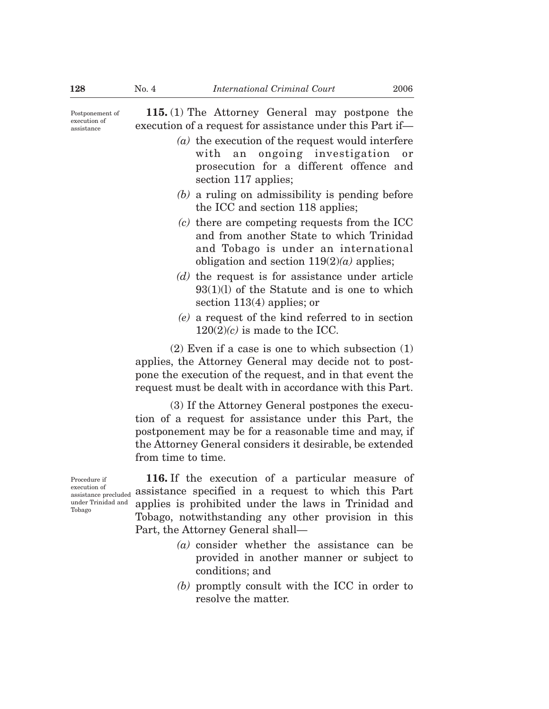**115.** (1) The Attorney General may postpone the execution of a request for assistance under this Part if—

- *(a)* the execution of the request would interfere with an ongoing investigation or prosecution for a different offence and section 117 applies;
- *(b)* a ruling on admissibility is pending before the ICC and section 118 applies;
- *(c)* there are competing requests from the ICC and from another State to which Trinidad and Tobago is under an international obligation and section  $119(2)(a)$  applies;
- *(d)* the request is for assistance under article 93(1)(l) of the Statute and is one to which section 113(4) applies; or
- *(e)* a request of the kind referred to in section  $120(2)(c)$  is made to the ICC.

(2) Even if a case is one to which subsection (1) applies, the Attorney General may decide not to postpone the execution of the request, and in that event the request must be dealt with in accordance with this Part.

(3) If the Attorney General postpones the execution of a request for assistance under this Part, the postponement may be for a reasonable time and may, if the Attorney General considers it desirable, be extended from time to time.

Procedure if assistance precluded under Trinidad and Tobago

**116.** If the execution of a particular measure of execution of execution of assistance specified in a request to which this Part applies is prohibited under the laws in Trinidad and Tobago, notwithstanding any other provision in this Part, the Attorney General shall—

- *(a)* consider whether the assistance can be provided in another manner or subject to conditions; and
- *(b)* promptly consult with the ICC in order to resolve the matter.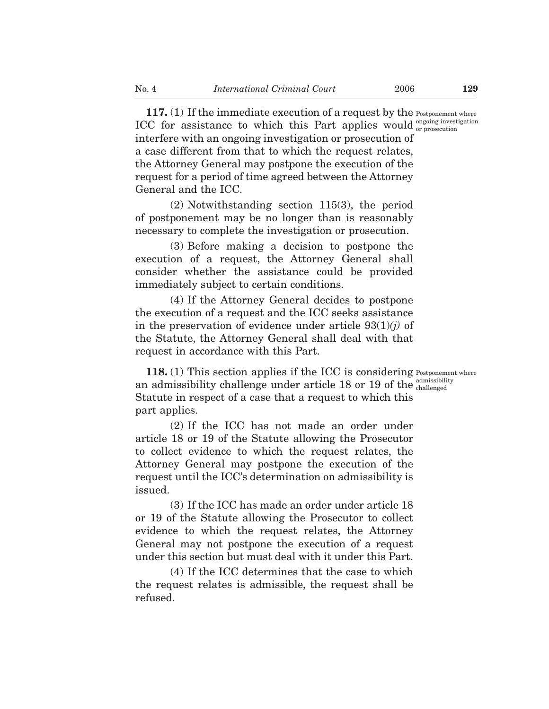**117.** (1) If the immediate execution of a request by the Postponement where ICC for assistance to which this Part applies would  $_{\text{or prosecution}}^{\text{ongoing investigation}}$ interfere with an ongoing investigation or prosecution of a case different from that to which the request relates, or prosecution

the Attorney General may postpone the execution of the request for a period of time agreed between the Attorney General and the ICC.

(2) Notwithstanding section 115(3), the period of postponement may be no longer than is reasonably necessary to complete the investigation or prosecution.

(3) Before making a decision to postpone the execution of a request, the Attorney General shall consider whether the assistance could be provided immediately subject to certain conditions.

(4) If the Attorney General decides to postpone the execution of a request and the ICC seeks assistance in the preservation of evidence under article 93(1)*(j)* of the Statute, the Attorney General shall deal with that request in accordance with this Part.

118. (1) This section applies if the ICC is considering Postponement where an admissibility challenge under article  $18$  or  $19$  of the  $\frac{\text{admissible}}{\text{challenged}}$ Statute in respect of a case that a request to which this part applies. challenged

(2) If the ICC has not made an order under article 18 or 19 of the Statute allowing the Prosecutor to collect evidence to which the request relates, the Attorney General may postpone the execution of the request until the ICC's determination on admissibility is issued.

(3) If the ICC has made an order under article 18 or 19 of the Statute allowing the Prosecutor to collect evidence to which the request relates, the Attorney General may not postpone the execution of a request under this section but must deal with it under this Part.

(4) If the ICC determines that the case to which the request relates is admissible, the request shall be refused.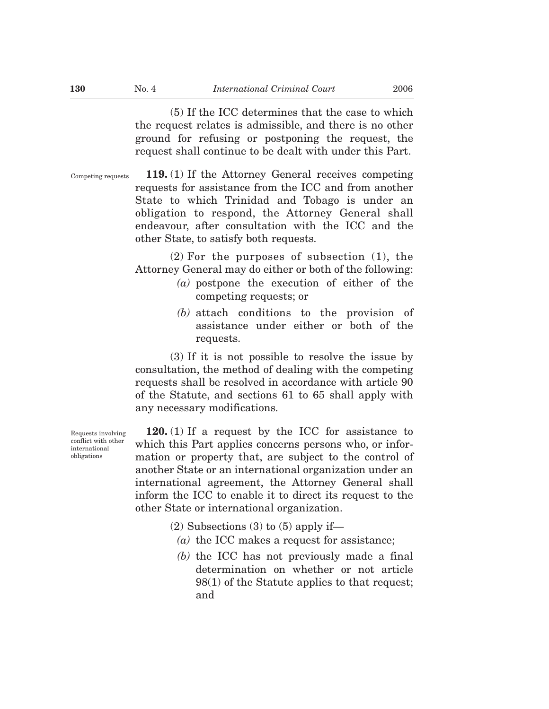(5) If the ICC determines that the case to which the request relates is admissible, and there is no other ground for refusing or postponing the request, the

request shall continue to be dealt with under this Part.

**119.** (1) If the Attorney General receives competing requests for assistance from the ICC and from another State to which Trinidad and Tobago is under an obligation to respond, the Attorney General shall endeavour, after consultation with the ICC and the other State, to satisfy both requests. Competing requests

> (2) For the purposes of subsection (1), the Attorney General may do either or both of the following:

- *(a)* postpone the execution of either of the competing requests; or
- *(b)* attach conditions to the provision of assistance under either or both of the requests.

(3) If it is not possible to resolve the issue by consultation, the method of dealing with the competing requests shall be resolved in accordance with article 90 of the Statute, and sections 61 to 65 shall apply with any necessary modifications.

**120.** (1) If a request by the ICC for assistance to which this Part applies concerns persons who, or information or property that, are subject to the control of another State or an international organization under an international agreement, the Attorney General shall inform the ICC to enable it to direct its request to the other State or international organization.

- $(2)$  Subsections  $(3)$  to  $(5)$  apply if—
	- *(a)* the ICC makes a request for assistance;
	- *(b)* the ICC has not previously made a final determination on whether or not article 98(1) of the Statute applies to that request; and

Requests involving conflict with other international obligations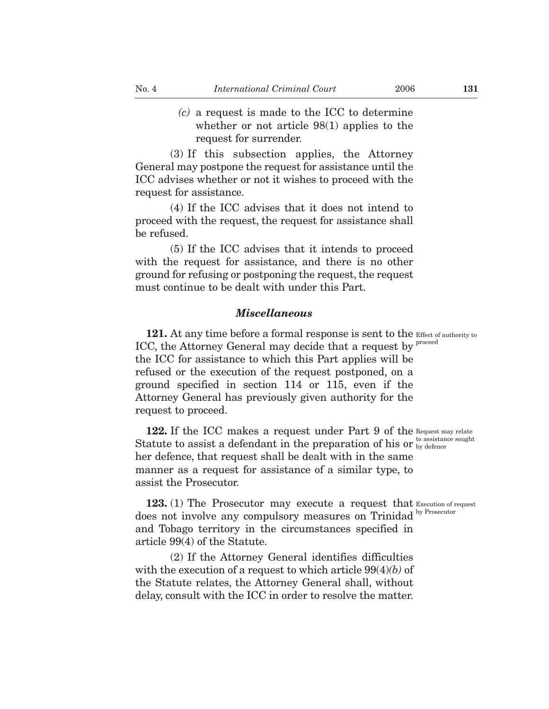# *(c)* a request is made to the ICC to determine whether or not article 98(1) applies to the request for surrender.

(3) If this subsection applies, the Attorney General may postpone the request for assistance until the ICC advises whether or not it wishes to proceed with the request for assistance.

(4) If the ICC advises that it does not intend to proceed with the request, the request for assistance shall be refused.

(5) If the ICC advises that it intends to proceed with the request for assistance, and there is no other ground for refusing or postponing the request, the request must continue to be dealt with under this Part.

#### *Miscellaneous*

121. At any time before a formal response is sent to the Effect of authority to ICC, the Attorney General may decide that a request by proceed the ICC for assistance to which this Part applies will be refused or the execution of the request postponed, on a ground specified in section 114 or 115, even if the Attorney General has previously given authority for the request to proceed.

122. If the ICC makes a request under Part 9 of the Request may relate Statute to assist a defendant in the preparation of his or  $_{\text{by}$  *defence*her defence, that request shall be dealt with in the same manner as a request for assistance of a similar type, to assist the Prosecutor. by defence

123. (1) The Prosecutor may execute a request that Execution of request does not involve any compulsory measures on Trinidad by Prosecutor and Tobago territory in the circumstances specified in article 99(4) of the Statute.

(2) If the Attorney General identifies difficulties with the execution of a request to which article 99(4)*(b)* of the Statute relates, the Attorney General shall, without delay, consult with the ICC in order to resolve the matter.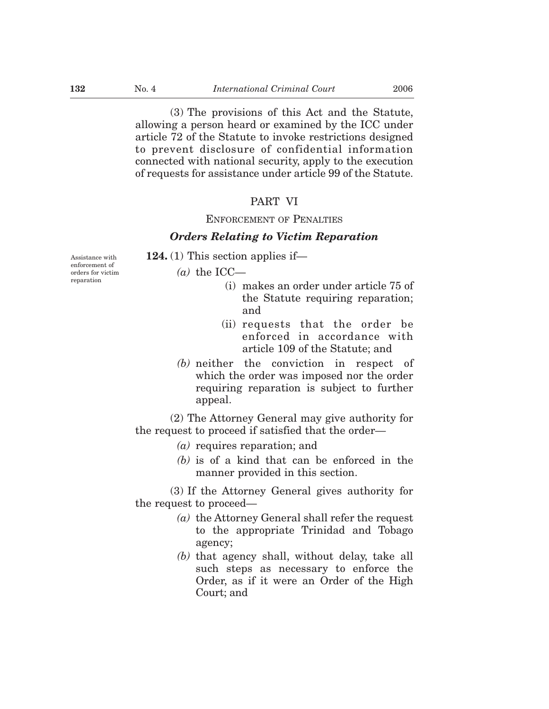(3) The provisions of this Act and the Statute, allowing a person heard or examined by the ICC under article 72 of the Statute to invoke restrictions designed to prevent disclosure of confidential information connected with national security, apply to the execution of requests for assistance under article 99 of the Statute.

## PART VI

ENFORCEMENT OF PENALTIES

### *Orders Relating to Victim Reparation*

Assistance with enforcement of orders for victim reparation

**124.** (1) This section applies if—

*(a)* the ICC—

- (i) makes an order under article 75 of the Statute requiring reparation; and
- (ii) requests that the order be enforced in accordance with article 109 of the Statute; and
- *(b)* neither the conviction in respect of which the order was imposed nor the order requiring reparation is subject to further appeal.

(2) The Attorney General may give authority for the request to proceed if satisfied that the order—

- *(a)* requires reparation; and
- *(b)* is of a kind that can be enforced in the manner provided in this section.

(3) If the Attorney General gives authority for the request to proceed—

- *(a)* the Attorney General shall refer the request to the appropriate Trinidad and Tobago agency;
- *(b)* that agency shall, without delay, take all such steps as necessary to enforce the Order, as if it were an Order of the High Court; and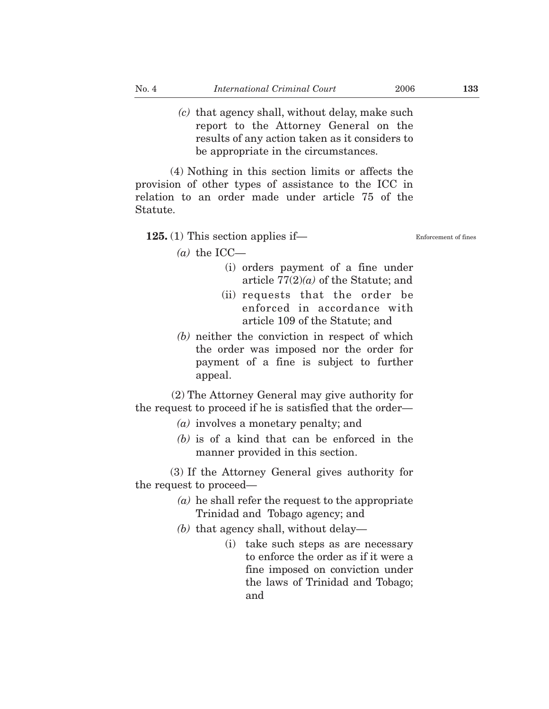# *(c)* that agency shall, without delay, make such report to the Attorney General on the results of any action taken as it considers to be appropriate in the circumstances.

(4) Nothing in this section limits or affects the provision of other types of assistance to the ICC in relation to an order made under article 75 of the Statute.

**125.** (1) This section applies if—

Enforcement of fines

*(a)* the ICC—

- (i) orders payment of a fine under article 77(2)*(a)* of the Statute; and
- (ii) requests that the order be enforced in accordance with article 109 of the Statute; and
- *(b)* neither the conviction in respect of which the order was imposed nor the order for payment of a fine is subject to further appeal.

(2) The Attorney General may give authority for the request to proceed if he is satisfied that the order—

- *(a)* involves a monetary penalty; and
- *(b)* is of a kind that can be enforced in the manner provided in this section.

(3) If the Attorney General gives authority for the request to proceed—

- *(a)* he shall refer the request to the appropriate Trinidad and Tobago agency; and
- *(b)* that agency shall, without delay—
	- (i) take such steps as are necessary to enforce the order as if it were a fine imposed on conviction under the laws of Trinidad and Tobago; and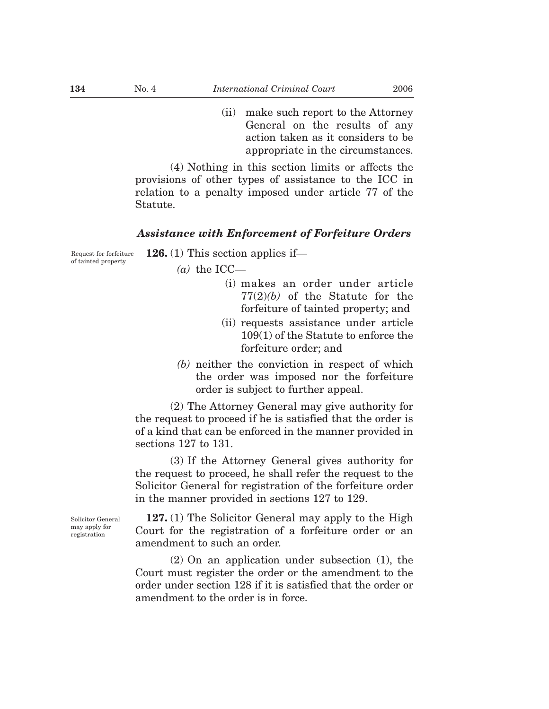(ii) make such report to the Attorney General on the results of any action taken as it considers to be appropriate in the circumstances.

(4) Nothing in this section limits or affects the provisions of other types of assistance to the ICC in relation to a penalty imposed under article 77 of the Statute.

### *Assistance with Enforcement of Forfeiture Orders*

Request for forfeiture of tainted property

**126.** (1) This section applies if—

*(a)* the ICC—

- (i) makes an order under article 77(2)*(b)* of the Statute for the forfeiture of tainted property; and
- (ii) requests assistance under article 109(1) of the Statute to enforce the forfeiture order; and
- *(b)* neither the conviction in respect of which the order was imposed nor the forfeiture order is subject to further appeal.

(2) The Attorney General may give authority for the request to proceed if he is satisfied that the order is of a kind that can be enforced in the manner provided in sections 127 to 131.

(3) If the Attorney General gives authority for the request to proceed, he shall refer the request to the Solicitor General for registration of the forfeiture order in the manner provided in sections 127 to 129.

Solicitor General may apply for registration

**127.** (1) The Solicitor General may apply to the High Court for the registration of a forfeiture order or an amendment to such an order.

(2) On an application under subsection (1), the Court must register the order or the amendment to the order under section 128 if it is satisfied that the order or amendment to the order is in force.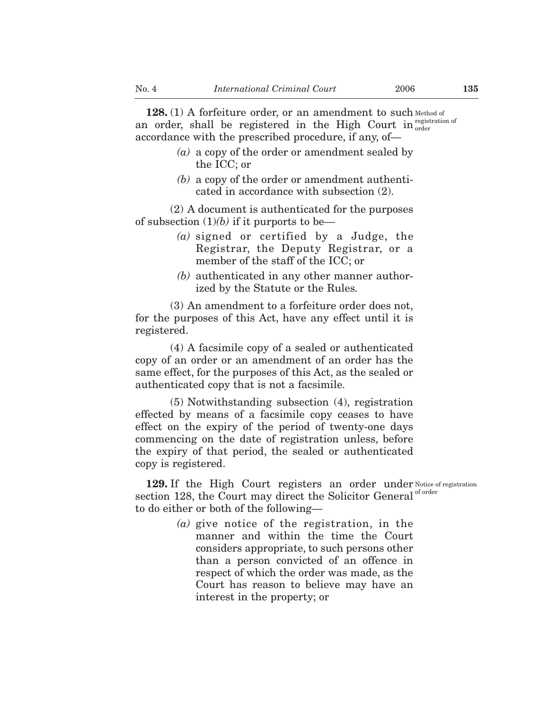128. (1) A forfeiture order, or an amendment to such Method of an order, shall be registered in the High Court in  $_{\text{order}}^{\text{registration of}}$ accordance with the prescribed procedure, if any, of order

- *(a)* a copy of the order or amendment sealed by the ICC; or
- *(b)* a copy of the order or amendment authenticated in accordance with subsection (2).

(2) A document is authenticated for the purposes of subsection (1)*(b)* if it purports to be—

- *(a)* signed or certified by a Judge, the Registrar, the Deputy Registrar, or a member of the staff of the ICC; or
- *(b)* authenticated in any other manner authorized by the Statute or the Rules.

(3) An amendment to a forfeiture order does not, for the purposes of this Act, have any effect until it is registered.

(4) A facsimile copy of a sealed or authenticated copy of an order or an amendment of an order has the same effect, for the purposes of this Act, as the sealed or authenticated copy that is not a facsimile.

(5) Notwithstanding subsection (4), registration effected by means of a facsimile copy ceases to have effect on the expiry of the period of twenty-one days commencing on the date of registration unless, before the expiry of that period, the sealed or authenticated copy is registered.

129. If the High Court registers an order under Notice of registration section 128, the Court may direct the Solicitor General<sup>of order</sup> to do either or both of the following—

> *(a)* give notice of the registration, in the manner and within the time the Court considers appropriate, to such persons other than a person convicted of an offence in respect of which the order was made, as the Court has reason to believe may have an interest in the property; or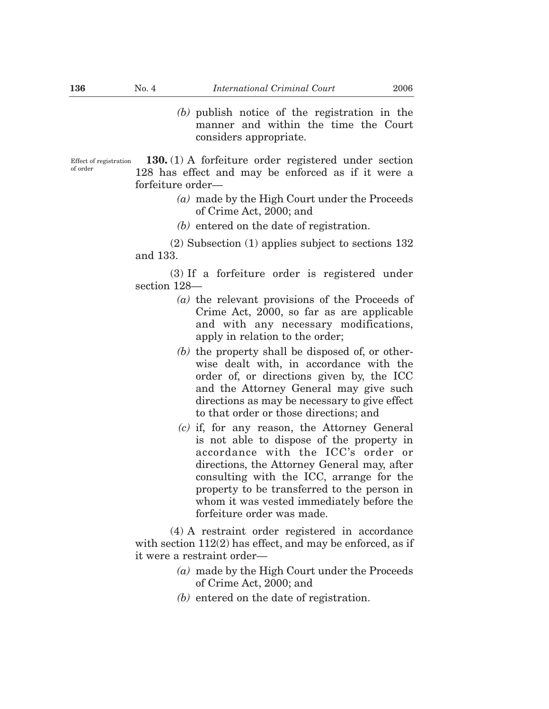*(b)* publish notice of the registration in the manner and within the time the Court considers appropriate.

**130.** (1) A forfeiture order registered under section 128 has effect and may be enforced as if it were a forfeiture order— Effect of registration

- *(a)* made by the High Court under the Proceeds of Crime Act, 2000; and
- *(b)* entered on the date of registration.

(2) Subsection (1) applies subject to sections 132 and 133.

(3) If a forfeiture order is registered under section 128—

- *(a)* the relevant provisions of the Proceeds of Crime Act, 2000, so far as are applicable and with any necessary modifications, apply in relation to the order;
- *(b)* the property shall be disposed of, or otherwise dealt with, in accordance with the order of, or directions given by, the ICC and the Attorney General may give such directions as may be necessary to give effect to that order or those directions; and
- *(c)* if, for any reason, the Attorney General is not able to dispose of the property in accordance with the ICC's order or directions, the Attorney General may, after consulting with the ICC, arrange for the property to be transferred to the person in whom it was vested immediately before the forfeiture order was made.

(4) A restraint order registered in accordance with section  $112(2)$  has effect, and may be enforced, as if it were a restraint order—

- *(a)* made by the High Court under the Proceeds of Crime Act, 2000; and
- *(b)* entered on the date of registration.

of order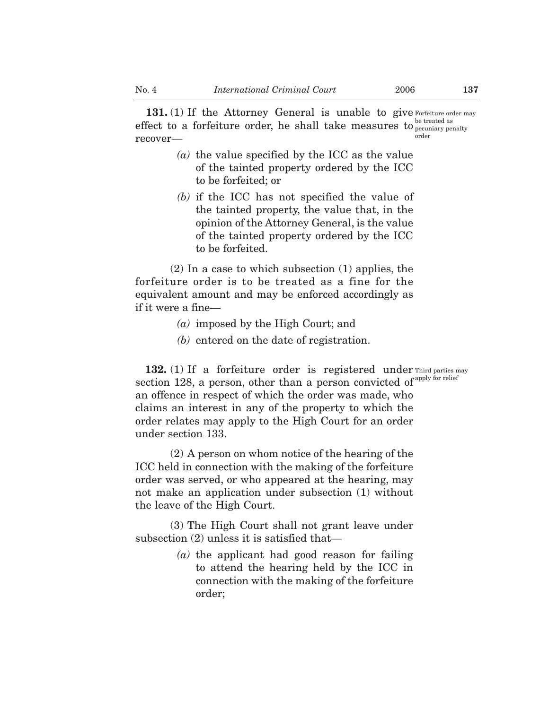131. (1) If the Attorney General is unable to give Forfeiture order may effect to a forfeiture order, he shall take measures to be treated as recover pecuniary penalty order

- *(a)* the value specified by the ICC as the value of the tainted property ordered by the ICC to be forfeited; or
- *(b)* if the ICC has not specified the value of the tainted property, the value that, in the opinion of the Attorney General, is the value of the tainted property ordered by the ICC to be forfeited.

(2) In a case to which subsection (1) applies, the forfeiture order is to be treated as a fine for the equivalent amount and may be enforced accordingly as if it were a fine—

- *(a)* imposed by the High Court; and
- *(b)* entered on the date of registration.

**132.** (1) If a forfeiture order is registered under Third parties may section 128, a person, other than a person convicted of <sup>apply for relief</sup> an offence in respect of which the order was made, who claims an interest in any of the property to which the order relates may apply to the High Court for an order under section 133.

(2) A person on whom notice of the hearing of the ICC held in connection with the making of the forfeiture order was served, or who appeared at the hearing, may not make an application under subsection (1) without the leave of the High Court.

(3) The High Court shall not grant leave under subsection (2) unless it is satisfied that—

> *(a)* the applicant had good reason for failing to attend the hearing held by the ICC in connection with the making of the forfeiture order;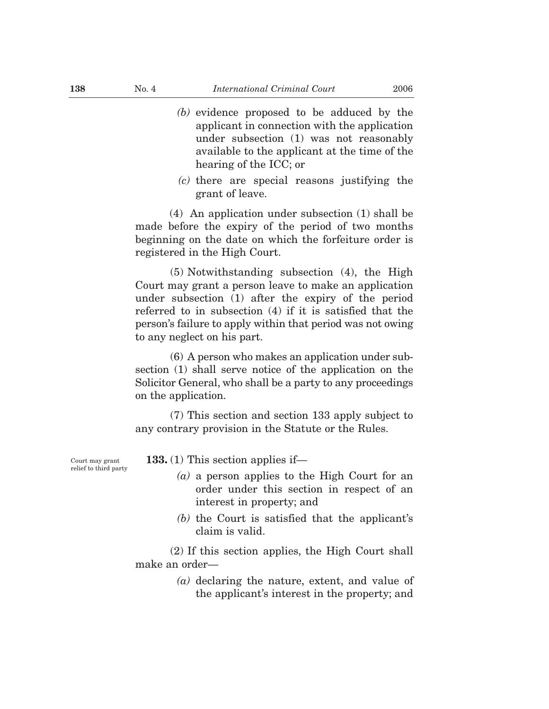- *(b)* evidence proposed to be adduced by the applicant in connection with the application under subsection (1) was not reasonably available to the applicant at the time of the hearing of the ICC; or
- *(c)* there are special reasons justifying the grant of leave.

(4) An application under subsection (1) shall be made before the expiry of the period of two months beginning on the date on which the forfeiture order is registered in the High Court.

(5) Notwithstanding subsection (4), the High Court may grant a person leave to make an application under subsection (1) after the expiry of the period referred to in subsection (4) if it is satisfied that the person's failure to apply within that period was not owing to any neglect on his part.

(6) A person who makes an application under subsection (1) shall serve notice of the application on the Solicitor General, who shall be a party to any proceedings on the application.

(7) This section and section 133 apply subject to any contrary provision in the Statute or the Rules.

Court may grant relief to third party

- **133.** (1) This section applies if—
	- *(a)* a person applies to the High Court for an order under this section in respect of an interest in property; and
	- *(b)* the Court is satisfied that the applicant's claim is valid.

(2) If this section applies, the High Court shall make an order—

> *(a)* declaring the nature, extent, and value of the applicant's interest in the property; and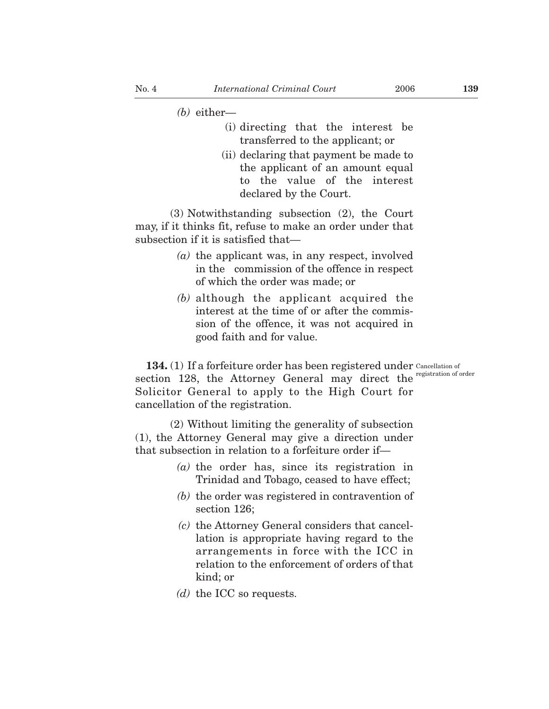- (i) directing that the interest be transferred to the applicant; or
- (ii) declaring that payment be made to the applicant of an amount equal to the value of the interest declared by the Court.

(3) Notwithstanding subsection (2), the Court may, if it thinks fit, refuse to make an order under that subsection if it is satisfied that—

- *(a)* the applicant was, in any respect, involved in the commission of the offence in respect of which the order was made; or
- *(b)* although the applicant acquired the interest at the time of or after the commission of the offence, it was not acquired in good faith and for value.

134. (1) If a forfeiture order has been registered under Cancellation of section 128, the Attorney General may direct the registration of order Solicitor General to apply to the High Court for cancellation of the registration.

(2) Without limiting the generality of subsection (1), the Attorney General may give a direction under that subsection in relation to a forfeiture order if—

- *(a)* the order has, since its registration in Trinidad and Tobago, ceased to have effect;
- *(b)* the order was registered in contravention of section 126;
- *(c)* the Attorney General considers that cancellation is appropriate having regard to the arrangements in force with the ICC in relation to the enforcement of orders of that kind; or
- *(d)* the ICC so requests.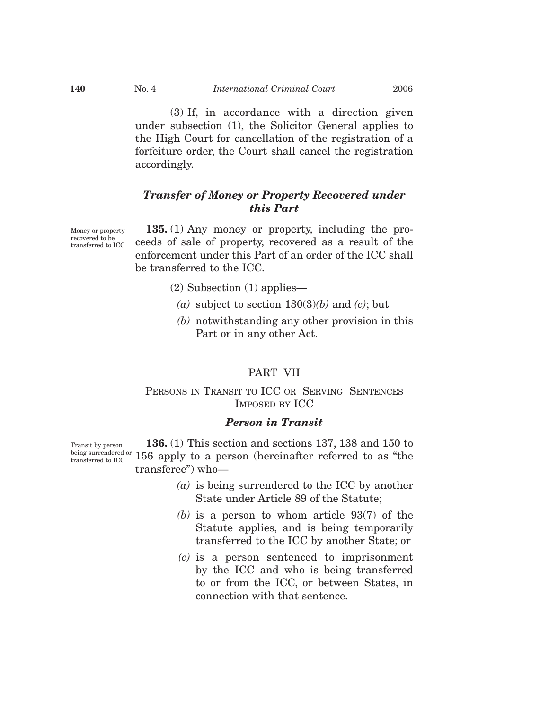(3) If, in accordance with a direction given under subsection (1), the Solicitor General applies to the High Court for cancellation of the registration of a forfeiture order, the Court shall cancel the registration accordingly.

# *Transfer of Money or Property Recovered under this Part*

**135.** (1) Any money or property, including the proceeds of sale of property, recovered as a result of the enforcement under this Part of an order of the ICC shall be transferred to the ICC.

- (2) Subsection (1) applies—
	- *(a)* subject to section 130(3)*(b)* and *(c)*; but
	- *(b)* notwithstanding any other provision in this Part or in any other Act.

## PART VII

## PERSONS IN TRANSIT TO ICC OR SERVING SENTENCES IMPOSED BY ICC

## *Person in Transit*

**136.** (1) This section and sections 137, 138 and 150 to 156 apply to a person (hereinafter referred to as "the transferee") who transferred to ICC

- *(a)* is being surrendered to the ICC by another State under Article 89 of the Statute;
- *(b)* is a person to whom article 93(7) of the Statute applies, and is being temporarily transferred to the ICC by another State; or
- *(c)* is a person sentenced to imprisonment by the ICC and who is being transferred to or from the ICC, or between States, in connection with that sentence.

Transit by person being surrendered or

Money or property recovered to be transferred to ICC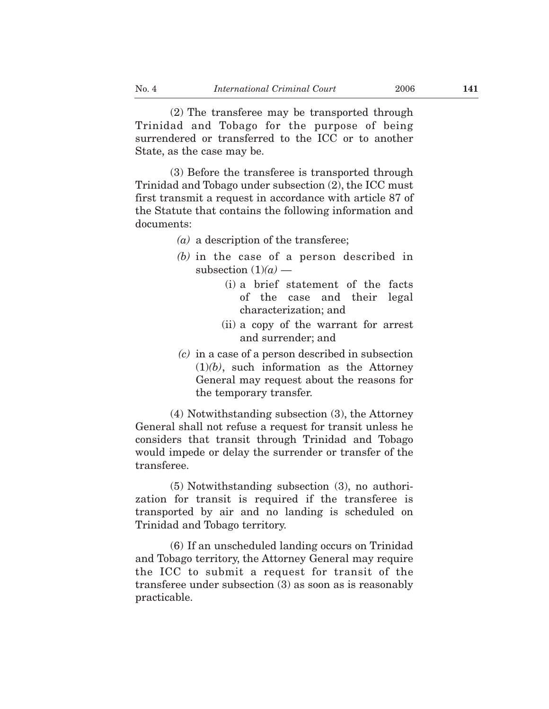(2) The transferee may be transported through Trinidad and Tobago for the purpose of being surrendered or transferred to the ICC or to another State, as the case may be.

(3) Before the transferee is transported through Trinidad and Tobago under subsection (2), the ICC must first transmit a request in accordance with article 87 of the Statute that contains the following information and documents:

- *(a)* a description of the transferee;
- *(b)* in the case of a person described in subsection  $(1)(a)$  —
	- (i) a brief statement of the facts of the case and their legal characterization; and
	- (ii) a copy of the warrant for arrest and surrender; and
- *(c)* in a case of a person described in subsection (1)*(b)*, such information as the Attorney General may request about the reasons for the temporary transfer.

(4) Notwithstanding subsection (3), the Attorney General shall not refuse a request for transit unless he considers that transit through Trinidad and Tobago would impede or delay the surrender or transfer of the transferee.

(5) Notwithstanding subsection (3), no authorization for transit is required if the transferee is transported by air and no landing is scheduled on Trinidad and Tobago territory.

(6) If an unscheduled landing occurs on Trinidad and Tobago territory, the Attorney General may require the ICC to submit a request for transit of the transferee under subsection (3) as soon as is reasonably practicable.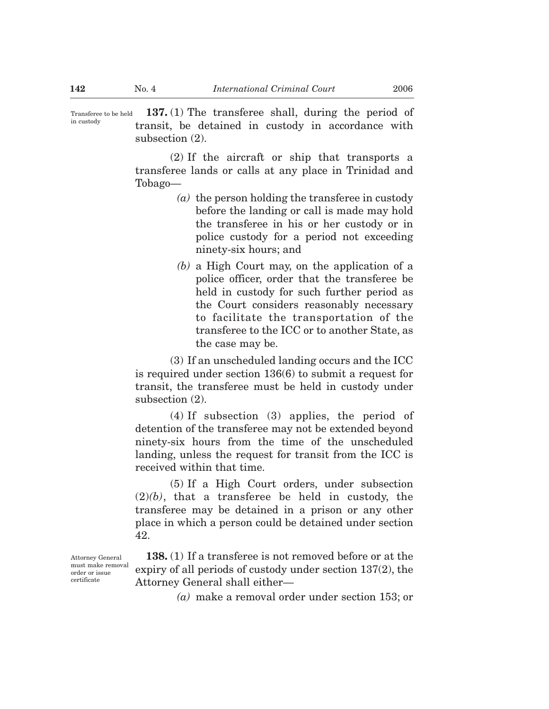**137.** (1) The transferee shall, during the period of transit, be detained in custody in accordance with subsection (2). Transferee to be held in custody

> (2) If the aircraft or ship that transports a transferee lands or calls at any place in Trinidad and Tobago—

- *(a)* the person holding the transferee in custody before the landing or call is made may hold the transferee in his or her custody or in police custody for a period not exceeding ninety-six hours; and
- *(b)* a High Court may, on the application of a police officer, order that the transferee be held in custody for such further period as the Court considers reasonably necessary to facilitate the transportation of the transferee to the ICC or to another State, as the case may be.

(3) If an unscheduled landing occurs and the ICC is required under section 136(6) to submit a request for transit, the transferee must be held in custody under subsection (2).

(4) If subsection (3) applies, the period of detention of the transferee may not be extended beyond ninety-six hours from the time of the unscheduled landing, unless the request for transit from the ICC is received within that time.

(5) If a High Court orders, under subsection (2)*(b)*, that a transferee be held in custody, the transferee may be detained in a prison or any other place in which a person could be detained under section 42.

**138.** (1) If a transferee is not removed before or at the expiry of all periods of custody under section 137(2), the Attorney General shall either—

*(a)* make a removal order under section 153; or

Attorney General must make removal order or issue certificate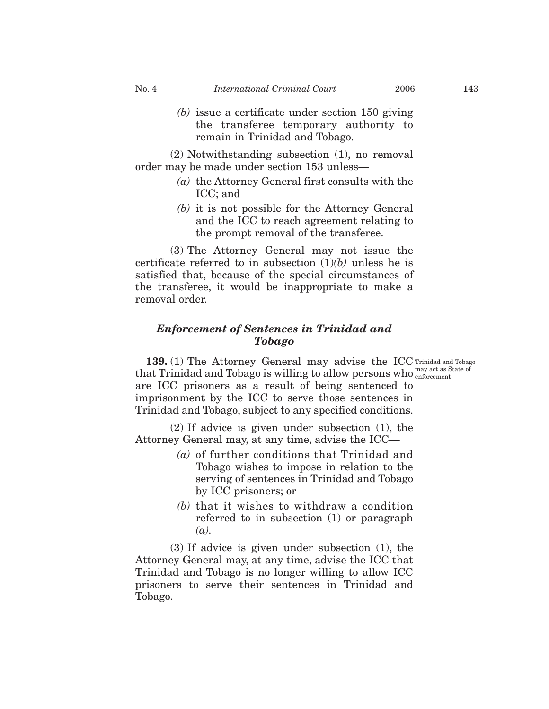*(b)* issue a certificate under section 150 giving the transferee temporary authority to remain in Trinidad and Tobago.

(2) Notwithstanding subsection (1), no removal order may be made under section 153 unless—

- *(a)* the Attorney General first consults with the ICC; and
- *(b)* it is not possible for the Attorney General and the ICC to reach agreement relating to the prompt removal of the transferee.

(3) The Attorney General may not issue the certificate referred to in subsection (1)*(b)* unless he is satisfied that, because of the special circumstances of the transferee, it would be inappropriate to make a removal order.

## *Enforcement of Sentences in Trinidad and Tobago*

139. (1) The Attorney General may advise the ICC Trinidad and Tobago that Trinidad and Tobago is willing to allow persons who may act as State of are ICC prisoners as a result of being sentenced to imprisonment by the ICC to serve those sentences in Trinidad and Tobago, subject to any specified conditions. enforcement

(2) If advice is given under subsection (1), the Attorney General may, at any time, advise the ICC—

- *(a)* of further conditions that Trinidad and Tobago wishes to impose in relation to the serving of sentences in Trinidad and Tobago by ICC prisoners; or
- *(b)* that it wishes to withdraw a condition referred to in subsection (1) or paragraph *(a).*

(3) If advice is given under subsection (1), the Attorney General may, at any time, advise the ICC that Trinidad and Tobago is no longer willing to allow ICC prisoners to serve their sentences in Trinidad and Tobago.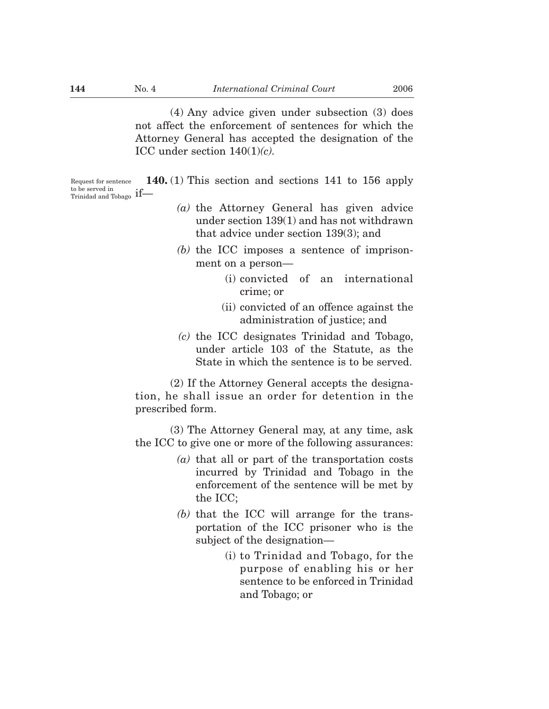(4) Any advice given under subsection (3) does not affect the enforcement of sentences for which the Attorney General has accepted the designation of the ICC under section 140(1)*(c).*

**140.** (1) This section and sections 141 to 156 apply  $\frac{1}{100}$  is served in Tobago  $\mathrm{if}$   $\frac{1}{100}$ Request for sentence to be served in

- *(a)* the Attorney General has given advice under section 139(1) and has not withdrawn that advice under section 139(3); and
- *(b)* the ICC imposes a sentence of imprisonment on a person—
	- (i) convicted of an international crime; or
	- (ii) convicted of an offence against the administration of justice; and
- *(c)* the ICC designates Trinidad and Tobago, under article 103 of the Statute, as the State in which the sentence is to be served.

(2) If the Attorney General accepts the designation, he shall issue an order for detention in the prescribed form.

(3) The Attorney General may, at any time, ask the ICC to give one or more of the following assurances:

- *(a)* that all or part of the transportation costs incurred by Trinidad and Tobago in the enforcement of the sentence will be met by the ICC;
- *(b)* that the ICC will arrange for the transportation of the ICC prisoner who is the subject of the designation—
	- (i) to Trinidad and Tobago, for the purpose of enabling his or her sentence to be enforced in Trinidad and Tobago; or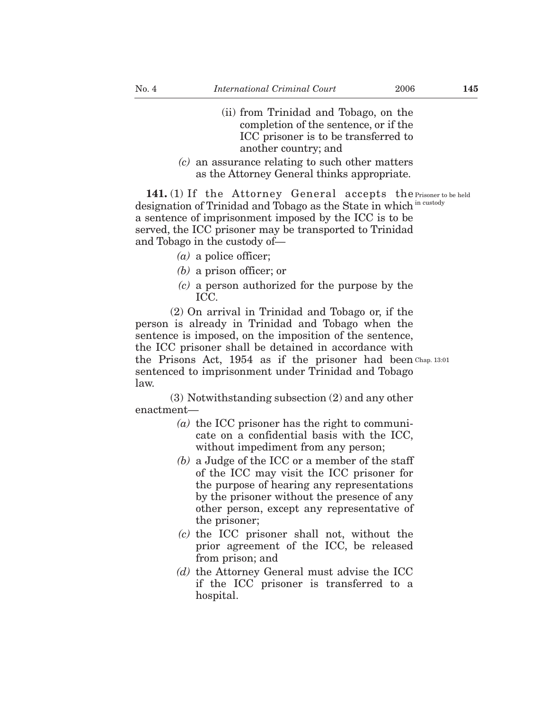- (ii) from Trinidad and Tobago, on the completion of the sentence, or if the ICC prisoner is to be transferred to another country; and
- *(c)* an assurance relating to such other matters as the Attorney General thinks appropriate.

141. (1) If the Attorney General accepts the Prisoner to be held designation of Trinidad and Tobago as the State in which in custody a sentence of imprisonment imposed by the ICC is to be served, the ICC prisoner may be transported to Trinidad and Tobago in the custody of—

- *(a)* a police officer;
- *(b)* a prison officer; or
- *(c)* a person authorized for the purpose by the ICC.

(2) On arrival in Trinidad and Tobago or, if the person is already in Trinidad and Tobago when the sentence is imposed, on the imposition of the sentence, the ICC prisoner shall be detained in accordance with the Prisons Act, 1954 as if the prisoner had been Chap. 13:01 sentenced to imprisonment under Trinidad and Tobago law.

(3) Notwithstanding subsection (2) and any other enactment—

- *(a)* the ICC prisoner has the right to communicate on a confidential basis with the ICC, without impediment from any person;
- *(b)* a Judge of the ICC or a member of the staff of the ICC may visit the ICC prisoner for the purpose of hearing any representations by the prisoner without the presence of any other person, except any representative of the prisoner;
- *(c)* the ICC prisoner shall not, without the prior agreement of the ICC, be released from prison; and
- *(d)* the Attorney General must advise the ICC if the ICC prisoner is transferred to a hospital.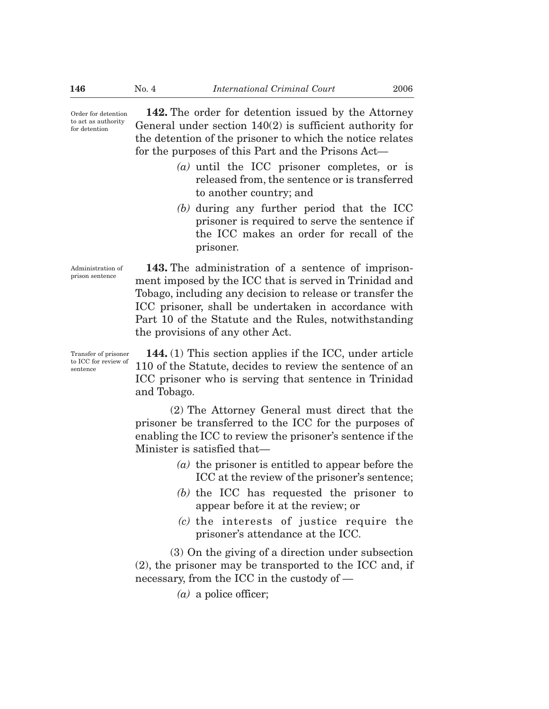**142.** The order for detention issued by the Attorney General under section 140(2) is sufficient authority for the detention of the prisoner to which the notice relates for the purposes of this Part and the Prisons Act— Order for detention to act as authority

- *(a)* until the ICC prisoner completes, or is released from, the sentence or is transferred to another country; and
- *(b)* during any further period that the ICC prisoner is required to serve the sentence if the ICC makes an order for recall of the prisoner.

**143.** The administration of a sentence of imprisonment imposed by the ICC that is served in Trinidad and Tobago, including any decision to release or transfer the ICC prisoner, shall be undertaken in accordance with Part 10 of the Statute and the Rules, notwithstanding the provisions of any other Act.

**144.** (1) This section applies if the ICC, under article 110 of the Statute, decides to review the sentence of an ICC prisoner who is serving that sentence in Trinidad and Tobago.

(2) The Attorney General must direct that the prisoner be transferred to the ICC for the purposes of enabling the ICC to review the prisoner's sentence if the Minister is satisfied that—

- *(a)* the prisoner is entitled to appear before the ICC at the review of the prisoner's sentence;
- *(b)* the ICC has requested the prisoner to appear before it at the review; or
- *(c)* the interests of justice require the prisoner's attendance at the ICC.

(3) On the giving of a direction under subsection (2), the prisoner may be transported to the ICC and, if necessary, from the ICC in the custody of —

*(a)* a police officer;

Administration of prison sentence

Transfer of prisoner to ICC for review of sentence

for detention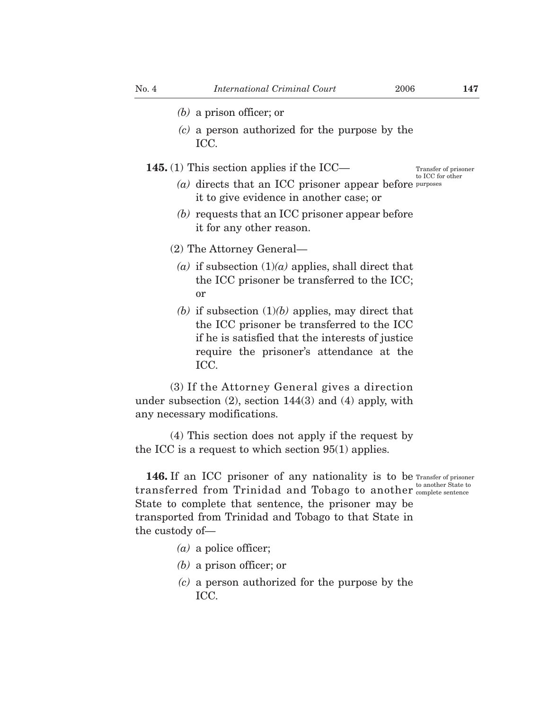*(b)* a prison officer; or

*(c)* a person authorized for the purpose by the ICC.

**145.** (1) This section applies if the ICC—

Transfer of prisoner to ICC for other

- *(a)* directs that an ICC prisoner appear before purposes it to give evidence in another case; or
- *(b)* requests that an ICC prisoner appear before it for any other reason.

(2) The Attorney General—

- $(a)$  if subsection  $(1)(a)$  applies, shall direct that the ICC prisoner be transferred to the ICC; or
- *(b)* if subsection (1)*(b)* applies, may direct that the ICC prisoner be transferred to the ICC if he is satisfied that the interests of justice require the prisoner's attendance at the ICC.

(3) If the Attorney General gives a direction under subsection (2), section 144(3) and (4) apply, with any necessary modifications.

(4) This section does not apply if the request by the ICC is a request to which section 95(1) applies.

146. If an ICC prisoner of any nationality is to be Transfer of prisoner transferred from Trinidad and Tobago to another  $_{\text{complete}}^{\text{to another State to}}$ State to complete that sentence, the prisoner may be transported from Trinidad and Tobago to that State in the custody of complete sentence

- *(a)* a police officer;
- *(b)* a prison officer; or
- *(c)* a person authorized for the purpose by the ICC.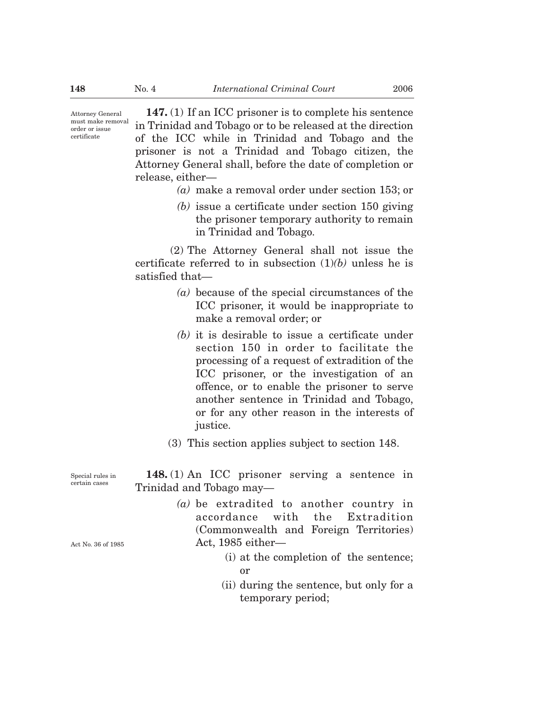**147.** (1) If an ICC prisoner is to complete his sentence in Trinidad and Tobago or to be released at the direction of the ICC while in Trinidad and Tobago and the prisoner is not a Trinidad and Tobago citizen, the Attorney General shall, before the date of completion or release, either—

- *(a)* make a removal order under section 153; or
- *(b)* issue a certificate under section 150 giving the prisoner temporary authority to remain in Trinidad and Tobago.

(2) The Attorney General shall not issue the certificate referred to in subsection (1)*(b)* unless he is satisfied that—

- *(a)* because of the special circumstances of the ICC prisoner, it would be inappropriate to make a removal order; or
- *(b)* it is desirable to issue a certificate under section 150 in order to facilitate the processing of a request of extradition of the ICC prisoner, or the investigation of an offence, or to enable the prisoner to serve another sentence in Trinidad and Tobago, or for any other reason in the interests of justice.
- (3) This section applies subject to section 148.

**148.** (1) An ICC prisoner serving a sentence in Trinidad and Tobago may—

- *(a)* be extradited to another country in accordance with the Extradition (Commonwealth and Foreign Territories) Act, 1985 either—
	- (i) at the completion of the sentence; or
	- (ii) during the sentence, but only for a temporary period;

Special rules in certain cases

Act No. 36 of 1985

Attorney General must make removal order or issue certificate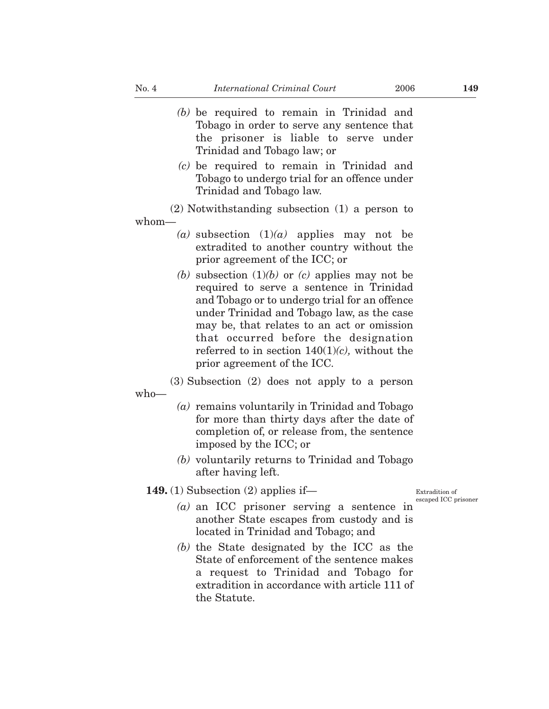- *(b)* be required to remain in Trinidad and Tobago in order to serve any sentence that the prisoner is liable to serve under Trinidad and Tobago law; or
- *(c)* be required to remain in Trinidad and Tobago to undergo trial for an offence under Trinidad and Tobago law.
- (2) Notwithstanding subsection (1) a person to whom—
	- $(a)$  subsection  $(1)(a)$  applies may not be extradited to another country without the prior agreement of the ICC; or
	- *(b)* subsection  $(1)(b)$  or *(c)* applies may not be required to serve a sentence in Trinidad and Tobago or to undergo trial for an offence under Trinidad and Tobago law, as the case may be, that relates to an act or omission that occurred before the designation referred to in section 140(1)*(c),* without the prior agreement of the ICC.

(3) Subsection (2) does not apply to a person who—

- *(a)* remains voluntarily in Trinidad and Tobago for more than thirty days after the date of completion of, or release from, the sentence imposed by the ICC; or
- *(b)* voluntarily returns to Trinidad and Tobago after having left.

# **149.** (1) Subsection (2) applies if—

Extradition of escaped ICC prisoner

- *(a)* an ICC prisoner serving a sentence in another State escapes from custody and is located in Trinidad and Tobago; and
- *(b)* the State designated by the ICC as the State of enforcement of the sentence makes a request to Trinidad and Tobago for extradition in accordance with article 111 of the Statute.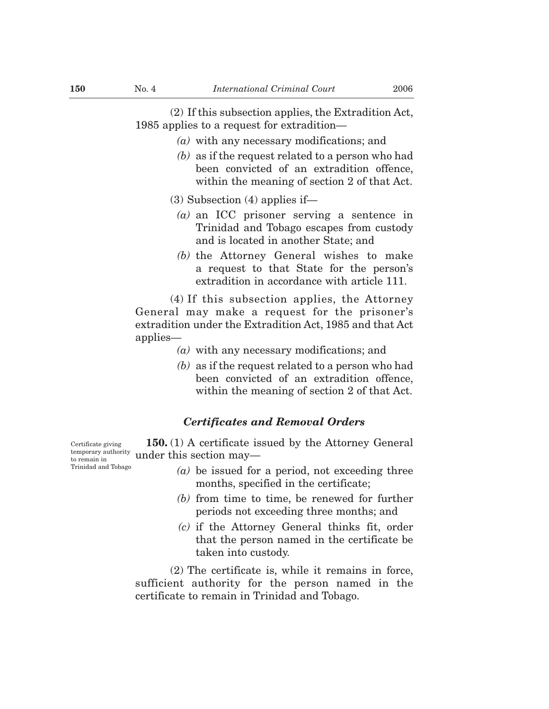(2) If this subsection applies, the Extradition Act, 1985 applies to a request for extradition—

- *(a)* with any necessary modifications; and
- *(b)* as if the request related to a person who had been convicted of an extradition offence, within the meaning of section 2 of that Act.
- (3) Subsection (4) applies if—
	- *(a)* an ICC prisoner serving a sentence in Trinidad and Tobago escapes from custody and is located in another State; and
	- *(b)* the Attorney General wishes to make a request to that State for the person's extradition in accordance with article 111.

(4) If this subsection applies, the Attorney General may make a request for the prisoner's extradition under the Extradition Act, 1985 and that Act applies—

- *(a)* with any necessary modifications; and
- *(b)* as if the request related to a person who had been convicted of an extradition offence, within the meaning of section 2 of that Act.

# *Certificates and Removal Orders*

**150.** (1) A certificate issued by the Attorney General under this section may—

- *(a)* be issued for a period, not exceeding three months, specified in the certificate;
- *(b)* from time to time, be renewed for further periods not exceeding three months; and
- *(c)* if the Attorney General thinks fit, order that the person named in the certificate be taken into custody.

(2) The certificate is, while it remains in force, sufficient authority for the person named in the certificate to remain in Trinidad and Tobago.

Certificate giving temporary authority to remain in Trinidad and Tobago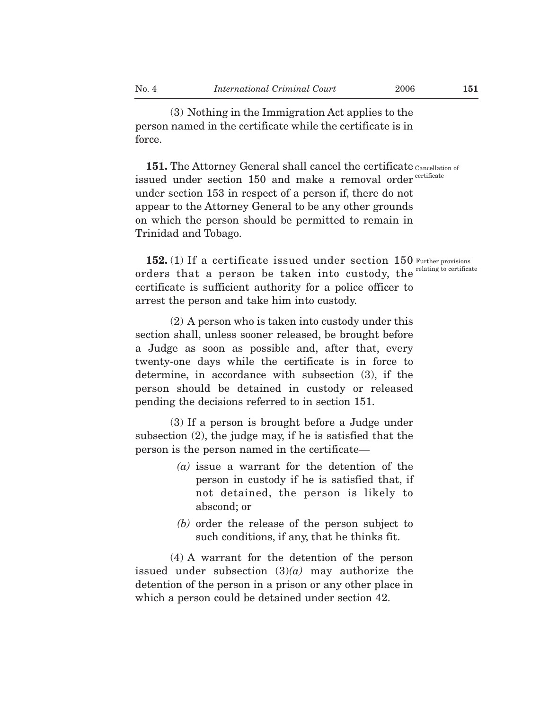(3) Nothing in the Immigration Act applies to the person named in the certificate while the certificate is in force.

**151.** The Attorney General shall cancel the certificate Cancellation of issued under section 150 and make a removal order<sup>certificate</sup> under section 153 in respect of a person if, there do not appear to the Attorney General to be any other grounds on which the person should be permitted to remain in Trinidad and Tobago.

**152.** (1) If a certificate issued under section 150 Further provisions orders that a person be taken into custody, the relating to certificate certificate is sufficient authority for a police officer to arrest the person and take him into custody.

(2) A person who is taken into custody under this section shall, unless sooner released, be brought before a Judge as soon as possible and, after that, every twenty-one days while the certificate is in force to determine, in accordance with subsection (3), if the person should be detained in custody or released pending the decisions referred to in section 151.

(3) If a person is brought before a Judge under subsection (2), the judge may, if he is satisfied that the person is the person named in the certificate—

- *(a)* issue a warrant for the detention of the person in custody if he is satisfied that, if not detained, the person is likely to abscond; or
- *(b)* order the release of the person subject to such conditions, if any, that he thinks fit.

(4) A warrant for the detention of the person issued under subsection  $(3)(a)$  may authorize the detention of the person in a prison or any other place in which a person could be detained under section 42.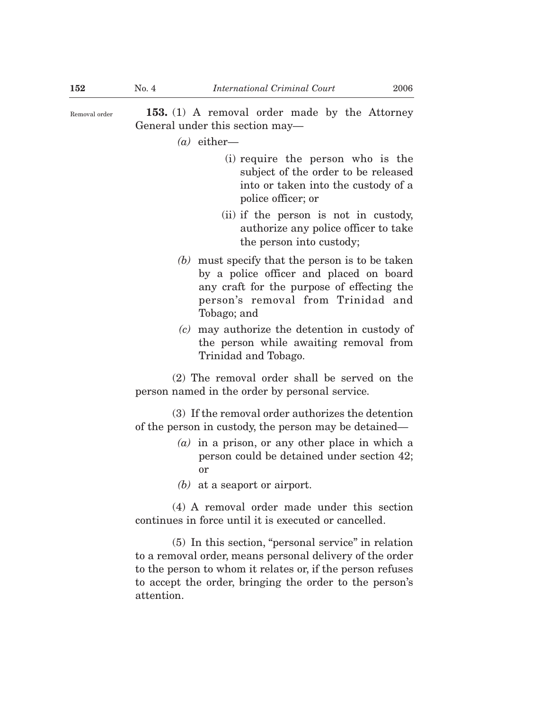*(a)* either—

- (i) require the person who is the subject of the order to be released into or taken into the custody of a police officer; or
- (ii) if the person is not in custody, authorize any police officer to take the person into custody;
- *(b)* must specify that the person is to be taken by a police officer and placed on board any craft for the purpose of effecting the person's removal from Trinidad and Tobago; and
- *(c)* may authorize the detention in custody of the person while awaiting removal from Trinidad and Tobago.

(2) The removal order shall be served on the person named in the order by personal service.

(3) If the removal order authorizes the detention of the person in custody, the person may be detained—

- *(a)* in a prison, or any other place in which a person could be detained under section 42; or
- *(b)* at a seaport or airport.

(4) A removal order made under this section continues in force until it is executed or cancelled.

(5) In this section, "personal service" in relation to a removal order, means personal delivery of the order to the person to whom it relates or, if the person refuses to accept the order, bringing the order to the person's attention.

Removal order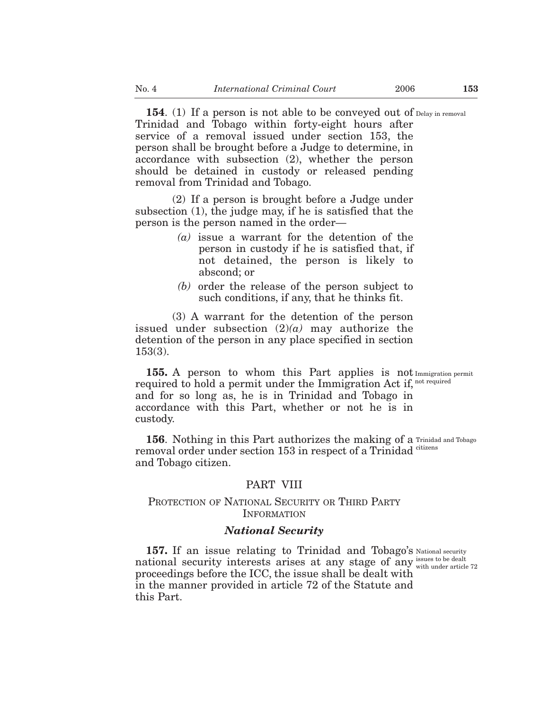**154.** (1) If a person is not able to be conveyed out of Delay in removal Trinidad and Tobago within forty-eight hours after service of a removal issued under section 153, the person shall be brought before a Judge to determine, in accordance with subsection (2), whether the person should be detained in custody or released pending removal from Trinidad and Tobago.

(2) If a person is brought before a Judge under subsection (1), the judge may, if he is satisfied that the person is the person named in the order—

- *(a)* issue a warrant for the detention of the person in custody if he is satisfied that, if not detained, the person is likely to abscond; or
- *(b)* order the release of the person subject to such conditions, if any, that he thinks fit.

(3) A warrant for the detention of the person issued under subsection (2)*(a)* may authorize the detention of the person in any place specified in section 153(3).

155. A person to whom this Part applies is not Immigration permit required to hold a permit under the Immigration Act if, not required and for so long as, he is in Trinidad and Tobago in accordance with this Part, whether or not he is in custody.

156. Nothing in this Part authorizes the making of a Trinidad and Tobago removal order under section 153 in respect of a Trinidad citizens and Tobago citizen.

# PART VIII

# PROTECTION OF NATIONAL SECURITY OR THIRD PARTY **INFORMATION**

# *National Security*

**157.** If an issue relating to Trinidad and Tobago's National security national security interests arises at any stage of any stage at the dealt proceedings before the ICC, the issue shall be dealt with in the manner provided in article 72 of the Statute and this Part. with under article 72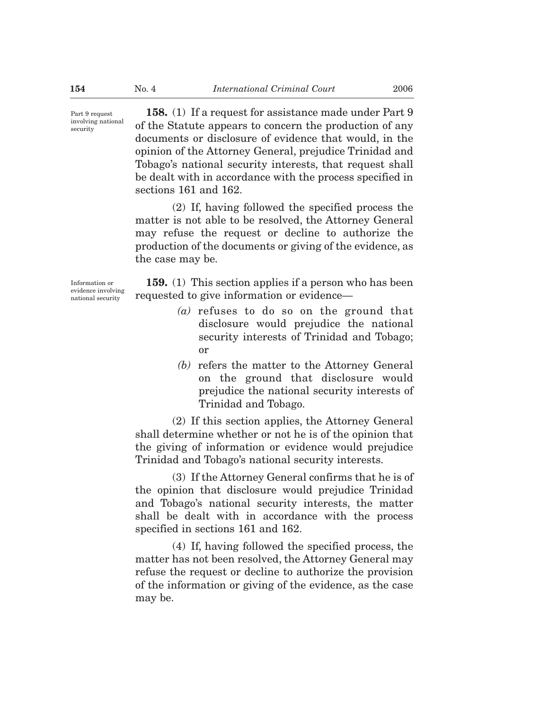**158.** (1) If a request for assistance made under Part 9 of the Statute appears to concern the production of any documents or disclosure of evidence that would, in the opinion of the Attorney General, prejudice Trinidad and Tobago's national security interests, that request shall be dealt with in accordance with the process specified in sections 161 and 162.

(2) If, having followed the specified process the matter is not able to be resolved, the Attorney General may refuse the request or decline to authorize the production of the documents or giving of the evidence, as the case may be.

**159.** (1) This section applies if a person who has been requested to give information or evidence—

- *(a)* refuses to do so on the ground that disclosure would prejudice the national security interests of Trinidad and Tobago; or
- *(b)* refers the matter to the Attorney General on the ground that disclosure would prejudice the national security interests of Trinidad and Tobago.

(2) If this section applies, the Attorney General shall determine whether or not he is of the opinion that the giving of information or evidence would prejudice Trinidad and Tobago's national security interests.

(3) If the Attorney General confirms that he is of the opinion that disclosure would prejudice Trinidad and Tobago's national security interests, the matter shall be dealt with in accordance with the process specified in sections 161 and 162.

(4) If, having followed the specified process, the matter has not been resolved, the Attorney General may refuse the request or decline to authorize the provision of the information or giving of the evidence, as the case may be.

Information or evidence involving national security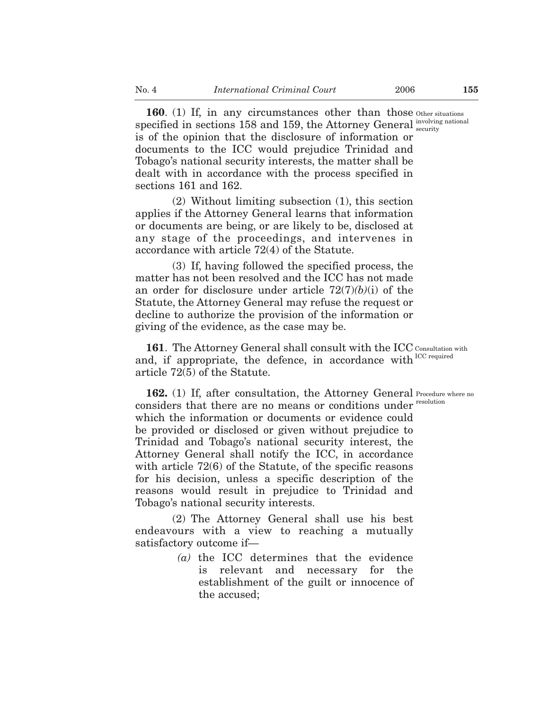**160.** (1) If, in any circumstances other than those other situations specified in sections 158 and 159, the Attorney General  $_{\text{security}}^{\text{involving national}}$ is of the opinion that the disclosure of information or documents to the ICC would prejudice Trinidad and Tobago's national security interests, the matter shall be security

(2) Without limiting subsection (1), this section applies if the Attorney General learns that information or documents are being, or are likely to be, disclosed at any stage of the proceedings, and intervenes in accordance with article 72(4) of the Statute.

dealt with in accordance with the process specified in

(3) If, having followed the specified process, the matter has not been resolved and the ICC has not made an order for disclosure under article 72(7)*(b)*(i) of the Statute, the Attorney General may refuse the request or decline to authorize the provision of the information or giving of the evidence, as the case may be.

161. The Attorney General shall consult with the ICC Consultation with and, if appropriate, the defence, in accordance with CC required article 72(5) of the Statute.

162. (1) If, after consultation, the Attorney General Procedure where no considers that there are no means or conditions under resolution which the information or documents or evidence could be provided or disclosed or given without prejudice to Trinidad and Tobago's national security interest, the Attorney General shall notify the ICC, in accordance with article 72(6) of the Statute, of the specific reasons for his decision, unless a specific description of the reasons would result in prejudice to Trinidad and Tobago's national security interests.

(2) The Attorney General shall use his best endeavours with a view to reaching a mutually satisfactory outcome if—

> *(a)* the ICC determines that the evidence is relevant and necessary for the establishment of the guilt or innocence of the accused;

sections 161 and 162.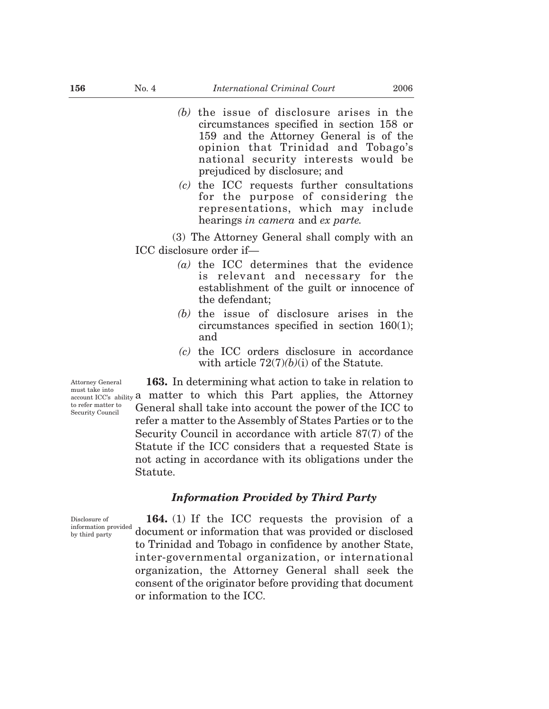- *(b)* the issue of disclosure arises in the circumstances specified in section 158 or 159 and the Attorney General is of the opinion that Trinidad and Tobago's national security interests would be prejudiced by disclosure; and
- *(c)* the ICC requests further consultations for the purpose of considering the representations, which may include hearings *in camera* and *ex parte.*

(3) The Attorney General shall comply with an ICC disclosure order if—

- *(a)* the ICC determines that the evidence is relevant and necessary for the establishment of the guilt or innocence of the defendant;
- *(b)* the issue of disclosure arises in the circumstances specified in section 160(1); and
- *(c)* the ICC orders disclosure in accordance with article  $72(7)(b)(i)$  of the Statute.

**163.** In determining what action to take in relation to account ICC's ability a matter to which this Part applies, the Attorney General shall take into account the power of the ICC to refer a matter to the Assembly of States Parties or to the Security Council in accordance with article 87(7) of the Statute if the ICC considers that a requested State is not acting in accordance with its obligations under the Statute.

# *Information Provided by Third Party*

Disclosure of information provided by third party

Attorney General must take into to refer matter to Security Council

> **164.** (1) If the ICC requests the provision of a document or information that was provided or disclosed to Trinidad and Tobago in confidence by another State, inter-governmental organization, or international organization, the Attorney General shall seek the consent of the originator before providing that document or information to the ICC.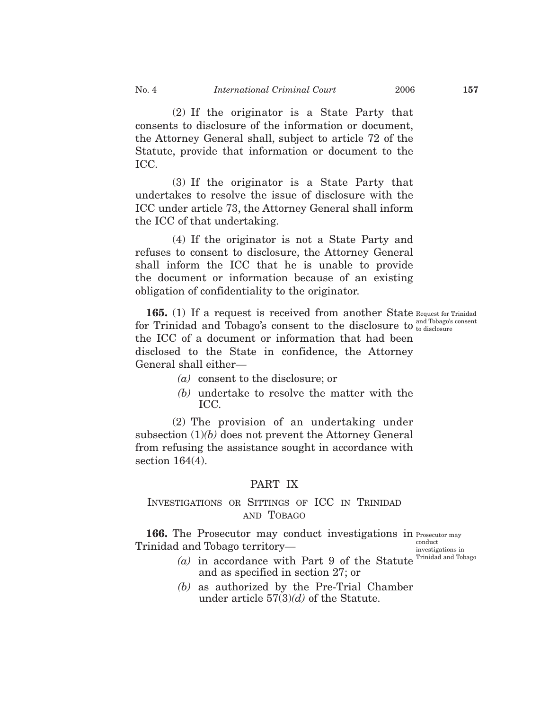(2) If the originator is a State Party that consents to disclosure of the information or document, the Attorney General shall, subject to article 72 of the Statute, provide that information or document to the ICC.

(3) If the originator is a State Party that undertakes to resolve the issue of disclosure with the ICC under article 73, the Attorney General shall inform the ICC of that undertaking.

(4) If the originator is not a State Party and refuses to consent to disclosure, the Attorney General shall inform the ICC that he is unable to provide the document or information because of an existing obligation of confidentiality to the originator.

165. (1) If a request is received from another State Request for Trinidad for Trinidad and Tobago's consent to the disclosure to  $_{\text{to discrete}}^{\text{and Tobago's consent}}$ the ICC of a document or information that had been disclosed to the State in confidence, the Attorney General shall either to disclosure

- *(a)* consent to the disclosure; or
- *(b)* undertake to resolve the matter with the ICC.

(2) The provision of an undertaking under subsection (1)*(b)* does not prevent the Attorney General from refusing the assistance sought in accordance with section 164(4).

# PART IX

# INVESTIGATIONS OR SITTINGS OF ICC IN TRINIDAD AND TOBAGO

166. The Prosecutor may conduct investigations in Prosecutor may Trinidad and Tobago territory conduct

investigations in

- $(a)$  in accordance with Part 9 of the Statute  $T<sup>Trindad and Tobago</sup>$ and as specified in section 27; or
- *(b)* as authorized by the Pre-Trial Chamber under article 57(3)*(d)* of the Statute.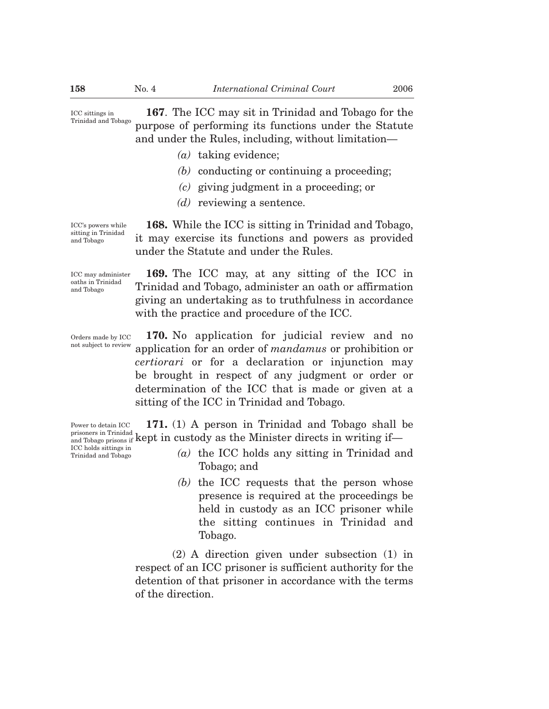**167**. The ICC may sit in Trinidad and Tobago for the purpose of performing its functions under the Statute and under the Rules, including, without limitation— Trinidad and Tobago

- *(a)* taking evidence;
- *(b)* conducting or continuing a proceeding;
- *(c)* giving judgment in a proceeding; or
- *(d)* reviewing a sentence.

**168.** While the ICC is sitting in Trinidad and Tobago, it may exercise its functions and powers as provided under the Statute and under the Rules.

**169.** The ICC may, at any sitting of the ICC in Trinidad and Tobago, administer an oath or affirmation giving an undertaking as to truthfulness in accordance with the practice and procedure of the ICC.

**170.** No application for judicial review and no application for an order of *mandamus* or prohibition or *certiorari* or for a declaration or injunction may be brought in respect of any judgment or order or determination of the ICC that is made or given at a sitting of the ICC in Trinidad and Tobago.

**171.** (1) A person in Trinidad and Tobago shall be  $\frac{\text{prisomers in Trimaad}}{\text{and Tobago prisons if}}$  kept in custody as the Minister directs in writing if— Power to detain ICC prisoners in Trinidad

- *(a)* the ICC holds any sitting in Trinidad and Tobago; and
- *(b)* the ICC requests that the person whose presence is required at the proceedings be held in custody as an ICC prisoner while the sitting continues in Trinidad and Tobago.

(2) A direction given under subsection (1) in respect of an ICC prisoner is sufficient authority for the detention of that prisoner in accordance with the terms of the direction.

sitting in Trinidad and Tobago

ICC's powers while

ICC may administer oaths in Trinidad and Tobago

Orders made by ICC not subject to review

ICC holds sittings in Trinidad and Tobago

ICC sittings in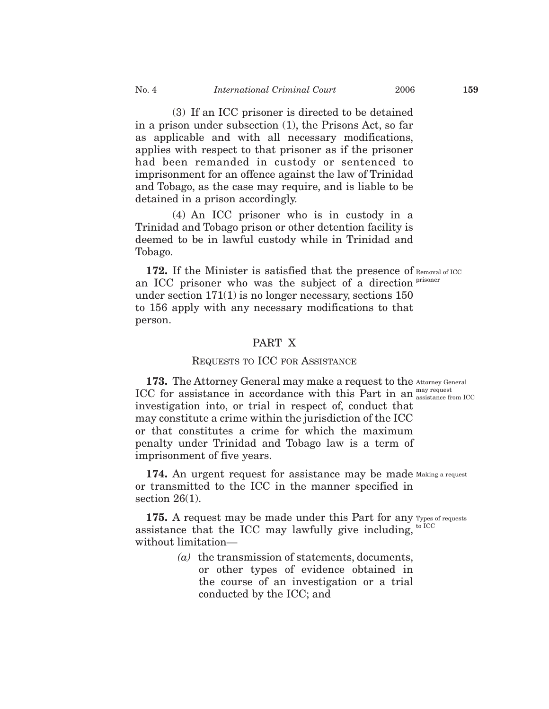(3) If an ICC prisoner is directed to be detained in a prison under subsection (1), the Prisons Act, so far as applicable and with all necessary modifications, applies with respect to that prisoner as if the prisoner had been remanded in custody or sentenced to imprisonment for an offence against the law of Trinidad and Tobago, as the case may require, and is liable to be detained in a prison accordingly.

(4) An ICC prisoner who is in custody in a Trinidad and Tobago prison or other detention facility is deemed to be in lawful custody while in Trinidad and Tobago.

**172.** If the Minister is satisfied that the presence of Removal of ICC an ICC prisoner who was the subject of a direction prisoner under section 171(1) is no longer necessary, sections 150 to 156 apply with any necessary modifications to that person.

# PART X

# REQUESTS TO ICC FOR ASSISTANCE

173. The Attorney General may make a request to the Attorney General ICC for assistance in accordance with this Part in an  $\frac{marg$  request investigation into, or trial in respect of, conduct that may constitute a crime within the jurisdiction of the ICC or that constitutes a crime for which the maximum penalty under Trinidad and Tobago law is a term of imprisonment of five years. assistance from ICC

174. An urgent request for assistance may be made Making a request or transmitted to the ICC in the manner specified in section  $26(1)$ .

**175.** A request may be made under this Part for any Types of requests assistance that the ICC may lawfully give including,  $1^{\text{t} \text{t} \text{t} \text{t}}$ without limitation—

> *(a)* the transmission of statements, documents, or other types of evidence obtained in the course of an investigation or a trial conducted by the ICC; and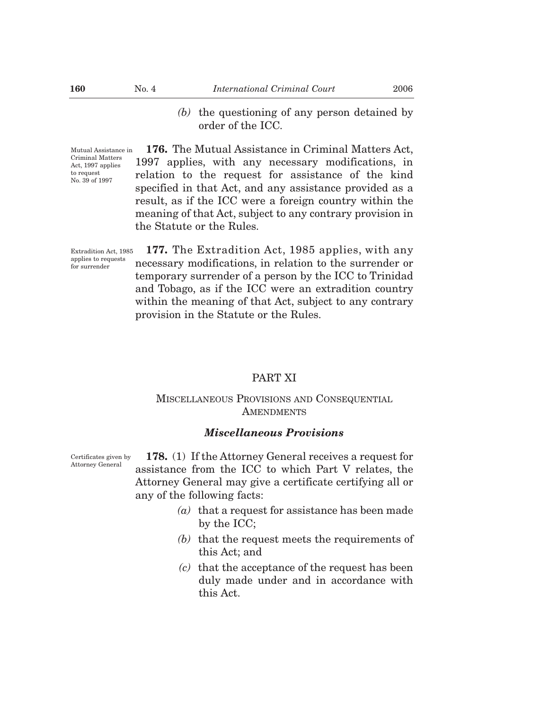*(b)* the questioning of any person detained by order of the ICC.

Mutual Assistance in Criminal Matters Act, 1997 applies to request No. 39 of 1997

Attorney General

**176.** The Mutual Assistance in Criminal Matters Act, 1997 applies, with any necessary modifications, in relation to the request for assistance of the kind specified in that Act, and any assistance provided as a result, as if the ICC were a foreign country within the meaning of that Act, subject to any contrary provision in the Statute or the Rules.

**177.** The Extradition Act, 1985 applies, with any necessary modifications, in relation to the surrender or temporary surrender of a person by the ICC to Trinidad and Tobago, as if the ICC were an extradition country within the meaning of that Act, subject to any contrary provision in the Statute or the Rules. Extradition Act, 1985 applies to requests for surrender

# PART XI

# MISCELLANEOUS PROVISIONS AND CONSEQUENTIAL **AMENDMENTS**

# *Miscellaneous Provisions*

**178.** (1) If the Attorney General receives a request for assistance from the ICC to which Part V relates, the Attorney General may give a certificate certifying all or any of the following facts: Certificates given by

- *(a)* that a request for assistance has been made by the ICC;
- *(b)* that the request meets the requirements of this Act; and
- *(c)* that the acceptance of the request has been duly made under and in accordance with this Act.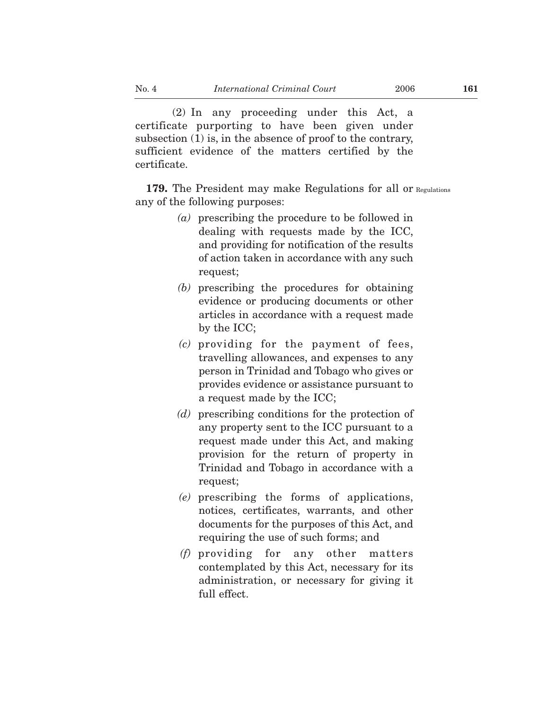(2) In any proceeding under this Act, a certificate purporting to have been given under subsection (1) is, in the absence of proof to the contrary, sufficient evidence of the matters certified by the certificate.

179. The President may make Regulations for all or Regulations any of the following purposes:

- *(a)* prescribing the procedure to be followed in dealing with requests made by the ICC, and providing for notification of the results of action taken in accordance with any such request;
- *(b)* prescribing the procedures for obtaining evidence or producing documents or other articles in accordance with a request made by the ICC;
- *(c)* providing for the payment of fees, travelling allowances, and expenses to any person in Trinidad and Tobago who gives or provides evidence or assistance pursuant to a request made by the ICC;
- *(d)* prescribing conditions for the protection of any property sent to the ICC pursuant to a request made under this Act, and making provision for the return of property in Trinidad and Tobago in accordance with a request;
- *(e)* prescribing the forms of applications, notices, certificates, warrants, and other documents for the purposes of this Act, and requiring the use of such forms; and
- *(f)* providing for any other matters contemplated by this Act, necessary for its administration, or necessary for giving it full effect.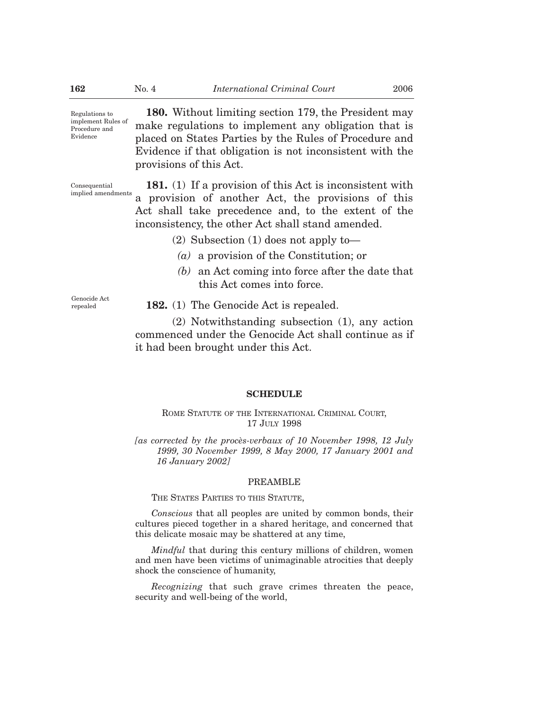| Regulations to<br>implement Rules of<br>Procedure and<br>Evidence | <b>180.</b> Without limiting section 179, the President may<br>make regulations to implement any obligation that is<br>placed on States Parties by the Rules of Procedure and<br>Evidence if that obligation is not inconsistent with the<br>provisions of this Act. |
|-------------------------------------------------------------------|----------------------------------------------------------------------------------------------------------------------------------------------------------------------------------------------------------------------------------------------------------------------|
| Consequential<br>implied amendments                               | <b>181.</b> (1) If a provision of this Act is inconsistent with<br>a provision of another Act, the provisions of this<br>Act shall take precedence and, to the extent of the<br>inconsistency, the other Act shall stand amended.                                    |
|                                                                   | $(2)$ Subsection $(1)$ does not apply to-                                                                                                                                                                                                                            |
|                                                                   | (a) a provision of the Constitution; or                                                                                                                                                                                                                              |
|                                                                   | $(b)$ an Act coming into force after the date that<br>this Act comes into force.                                                                                                                                                                                     |
| Genocide Act<br>repealed                                          | <b>182.</b> (1) The Genocide Act is repealed.                                                                                                                                                                                                                        |
|                                                                   | $(2)$ Notwithstanding subsection $(1)$ , any action<br>commenced under the Genocide Act shall continue as if<br>it had been brought under this Act.                                                                                                                  |
|                                                                   | SCHEDULE                                                                                                                                                                                                                                                             |

ROME STATUTE OF THE INTERNATIONAL CRIMINAL COURT, 17 JULY 1998

*[as corrected by the procès-verbaux of 10 November 1998, 12 July 1999, 30 November 1999, 8 May 2000, 17 January 2001 and 16 January 2002]* 

#### PREAMBLE

THE STATES PARTIES TO THIS STATUTE,

*Conscious* that all peoples are united by common bonds, their cultures pieced together in a shared heritage, and concerned that this delicate mosaic may be shattered at any time,

*Mindful* that during this century millions of children, women and men have been victims of unimaginable atrocities that deeply shock the conscience of humanity,

*Recognizing* that such grave crimes threaten the peace, security and well-being of the world,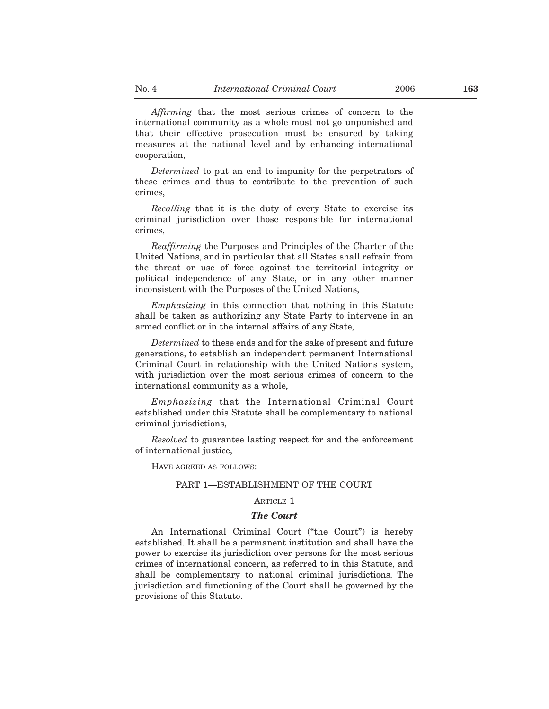*Affirming* that the most serious crimes of concern to the international community as a whole must not go unpunished and that their effective prosecution must be ensured by taking measures at the national level and by enhancing international cooperation,

*Determined* to put an end to impunity for the perpetrators of these crimes and thus to contribute to the prevention of such crimes,

*Recalling* that it is the duty of every State to exercise its criminal jurisdiction over those responsible for international crimes,

*Reaffirming* the Purposes and Principles of the Charter of the United Nations, and in particular that all States shall refrain from the threat or use of force against the territorial integrity or political independence of any State, or in any other manner inconsistent with the Purposes of the United Nations,

*Emphasizing* in this connection that nothing in this Statute shall be taken as authorizing any State Party to intervene in an armed conflict or in the internal affairs of any State,

*Determined* to these ends and for the sake of present and future generations, to establish an independent permanent International Criminal Court in relationship with the United Nations system, with jurisdiction over the most serious crimes of concern to the international community as a whole,

*Emphasizing* that the International Criminal Court established under this Statute shall be complementary to national criminal jurisdictions,

*Resolved* to guarantee lasting respect for and the enforcement of international justice,

HAVE AGREED AS FOLLOWS:

## PART 1—ESTABLISHMENT OF THE COURT

# ARTICLE 1

# *The Court*

An International Criminal Court ("the Court") is hereby established. It shall be a permanent institution and shall have the power to exercise its jurisdiction over persons for the most serious crimes of international concern, as referred to in this Statute, and shall be complementary to national criminal jurisdictions. The jurisdiction and functioning of the Court shall be governed by the provisions of this Statute.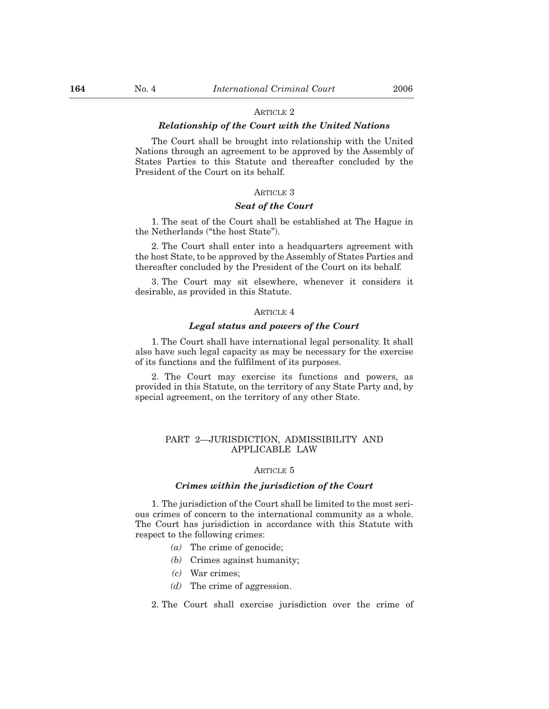#### ARTICLE 2

# *Relationship of the Court with the United Nations*

The Court shall be brought into relationship with the United Nations through an agreement to be approved by the Assembly of States Parties to this Statute and thereafter concluded by the President of the Court on its behalf.

#### ARTICLE 3

#### *Seat of the Court*

1. The seat of the Court shall be established at The Hague in the Netherlands ("the host State").

2. The Court shall enter into a headquarters agreement with the host State, to be approved by the Assembly of States Parties and thereafter concluded by the President of the Court on its behalf.

3. The Court may sit elsewhere, whenever it considers it desirable, as provided in this Statute.

#### ARTICLE 4

### *Legal status and powers of the Court*

1. The Court shall have international legal personality. It shall also have such legal capacity as may be necessary for the exercise of its functions and the fulfilment of its purposes.

2. The Court may exercise its functions and powers, as provided in this Statute, on the territory of any State Party and, by special agreement, on the territory of any other State.

# PART 2—JURISDICTION, ADMISSIBILITY AND APPLICABLE LAW

#### ARTICLE 5

#### *Crimes within the jurisdiction of the Court*

1. The jurisdiction of the Court shall be limited to the most serious crimes of concern to the international community as a whole. The Court has jurisdiction in accordance with this Statute with respect to the following crimes:

- *(a)* The crime of genocide;
- *(b)* Crimes against humanity;
- *(c)* War crimes;
- *(d)* The crime of aggression.

2. The Court shall exercise jurisdiction over the crime of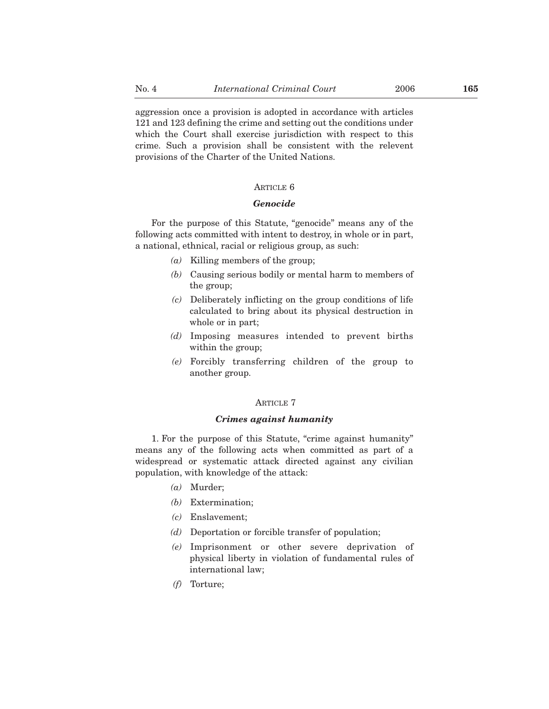aggression once a provision is adopted in accordance with articles 121 and 123 defining the crime and setting out the conditions under which the Court shall exercise jurisdiction with respect to this crime. Such a provision shall be consistent with the relevent provisions of the Charter of the United Nations.

# ARTICLE 6

## *Genocide*

For the purpose of this Statute, "genocide" means any of the following acts committed with intent to destroy, in whole or in part, a national, ethnical, racial or religious group, as such:

- *(a)* Killing members of the group;
- *(b)* Causing serious bodily or mental harm to members of the group;
- *(c)* Deliberately inflicting on the group conditions of life calculated to bring about its physical destruction in whole or in part;
- *(d)* Imposing measures intended to prevent births within the group;
- *(e)* Forcibly transferring children of the group to another group.

# ARTICLE 7

## *Crimes against humanity*

1. For the purpose of this Statute, "crime against humanity" means any of the following acts when committed as part of a widespread or systematic attack directed against any civilian population, with knowledge of the attack:

- *(a)* Murder;
- *(b)* Extermination;
- *(c)* Enslavement;
- *(d)* Deportation or forcible transfer of population;
- *(e)* Imprisonment or other severe deprivation of physical liberty in violation of fundamental rules of international law;
- *(f)* Torture;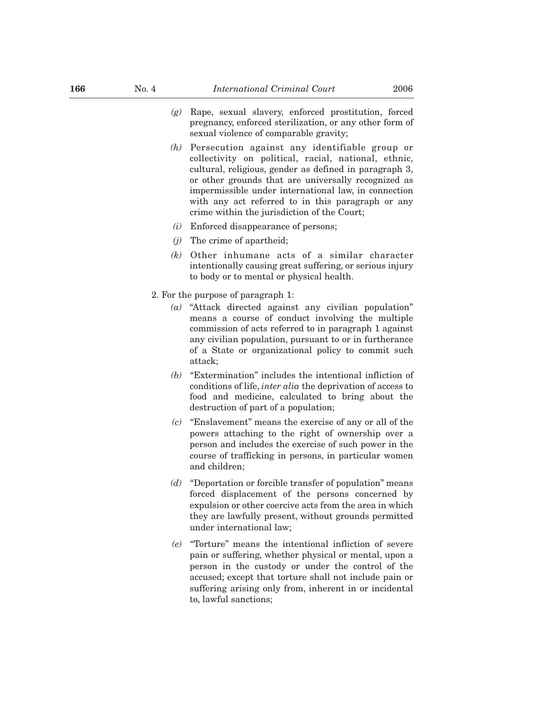- *(g)* Rape, sexual slavery, enforced prostitution, forced pregnancy, enforced sterilization, or any other form of sexual violence of comparable gravity;
- *(h)* Persecution against any identifiable group or collectivity on political, racial, national, ethnic, cultural, religious, gender as defined in paragraph 3, or other grounds that are universally recognized as impermissible under international law, in connection with any act referred to in this paragraph or any crime within the jurisdiction of the Court;
- *(i)* Enforced disappearance of persons;
- *(j)* The crime of apartheid;
- *(k)* Other inhumane acts of a similar character intentionally causing great suffering, or serious injury to body or to mental or physical health.
- 2. For the purpose of paragraph 1:
	- *(a)* "Attack directed against any civilian population" means a course of conduct involving the multiple commission of acts referred to in paragraph 1 against any civilian population, pursuant to or in furtherance of a State or organizational policy to commit such attack;
	- *(b)* "Extermination" includes the intentional infliction of conditions of life, *inter alia* the deprivation of access to food and medicine, calculated to bring about the destruction of part of a population;
	- *(c)* "Enslavement" means the exercise of any or all of the powers attaching to the right of ownership over a person and includes the exercise of such power in the course of trafficking in persons, in particular women and children;
	- *(d)* "Deportation or forcible transfer of population" means forced displacement of the persons concerned by expulsion or other coercive acts from the area in which they are lawfully present, without grounds permitted under international law;
	- *(e)* "Torture" means the intentional infliction of severe pain or suffering, whether physical or mental, upon a person in the custody or under the control of the accused; except that torture shall not include pain or suffering arising only from, inherent in or incidental to, lawful sanctions;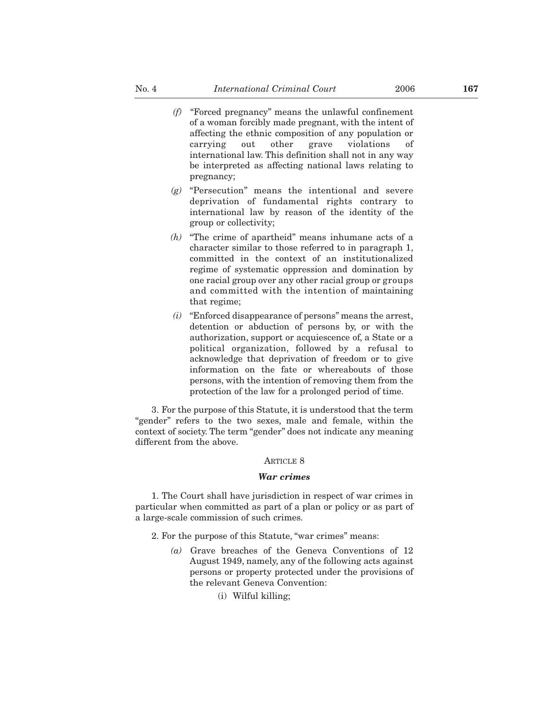- *(f)* "Forced pregnancy" means the unlawful confinement of a woman forcibly made pregnant, with the intent of affecting the ethnic composition of any population or carrying out other grave violations of international law. This definition shall not in any way be interpreted as affecting national laws relating to pregnancy;
- *(g)* "Persecution" means the intentional and severe deprivation of fundamental rights contrary to international law by reason of the identity of the group or collectivity;
- *(h)* "The crime of apartheid" means inhumane acts of a character similar to those referred to in paragraph 1, committed in the context of an institutionalized regime of systematic oppression and domination by one racial group over any other racial group or groups and committed with the intention of maintaining that regime;
- *(i)* "Enforced disappearance of persons" means the arrest, detention or abduction of persons by, or with the authorization, support or acquiescence of, a State or a political organization, followed by a refusal to acknowledge that deprivation of freedom or to give information on the fate or whereabouts of those persons, with the intention of removing them from the protection of the law for a prolonged period of time.

3. For the purpose of this Statute, it is understood that the term "gender" refers to the two sexes, male and female, within the context of society. The term "gender" does not indicate any meaning different from the above.

## ARTICLE 8

#### *War crimes*

1. The Court shall have jurisdiction in respect of war crimes in particular when committed as part of a plan or policy or as part of a large-scale commission of such crimes.

- 2. For the purpose of this Statute, "war crimes" means:
	- *(a)* Grave breaches of the Geneva Conventions of 12 August 1949, namely, any of the following acts against persons or property protected under the provisions of the relevant Geneva Convention:
		- (i) Wilful killing;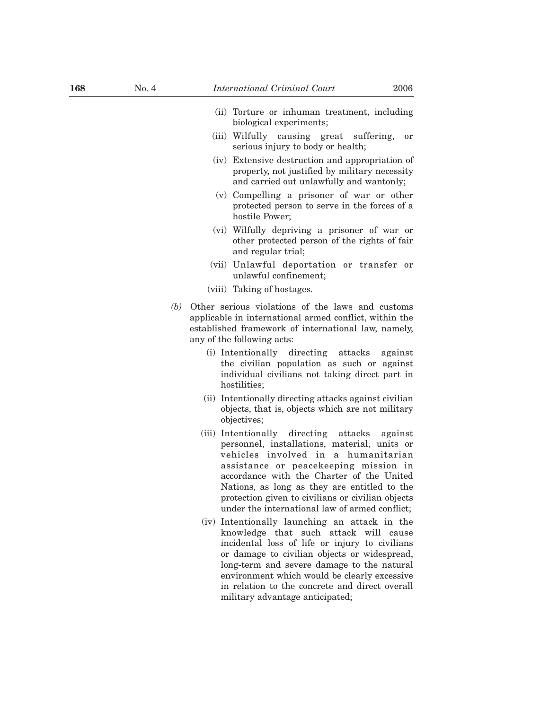biological experiments; (iii) Wilfully causing great suffering, or serious injury to body or health; (iv) Extensive destruction and appropriation of property, not justified by military necessity and carried out unlawfully and wantonly; (v) Compelling a prisoner of war or other protected person to serve in the forces of a hostile Power; (vi) Wilfully depriving a prisoner of war or other protected person of the rights of fair and regular trial; (vii) Unlawful deportation or transfer or unlawful confinement; (viii) Taking of hostages. *(b)* Other serious violations of the laws and customs applicable in international armed conflict, within the established framework of international law, namely, any of the following acts: (i) Intentionally directing attacks against the civilian population as such or against individual civilians not taking direct part in hostilities; (ii) Intentionally directing attacks against civilian objects, that is, objects which are not military objectives; (iii) Intentionally directing attacks against personnel, installations, material, units or vehicles involved in a humanitarian assistance or peacekeeping mission in accordance with the Charter of the United Nations, as long as they are entitled to the protection given to civilians or civilian objects under the international law of armed conflict; (iv) Intentionally launching an attack in the knowledge that such attack will cause incidental loss of life or injury to civilians or damage to civilian objects or widespread, long-term and severe damage to the natural environment which would be clearly excessive in relation to the concrete and direct overall military advantage anticipated;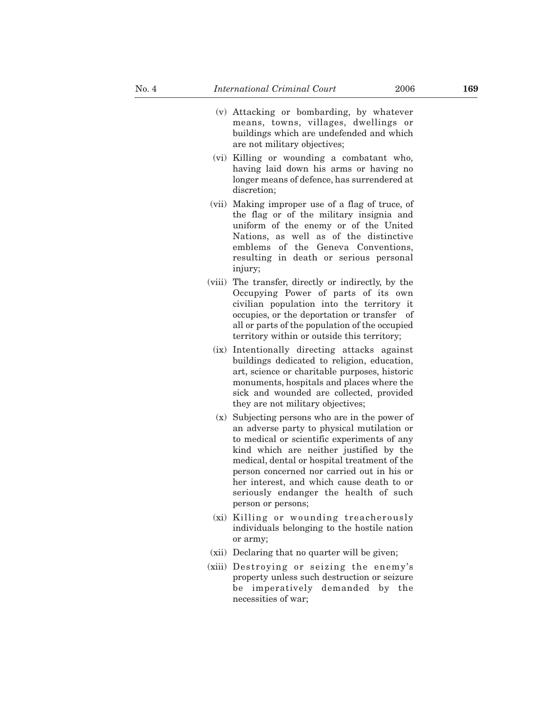- (v) Attacking or bombarding, by whatever means, towns, villages, dwellings or buildings which are undefended and which are not military objectives;
- (vi) Killing or wounding a combatant who, having laid down his arms or having no longer means of defence, has surrendered at discretion;
- (vii) Making improper use of a flag of truce, of the flag or of the military insignia and uniform of the enemy or of the United Nations, as well as of the distinctive emblems of the Geneva Conventions, resulting in death or serious personal injury;
- (viii) The transfer, directly or indirectly, by the Occupying Power of parts of its own civilian population into the territory it occupies, or the deportation or transfer of all or parts of the population of the occupied territory within or outside this territory;
- (ix) Intentionally directing attacks against buildings dedicated to religion, education, art, science or charitable purposes, historic monuments , hospitals and places where the sick and wounded are collected, provided they are not military objectives;
- (x) Subjecting persons who are in the power of an adverse party to physical mutilation or to medical or scientific experiments of any kind which are neither justified by the medical, dental or hospital treatment of the person concerned nor carried out in his or her interest, and which cause death to or seriously endanger the health of such person or persons;
- (xi) Killing or wounding treacherously individuals belonging to the hostile nation or army;
- (xii) Declaring that no quarter will be given;
- (xiii) Destroying or seizing the enemy's property unless such destruction or seizure be imperatively demanded by the necessities of war;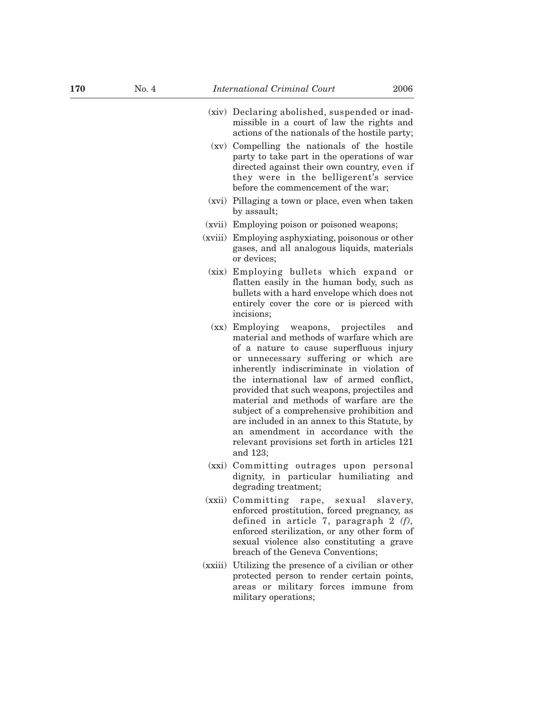- (xiv) Declaring abolished, suspended or inadmissible in a court of law the rights and actions of the nationals of the hostile party;
- (xv) Compelling the nationals of the hostile party to take part in the operations of war directed against their own country, even if they were in the belligerent's service before the commencement of the war;
- (xvi) Pillaging a town or place, even when taken by assault;
- (xvii) Employing poison or poisoned weapons;
- (xviii) Employing asphyxiating, poisonous or other gases, and all analogous liquids, materials or devices;
	- (xix) Employing bullets which expand or flatten easily in the human body, such as bullets with a hard envelope which does not entirely cover the core or is pierced with incisions;
	- (xx) Employing weapons , projectiles and material and methods of warfare which are of a nature to cause superfluous injury or unnecessary suffering or which are inherently indiscriminate in violation of the international law of armed conflict, provided that such weapons, projectiles and material and methods of warfare are the subject of a comprehensive prohibition and are included in an annex to this Statute, by an amendment in accordance with the relevant provisions set forth in articles 121 and 123;
	- (xxi) Committing outrages upon personal dignity, in particular humiliating and degrading treatment;
- (xxii) Committing rape , sexual slavery, enforced prostitution, forced pregnancy, as defined in article 7, paragraph 2 *(f),* enforced sterilization, or any other form of sexual violence also constituting a grave breach of the Geneva Conventions;
- (xxiii) Utilizing the presence of a civilian or other protected person to render certain points, areas or military forces immune from military operations;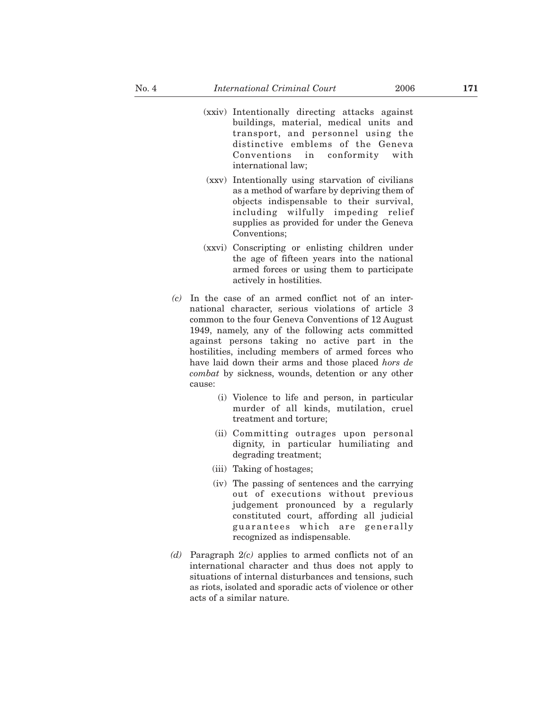- (xxiv) Intentionally directing attacks against buildings, material, medical units and transport, and personnel using the distinctive emblems of the Geneva Conventions in conformity with international law;
- (xxv) Intentionally using starvation of civilians as a method of warfare by depriving them of objects indispensable to their survival, including wilfully impeding relief supplies as provided for under the Geneva Conventions;
- (xxvi) Conscripting or enlisting children under the age of fifteen years into the national armed forces or using them to participate actively in hostilities.
- *(c)* In the case of an armed conflict not of an international character, serious violations of article 3 common to the four Geneva Conventions of 12 August 1949, namely, any of the following acts committed against persons taking no active part in the hostilities, including members of armed forces who have laid down their arms and those placed *hors de combat* by sickness, wounds, detention or any other cause:
	- (i) Violence to life and person, in particular murder of all kinds, mutilation, cruel treatment and torture;
	- (ii) Committing outrages upon personal dignity, in particular humiliating and degrading treatment;
	- (iii) Taking of hostages;
	- (iv) The passing of sentences and the carrying out of executions without previous judgement pronounced by a regularly constituted court, affording all judicial guarantees which are generally recognized as indispensable.
- *(d)* Paragraph 2*(c)* applies to armed conflicts not of an international character and thus does not apply to situations of internal disturbances and tensions, such as riots, isolated and sporadic acts of violence or other acts of a similar nature.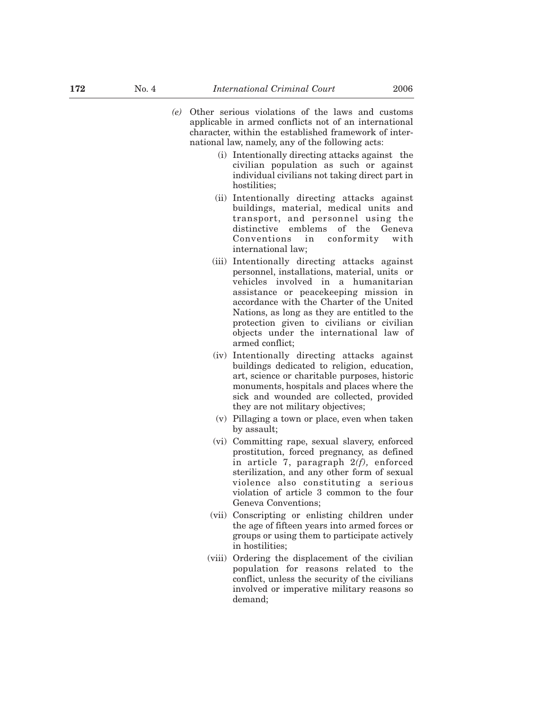- *(e)* Other serious violations of the laws and customs applicable in armed conflicts not of an international character, within the established framework of international law, namely, any of the following acts:
	- (i) Intentionally directing attacks against the civilian population as such or against individual civilians not taking direct part in hostilities;
	- (ii) Intentionally directing attacks against buildings, material, medical units and transport, and personnel using the distinctive emblems of the Geneva Conventions in conformity with international law;
	- (iii) Intentionally directing attacks against personnel, installations, material, units or vehicles involved in a humanitarian assistance or peacekeeping mission in accordance with the Charter of the United Nations, as long as they are entitled to the protection given to civilians or civilian objects under the international law of armed conflict;
	- (iv) Intentionally directing attacks against buildings dedicated to religion, education, art, science or charitable purposes, historic monuments, hospitals and places where the sick and wounded are collected, provided they are not military objectives;
	- (v) Pillaging a town or place, even when taken by assault;
	- (vi) Committing rape, sexual slavery, enforced prostitution, forced pregnancy, as defined in article 7, paragraph 2*(f),* enforced sterilization, and any other form of sexual violence also constituting a serious violation of article 3 common to the four Geneva Conventions;
	- (vii) Conscripting or enlisting children under the age of fifteen years into armed forces or groups or using them to participate actively in hostilities;
	- (viii) Ordering the displacement of the civilian population for reasons related to the conflict, unless the security of the civilians involved or imperative military reasons so demand;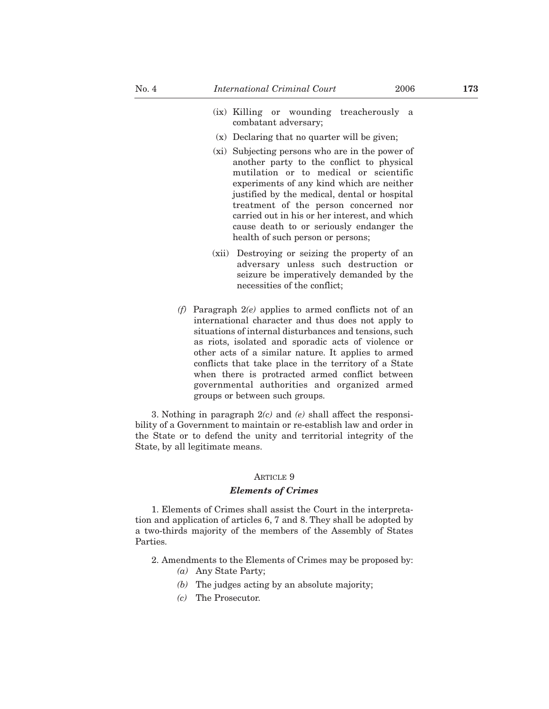combatant adversary;

- (x) Declaring that no quarter will be given;
- (xi) Subjecting persons who are in the power of another party to the conflict to physical mutilation or to medical or scientific experiments of any kind which are neither justified by the medical, dental or hospital treatment of the person concerned nor carried out in his or her interest, and which cause death to or seriously endanger the health of such person or persons;
- (xii) Destroying or seizing the property of an adversary unless such destruction or seizure be imperatively demanded by the necessities of the conflict;
- *(f)* Paragraph 2*(e)* applies to armed conflicts not of an international character and thus does not apply to situations of internal disturbances and tensions, such as riots, isolated and sporadic acts of violence or other acts of a similar nature. It applies to armed conflicts that take place in the territory of a State when there is protracted armed conflict between governmental authorities and organized armed groups or between such groups.

3. Nothing in paragraph 2*(c)* and *(e)* shall affect the responsibility of a Government to maintain or re-establish law and order in the State or to defend the unity and territorial integrity of the State, by all legitimate means.

## ARTICLE 9

#### *Elements of Crimes*

1. Elements of Crimes shall assist the Court in the interpretation and application of articles 6, 7 and 8. They shall be adopted by a two-thirds majority of the members of the Assembly of States Parties.

- 2. Amendments to the Elements of Crimes may be proposed by: *(a)* Any State Party;
	- *(b)* The judges acting by an absolute majority;
	- *(c)* The Prosecutor.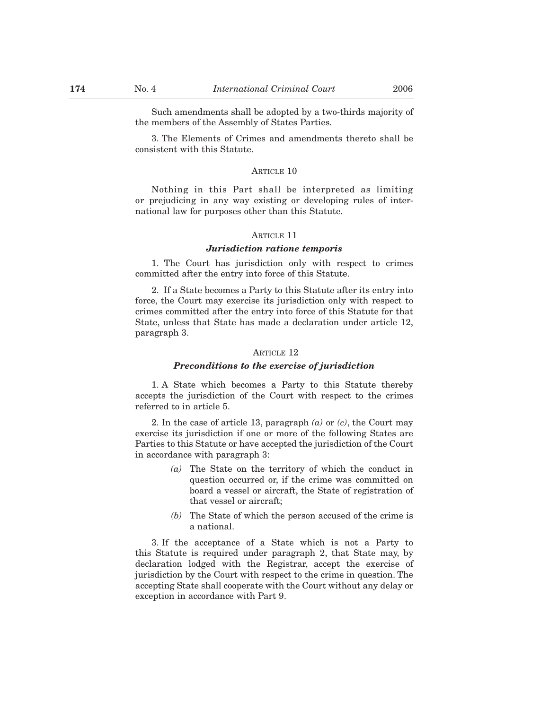Such amendments shall be adopted by a two-thirds majority of the members of the Assembly of States Parties.

3. The Elements of Crimes and amendments thereto shall be consistent with this Statute.

#### ARTICLE 10

Nothing in this Part shall be interpreted as limiting or prejudicing in any way existing or developing rules of international law for purposes other than this Statute.

#### ARTICLE 11

#### *Jurisdiction ratione temporis*

1. The Court has jurisdiction only with respect to crimes committed after the entry into force of this Statute.

2. If a State becomes a Party to this Statute after its entry into force, the Court may exercise its jurisdiction only with respect to crimes committed after the entry into force of this Statute for that State, unless that State has made a declaration under article 12, paragraph 3.

#### ARTICLE 12

#### *Preconditions to the exercise of jurisdiction*

1. A State which becomes a Party to this Statute thereby accepts the jurisdiction of the Court with respect to the crimes referred to in article 5.

2. In the case of article 13, paragraph *(a)* or *(c)*, the Court may exercise its jurisdiction if one or more of the following States are Parties to this Statute or have accepted the jurisdiction of the Court in accordance with paragraph 3:

- *(a)* The State on the territory of which the conduct in question occurred or, if the crime was committed on board a vessel or aircraft, the State of registration of that vessel or aircraft;
- *(b)* The State of which the person accused of the crime is a national.

3. If the acceptance of a State which is not a Party to this Statute is required under paragraph 2, that State may, by declaration lodged with the Registrar, accept the exercise of jurisdiction by the Court with respect to the crime in question. The accepting State shall cooperate with the Court without any delay or exception in accordance with Part 9.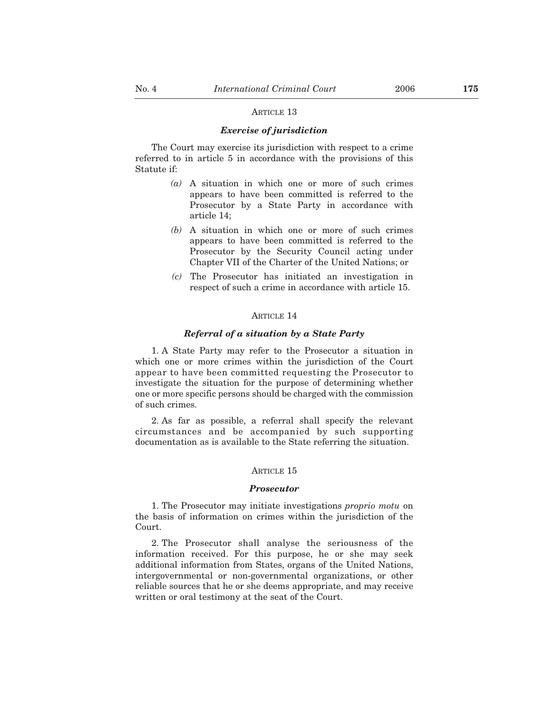## ARTICLE 13

#### *Exercise of jurisdiction*

The Court may exercise its jurisdiction with respect to a crime referred to in article 5 in accordance with the provisions of this Statute if:

- *(a)* A situation in which one or more of such crimes appears to have been committed is referred to the Prosecutor by a State Party in accordance with article 14;
- *(b)* A situation in which one or more of such crimes appears to have been committed is referred to the Prosecutor by the Security Council acting under Chapter VII of the Charter of the United Nations; or
- *(c)* The Prosecutor has initiated an investigation in respect of such a crime in accordance with article 15.

## ARTICLE 14

# *Referral of a situation by a State Party*

1. A State Party may refer to the Prosecutor a situation in which one or more crimes within the jurisdiction of the Court appear to have been committed requesting the Prosecutor to investigate the situation for the purpose of determining whether one or more specific persons should be charged with the commission of such crimes.

2. As far as possible, a referral shall specify the relevant circumstances and be accompanied by such supporting documentation as is available to the State referring the situation.

### ARTICLE 15

#### *Prosecutor*

1. The Prosecutor may initiate investigations *proprio motu* on the basis of information on crimes within the jurisdiction of the Court.

2. The Prosecutor shall analyse the seriousness of the information received. For this purpose, he or she may seek additional information from States, organs of the United Nations, intergovernmental or non-governmental organizations, or other reliable sources that he or she deems appropriate, and may receive written or oral testimony at the seat of the Court.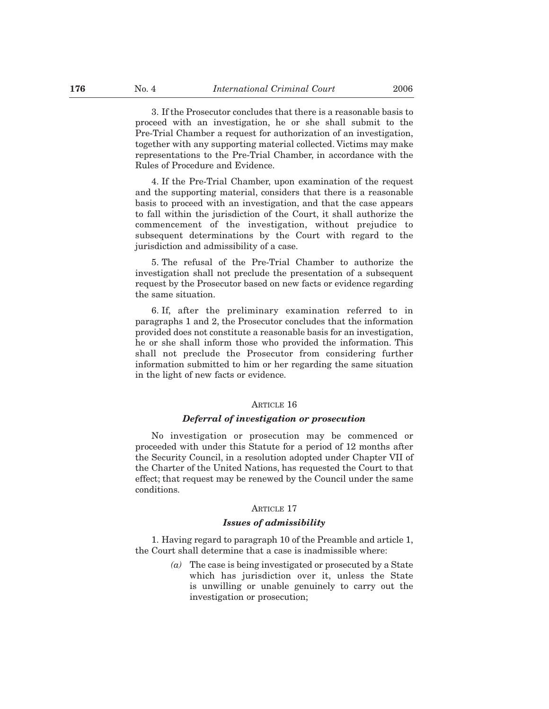3. If the Prosecutor concludes that there is a reasonable basis to proceed with an investigation, he or she shall submit to the Pre-Trial Chamber a request for authorization of an investigation, together with any supporting material collected. Victims may make representations to the Pre-Trial Chamber, in accordance with the Rules of Procedure and Evidence.

4. If the Pre-Trial Chamber, upon examination of the request and the supporting material, considers that there is a reasonable basis to proceed with an investigation, and that the case appears to fall within the jurisdiction of the Court, it shall authorize the commencement of the investigation, without prejudice to subsequent determinations by the Court with regard to the jurisdiction and admissibility of a case.

5. The refusal of the Pre-Trial Chamber to authorize the investigation shall not preclude the presentation of a subsequent request by the Prosecutor based on new facts or evidence regarding the same situation.

6. If, after the preliminary examination referred to in paragraphs 1 and 2, the Prosecutor concludes that the information provided does not constitute a reasonable basis for an investigation, he or she shall inform those who provided the information. This shall not preclude the Prosecutor from considering further information submitted to him or her regarding the same situation in the light of new facts or evidence.

### ARTICLE 16

## *Deferral of investigation or prosecution*

No investigation or prosecution may be commenced or proceeded with under this Statute for a period of 12 months after the Security Council, in a resolution adopted under Chapter VII of the Charter of the United Nations, has requested the Court to that effect; that request may be renewed by the Council under the same conditions.

# ARTICLE 17

# *Issues of admissibility*

1. Having regard to paragraph 10 of the Preamble and article 1, the Court shall determine that a case is inadmissible where:

> *(a)* The case is being investigated or prosecuted by a State which has jurisdiction over it, unless the State is unwilling or unable genuinely to carry out the investigation or prosecution;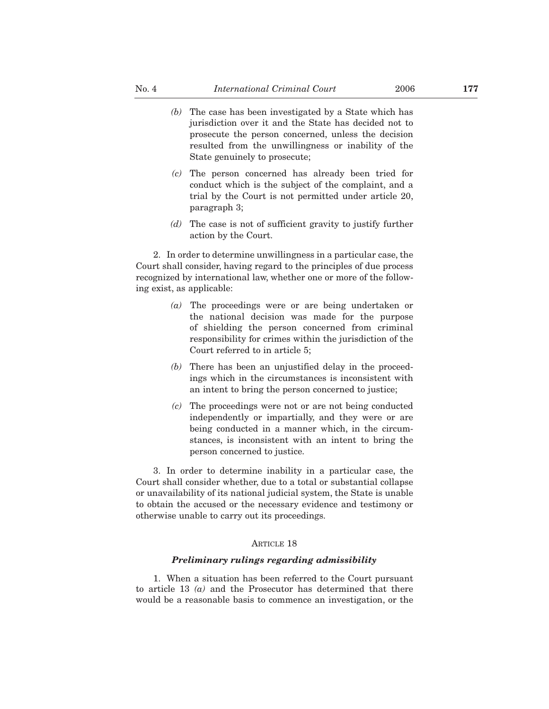- *(b)* The case has been investigated by a State which has jurisdiction over it and the State has decided not to prosecute the person concerned, unless the decision resulted from the unwillingness or inability of the State genuinely to prosecute;
- *(c)* The person concerned has already been tried for conduct which is the subject of the complaint, and a trial by the Court is not permitted under article 20, paragraph 3;
- *(d)* The case is not of sufficient gravity to justify further action by the Court.

2. In order to determine unwillingness in a particular case, the Court shall consider, having regard to the principles of due process recognized by international law, whether one or more of the following exist, as applicable:

- *(a)* The proceedings were or are being undertaken or the national decision was made for the purpose of shielding the person concerned from criminal responsibility for crimes within the jurisdiction of the Court referred to in article 5;
- *(b)* There has been an unjustified delay in the proceedings which in the circumstances is inconsistent with an intent to bring the person concerned to justice;
- *(c)* The proceedings were not or are not being conducted independently or impartially, and they were or are being conducted in a manner which, in the circumstances, is inconsistent with an intent to bring the person concerned to justice.

3. In order to determine inability in a particular case, the Court shall consider whether, due to a total or substantial collapse or unavailability of its national judicial system, the State is unable to obtain the accused or the necessary evidence and testimony or otherwise unable to carry out its proceedings.

#### ARTICLE 18

# *Preliminary rulings regarding admissibility*

1. When a situation has been referred to the Court pursuant to article 13 *(a)* and the Prosecutor has determined that there would be a reasonable basis to commence an investigation, or the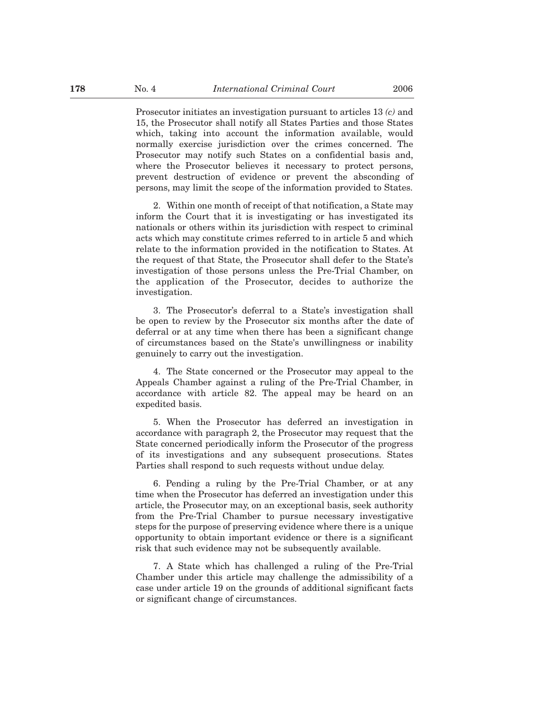Prosecutor initiates an investigation pursuant to articles 13 *(c)* and 15, the Prosecutor shall notify all States Parties and those States which, taking into account the information available, would normally exercise jurisdiction over the crimes concerned. The Prosecutor may notify such States on a confidential basis and, where the Prosecutor believes it necessary to protect persons, prevent destruction of evidence or prevent the absconding of persons, may limit the scope of the information provided to States.

2. Within one month of receipt of that notification, a State may inform the Court that it is investigating or has investigated its nationals or others within its jurisdiction with respect to criminal acts which may constitute crimes referred to in article 5 and which relate to the information provided in the notification to States. At the request of that State, the Prosecutor shall defer to the State's investigation of those persons unless the Pre-Trial Chamber, on the application of the Prosecutor, decides to authorize the investigation.

3. The Prosecutor's deferral to a State's investigation shall be open to review by the Prosecutor six months after the date of deferral or at any time when there has been a significant change of circumstances based on the State's unwillingness or inability genuinely to carry out the investigation.

4. The State concerned or the Prosecutor may appeal to the Appeals Chamber against a ruling of the Pre-Trial Chamber, in accordance with article 82. The appeal may be heard on an expedited basis.

5. When the Prosecutor has deferred an investigation in accordance with paragraph 2, the Prosecutor may request that the State concerned periodically inform the Prosecutor of the progress of its investigations and any subsequent prosecutions. States Parties shall respond to such requests without undue delay.

6. Pending a ruling by the Pre-Trial Chamber, or at any time when the Prosecutor has deferred an investigation under this article, the Prosecutor may, on an exceptional basis, seek authority from the Pre-Trial Chamber to pursue necessary investigative steps for the purpose of preserving evidence where there is a unique opportunity to obtain important evidence or there is a significant risk that such evidence may not be subsequently available.

7. A State which has challenged a ruling of the Pre-Trial Chamber under this article may challenge the admissibility of a case under article 19 on the grounds of additional significant facts or significant change of circumstances.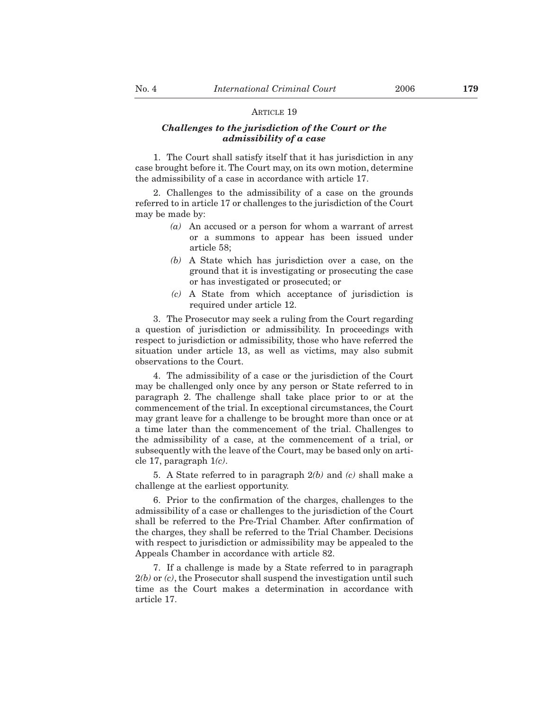#### ARTICLE 19

# *Challenges to the jurisdiction of the Court or the admissibility of a case*

1. The Court shall satisfy itself that it has jurisdiction in any case brought before it. The Court may, on its own motion, determine the admissibility of a case in accordance with article 17.

2. Challenges to the admissibility of a case on the grounds referred to in article 17 or challenges to the jurisdiction of the Court may be made by:

- *(a)* An accused or a person for whom a warrant of arrest or a summons to appear has been issued under article 58;
- *(b)* A State which has jurisdiction over a case, on the ground that it is investigating or prosecuting the case or has investigated or prosecuted; or
- *(c)* A State from which acceptance of jurisdiction is required under article 12.

3. The Prosecutor may seek a ruling from the Court regarding a question of jurisdiction or admissibility. In proceedings with respect to jurisdiction or admissibility, those who have referred the situation under article 13, as well as victims, may also submit observations to the Court.

4. The admissibility of a case or the jurisdiction of the Court may be challenged only once by any person or State referred to in paragraph 2. The challenge shall take place prior to or at the commencement of the trial. In exceptional circumstances, the Court may grant leave for a challenge to be brought more than once or at a time later than the commencement of the trial. Challenges to the admissibility of a case, at the commencement of a trial, or subsequently with the leave of the Court, may be based only on article 17, paragraph 1*(c)*.

5. A State referred to in paragraph 2*(b)* and *(c)* shall make a challenge at the earliest opportunity.

6. Prior to the confirmation of the charges, challenges to the admissibility of a case or challenges to the jurisdiction of the Court shall be referred to the Pre-Trial Chamber. After confirmation of the charges, they shall be referred to the Trial Chamber. Decisions with respect to jurisdiction or admissibility may be appealed to the Appeals Chamber in accordance with article 82.

7. If a challenge is made by a State referred to in paragraph 2*(b)* or *(c)*, the Prosecutor shall suspend the investigation until such time as the Court makes a determination in accordance with article 17.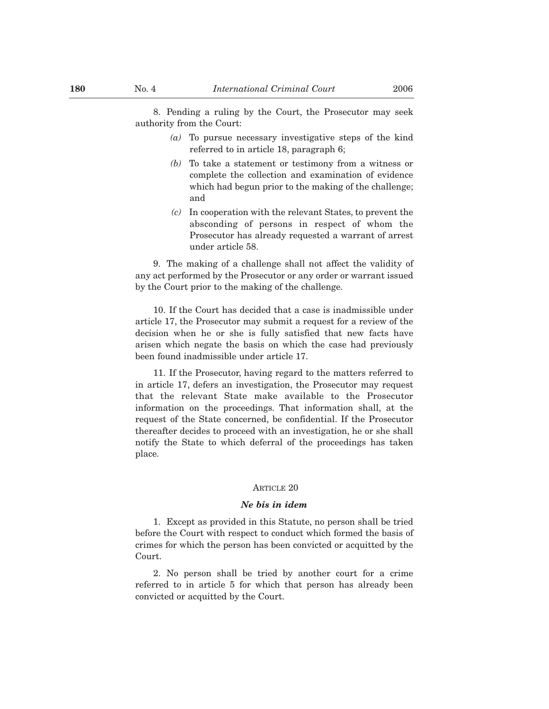8. Pending a ruling by the Court, the Prosecutor may seek authority from the Court:

- *(a)* To pursue necessary investigative steps of the kind referred to in article 18, paragraph 6;
- *(b)* To take a statement or testimony from a witness or complete the collection and examination of evidence which had begun prior to the making of the challenge; and
- *(c)* In cooperation with the relevant States, to prevent the absconding of persons in respect of whom the Prosecutor has already requested a warrant of arrest under article 58.

9. The making of a challenge shall not affect the validity of any act performed by the Prosecutor or any order or warrant issued by the Court prior to the making of the challenge.

10. If the Court has decided that a case is inadmissible under article 17, the Prosecutor may submit a request for a review of the decision when he or she is fully satisfied that new facts have arisen which negate the basis on which the case had previously been found inadmissible under article 17.

11. If the Prosecutor, having regard to the matters referred to in article 17, defers an investigation, the Prosecutor may request that the relevant State make available to the Prosecutor information on the proceedings. That information shall, at the request of the State concerned, be confidential. If the Prosecutor thereafter decides to proceed with an investigation, he or she shall notify the State to which deferral of the proceedings has taken place.

## ARTICLE 20

### *Ne bis in idem*

1. Except as provided in this Statute, no person shall be tried before the Court with respect to conduct which formed the basis of crimes for which the person has been convicted or acquitted by the Court.

2. No person shall be tried by another court for a crime referred to in article 5 for which that person has already been convicted or acquitted by the Court.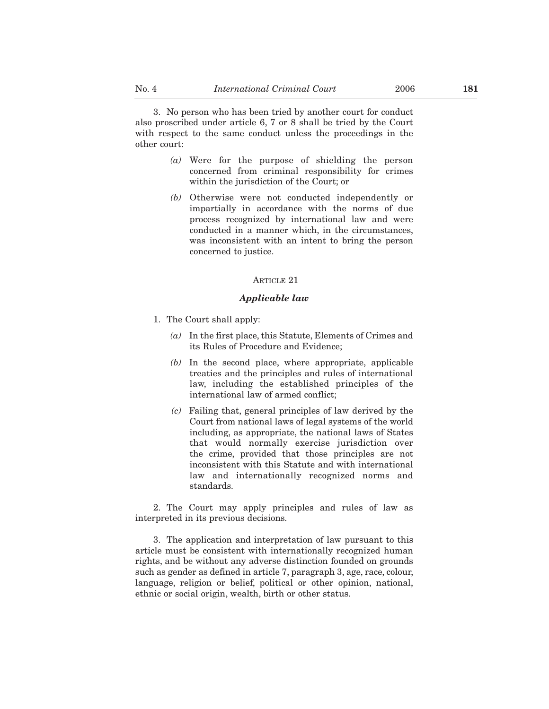3. No person who has been tried by another court for conduct also proscribed under article 6, 7 or 8 shall be tried by the Court with respect to the same conduct unless the proceedings in the other court:

- *(a)* Were for the purpose of shielding the person concerned from criminal responsibility for crimes within the jurisdiction of the Court; or
- *(b)* Otherwise were not conducted independently or impartially in accordance with the norms of due process recognized by international law and were conducted in a manner which, in the circumstances, was inconsistent with an intent to bring the person concerned to justice.

# ARTICLE 21

#### *Applicable law*

- 1. The Court shall apply:
	- *(a)* In the first place, this Statute, Elements of Crimes and its Rules of Procedure and Evidence;
	- *(b)* In the second place, where appropriate, applicable treaties and the principles and rules of international law, including the established principles of the international law of armed conflict;
	- *(c)* Failing that, general principles of law derived by the Court from national laws of legal systems of the world including, as appropriate, the national laws of States that would normally exercise jurisdiction over the crime, provided that those principles are not inconsistent with this Statute and with international law and internationally recognized norms and standards.

2. The Court may apply principles and rules of law as interpreted in its previous decisions.

3. The application and interpretation of law pursuant to this article must be consistent with internationally recognized human rights, and be without any adverse distinction founded on grounds such as gender as defined in article 7, paragraph 3, age, race, colour, language, religion or belief, political or other opinion, national, ethnic or social origin, wealth, birth or other status.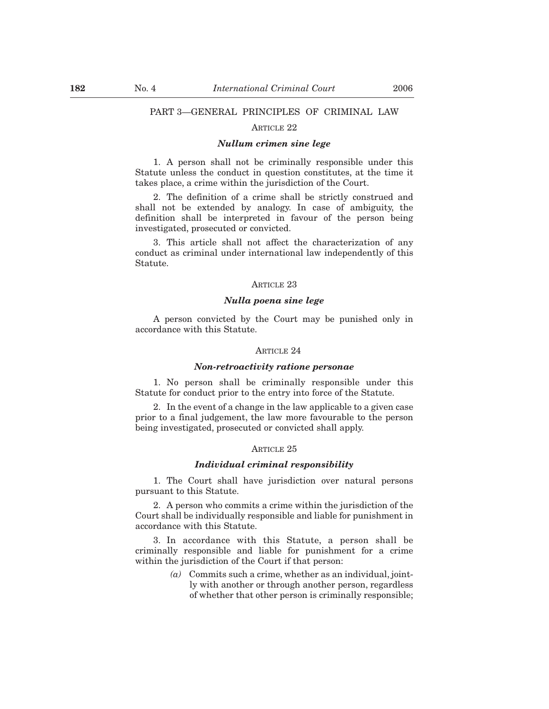## PART 3—GENERAL PRINCIPLES OF CRIMINAL LAW

# ARTICLE 22

## *Nullum crimen sine lege*

1. A person shall not be criminally responsible under this Statute unless the conduct in question constitutes, at the time it takes place, a crime within the jurisdiction of the Court.

2. The definition of a crime shall be strictly construed and shall not be extended by analogy. In case of ambiguity, the definition shall be interpreted in favour of the person being investigated, prosecuted or convicted.

3. This article shall not affect the characterization of any conduct as criminal under international law independently of this Statute.

#### ARTICLE 23

#### *Nulla poena sine lege*

A person convicted by the Court may be punished only in accordance with this Statute.

#### ARTICLE 24

#### *Non-retroactivity ratione personae*

1. No person shall be criminally responsible under this Statute for conduct prior to the entry into force of the Statute.

2. In the event of a change in the law applicable to a given case prior to a final judgement, the law more favourable to the person being investigated, prosecuted or convicted shall apply.

## ARTICLE 25

#### *Individual criminal responsibility*

1. The Court shall have jurisdiction over natural persons pursuant to this Statute.

2. A person who commits a crime within the jurisdiction of the Court shall be individually responsible and liable for punishment in accordance with this Statute.

3. In accordance with this Statute, a person shall be criminally responsible and liable for punishment for a crime within the jurisdiction of the Court if that person:

> *(a)* Commits such a crime, whether as an individual, jointly with another or through another person, regardless of whether that other person is criminally responsible;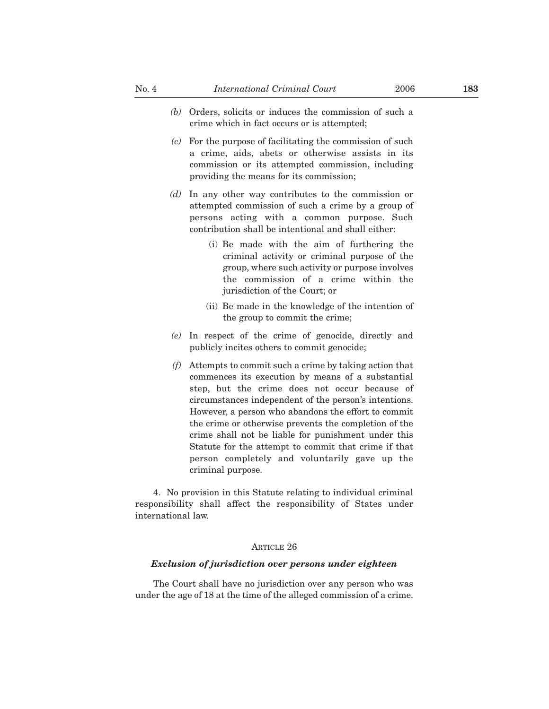- *(b)* Orders, solicits or induces the commission of such a crime which in fact occurs or is attempted;
- *(c)* For the purpose of facilitating the commission of such a crime, aids, abets or otherwise assists in its commission or its attempted commission, including providing the means for its commission;
- *(d)* In any other way contributes to the commission or attempted commission of such a crime by a group of persons acting with a common purpose. Such contribution shall be intentional and shall either:
	- (i) Be made with the aim of furthering the criminal activity or criminal purpose of the group, where such activity or purpose involves the commission of a crime within the jurisdiction of the Court; or
	- (ii) Be made in the knowledge of the intention of the group to commit the crime;
- *(e)* In respect of the crime of genocide, directly and publicly incites others to commit genocide;
- *(f)* Attempts to commit such a crime by taking action that commences its execution by means of a substantial step, but the crime does not occur because of circumstances independent of the person's intentions. However, a person who abandons the effort to commit the crime or otherwise prevents the completion of the crime shall not be liable for punishment under this Statute for the attempt to commit that crime if that person completely and voluntarily gave up the criminal purpose.

4. No provision in this Statute relating to individual criminal responsibility shall affect the responsibility of States under international law.

# ARTICLE 26

#### *Exclusion of jurisdiction over persons under eighteen*

The Court shall have no jurisdiction over any person who was under the age of 18 at the time of the alleged commission of a crime.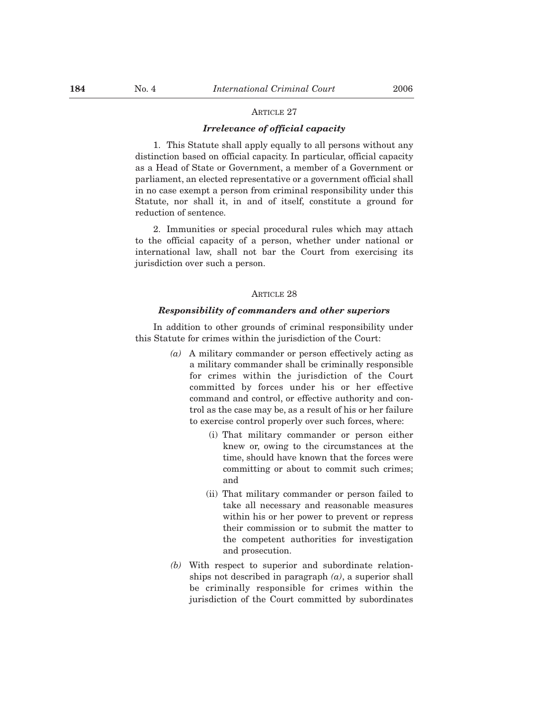# ARTICLE 27

# *Irrelevance of official capacity*

1. This Statute shall apply equally to all persons without any distinction based on official capacity. In particular, official capacity as a Head of State or Government, a member of a Government or parliament, an elected representative or a government official shall in no case exempt a person from criminal responsibility under this Statute, nor shall it, in and of itself, constitute a ground for reduction of sentence.

2. Immunities or special procedural rules which may attach to the official capacity of a person, whether under national or international law, shall not bar the Court from exercising its jurisdiction over such a person.

#### ARTICLE 28

# *Responsibility of commanders and other superiors*

In addition to other grounds of criminal responsibility under this Statute for crimes within the jurisdiction of the Court:

- *(a)* A military commander or person effectively acting as a military commander shall be criminally responsible for crimes within the jurisdiction of the Court committed by forces under his or her effective command and control, or effective authority and control as the case may be, as a result of his or her failure to exercise control properly over such forces, where:
	- (i) That military commander or person either knew or, owing to the circumstances at the time, should have known that the forces were committing or about to commit such crimes; and
	- (ii) That military commander or person failed to take all necessary and reasonable measures within his or her power to prevent or repress their commission or to submit the matter to the competent authorities for investigation and prosecution.
- *(b)* With respect to superior and subordinate relationships not described in paragraph *(a)*, a superior shall be criminally responsible for crimes within the jurisdiction of the Court committed by subordinates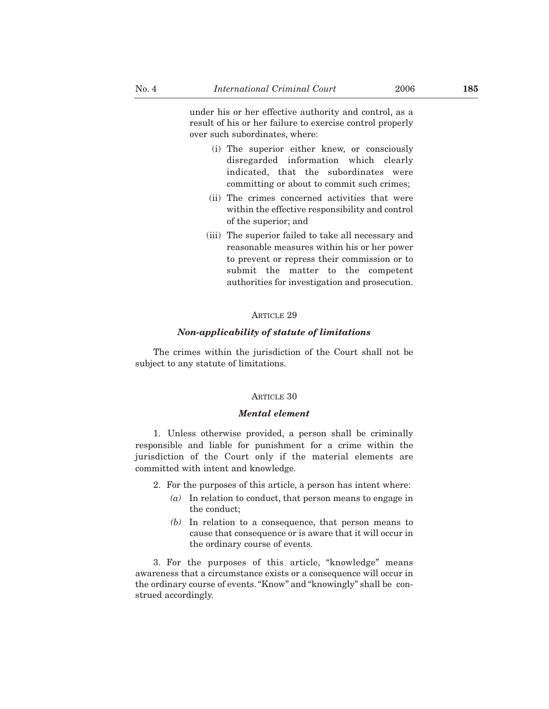under his or her effective authority and control, as a result of his or her failure to exercise control properly over such subordinates, where:

- (i) The superior either knew, or consciously disregarded information which clearly indicated, that the subordinates were committing or about to commit such crimes;
- (ii) The crimes concerned activities that were within the effective responsibility and control of the superior; and
- (iii) The superior failed to take all necessary and reasonable measures within his or her power to prevent or repress their commission or to submit the matter to the competent authorities for investigation and prosecution.

## ARTICLE 29

### *Non-applicability of statute of limitations*

The crimes within the jurisdiction of the Court shall not be subject to any statute of limitations.

# ARTICLE 30

## *Mental element*

1. Unless otherwise provided, a person shall be criminally responsible and liable for punishment for a crime within the jurisdiction of the Court only if the material elements are committed with intent and knowledge.

- 2. For the purposes of this article, a person has intent where:
	- *(a)* In relation to conduct, that person means to engage in the conduct;
	- *(b)* In relation to a consequence, that person means to cause that consequence or is aware that it will occur in the ordinary course of events.

3. For the purposes of this article, "knowledge" means awareness that a circumstance exists or a consequence will occur in the ordinary course of events."Know" and "knowingly" shall be construed accordingly.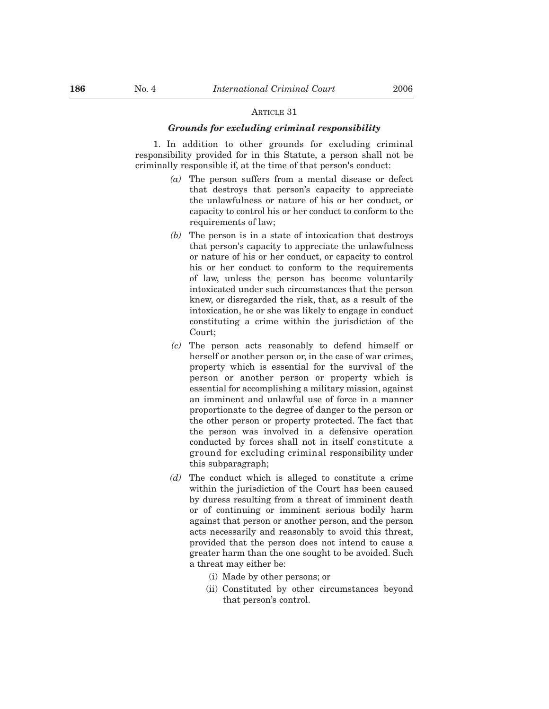## *Grounds for excluding criminal responsibility*

1. In addition to other grounds for excluding criminal responsibility provided for in this Statute, a person shall not be criminally responsible if, at the time of that person's conduct:

- *(a)* The person suffers from a mental disease or defect that destroys that person's capacity to appreciate the unlawfulness or nature of his or her conduct, or capacity to control his or her conduct to conform to the requirements of law;
- *(b)* The person is in a state of intoxication that destroys that person's capacity to appreciate the unlawfulness or nature of his or her conduct, or capacity to control his or her conduct to conform to the requirements of law, unless the person has become voluntarily intoxicated under such circumstances that the person knew, or disregarded the risk, that, as a result of the intoxication, he or she was likely to engage in conduct constituting a crime within the jurisdiction of the Court;
- *(c)* The person acts reasonably to defend himself or herself or another person or, in the case of war crimes, property which is essential for the survival of the person or another person or property which is essential for accomplishing a military mission, against an imminent and unlawful use of force in a manner proportionate to the degree of danger to the person or the other person or property protected. The fact that the person was involved in a defensive operation conducted by forces shall not in itself constitute a ground for excluding criminal responsibility under this subparagraph;
- *(d)* The conduct which is alleged to constitute a crime within the jurisdiction of the Court has been caused by duress resulting from a threat of imminent death or of continuing or imminent serious bodily harm against that person or another person, and the person acts necessarily and reasonably to avoid this threat, provided that the person does not intend to cause a greater harm than the one sought to be avoided. Such a threat may either be:
	- (i) Made by other persons; or
	- (ii) Constituted by other circumstances beyond that person's control.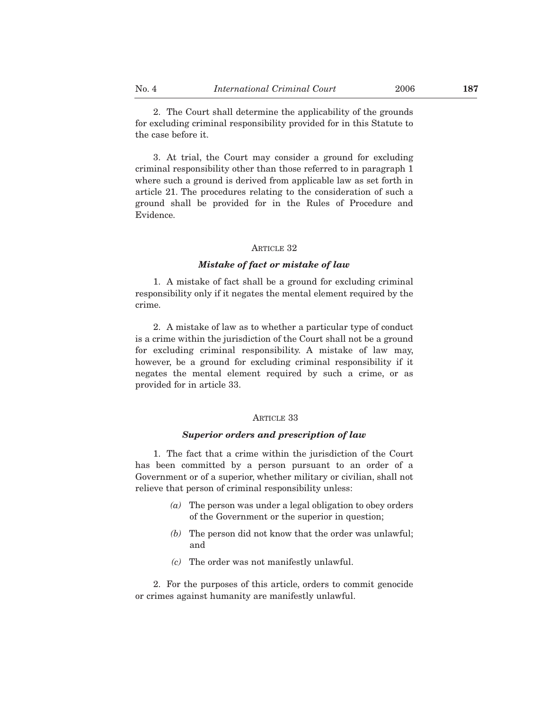2. The Court shall determine the applicability of the grounds for excluding criminal responsibility provided for in this Statute to the case before it.

3. At trial, the Court may consider a ground for excluding criminal responsibility other than those referred to in paragraph 1 where such a ground is derived from applicable law as set forth in article 21. The procedures relating to the consideration of such a ground shall be provided for in the Rules of Procedure and Evidence.

### ARTICLE 32

# *Mistake of fact or mistake of law*

1. A mistake of fact shall be a ground for excluding criminal responsibility only if it negates the mental element required by the crime.

2. A mistake of law as to whether a particular type of conduct is a crime within the jurisdiction of the Court shall not be a ground for excluding criminal responsibility. A mistake of law may, however, be a ground for excluding criminal responsibility if it negates the mental element required by such a crime, or as provided for in article 33.

### ARTICLE 33

### *Superior orders and prescription of law*

1. The fact that a crime within the jurisdiction of the Court has been committed by a person pursuant to an order of a Government or of a superior, whether military or civilian, shall not relieve that person of criminal responsibility unless:

- *(a)* The person was under a legal obligation to obey orders of the Government or the superior in question;
- *(b)* The person did not know that the order was unlawful; and
- *(c)* The order was not manifestly unlawful.

2. For the purposes of this article, orders to commit genocide or crimes against humanity are manifestly unlawful.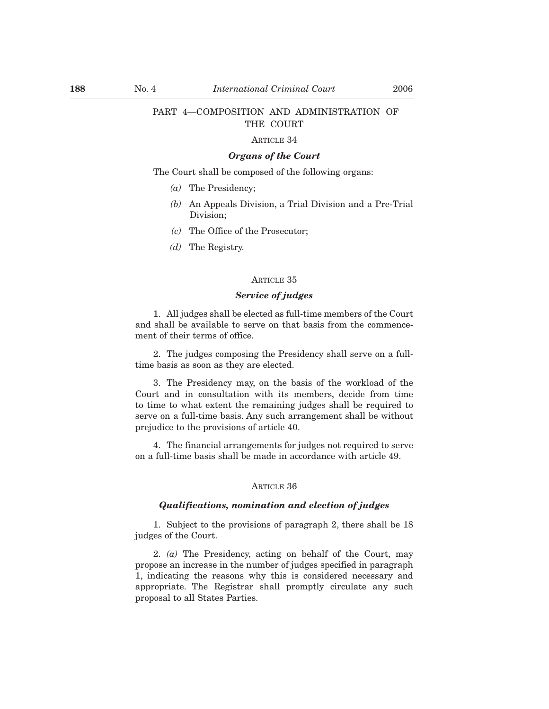# PART 4—COMPOSITION AND ADMINISTRATION OF THE COURT

### ARTICLE 34

### *Organs of the Court*

The Court shall be composed of the following organs:

- *(a)* The Presidency;
- *(b)* An Appeals Division, a Trial Division and a Pre-Trial Division;
- *(c)* The Office of the Prosecutor;
- *(d)* The Registry.

## ARTICLE 35

## *Service of judges*

1. All judges shall be elected as full-time members of the Court and shall be available to serve on that basis from the commencement of their terms of office.

2. The judges composing the Presidency shall serve on a fulltime basis as soon as they are elected.

3. The Presidency may, on the basis of the workload of the Court and in consultation with its members, decide from time to time to what extent the remaining judges shall be required to serve on a full-time basis. Any such arrangement shall be without prejudice to the provisions of article 40.

4. The financial arrangements for judges not required to serve on a full-time basis shall be made in accordance with article 49.

## ARTICLE 36

### *Qualifications, nomination and election of judges*

1. Subject to the provisions of paragraph 2, there shall be 18 judges of the Court.

2. *(a)* The Presidency, acting on behalf of the Court, may propose an increase in the number of judges specified in paragraph 1, indicating the reasons why this is considered necessary and appropriate. The Registrar shall promptly circulate any such proposal to all States Parties.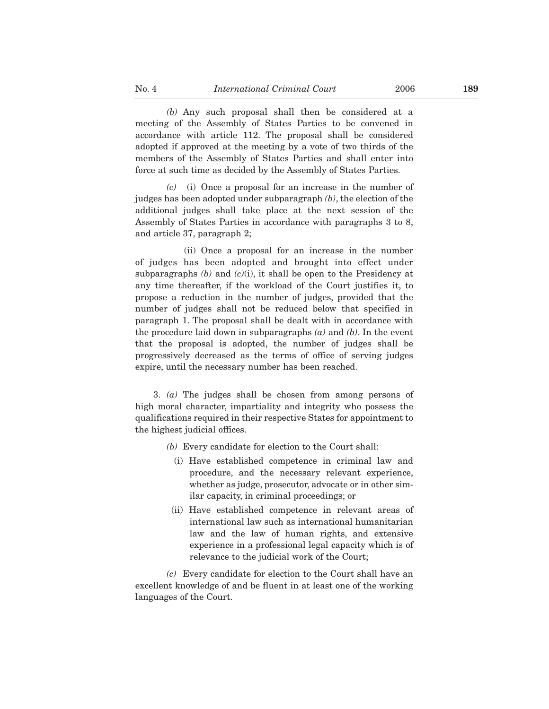*(b)* Any such proposal shall then be considered at a meeting of the Assembly of States Parties to be convened in accordance with article 112. The proposal shall be considered adopted if approved at the meeting by a vote of two thirds of the members of the Assembly of States Parties and shall enter into force at such time as decided by the Assembly of States Parties.

*(c)* (i) Once a proposal for an increase in the number of judges has been adopted under subparagraph *(b)*, the election of the additional judges shall take place at the next session of the Assembly of States Parties in accordance with paragraphs 3 to 8, and article 37, paragraph 2;

(ii) Once a proposal for an increase in the number of judges has been adopted and brought into effect under subparagraphs *(b)* and *(c)*(i), it shall be open to the Presidency at any time thereafter, if the workload of the Court justifies it, to propose a reduction in the number of judges, provided that the number of judges shall not be reduced below that specified in paragraph 1. The proposal shall be dealt with in accordance with the procedure laid down in subparagraphs *(a)* and *(b)*. In the event that the proposal is adopted, the number of judges shall be progressively decreased as the terms of office of serving judges expire, until the necessary number has been reached.

3. *(a)* The judges shall be chosen from among persons of high moral character, impartiality and integrity who possess the qualifications required in their respective States for appointment to the highest judicial offices.

- *(b)* Every candidate for election to the Court shall:
	- (i) Have established competence in criminal law and procedure, and the necessary relevant experience, whether as judge, prosecutor, advocate or in other similar capacity, in criminal proceedings; or
- (ii) Have established competence in relevant areas of international law such as international humanitarian law and the law of human rights, and extensive experience in a professional legal capacity which is of relevance to the judicial work of the Court;

*(c)* Every candidate for election to the Court shall have an excellent knowledge of and be fluent in at least one of the working languages of the Court.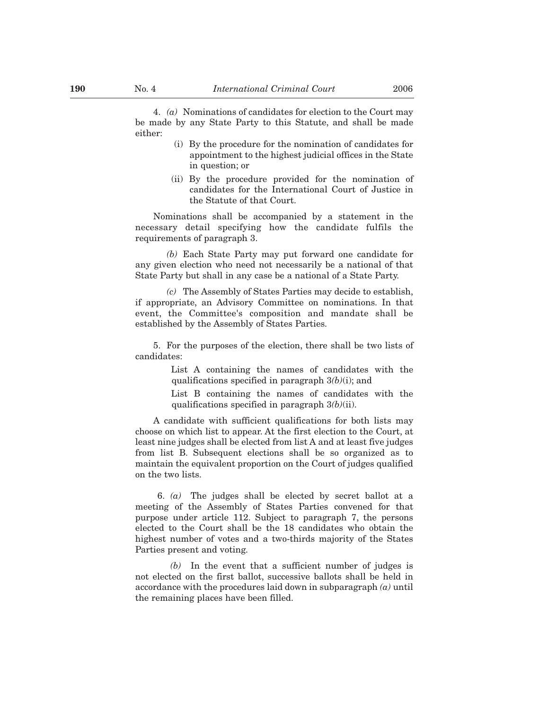4. *(a)* Nominations of candidates for election to the Court may be made by any State Party to this Statute, and shall be made either:

- (i) By the procedure for the nomination of candidates for appointment to the highest judicial offices in the State in question; or
- (ii) By the procedure provided for the nomination of candidates for the International Court of Justice in the Statute of that Court.

Nominations shall be accompanied by a statement in the necessary detail specifying how the candidate fulfils the requirements of paragraph 3.

*(b)* Each State Party may put forward one candidate for any given election who need not necessarily be a national of that State Party but shall in any case be a national of a State Party.

*(c)* The Assembly of States Parties may decide to establish, if appropriate, an Advisory Committee on nominations. In that event, the Committee's composition and mandate shall be established by the Assembly of States Parties.

5. For the purposes of the election, there shall be two lists of candidates:

> List A containing the names of candidates with the qualifications specified in paragraph 3*(b)*(i); and

> List B containing the names of candidates with the qualifications specified in paragraph 3*(b)*(ii).

A candidate with sufficient qualifications for both lists may choose on which list to appear. At the first election to the Court, at least nine judges shall be elected from list A and at least five judges from list B. Subsequent elections shall be so organized as to maintain the equivalent proportion on the Court of judges qualified on the two lists.

6. *(a)* The judges shall be elected by secret ballot at a meeting of the Assembly of States Parties convened for that purpose under article 112. Subject to paragraph 7, the persons elected to the Court shall be the 18 candidates who obtain the highest number of votes and a two-thirds majority of the States Parties present and voting.

*(b)* In the event that a sufficient number of judges is not elected on the first ballot, successive ballots shall be held in accordance with the procedures laid down in subparagraph *(a)* until the remaining places have been filled.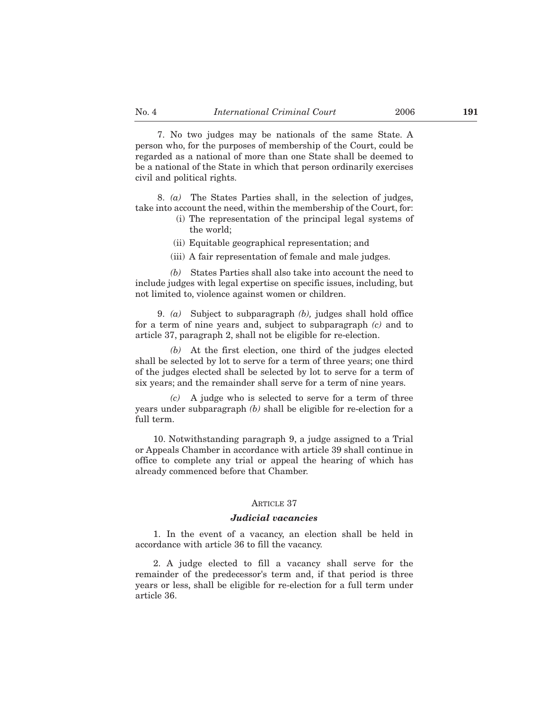7. No two judges may be nationals of the same State. A person who, for the purposes of membership of the Court, could be regarded as a national of more than one State shall be deemed to be a national of the State in which that person ordinarily exercises civil and political rights.

8. *(a)* The States Parties shall, in the selection of judges, take into account the need, within the membership of the Court, for:

- (i) The representation of the principal legal systems of the world;
- (ii) Equitable geographical representation; and
- (iii) A fair representation of female and male judges.

*(b)* States Parties shall also take into account the need to include judges with legal expertise on specific issues, including, but not limited to, violence against women or children.

9. *(a)* Subject to subparagraph *(b),* judges shall hold office for a term of nine years and, subject to subparagraph *(c)* and to article 37, paragraph 2, shall not be eligible for re-election.

*(b)* At the first election, one third of the judges elected shall be selected by lot to serve for a term of three years; one third of the judges elected shall be selected by lot to serve for a term of six years; and the remainder shall serve for a term of nine years.

*(c)* A judge who is selected to serve for a term of three years under subparagraph *(b)* shall be eligible for re-election for a full term.

10. Notwithstanding paragraph 9, a judge assigned to a Trial or Appeals Chamber in accordance with article 39 shall continue in office to complete any trial or appeal the hearing of which has already commenced before that Chamber.

## ARTICLE 37

# *Judicial vacancies*

1. In the event of a vacancy, an election shall be held in accordance with article 36 to fill the vacancy.

2. A judge elected to fill a vacancy shall serve for the remainder of the predecessor's term and, if that period is three years or less, shall be eligible for re-election for a full term under article 36.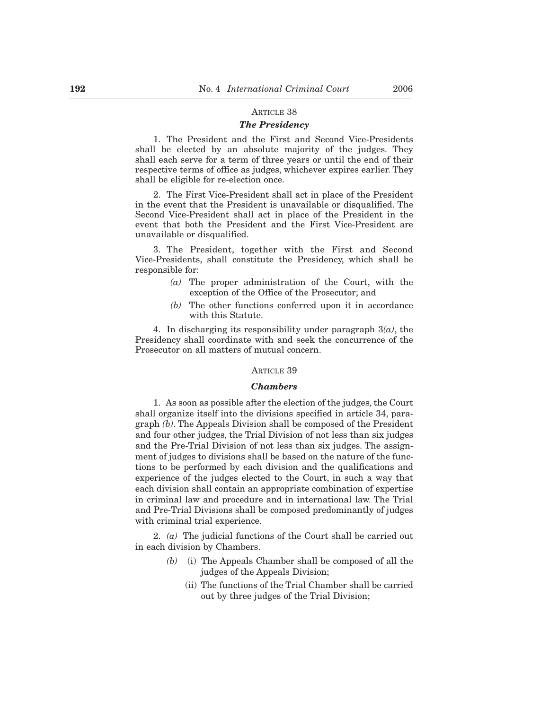### ARTICLE 38

# *The Presidency*

1. The President and the First and Second Vice-Presidents shall be elected by an absolute majority of the judges. They shall each serve for a term of three years or until the end of their respective terms of office as judges, whichever expires earlier. They shall be eligible for re-election once.

2. The First Vice-President shall act in place of the President in the event that the President is unavailable or disqualified. The Second Vice-President shall act in place of the President in the event that both the President and the First Vice-President are unavailable or disqualified.

3. The President, together with the First and Second Vice-Presidents, shall constitute the Presidency, which shall be responsible for:

- *(a)* The proper administration of the Court, with the exception of the Office of the Prosecutor; and
- *(b)* The other functions conferred upon it in accordance with this Statute.

4. In discharging its responsibility under paragraph 3*(a)*, the Presidency shall coordinate with and seek the concurrence of the Prosecutor on all matters of mutual concern.

#### ARTICLE 39

## *Chambers*

1. As soon as possible after the election of the judges, the Court shall organize itself into the divisions specified in article 34, paragraph *(b)*. The Appeals Division shall be composed of the President and four other judges, the Trial Division of not less than six judges and the Pre-Trial Division of not less than six judges. The assignment of judges to divisions shall be based on the nature of the functions to be performed by each division and the qualifications and experience of the judges elected to the Court, in such a way that each division shall contain an appropriate combination of expertise in criminal law and procedure and in international law. The Trial and Pre-Trial Divisions shall be composed predominantly of judges with criminal trial experience.

2. *(a)* The judicial functions of the Court shall be carried out in each division by Chambers.

- *(b)* (i) The Appeals Chamber shall be composed of all the judges of the Appeals Division;
	- (ii) The functions of the Trial Chamber shall be carried out by three judges of the Trial Division;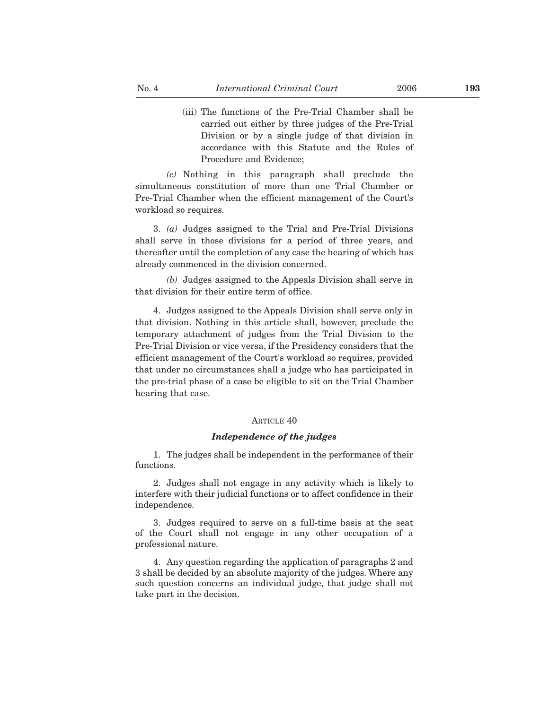(iii) The functions of the Pre-Trial Chamber shall be carried out either by three judges of the Pre-Trial Division or by a single judge of that division in accordance with this Statute and the Rules of Procedure and Evidence;

*(c)* Nothing in this paragraph shall preclude the simultaneous constitution of more than one Trial Chamber or Pre-Trial Chamber when the efficient management of the Court's workload so requires.

3. *(a)* Judges assigned to the Trial and Pre-Trial Divisions shall serve in those divisions for a period of three years, and thereafter until the completion of any case the hearing of which has already commenced in the division concerned.

*(b)* Judges assigned to the Appeals Division shall serve in that division for their entire term of office.

4. Judges assigned to the Appeals Division shall serve only in that division. Nothing in this article shall, however, preclude the temporary attachment of judges from the Trial Division to the Pre-Trial Division or vice versa, if the Presidency considers that the efficient management of the Court's workload so requires, provided that under no circumstances shall a judge who has participated in the pre-trial phase of a case be eligible to sit on the Trial Chamber hearing that case.

#### ARTICLE 40

### *Independence of the judges*

1. The judges shall be independent in the performance of their functions.

2. Judges shall not engage in any activity which is likely to interfere with their judicial functions or to affect confidence in their independence.

3. Judges required to serve on a full-time basis at the seat of the Court shall not engage in any other occupation of a professional nature.

4. Any question regarding the application of paragraphs 2 and 3 shall be decided by an absolute majority of the judges. Where any such question concerns an individual judge, that judge shall not take part in the decision.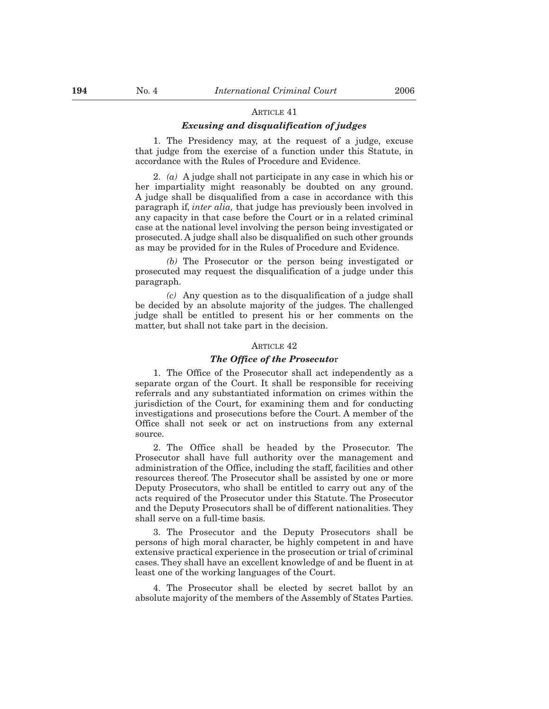### ARTICLE 41

### *Excusing and disqualification of judges*

1. The Presidency may, at the request of a judge, excuse that judge from the exercise of a function under this Statute, in accordance with the Rules of Procedure and Evidence.

2. *(a)* A judge shall not participate in any case in which his or her impartiality might reasonably be doubted on any ground. A judge shall be disqualified from a case in accordance with this paragraph if, *inter alia,* that judge has previously been involved in any capacity in that case before the Court or in a related criminal case at the national level involving the person being investigated or prosecuted. A judge shall also be disqualified on such other grounds as may be provided for in the Rules of Procedure and Evidence.

*(b)* The Prosecutor or the person being investigated or prosecuted may request the disqualification of a judge under this paragraph.

*(c)* Any question as to the disqualification of a judge shall be decided by an absolute majority of the judges. The challenged judge shall be entitled to present his or her comments on the matter, but shall not take part in the decision.

## ARTICLE 42

# *The Office of the Prosecuto*r

1. The Office of the Prosecutor shall act independently as a separate organ of the Court. It shall be responsible for receiving referrals and any substantiated information on crimes within the jurisdiction of the Court, for examining them and for conducting investigations and prosecutions before the Court. A member of the Office shall not seek or act on instructions from any external source.

2. The Office shall be headed by the Prosecutor. The Prosecutor shall have full authority over the management and administration of the Office, including the staff, facilities and other resources thereof. The Prosecutor shall be assisted by one or more Deputy Prosecutors, who shall be entitled to carry out any of the acts required of the Prosecutor under this Statute. The Prosecutor and the Deputy Prosecutors shall be of different nationalities. They shall serve on a full-time basis.

3. The Prosecutor and the Deputy Prosecutors shall be persons of high moral character, be highly competent in and have extensive practical experience in the prosecution or trial of criminal cases. They shall have an excellent knowledge of and be fluent in at least one of the working languages of the Court.

4. The Prosecutor shall be elected by secret ballot by an absolute majority of the members of the Assembly of States Parties.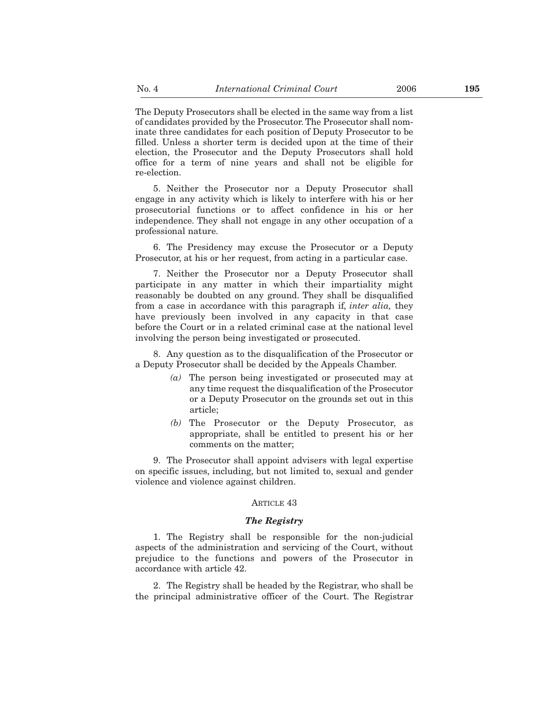The Deputy Prosecutors shall be elected in the same way from a list of candidates provided by the Prosecutor. The Prosecutor shall nominate three candidates for each position of Deputy Prosecutor to be filled. Unless a shorter term is decided upon at the time of their election, the Prosecutor and the Deputy Prosecutors shall hold office for a term of nine years and shall not be eligible for re-election.

5. Neither the Prosecutor nor a Deputy Prosecutor shall engage in any activity which is likely to interfere with his or her prosecutorial functions or to affect confidence in his or her independence. They shall not engage in any other occupation of a professional nature.

6. The Presidency may excuse the Prosecutor or a Deputy Prosecutor, at his or her request, from acting in a particular case.

7. Neither the Prosecutor nor a Deputy Prosecutor shall participate in any matter in which their impartiality might reasonably be doubted on any ground. They shall be disqualified from a case in accordance with this paragraph if, *inter alia,* they have previously been involved in any capacity in that case before the Court or in a related criminal case at the national level involving the person being investigated or prosecuted.

8. Any question as to the disqualification of the Prosecutor or a Deputy Prosecutor shall be decided by the Appeals Chamber.

- *(a)* The person being investigated or prosecuted may at any time request the disqualification of the Prosecutor or a Deputy Prosecutor on the grounds set out in this article;
- *(b)* The Prosecutor or the Deputy Prosecutor, as appropriate, shall be entitled to present his or her comments on the matter;

9. The Prosecutor shall appoint advisers with legal expertise on specific issues, including, but not limited to, sexual and gender violence and violence against children.

## ARTICLE 43

# *The Registry*

1. The Registry shall be responsible for the non-judicial aspects of the administration and servicing of the Court, without prejudice to the functions and powers of the Prosecutor in accordance with article 42.

2. The Registry shall be headed by the Registrar, who shall be the principal administrative officer of the Court. The Registrar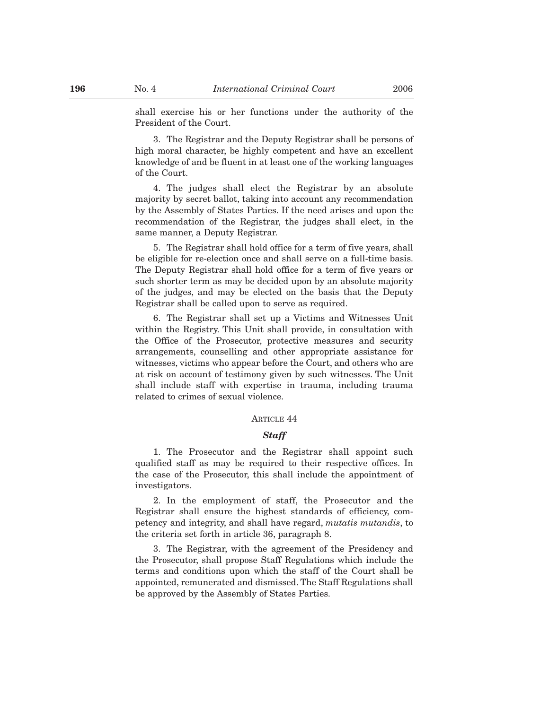3. The Registrar and the Deputy Registrar shall be persons of high moral character, be highly competent and have an excellent knowledge of and be fluent in at least one of the working languages of the Court.

4. The judges shall elect the Registrar by an absolute majority by secret ballot, taking into account any recommendation by the Assembly of States Parties. If the need arises and upon the recommendation of the Registrar, the judges shall elect, in the same manner, a Deputy Registrar.

5. The Registrar shall hold office for a term of five years, shall be eligible for re-election once and shall serve on a full-time basis. The Deputy Registrar shall hold office for a term of five years or such shorter term as may be decided upon by an absolute majority of the judges, and may be elected on the basis that the Deputy Registrar shall be called upon to serve as required.

6. The Registrar shall set up a Victims and Witnesses Unit within the Registry. This Unit shall provide, in consultation with the Office of the Prosecutor, protective measures and security arrangements, counselling and other appropriate assistance for witnesses, victims who appear before the Court, and others who are at risk on account of testimony given by such witnesses. The Unit shall include staff with expertise in trauma, including trauma related to crimes of sexual violence.

## ARTICLE 44

# *Staff*

1. The Prosecutor and the Registrar shall appoint such qualified staff as may be required to their respective offices. In the case of the Prosecutor, this shall include the appointment of investigators.

2. In the employment of staff, the Prosecutor and the Registrar shall ensure the highest standards of efficiency, competency and integrity, and shall have regard, *mutatis mutandis*, to the criteria set forth in article 36, paragraph 8.

3. The Registrar, with the agreement of the Presidency and the Prosecutor, shall propose Staff Regulations which include the terms and conditions upon which the staff of the Court shall be appointed, remunerated and dismissed. The Staff Regulations shall be approved by the Assembly of States Parties.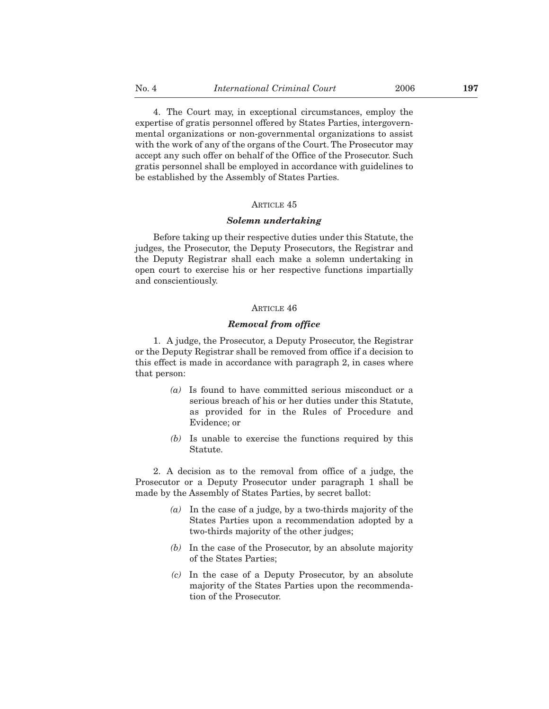4. The Court may, in exceptional circumstances, employ the expertise of gratis personnel offered by States Parties, intergovernmental organizations or non-governmental organizations to assist with the work of any of the organs of the Court. The Prosecutor may accept any such offer on behalf of the Office of the Prosecutor. Such gratis personnel shall be employed in accordance with guidelines to be established by the Assembly of States Parties.

# ARTICLE 45

### *Solemn undertaking*

Before taking up their respective duties under this Statute, the judges, the Prosecutor, the Deputy Prosecutors, the Registrar and the Deputy Registrar shall each make a solemn undertaking in open court to exercise his or her respective functions impartially and conscientiously.

## ARTICLE 46

# *Removal from office*

1. A judge, the Prosecutor, a Deputy Prosecutor, the Registrar or the Deputy Registrar shall be removed from office if a decision to this effect is made in accordance with paragraph 2, in cases where that person:

- *(a)* Is found to have committed serious misconduct or a serious breach of his or her duties under this Statute, as provided for in the Rules of Procedure and Evidence; or
- *(b)* Is unable to exercise the functions required by this Statute.

2. A decision as to the removal from office of a judge, the Prosecutor or a Deputy Prosecutor under paragraph 1 shall be made by the Assembly of States Parties, by secret ballot:

- *(a)* In the case of a judge, by a two-thirds majority of the States Parties upon a recommendation adopted by a two-thirds majority of the other judges;
- *(b)* In the case of the Prosecutor, by an absolute majority of the States Parties;
- *(c)* In the case of a Deputy Prosecutor, by an absolute majority of the States Parties upon the recommendation of the Prosecutor.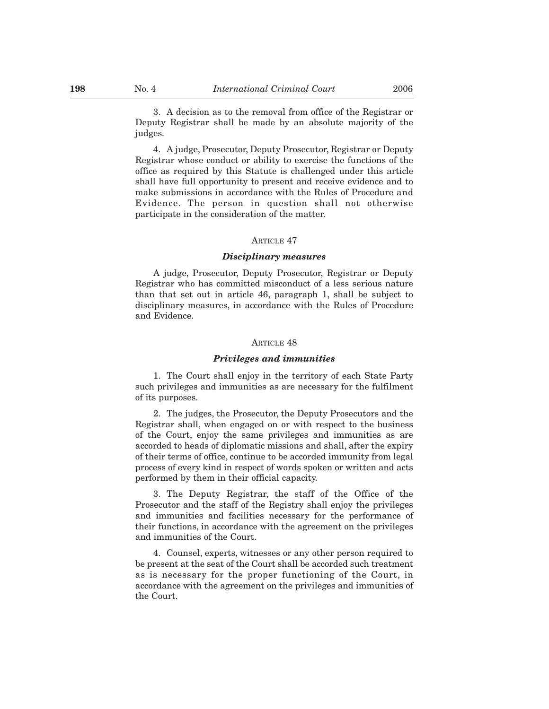3. A decision as to the removal from office of the Registrar or Deputy Registrar shall be made by an absolute majority of the judges.

4. A judge, Prosecutor, Deputy Prosecutor, Registrar or Deputy Registrar whose conduct or ability to exercise the functions of the office as required by this Statute is challenged under this article shall have full opportunity to present and receive evidence and to make submissions in accordance with the Rules of Procedure and Evidence. The person in question shall not otherwise participate in the consideration of the matter.

#### ARTICLE 47

#### *Disciplinary measures*

A judge, Prosecutor, Deputy Prosecutor, Registrar or Deputy Registrar who has committed misconduct of a less serious nature than that set out in article 46, paragraph 1, shall be subject to disciplinary measures, in accordance with the Rules of Procedure and Evidence.

#### ARTICLE 48

#### *Privileges and immunities*

1. The Court shall enjoy in the territory of each State Party such privileges and immunities as are necessary for the fulfilment of its purposes.

2. The judges, the Prosecutor, the Deputy Prosecutors and the Registrar shall, when engaged on or with respect to the business of the Court, enjoy the same privileges and immunities as are accorded to heads of diplomatic missions and shall, after the expiry of their terms of office, continue to be accorded immunity from legal process of every kind in respect of words spoken or written and acts performed by them in their official capacity.

3. The Deputy Registrar, the staff of the Office of the Prosecutor and the staff of the Registry shall enjoy the privileges and immunities and facilities necessary for the performance of their functions, in accordance with the agreement on the privileges and immunities of the Court.

4. Counsel, experts, witnesses or any other person required to be present at the seat of the Court shall be accorded such treatment as is necessary for the proper functioning of the Court, in accordance with the agreement on the privileges and immunities of the Court.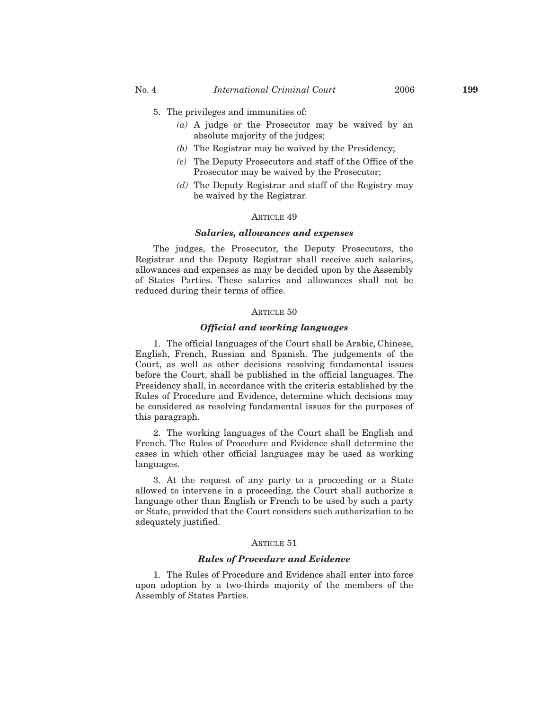# 5. The privileges and immunities of:

- *(a)* A judge or the Prosecutor may be waived by an absolute majority of the judges;
- *(b)* The Registrar may be waived by the Presidency;
- *(c)* The Deputy Prosecutors and staff of the Office of the Prosecutor may be waived by the Prosecutor;
- *(d)* The Deputy Registrar and staff of the Registry may be waived by the Registrar.

#### ARTICLE 49

### *Salaries, allowances and expenses*

The judges, the Prosecutor, the Deputy Prosecutors, the Registrar and the Deputy Registrar shall receive such salaries, allowances and expenses as may be decided upon by the Assembly of States Parties. These salaries and allowances shall not be reduced during their terms of office.

#### ARTICLE 50

### *Official and working languages*

1. The official languages of the Court shall be Arabic, Chinese, English, French, Russian and Spanish. The judgements of the Court, as well as other decisions resolving fundamental issues before the Court, shall be published in the official languages. The Presidency shall, in accordance with the criteria established by the Rules of Procedure and Evidence, determine which decisions may be considered as resolving fundamental issues for the purposes of this paragraph.

2. The working languages of the Court shall be English and French. The Rules of Procedure and Evidence shall determine the cases in which other official languages may be used as working languages.

3. At the request of any party to a proceeding or a State allowed to intervene in a proceeding, the Court shall authorize a language other than English or French to be used by such a party or State, provided that the Court considers such authorization to be adequately justified.

#### ARTICLE 51

### *Rules of Procedure and Evidence*

1. The Rules of Procedure and Evidence shall enter into force upon adoption by a two-thirds majority of the members of the Assembly of States Parties.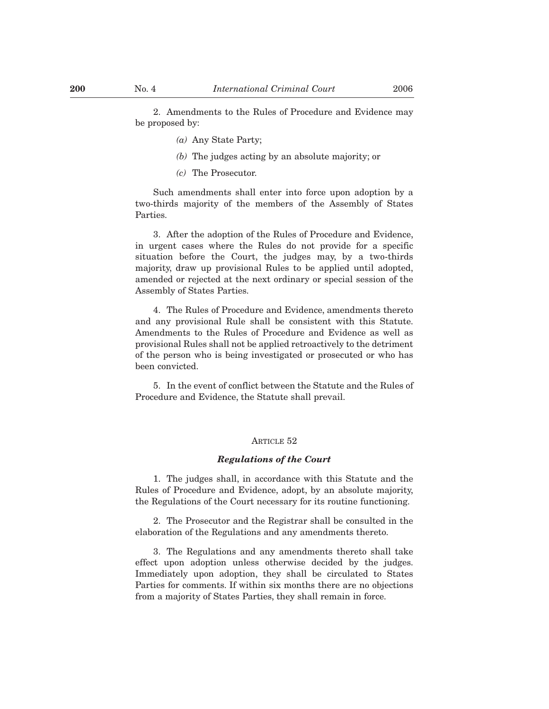2. Amendments to the Rules of Procedure and Evidence may be proposed by:

- *(a)* Any State Party;
- *(b)* The judges acting by an absolute majority; or
- *(c)* The Prosecutor.

Such amendments shall enter into force upon adoption by a two-thirds majority of the members of the Assembly of States Parties.

3. After the adoption of the Rules of Procedure and Evidence, in urgent cases where the Rules do not provide for a specific situation before the Court, the judges may, by a two-thirds majority, draw up provisional Rules to be applied until adopted, amended or rejected at the next ordinary or special session of the Assembly of States Parties.

4. The Rules of Procedure and Evidence, amendments thereto and any provisional Rule shall be consistent with this Statute. Amendments to the Rules of Procedure and Evidence as well as provisional Rules shall not be applied retroactively to the detriment of the person who is being investigated or prosecuted or who has been convicted.

5. In the event of conflict between the Statute and the Rules of Procedure and Evidence, the Statute shall prevail.

#### ARTICLE 52

# *Regulations of the Court*

1. The judges shall, in accordance with this Statute and the Rules of Procedure and Evidence, adopt, by an absolute majority, the Regulations of the Court necessary for its routine functioning.

2. The Prosecutor and the Registrar shall be consulted in the elaboration of the Regulations and any amendments thereto.

3. The Regulations and any amendments thereto shall take effect upon adoption unless otherwise decided by the judges. Immediately upon adoption, they shall be circulated to States Parties for comments. If within six months there are no objections from a majority of States Parties, they shall remain in force.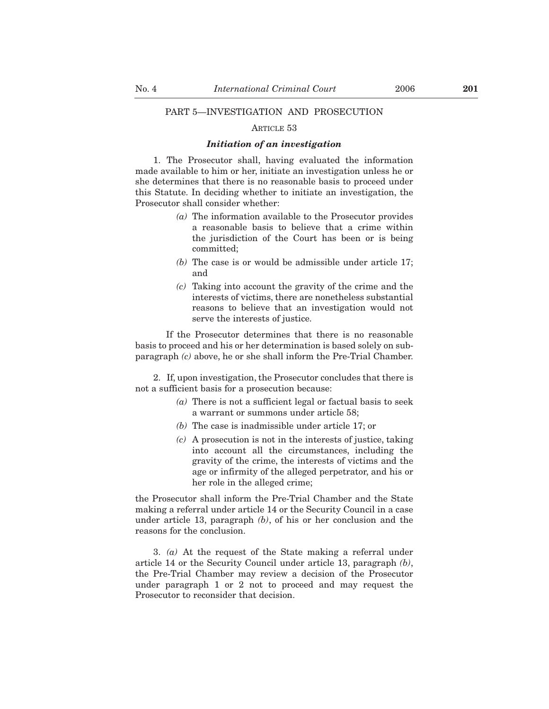# PART 5—INVESTIGATION AND PROSECUTION

# ARTICLE 53

### *Initiation of an investigation*

1. The Prosecutor shall, having evaluated the information made available to him or her, initiate an investigation unless he or she determines that there is no reasonable basis to proceed under this Statute. In deciding whether to initiate an investigation, the Prosecutor shall consider whether:

- *(a)* The information available to the Prosecutor provides a reasonable basis to believe that a crime within the jurisdiction of the Court has been or is being committed;
- *(b)* The case is or would be admissible under article 17; and
- *(c)* Taking into account the gravity of the crime and the interests of victims, there are nonetheless substantial reasons to believe that an investigation would not serve the interests of justice.

If the Prosecutor determines that there is no reasonable basis to proceed and his or her determination is based solely on subparagraph *(c)* above, he or she shall inform the Pre-Trial Chamber.

2. If, upon investigation, the Prosecutor concludes that there is not a sufficient basis for a prosecution because:

- *(a)* There is not a sufficient legal or factual basis to seek a warrant or summons under article 58;
- *(b)* The case is inadmissible under article 17; or
- *(c)* A prosecution is not in the interests of justice, taking into account all the circumstances, including the gravity of the crime, the interests of victims and the age or infirmity of the alleged perpetrator, and his or her role in the alleged crime;

the Prosecutor shall inform the Pre-Trial Chamber and the State making a referral under article 14 or the Security Council in a case under article 13, paragraph *(b)*, of his or her conclusion and the reasons for the conclusion.

3. *(a)* At the request of the State making a referral under article 14 or the Security Council under article 13, paragraph *(b)*, the Pre-Trial Chamber may review a decision of the Prosecutor under paragraph 1 or 2 not to proceed and may request the Prosecutor to reconsider that decision.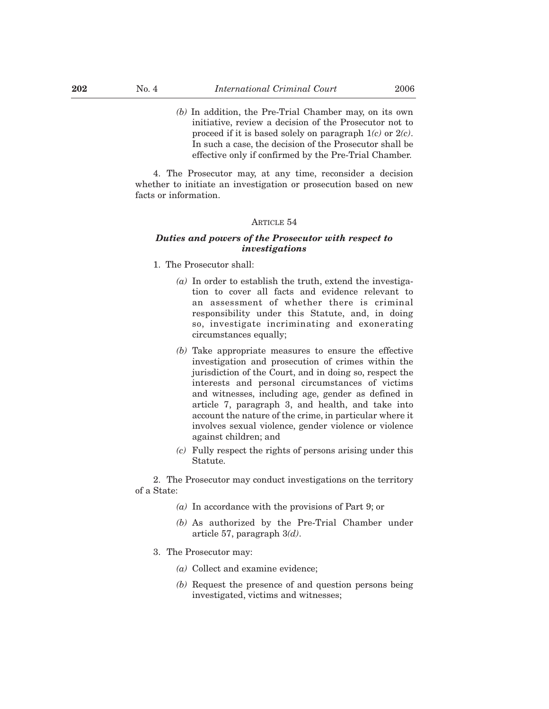*(b)* In addition, the Pre-Trial Chamber may, on its own initiative, review a decision of the Prosecutor not to proceed if it is based solely on paragraph 1*(c)* or 2*(c)*. In such a case, the decision of the Prosecutor shall be effective only if confirmed by the Pre-Trial Chamber.

4. The Prosecutor may, at any time, reconsider a decision whether to initiate an investigation or prosecution based on new facts or information.

# ARTICLE 54

# *Duties and powers of the Prosecutor with respect to investigations*

- 1. The Prosecutor shall:
	- *(a)* In order to establish the truth, extend the investigation to cover all facts and evidence relevant to an assessment of whether there is criminal responsibility under this Statute, and, in doing so, investigate incriminating and exonerating circumstances equally;
	- *(b)* Take appropriate measures to ensure the effective investigation and prosecution of crimes within the jurisdiction of the Court, and in doing so, respect the interests and personal circumstances of victims and witnesses, including age, gender as defined in article 7, paragraph 3, and health, and take into account the nature of the crime, in particular where it involves sexual violence, gender violence or violence against children; and
	- *(c)* Fully respect the rights of persons arising under this Statute.

2. The Prosecutor may conduct investigations on the territory of a State:

- *(a)* In accordance with the provisions of Part 9; or
- *(b)* As authorized by the Pre-Trial Chamber under article 57, paragraph 3*(d)*.
- 3. The Prosecutor may:
	- *(a)* Collect and examine evidence;
	- *(b)* Request the presence of and question persons being investigated, victims and witnesses;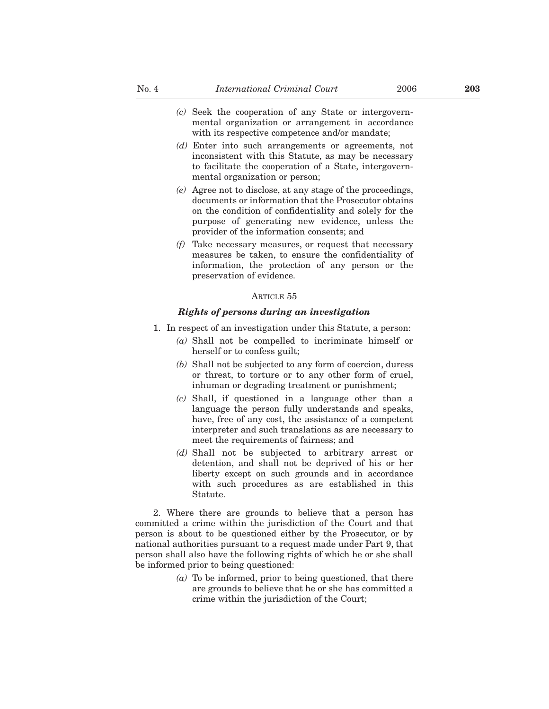- *(d)* Enter into such arrangements or agreements, not inconsistent with this Statute, as may be necessary to facilitate the cooperation of a State, intergovernmental organization or person;
- *(e)* Agree not to disclose, at any stage of the proceedings, documents or information that the Prosecutor obtains on the condition of confidentiality and solely for the purpose of generating new evidence, unless the provider of the information consents; and
- *(f)* Take necessary measures, or request that necessary measures be taken, to ensure the confidentiality of information, the protection of any person or the preservation of evidence.

# ARTICLE 55

# *Rights of persons during an investigation*

- 1. In respect of an investigation under this Statute, a person:
	- *(a)* Shall not be compelled to incriminate himself or herself or to confess guilt;
	- *(b)* Shall not be subjected to any form of coercion, duress or threat, to torture or to any other form of cruel, inhuman or degrading treatment or punishment;
	- *(c)* Shall, if questioned in a language other than a language the person fully understands and speaks, have, free of any cost, the assistance of a competent interpreter and such translations as are necessary to meet the requirements of fairness; and
	- *(d)* Shall not be subjected to arbitrary arrest or detention, and shall not be deprived of his or her liberty except on such grounds and in accordance with such procedures as are established in this Statute.

2. Where there are grounds to believe that a person has committed a crime within the jurisdiction of the Court and that person is about to be questioned either by the Prosecutor, or by national authorities pursuant to a request made under Part 9, that person shall also have the following rights of which he or she shall be informed prior to being questioned:

> *(a)* To be informed, prior to being questioned, that there are grounds to believe that he or she has committed a crime within the jurisdiction of the Court;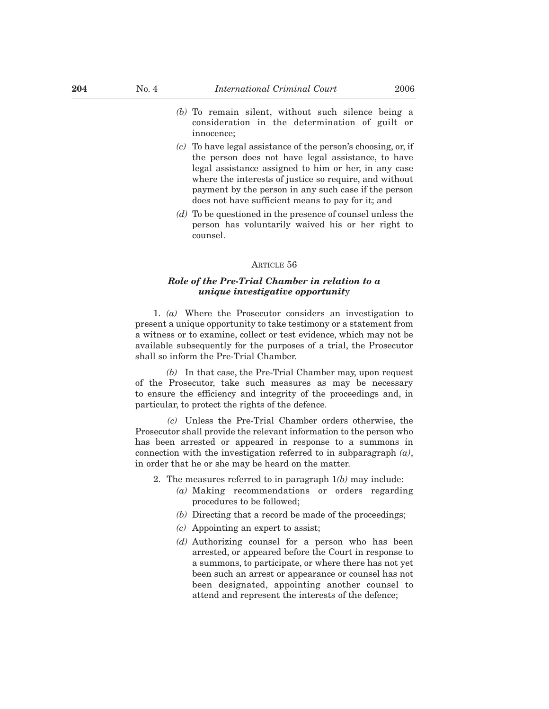- *(b)* To remain silent, without such silence being a consideration in the determination of guilt or innocence;
- *(c)* To have legal assistance of the person's choosing, or, if the person does not have legal assistance, to have legal assistance assigned to him or her, in any case where the interests of justice so require, and without payment by the person in any such case if the person does not have sufficient means to pay for it; and
- *(d)* To be questioned in the presence of counsel unless the person has voluntarily waived his or her right to counsel.

## ARTICLE 56

# *Role of the Pre-Trial Chamber in relation to a unique investigative opportunit*y

1. *(a)* Where the Prosecutor considers an investigation to present a unique opportunity to take testimony or a statement from a witness or to examine, collect or test evidence, which may not be available subsequently for the purposes of a trial, the Prosecutor shall so inform the Pre-Trial Chamber.

*(b)* In that case, the Pre-Trial Chamber may, upon request of the Prosecutor, take such measures as may be necessary to ensure the efficiency and integrity of the proceedings and, in particular, to protect the rights of the defence.

*(c)* Unless the Pre-Trial Chamber orders otherwise, the Prosecutor shall provide the relevant information to the person who has been arrested or appeared in response to a summons in connection with the investigation referred to in subparagraph *(a)*, in order that he or she may be heard on the matter.

- 2. The measures referred to in paragraph 1*(b)* may include:
	- *(a)* Making recommendations or orders regarding procedures to be followed;
	- *(b)* Directing that a record be made of the proceedings;
	- *(c)* Appointing an expert to assist;
	- *(d)* Authorizing counsel for a person who has been arrested, or appeared before the Court in response to a summons, to participate, or where there has not yet been such an arrest or appearance or counsel has not been designated, appointing another counsel to attend and represent the interests of the defence;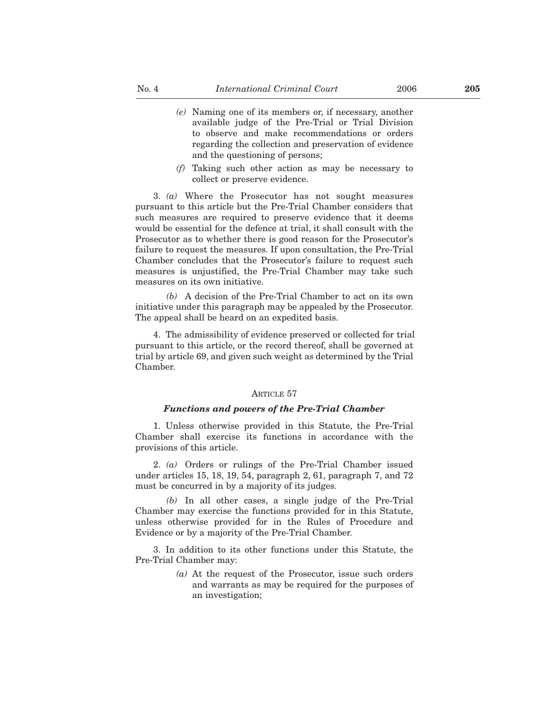- *(e)* Naming one of its members or, if necessary, another available judge of the Pre-Trial or Trial Division to observe and make recommendations or orders regarding the collection and preservation of evidence and the questioning of persons;
- *(f)* Taking such other action as may be necessary to collect or preserve evidence.

3. *(a)* Where the Prosecutor has not sought measures pursuant to this article but the Pre-Trial Chamber considers that such measures are required to preserve evidence that it deems would be essential for the defence at trial, it shall consult with the Prosecutor as to whether there is good reason for the Prosecutor's failure to request the measures. If upon consultation, the Pre-Trial Chamber concludes that the Prosecutor's failure to request such measures is unjustified, the Pre-Trial Chamber may take such measures on its own initiative.

*(b)* A decision of the Pre-Trial Chamber to act on its own initiative under this paragraph may be appealed by the Prosecutor. The appeal shall be heard on an expedited basis.

4. The admissibility of evidence preserved or collected for trial pursuant to this article, or the record thereof, shall be governed at trial by article 69, and given such weight as determined by the Trial Chamber.

# ARTICLE 57

## *Functions and powers of the Pre-Trial Chamber*

1. Unless otherwise provided in this Statute, the Pre-Trial Chamber shall exercise its functions in accordance with the provisions of this article.

2. *(a)* Orders or rulings of the Pre-Trial Chamber issued under articles 15, 18, 19, 54, paragraph 2, 61, paragraph 7, and 72 must be concurred in by a majority of its judges.

*(b)* In all other cases, a single judge of the Pre-Trial Chamber may exercise the functions provided for in this Statute, unless otherwise provided for in the Rules of Procedure and Evidence or by a majority of the Pre-Trial Chamber.

3. In addition to its other functions under this Statute, the Pre-Trial Chamber may:

> *(a)* At the request of the Prosecutor, issue such orders and warrants as may be required for the purposes of an investigation;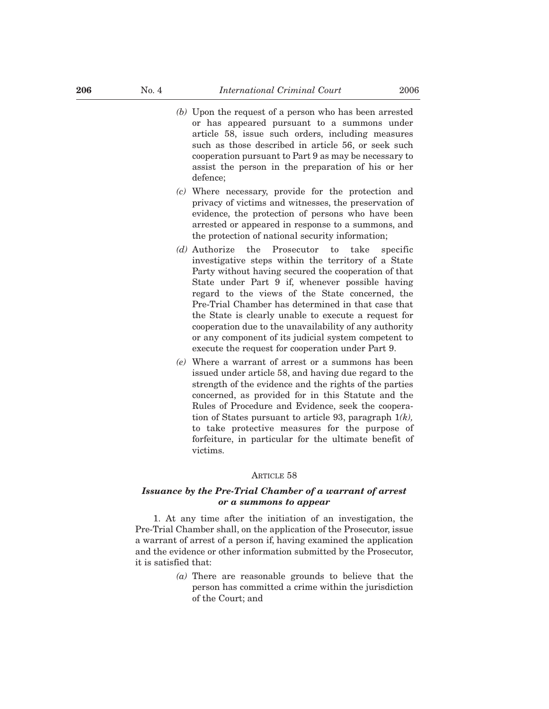- *(b)* Upon the request of a person who has been arrested or has appeared pursuant to a summons under article 58, issue such orders, including measures such as those described in article 56, or seek such cooperation pursuant to Part 9 as may be necessary to assist the person in the preparation of his or her defence;
- *(c)* Where necessary, provide for the protection and privacy of victims and witnesses, the preservation of evidence, the protection of persons who have been arrested or appeared in response to a summons, and the protection of national security information;
- *(d)* Authorize the Prosecutor to take specific investigative steps within the territory of a State Party without having secured the cooperation of that State under Part 9 if, whenever possible having regard to the views of the State concerned, the Pre-Trial Chamber has determined in that case that the State is clearly unable to execute a request for cooperation due to the unavailability of any authority or any component of its judicial system competent to execute the request for cooperation under Part 9.
- *(e)* Where a warrant of arrest or a summons has been issued under article 58, and having due regard to the strength of the evidence and the rights of the parties concerned, as provided for in this Statute and the Rules of Procedure and Evidence, seek the cooperation of States pursuant to article 93, paragraph 1*(k),* to take protective measures for the purpose of forfeiture, in particular for the ultimate benefit of victims.

### ARTICLE 58

# *Issuance by the Pre-Trial Chamber of a warrant of arrest or a summons to appear*

1. At any time after the initiation of an investigation, the Pre-Trial Chamber shall, on the application of the Prosecutor, issue a warrant of arrest of a person if, having examined the application and the evidence or other information submitted by the Prosecutor, it is satisfied that:

> *(a)* There are reasonable grounds to believe that the person has committed a crime within the jurisdiction of the Court; and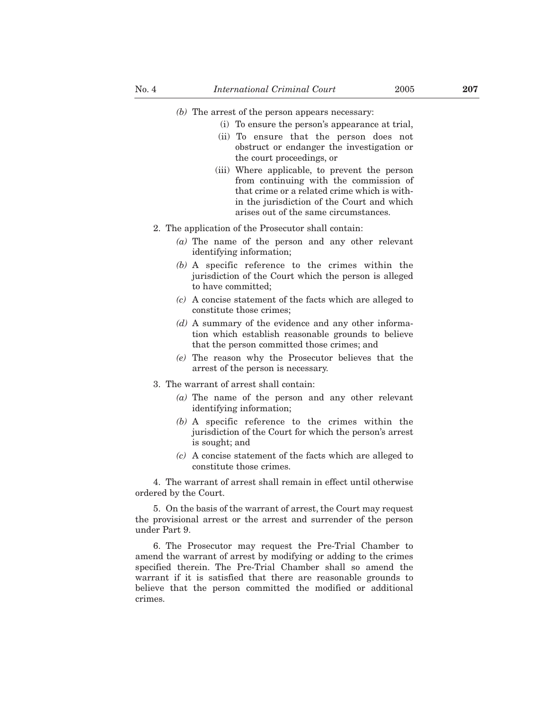## *(b)* The arrest of the person appears necessary:

- (i) To ensure the person's appearance at trial,
- (ii) To ensure that the person does not obstruct or endanger the investigation or the court proceedings, or
- (iii) Where applicable, to prevent the person from continuing with the commission of that crime or a related crime which is within the jurisdiction of the Court and which arises out of the same circumstances.

# 2. The application of the Prosecutor shall contain:

- *(a)* The name of the person and any other relevant identifying information;
- *(b)* A specific reference to the crimes within the jurisdiction of the Court which the person is alleged to have committed;
- *(c)* A concise statement of the facts which are alleged to constitute those crimes;
- *(d)* A summary of the evidence and any other information which establish reasonable grounds to believe that the person committed those crimes; and
- *(e)* The reason why the Prosecutor believes that the arrest of the person is necessary.
- 3. The warrant of arrest shall contain:
	- *(a)* The name of the person and any other relevant identifying information;
	- *(b)* A specific reference to the crimes within the jurisdiction of the Court for which the person's arrest is sought; and
	- *(c)* A concise statement of the facts which are alleged to constitute those crimes.

4. The warrant of arrest shall remain in effect until otherwise ordered by the Court.

5. On the basis of the warrant of arrest, the Court may request the provisional arrest or the arrest and surrender of the person under Part 9.

6. The Prosecutor may request the Pre-Trial Chamber to amend the warrant of arrest by modifying or adding to the crimes specified therein. The Pre-Trial Chamber shall so amend the warrant if it is satisfied that there are reasonable grounds to believe that the person committed the modified or additional crimes.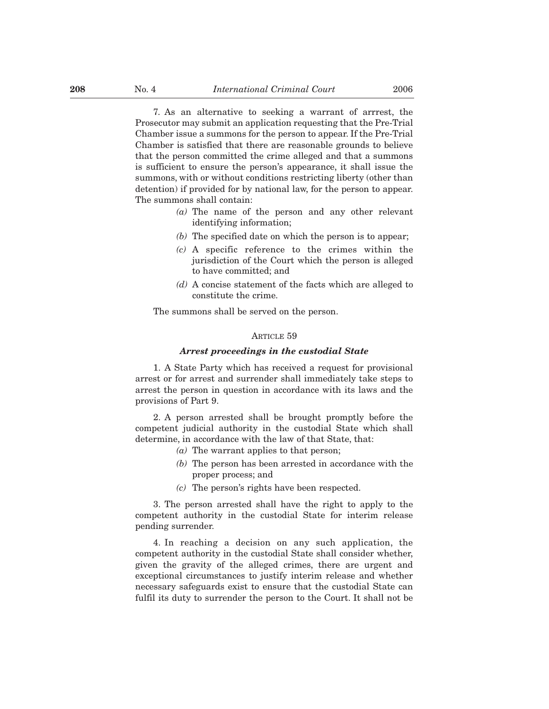7. As an alternative to seeking a warrant of arrrest, the Prosecutor may submit an application requesting that the Pre-Trial Chamber issue a summons for the person to appear. If the Pre-Trial Chamber is satisfied that there are reasonable grounds to believe that the person committed the crime alleged and that a summons is sufficient to ensure the person's appearance, it shall issue the summons, with or without conditions restricting liberty (other than detention) if provided for by national law, for the person to appear. The summons shall contain:

- *(a)* The name of the person and any other relevant identifying information;
- *(b)* The specified date on which the person is to appear;
- *(c)* A specific reference to the crimes within the jurisdiction of the Court which the person is alleged to have committed; and
- *(d)* A concise statement of the facts which are alleged to constitute the crime.

The summons shall be served on the person.

## ARTICLE 59

### *Arrest proceedings in the custodial State*

1. A State Party which has received a request for provisional arrest or for arrest and surrender shall immediately take steps to arrest the person in question in accordance with its laws and the provisions of Part 9.

2. A person arrested shall be brought promptly before the competent judicial authority in the custodial State which shall determine, in accordance with the law of that State, that:

- *(a)* The warrant applies to that person;
- *(b)* The person has been arrested in accordance with the proper process; and
- *(c)* The person's rights have been respected.

3. The person arrested shall have the right to apply to the competent authority in the custodial State for interim release pending surrender.

4. In reaching a decision on any such application, the competent authority in the custodial State shall consider whether, given the gravity of the alleged crimes, there are urgent and exceptional circumstances to justify interim release and whether necessary safeguards exist to ensure that the custodial State can fulfil its duty to surrender the person to the Court. It shall not be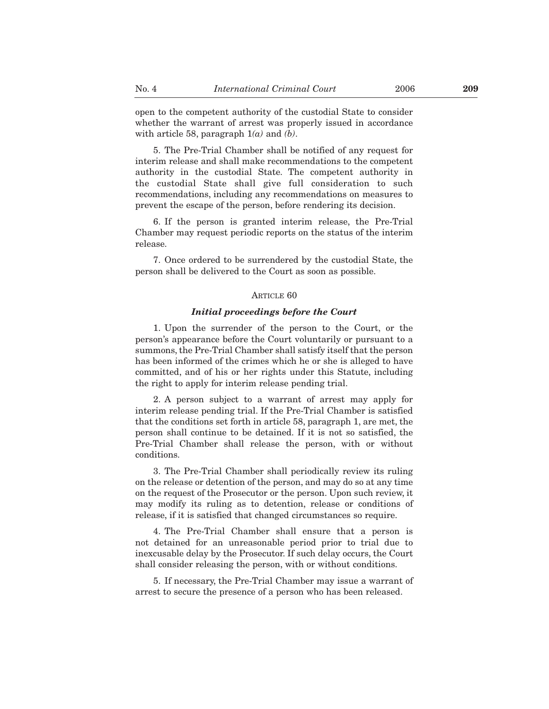open to the competent authority of the custodial State to consider whether the warrant of arrest was properly issued in accordance with article 58, paragraph 1*(a)* and *(b)*.

5. The Pre-Trial Chamber shall be notified of any request for interim release and shall make recommendations to the competent authority in the custodial State. The competent authority in the custodial State shall give full consideration to such recommendations, including any recommendations on measures to prevent the escape of the person, before rendering its decision.

6. If the person is granted interim release, the Pre-Trial Chamber may request periodic reports on the status of the interim release.

7. Once ordered to be surrendered by the custodial State, the person shall be delivered to the Court as soon as possible.

## ARTICLE 60

## *Initial proceedings before the Court*

1. Upon the surrender of the person to the Court, or the person's appearance before the Court voluntarily or pursuant to a summons, the Pre-Trial Chamber shall satisfy itself that the person has been informed of the crimes which he or she is alleged to have committed, and of his or her rights under this Statute, including the right to apply for interim release pending trial.

2. A person subject to a warrant of arrest may apply for interim release pending trial. If the Pre-Trial Chamber is satisfied that the conditions set forth in article 58, paragraph 1, are met, the person shall continue to be detained. If it is not so satisfied, the Pre-Trial Chamber shall release the person, with or without conditions.

3. The Pre-Trial Chamber shall periodically review its ruling on the release or detention of the person, and may do so at any time on the request of the Prosecutor or the person. Upon such review, it may modify its ruling as to detention, release or conditions of release, if it is satisfied that changed circumstances so require.

4. The Pre-Trial Chamber shall ensure that a person is not detained for an unreasonable period prior to trial due to inexcusable delay by the Prosecutor. If such delay occurs, the Court shall consider releasing the person, with or without conditions.

5. If necessary, the Pre-Trial Chamber may issue a warrant of arrest to secure the presence of a person who has been released.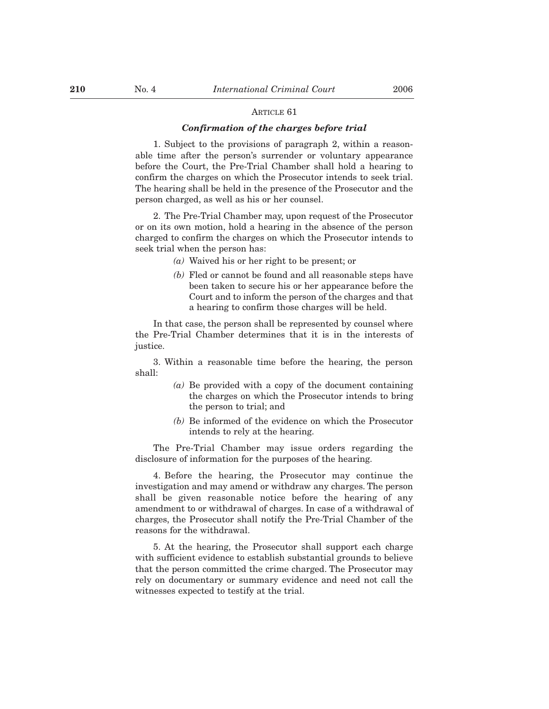### ARTICLE 61

# *Confirmation of the charges before trial*

1. Subject to the provisions of paragraph 2, within a reasonable time after the person's surrender or voluntary appearance before the Court, the Pre-Trial Chamber shall hold a hearing to confirm the charges on which the Prosecutor intends to seek trial. The hearing shall be held in the presence of the Prosecutor and the person charged, as well as his or her counsel.

2. The Pre-Trial Chamber may, upon request of the Prosecutor or on its own motion, hold a hearing in the absence of the person charged to confirm the charges on which the Prosecutor intends to seek trial when the person has:

- *(a)* Waived his or her right to be present; or
- *(b)* Fled or cannot be found and all reasonable steps have been taken to secure his or her appearance before the Court and to inform the person of the charges and that a hearing to confirm those charges will be held.

In that case, the person shall be represented by counsel where the Pre-Trial Chamber determines that it is in the interests of justice.

3. Within a reasonable time before the hearing, the person shall:

- *(a)* Be provided with a copy of the document containing the charges on which the Prosecutor intends to bring the person to trial; and
- *(b)* Be informed of the evidence on which the Prosecutor intends to rely at the hearing.

The Pre-Trial Chamber may issue orders regarding the disclosure of information for the purposes of the hearing.

4. Before the hearing, the Prosecutor may continue the investigation and may amend or withdraw any charges. The person shall be given reasonable notice before the hearing of any amendment to or withdrawal of charges. In case of a withdrawal of charges, the Prosecutor shall notify the Pre-Trial Chamber of the reasons for the withdrawal.

5. At the hearing, the Prosecutor shall support each charge with sufficient evidence to establish substantial grounds to believe that the person committed the crime charged. The Prosecutor may rely on documentary or summary evidence and need not call the witnesses expected to testify at the trial.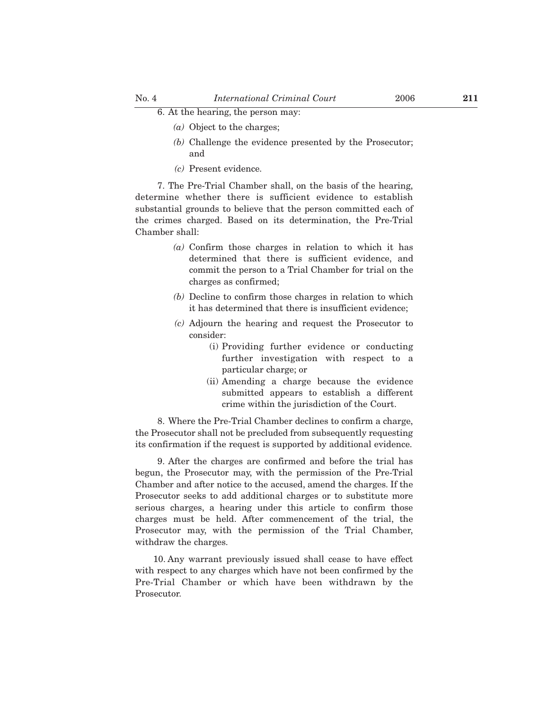- *(a)* Object to the charges;
- *(b)* Challenge the evidence presented by the Prosecutor; and
- *(c)* Present evidence.

7. The Pre-Trial Chamber shall, on the basis of the hearing, determine whether there is sufficient evidence to establish substantial grounds to believe that the person committed each of the crimes charged. Based on its determination, the Pre-Trial Chamber shall:

- *(a)* Confirm those charges in relation to which it has determined that there is sufficient evidence, and commit the person to a Trial Chamber for trial on the charges as confirmed;
- *(b)* Decline to confirm those charges in relation to which it has determined that there is insufficient evidence;
- *(c)* Adjourn the hearing and request the Prosecutor to consider:
	- (i) Providing further evidence or conducting further investigation with respect to a particular charge; or
	- (ii) Amending a charge because the evidence submitted appears to establish a different crime within the jurisdiction of the Court.

8. Where the Pre-Trial Chamber declines to confirm a charge, the Prosecutor shall not be precluded from subsequently requesting its confirmation if the request is supported by additional evidence.

9. After the charges are confirmed and before the trial has begun, the Prosecutor may, with the permission of the Pre-Trial Chamber and after notice to the accused, amend the charges. If the Prosecutor seeks to add additional charges or to substitute more serious charges, a hearing under this article to confirm those charges must be held. After commencement of the trial, the Prosecutor may, with the permission of the Trial Chamber, withdraw the charges.

10. Any warrant previously issued shall cease to have effect with respect to any charges which have not been confirmed by the Pre-Trial Chamber or which have been withdrawn by the Prosecutor.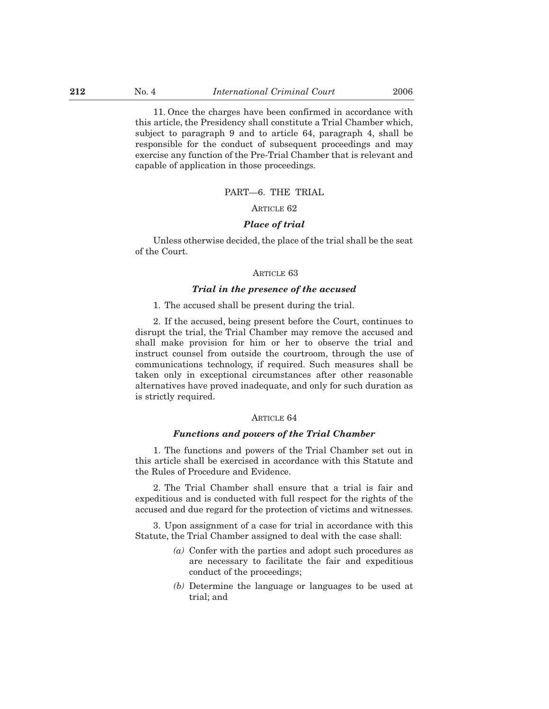11. Once the charges have been confirmed in accordance with this article, the Presidency shall constitute a Trial Chamber which, subject to paragraph 9 and to article 64, paragraph 4, shall be responsible for the conduct of subsequent proceedings and may exercise any function of the Pre-Trial Chamber that is relevant and capable of application in those proceedings.

# PART—6. THE TRIAL

# ARTICLE 62

## *Place of trial*

Unless otherwise decided, the place of the trial shall be the seat of the Court.

# ARTICLE 63

### *Trial in the presence of the accused*

1. The accused shall be present during the trial.

2. If the accused, being present before the Court, continues to disrupt the trial, the Trial Chamber may remove the accused and shall make provision for him or her to observe the trial and instruct counsel from outside the courtroom, through the use of communications technology, if required. Such measures shall be taken only in exceptional circumstances after other reasonable alternatives have proved inadequate, and only for such duration as is strictly required.

# ARTICLE 64

### *Functions and powers of the Trial Chamber*

1. The functions and powers of the Trial Chamber set out in this article shall be exercised in accordance with this Statute and the Rules of Procedure and Evidence.

2. The Trial Chamber shall ensure that a trial is fair and expeditious and is conducted with full respect for the rights of the accused and due regard for the protection of victims and witnesses.

3. Upon assignment of a case for trial in accordance with this Statute, the Trial Chamber assigned to deal with the case shall:

- *(a)* Confer with the parties and adopt such procedures as are necessary to facilitate the fair and expeditious conduct of the proceedings;
- *(b)* Determine the language or languages to be used at trial; and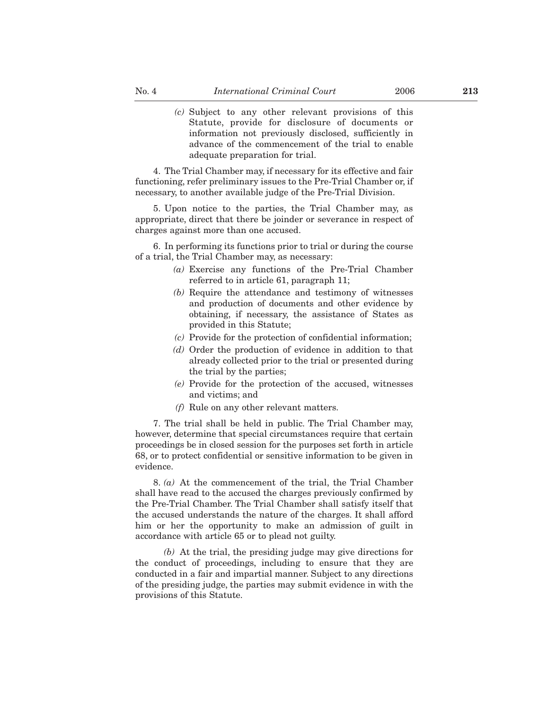*(c)* Subject to any other relevant provisions of this Statute, provide for disclosure of documents or information not previously disclosed, sufficiently in advance of the commencement of the trial to enable adequate preparation for trial.

4. The Trial Chamber may, if necessary for its effective and fair functioning, refer preliminary issues to the Pre-Trial Chamber or, if necessary, to another available judge of the Pre-Trial Division.

5. Upon notice to the parties, the Trial Chamber may, as appropriate, direct that there be joinder or severance in respect of charges against more than one accused.

6. In performing its functions prior to trial or during the course of a trial, the Trial Chamber may, as necessary:

- *(a)* Exercise any functions of the Pre-Trial Chamber referred to in article 61, paragraph 11;
- *(b)* Require the attendance and testimony of witnesses and production of documents and other evidence by obtaining, if necessary, the assistance of States as provided in this Statute;
- *(c)* Provide for the protection of confidential information;
- *(d)* Order the production of evidence in addition to that already collected prior to the trial or presented during the trial by the parties;
- *(e)* Provide for the protection of the accused, witnesses and victims; and
- *(f)* Rule on any other relevant matters.

7. The trial shall be held in public. The Trial Chamber may, however, determine that special circumstances require that certain proceedings be in closed session for the purposes set forth in article 68, or to protect confidential or sensitive information to be given in evidence.

8. *(a)* At the commencement of the trial, the Trial Chamber shall have read to the accused the charges previously confirmed by the Pre-Trial Chamber. The Trial Chamber shall satisfy itself that the accused understands the nature of the charges. It shall afford him or her the opportunity to make an admission of guilt in accordance with article 65 or to plead not guilty.

*(b)* At the trial, the presiding judge may give directions for the conduct of proceedings, including to ensure that they are conducted in a fair and impartial manner. Subject to any directions of the presiding judge, the parties may submit evidence in with the provisions of this Statute.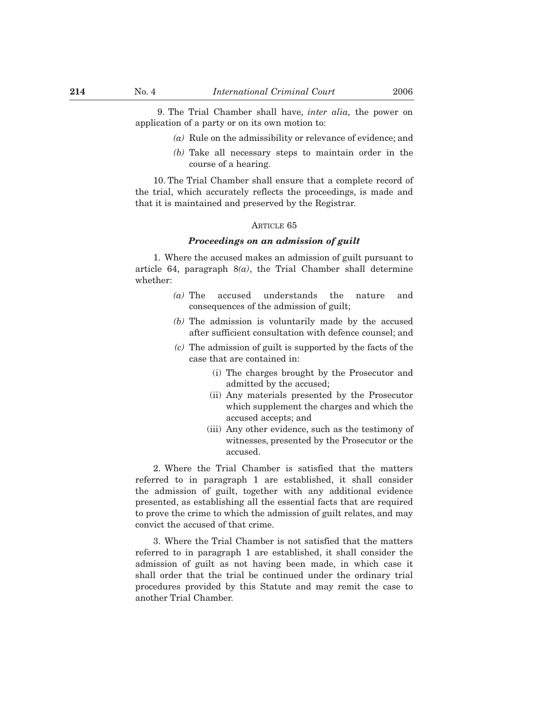9. The Trial Chamber shall have, *inter alia,* the power on application of a party or on its own motion to:

- *(a)* Rule on the admissibility or relevance of evidence; and
- *(b)* Take all necessary steps to maintain order in the course of a hearing.

10. The Trial Chamber shall ensure that a complete record of the trial, which accurately reflects the proceedings, is made and that it is maintained and preserved by the Registrar.

#### ARTICLE 65

## *Proceedings on an admission of guilt*

1. Where the accused makes an admission of guilt pursuant to article 64, paragraph 8*(a)*, the Trial Chamber shall determine whether:

- *(a)* The accused understands the nature and consequences of the admission of guilt;
- *(b)* The admission is voluntarily made by the accused after sufficient consultation with defence counsel; and
- *(c)* The admission of guilt is supported by the facts of the case that are contained in:
	- (i) The charges brought by the Prosecutor and admitted by the accused;
	- (ii) Any materials presented by the Prosecutor which supplement the charges and which the accused accepts; and
	- (iii) Any other evidence, such as the testimony of witnesses, presented by the Prosecutor or the accused.

2. Where the Trial Chamber is satisfied that the matters referred to in paragraph 1 are established, it shall consider the admission of guilt, together with any additional evidence presented, as establishing all the essential facts that are required to prove the crime to which the admission of guilt relates, and may convict the accused of that crime.

3. Where the Trial Chamber is not satisfied that the matters referred to in paragraph 1 are established, it shall consider the admission of guilt as not having been made, in which case it shall order that the trial be continued under the ordinary trial procedures provided by this Statute and may remit the case to another Trial Chamber.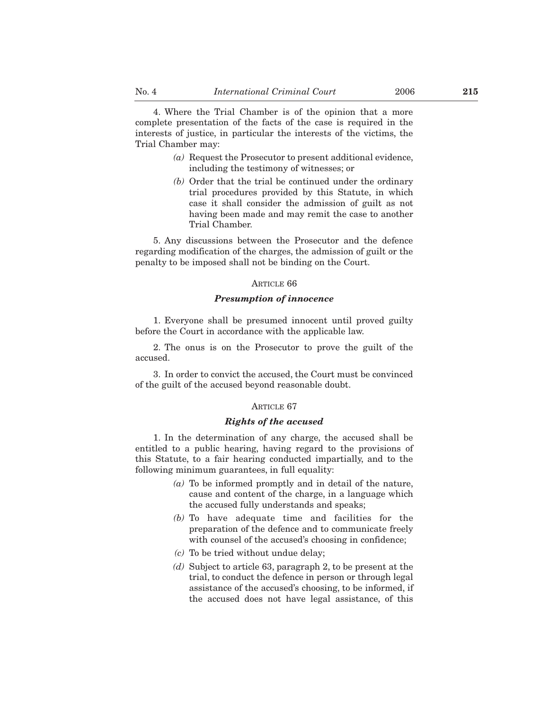4. Where the Trial Chamber is of the opinion that a more complete presentation of the facts of the case is required in the interests of justice, in particular the interests of the victims, the Trial Chamber may:

- *(a)* Request the Prosecutor to present additional evidence, including the testimony of witnesses; or
- *(b)* Order that the trial be continued under the ordinary trial procedures provided by this Statute, in which case it shall consider the admission of guilt as not having been made and may remit the case to another Trial Chamber.

5. Any discussions between the Prosecutor and the defence regarding modification of the charges, the admission of guilt or the penalty to be imposed shall not be binding on the Court.

### ARTICLE 66

### *Presumption of innocence*

1. Everyone shall be presumed innocent until proved guilty before the Court in accordance with the applicable law.

2. The onus is on the Prosecutor to prove the guilt of the accused.

3. In order to convict the accused, the Court must be convinced of the guilt of the accused beyond reasonable doubt.

## ARTICLE 67

## *Rights of the accused*

1. In the determination of any charge, the accused shall be entitled to a public hearing, having regard to the provisions of this Statute, to a fair hearing conducted impartially, and to the following minimum guarantees, in full equality:

- *(a)* To be informed promptly and in detail of the nature, cause and content of the charge, in a language which the accused fully understands and speaks;
- *(b)* To have adequate time and facilities for the preparation of the defence and to communicate freely with counsel of the accused's choosing in confidence;
- *(c)* To be tried without undue delay;
- *(d)* Subject to article 63, paragraph 2, to be present at the trial, to conduct the defence in person or through legal assistance of the accused's choosing, to be informed, if the accused does not have legal assistance, of this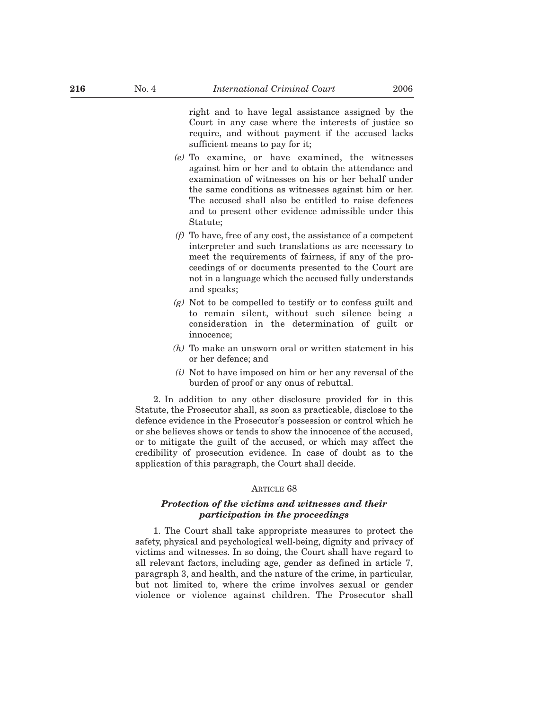right and to have legal assistance assigned by the Court in any case where the interests of justice so require, and without payment if the accused lacks sufficient means to pay for it;

- *(e)* To examine, or have examined, the witnesses against him or her and to obtain the attendance and examination of witnesses on his or her behalf under the same conditions as witnesses against him or her. The accused shall also be entitled to raise defences and to present other evidence admissible under this Statute;
- *(f)* To have, free of any cost, the assistance of a competent interpreter and such translations as are necessary to meet the requirements of fairness, if any of the proceedings of or documents presented to the Court are not in a language which the accused fully understands and speaks;
- *(g)* Not to be compelled to testify or to confess guilt and to remain silent, without such silence being a consideration in the determination of guilt or innocence;
- *(h)* To make an unsworn oral or written statement in his or her defence; and
- *(i)* Not to have imposed on him or her any reversal of the burden of proof or any onus of rebuttal.

2. In addition to any other disclosure provided for in this Statute, the Prosecutor shall, as soon as practicable, disclose to the defence evidence in the Prosecutor's possession or control which he or she believes shows or tends to show the innocence of the accused, or to mitigate the guilt of the accused, or which may affect the credibility of prosecution evidence. In case of doubt as to the application of this paragraph, the Court shall decide.

## ARTICLE 68

# *Protection of the victims and witnesses and their participation in the proceedings*

1. The Court shall take appropriate measures to protect the safety, physical and psychological well-being, dignity and privacy of victims and witnesses. In so doing, the Court shall have regard to all relevant factors, including age, gender as defined in article 7, paragraph 3, and health, and the nature of the crime, in particular, but not limited to, where the crime involves sexual or gender violence or violence against children. The Prosecutor shall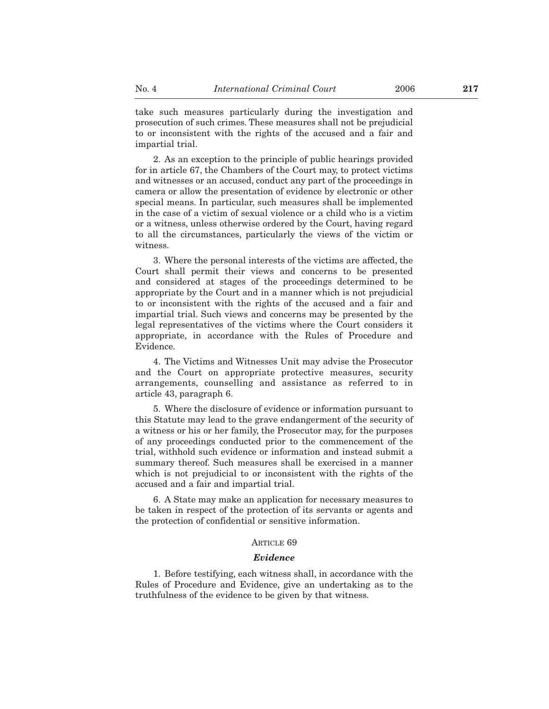take such measures particularly during the investigation and prosecution of such crimes. These measures shall not be prejudicial to or inconsistent with the rights of the accused and a fair and impartial trial.

2. As an exception to the principle of public hearings provided for in article 67, the Chambers of the Court may, to protect victims and witnesses or an accused, conduct any part of the proceedings in camera or allow the presentation of evidence by electronic or other special means. In particular, such measures shall be implemented in the case of a victim of sexual violence or a child who is a victim or a witness, unless otherwise ordered by the Court, having regard to all the circumstances, particularly the views of the victim or witness.

3. Where the personal interests of the victims are affected, the Court shall permit their views and concerns to be presented and considered at stages of the proceedings determined to be appropriate by the Court and in a manner which is not prejudicial to or inconsistent with the rights of the accused and a fair and impartial trial. Such views and concerns may be presented by the legal representatives of the victims where the Court considers it appropriate, in accordance with the Rules of Procedure and Evidence.

4. The Victims and Witnesses Unit may advise the Prosecutor and the Court on appropriate protective measures, security arrangements, counselling and assistance as referred to in article 43, paragraph 6.

5. Where the disclosure of evidence or information pursuant to this Statute may lead to the grave endangerment of the security of a witness or his or her family, the Prosecutor may, for the purposes of any proceedings conducted prior to the commencement of the trial, withhold such evidence or information and instead submit a summary thereof. Such measures shall be exercised in a manner which is not prejudicial to or inconsistent with the rights of the accused and a fair and impartial trial.

6. A State may make an application for necessary measures to be taken in respect of the protection of its servants or agents and the protection of confidential or sensitive information.

### ARTICLE 69

### *Evidence*

1. Before testifying, each witness shall, in accordance with the Rules of Procedure and Evidence, give an undertaking as to the truthfulness of the evidence to be given by that witness.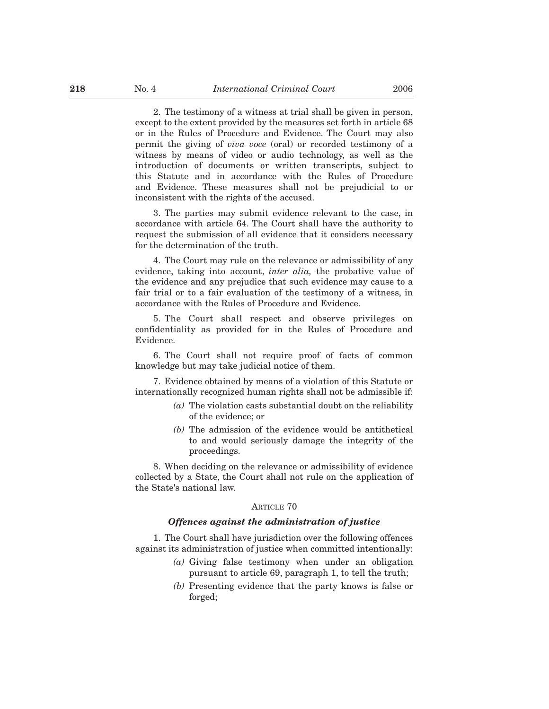2. The testimony of a witness at trial shall be given in person, except to the extent provided by the measures set forth in article 68 or in the Rules of Procedure and Evidence. The Court may also permit the giving of *viva voce* (oral) or recorded testimony of a witness by means of video or audio technology, as well as the introduction of documents or written transcripts, subject to this Statute and in accordance with the Rules of Procedure and Evidence. These measures shall not be prejudicial to or inconsistent with the rights of the accused.

3. The parties may submit evidence relevant to the case, in accordance with article 64. The Court shall have the authority to request the submission of all evidence that it considers necessary for the determination of the truth.

4. The Court may rule on the relevance or admissibility of any evidence, taking into account, *inter alia,* the probative value of the evidence and any prejudice that such evidence may cause to a fair trial or to a fair evaluation of the testimony of a witness, in accordance with the Rules of Procedure and Evidence.

5. The Court shall respect and observe privileges on confidentiality as provided for in the Rules of Procedure and Evidence.

6. The Court shall not require proof of facts of common knowledge but may take judicial notice of them.

7. Evidence obtained by means of a violation of this Statute or internationally recognized human rights shall not be admissible if:

- *(a)* The violation casts substantial doubt on the reliability of the evidence; or
- *(b)* The admission of the evidence would be antithetical to and would seriously damage the integrity of the proceedings.

8. When deciding on the relevance or admissibility of evidence collected by a State, the Court shall not rule on the application of the State's national law.

# ARTICLE 70

## *Offences against the administration of justice*

1. The Court shall have jurisdiction over the following offences against its administration of justice when committed intentionally:

- *(a)* Giving false testimony when under an obligation pursuant to article 69, paragraph 1, to tell the truth;
- *(b)* Presenting evidence that the party knows is false or forged;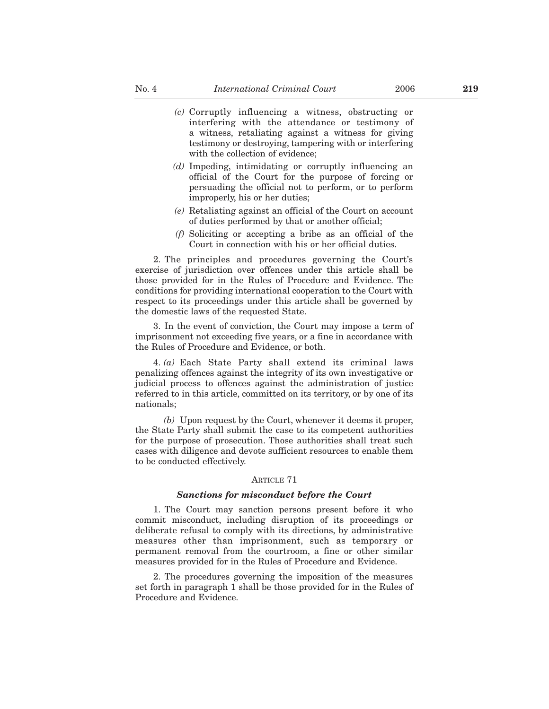- *(c)* Corruptly influencing a witness, obstructing or interfering with the attendance or testimony of a witness, retaliating against a witness for giving testimony or destroying, tampering with or interfering with the collection of evidence;
- *(d)* Impeding, intimidating or corruptly influencing an official of the Court for the purpose of forcing or persuading the official not to perform, or to perform improperly, his or her duties;
- *(e)* Retaliating against an official of the Court on account of duties performed by that or another official;
- *(f)* Soliciting or accepting a bribe as an official of the Court in connection with his or her official duties.

2. The principles and procedures governing the Court's exercise of jurisdiction over offences under this article shall be those provided for in the Rules of Procedure and Evidence. The conditions for providing international cooperation to the Court with respect to its proceedings under this article shall be governed by the domestic laws of the requested State.

3. In the event of conviction, the Court may impose a term of imprisonment not exceeding five years, or a fine in accordance with the Rules of Procedure and Evidence, or both.

4. *(a)* Each State Party shall extend its criminal laws penalizing offences against the integrity of its own investigative or judicial process to offences against the administration of justice referred to in this article, committed on its territory, or by one of its nationals;

*(b)* Upon request by the Court, whenever it deems it proper, the State Party shall submit the case to its competent authorities for the purpose of prosecution. Those authorities shall treat such cases with diligence and devote sufficient resources to enable them to be conducted effectively.

## ARTICLE 71

#### *Sanctions for misconduct before the Court*

1. The Court may sanction persons present before it who commit misconduct, including disruption of its proceedings or deliberate refusal to comply with its directions, by administrative measures other than imprisonment, such as temporary or permanent removal from the courtroom, a fine or other similar measures provided for in the Rules of Procedure and Evidence.

2. The procedures governing the imposition of the measures set forth in paragraph 1 shall be those provided for in the Rules of Procedure and Evidence.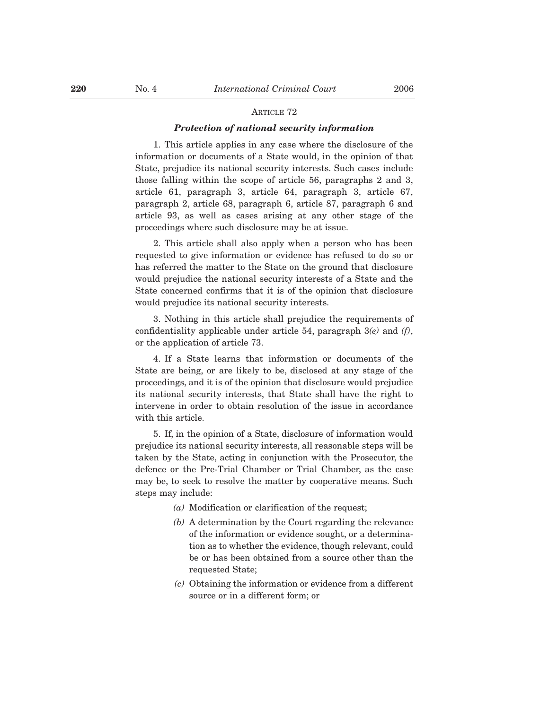# ARTICLE 72

# *Protection of national security information*

1. This article applies in any case where the disclosure of the information or documents of a State would, in the opinion of that State, prejudice its national security interests. Such cases include those falling within the scope of article 56, paragraphs 2 and 3, article 61, paragraph 3, article 64, paragraph 3, article 67, paragraph 2, article 68, paragraph 6, article 87, paragraph 6 and article 93, as well as cases arising at any other stage of the proceedings where such disclosure may be at issue.

2. This article shall also apply when a person who has been requested to give information or evidence has refused to do so or has referred the matter to the State on the ground that disclosure would prejudice the national security interests of a State and the State concerned confirms that it is of the opinion that disclosure would prejudice its national security interests.

3. Nothing in this article shall prejudice the requirements of confidentiality applicable under article 54, paragraph 3*(e)* and *(f)*, or the application of article 73.

4. If a State learns that information or documents of the State are being, or are likely to be, disclosed at any stage of the proceedings, and it is of the opinion that disclosure would prejudice its national security interests, that State shall have the right to intervene in order to obtain resolution of the issue in accordance with this article.

5. If, in the opinion of a State, disclosure of information would prejudice its national security interests, all reasonable steps will be taken by the State, acting in conjunction with the Prosecutor, the defence or the Pre-Trial Chamber or Trial Chamber, as the case may be, to seek to resolve the matter by cooperative means. Such steps may include:

- *(a)* Modification or clarification of the request;
- *(b)* A determination by the Court regarding the relevance of the information or evidence sought, or a determination as to whether the evidence, though relevant, could be or has been obtained from a source other than the requested State;
- *(c)* Obtaining the information or evidence from a different source or in a different form; or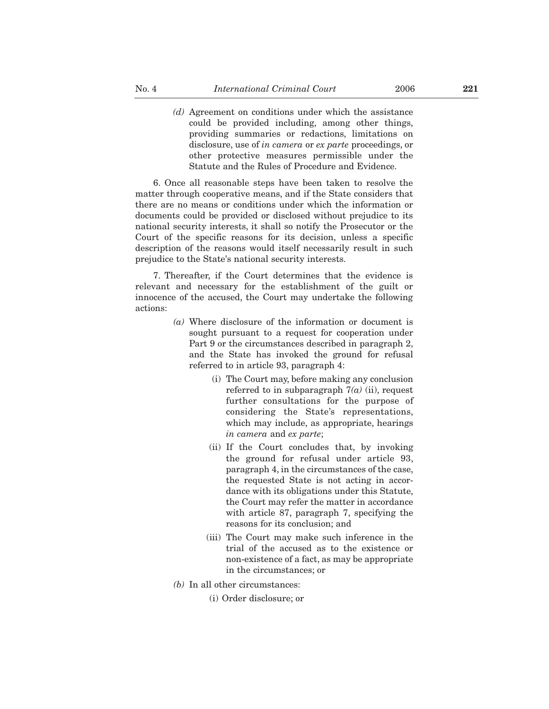*(d)* Agreement on conditions under which the assistance could be provided including, among other things, providing summaries or redactions, limitations on disclosure, use of *in camera* or *ex parte* proceedings, or other protective measures permissible under the Statute and the Rules of Procedure and Evidence.

6. Once all reasonable steps have been taken to resolve the matter through cooperative means, and if the State considers that there are no means or conditions under which the information or documents could be provided or disclosed without prejudice to its national security interests, it shall so notify the Prosecutor or the Court of the specific reasons for its decision, unless a specific description of the reasons would itself necessarily result in such prejudice to the State's national security interests.

7. Thereafter, if the Court determines that the evidence is relevant and necessary for the establishment of the guilt or innocence of the accused, the Court may undertake the following actions:

- *(a)* Where disclosure of the information or document is sought pursuant to a request for cooperation under Part 9 or the circumstances described in paragraph 2, and the State has invoked the ground for refusal referred to in article 93, paragraph 4:
	- (i) The Court may, before making any conclusion referred to in subparagraph  $7(a)$  (ii), request further consultations for the purpose of considering the State's representations, which may include, as appropriate, hearings *in camera* and *ex parte*;
	- (ii) If the Court concludes that, by invoking the ground for refusal under article 93, paragraph 4, in the circumstances of the case, the requested State is not acting in accordance with its obligations under this Statute, the Court may refer the matter in accordance with article 87, paragraph 7, specifying the reasons for its conclusion; and
	- (iii) The Court may make such inference in the trial of the accused as to the existence or non-existence of a fact, as may be appropriate in the circumstances; or
- *(b)* In all other circumstances:
	- (i) Order disclosure; or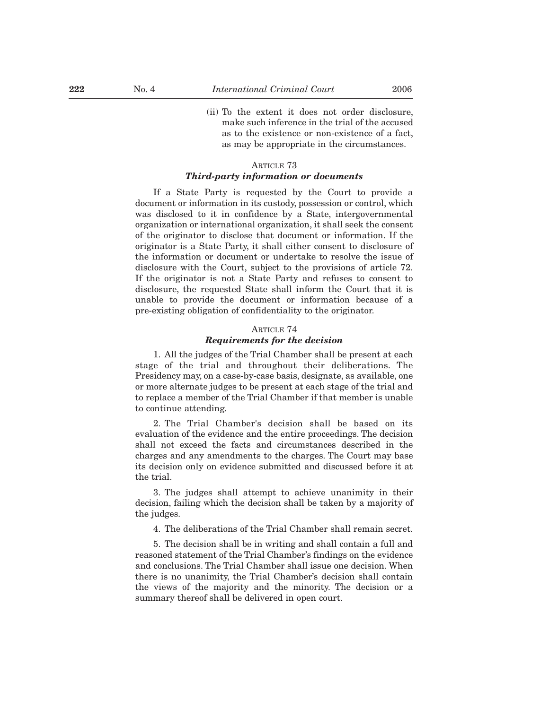(ii) To the extent it does not order disclosure, make such inference in the trial of the accused as to the existence or non-existence of a fact, as may be appropriate in the circumstances.

# ARTICLE 73

# *Third-party information or documents*

If a State Party is requested by the Court to provide a document or information in its custody, possession or control, which was disclosed to it in confidence by a State, intergovernmental organization or international organization, it shall seek the consent of the originator to disclose that document or information. If the originator is a State Party, it shall either consent to disclosure of the information or document or undertake to resolve the issue of disclosure with the Court, subject to the provisions of article 72. If the originator is not a State Party and refuses to consent to disclosure, the requested State shall inform the Court that it is unable to provide the document or information because of a pre-existing obligation of confidentiality to the originator.

# ARTICLE 74

# *Requirements for the decision*

1. All the judges of the Trial Chamber shall be present at each stage of the trial and throughout their deliberations. The Presidency may, on a case-by-case basis, designate, as available, one or more alternate judges to be present at each stage of the trial and to replace a member of the Trial Chamber if that member is unable to continue attending.

2. The Trial Chamber's decision shall be based on its evaluation of the evidence and the entire proceedings. The decision shall not exceed the facts and circumstances described in the charges and any amendments to the charges. The Court may base its decision only on evidence submitted and discussed before it at the trial.

3. The judges shall attempt to achieve unanimity in their decision, failing which the decision shall be taken by a majority of the judges.

4. The deliberations of the Trial Chamber shall remain secret.

5. The decision shall be in writing and shall contain a full and reasoned statement of the Trial Chamber's findings on the evidence and conclusions. The Trial Chamber shall issue one decision. When there is no unanimity, the Trial Chamber's decision shall contain the views of the majority and the minority. The decision or a summary thereof shall be delivered in open court.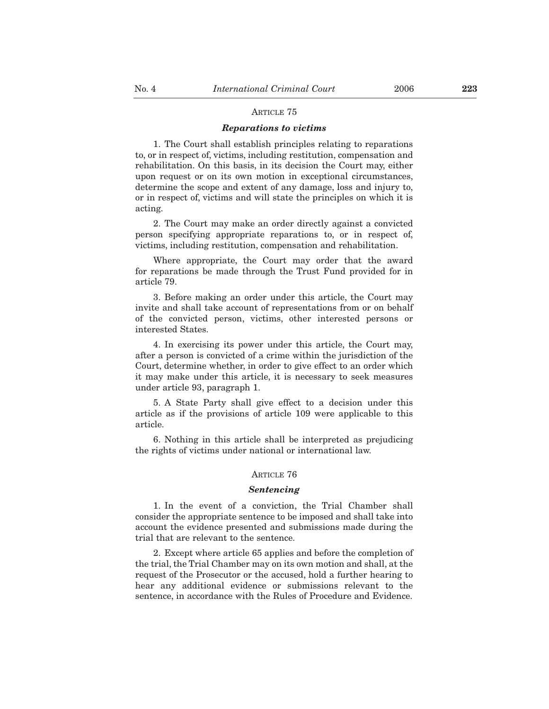### ARTICLE 75

## *Reparations to victims*

1. The Court shall establish principles relating to reparations to, or in respect of, victims, including restitution, compensation and rehabilitation. On this basis, in its decision the Court may, either upon request or on its own motion in exceptional circumstances, determine the scope and extent of any damage, loss and injury to, or in respect of, victims and will state the principles on which it is acting.

2. The Court may make an order directly against a convicted person specifying appropriate reparations to, or in respect of, victims, including restitution, compensation and rehabilitation.

Where appropriate, the Court may order that the award for reparations be made through the Trust Fund provided for in article 79.

3. Before making an order under this article, the Court may invite and shall take account of representations from or on behalf of the convicted person, victims, other interested persons or interested States.

4. In exercising its power under this article, the Court may, after a person is convicted of a crime within the jurisdiction of the Court, determine whether, in order to give effect to an order which it may make under this article, it is necessary to seek measures under article 93, paragraph 1.

5. A State Party shall give effect to a decision under this article as if the provisions of article 109 were applicable to this article.

6. Nothing in this article shall be interpreted as prejudicing the rights of victims under national or international law.

#### ARTICLE 76

### *Sentencing*

1. In the event of a conviction, the Trial Chamber shall consider the appropriate sentence to be imposed and shall take into account the evidence presented and submissions made during the trial that are relevant to the sentence.

2. Except where article 65 applies and before the completion of the trial, the Trial Chamber may on its own motion and shall, at the request of the Prosecutor or the accused, hold a further hearing to hear any additional evidence or submissions relevant to the sentence, in accordance with the Rules of Procedure and Evidence.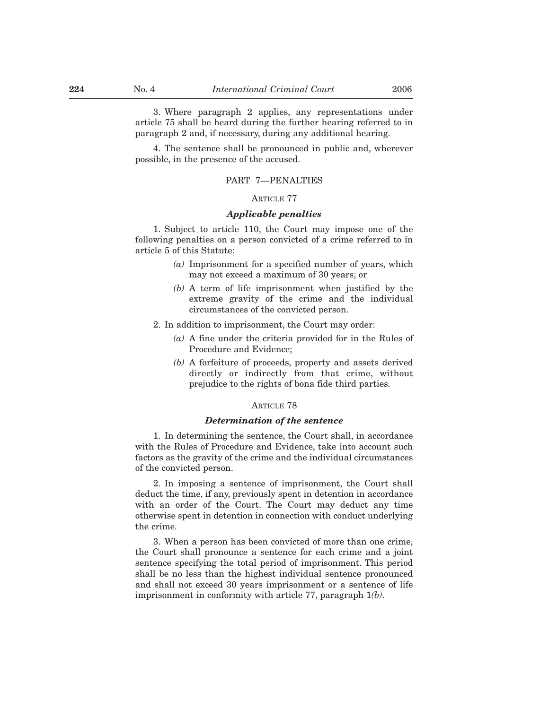3. Where paragraph 2 applies, any representations under article 75 shall be heard during the further hearing referred to in paragraph 2 and, if necessary, during any additional hearing.

4. The sentence shall be pronounced in public and, wherever possible, in the presence of the accused.

# PART 7—PENALTIES

# ARTICLE 77

# *Applicable penalties*

1. Subject to article 110, the Court may impose one of the following penalties on a person convicted of a crime referred to in article 5 of this Statute:

- *(a)* Imprisonment for a specified number of years, which may not exceed a maximum of 30 years; or
- *(b)* A term of life imprisonment when justified by the extreme gravity of the crime and the individual circumstances of the convicted person.

2. In addition to imprisonment, the Court may order:

- *(a)* A fine under the criteria provided for in the Rules of Procedure and Evidence;
- *(b)* A forfeiture of proceeds, property and assets derived directly or indirectly from that crime, without prejudice to the rights of bona fide third parties.

# ARTICLE 78

### *Determination of the sentence*

1. In determining the sentence, the Court shall, in accordance with the Rules of Procedure and Evidence, take into account such factors as the gravity of the crime and the individual circumstances of the convicted person.

2. In imposing a sentence of imprisonment, the Court shall deduct the time, if any, previously spent in detention in accordance with an order of the Court. The Court may deduct any time otherwise spent in detention in connection with conduct underlying the crime.

3. When a person has been convicted of more than one crime, the Court shall pronounce a sentence for each crime and a joint sentence specifying the total period of imprisonment. This period shall be no less than the highest individual sentence pronounced and shall not exceed 30 years imprisonment or a sentence of life imprisonment in conformity with article 77, paragraph 1*(b)*.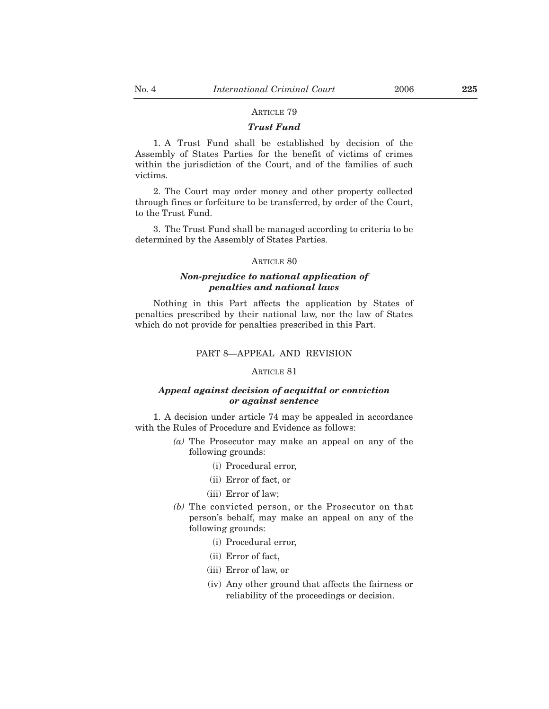### ARTICLE 79

### *Trust Fund*

1. A Trust Fund shall be established by decision of the Assembly of States Parties for the benefit of victims of crimes within the jurisdiction of the Court, and of the families of such victims.

2. The Court may order money and other property collected through fines or forfeiture to be transferred, by order of the Court, to the Trust Fund.

3. The Trust Fund shall be managed according to criteria to be determined by the Assembly of States Parties.

#### ARTICLE 80

# *Non-prejudice to national application of penalties and national laws*

Nothing in this Part affects the application by States of penalties prescribed by their national law, nor the law of States which do not provide for penalties prescribed in this Part.

### PART 8—APPEAL AND REVISION

### ARTICLE 81

# *Appeal against decision of acquittal or conviction or against sentence*

1. A decision under article 74 may be appealed in accordance with the Rules of Procedure and Evidence as follows:

- *(a)* The Prosecutor may make an appeal on any of the following grounds:
	- (i) Procedural error,
	- (ii) Error of fact, or
	- (iii) Error of law;
- *(b)* The convicted person, or the Prosecutor on that person's behalf, may make an appeal on any of the following grounds:
	- (i) Procedural error,
	- (ii) Error of fact,
	- (iii) Error of law, or
	- (iv) Any other ground that affects the fairness or reliability of the proceedings or decision.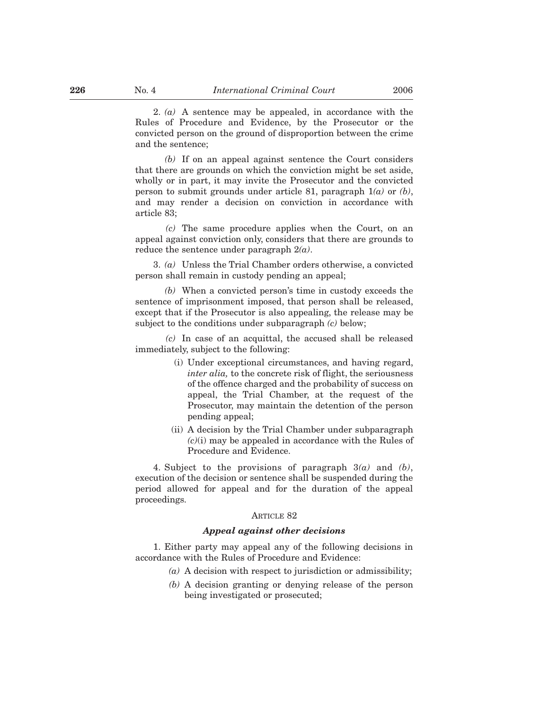2. *(a)* A sentence may be appealed, in accordance with the Rules of Procedure and Evidence, by the Prosecutor or the convicted person on the ground of disproportion between the crime and the sentence;

*(b)* If on an appeal against sentence the Court considers that there are grounds on which the conviction might be set aside, wholly or in part, it may invite the Prosecutor and the convicted person to submit grounds under article 81, paragraph 1*(a)* or *(b)*, and may render a decision on conviction in accordance with article 83;

*(c)* The same procedure applies when the Court, on an appeal against conviction only, considers that there are grounds to reduce the sentence under paragraph 2*(a)*.

3. *(a)* Unless the Trial Chamber orders otherwise, a convicted person shall remain in custody pending an appeal;

*(b)* When a convicted person's time in custody exceeds the sentence of imprisonment imposed, that person shall be released, except that if the Prosecutor is also appealing, the release may be subject to the conditions under subparagraph *(c)* below;

*(c)* In case of an acquittal, the accused shall be released immediately, subject to the following:

- (i) Under exceptional circumstances, and having regard, *inter alia,* to the concrete risk of flight, the seriousness of the offence charged and the probability of success on appeal, the Trial Chamber, at the request of the Prosecutor, may maintain the detention of the person pending appeal;
- (ii) A decision by the Trial Chamber under subparagraph *(c)*(i) may be appealed in accordance with the Rules of Procedure and Evidence.

4. Subject to the provisions of paragraph 3*(a)* and *(b)*, execution of the decision or sentence shall be suspended during the period allowed for appeal and for the duration of the appeal proceedings.

#### ARTICLE 82

### *Appeal against other decisions*

1. Either party may appeal any of the following decisions in accordance with the Rules of Procedure and Evidence:

- *(a)* A decision with respect to jurisdiction or admissibility;
- *(b)* A decision granting or denying release of the person being investigated or prosecuted;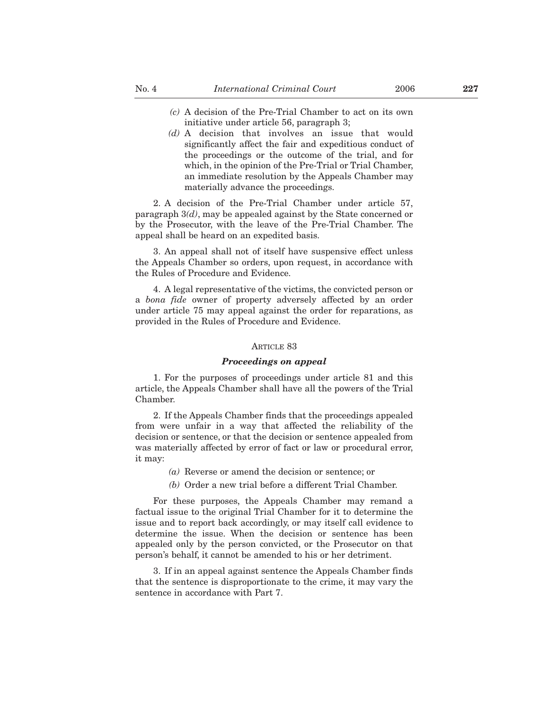- *(c)* A decision of the Pre-Trial Chamber to act on its own initiative under article 56, paragraph 3;
- *(d)* A decision that involves an issue that would significantly affect the fair and expeditious conduct of the proceedings or the outcome of the trial, and for which, in the opinion of the Pre-Trial or Trial Chamber, an immediate resolution by the Appeals Chamber may materially advance the proceedings.

2. A decision of the Pre-Trial Chamber under article 57, paragraph 3*(d)*, may be appealed against by the State concerned or by the Prosecutor, with the leave of the Pre-Trial Chamber. The appeal shall be heard on an expedited basis.

3. An appeal shall not of itself have suspensive effect unless the Appeals Chamber so orders, upon request, in accordance with the Rules of Procedure and Evidence.

4. A legal representative of the victims, the convicted person or a *bona fide* owner of property adversely affected by an order under article 75 may appeal against the order for reparations, as provided in the Rules of Procedure and Evidence.

### ARTICLE 83

### *Proceedings on appeal*

1. For the purposes of proceedings under article 81 and this article, the Appeals Chamber shall have all the powers of the Trial Chamber.

2. If the Appeals Chamber finds that the proceedings appealed from were unfair in a way that affected the reliability of the decision or sentence, or that the decision or sentence appealed from was materially affected by error of fact or law or procedural error, it may:

- *(a)* Reverse or amend the decision or sentence; or
- *(b)* Order a new trial before a different Trial Chamber.

For these purposes, the Appeals Chamber may remand a factual issue to the original Trial Chamber for it to determine the issue and to report back accordingly, or may itself call evidence to determine the issue. When the decision or sentence has been appealed only by the person convicted, or the Prosecutor on that person's behalf, it cannot be amended to his or her detriment.

3. If in an appeal against sentence the Appeals Chamber finds that the sentence is disproportionate to the crime, it may vary the sentence in accordance with Part 7.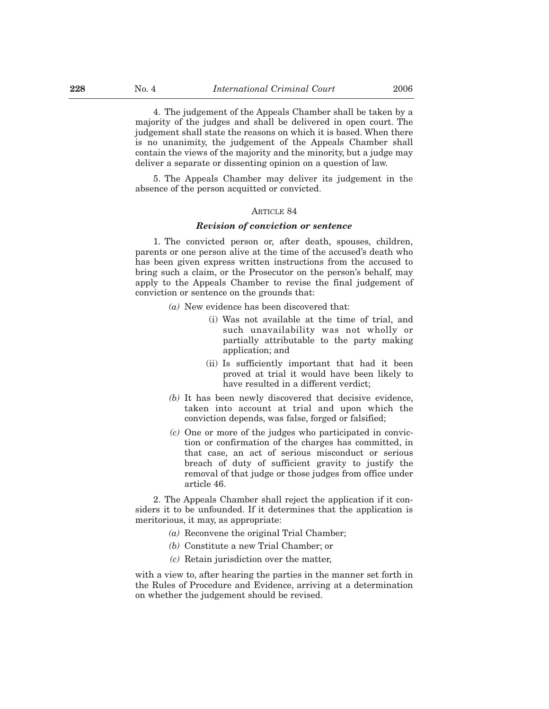4. The judgement of the Appeals Chamber shall be taken by a majority of the judges and shall be delivered in open court. The judgement shall state the reasons on which it is based. When there is no unanimity, the judgement of the Appeals Chamber shall contain the views of the majority and the minority, but a judge may deliver a separate or dissenting opinion on a question of law.

5. The Appeals Chamber may deliver its judgement in the absence of the person acquitted or convicted.

# ARTICLE 84

### *Revision of conviction or sentence*

1. The convicted person or, after death, spouses, children, parents or one person alive at the time of the accused's death who has been given express written instructions from the accused to bring such a claim, or the Prosecutor on the person's behalf, may apply to the Appeals Chamber to revise the final judgement of conviction or sentence on the grounds that:

- *(a)* New evidence has been discovered that:
	- (i) Was not available at the time of trial, and such unavailability was not wholly or partially attributable to the party making application; and
	- (ii) Is sufficiently important that had it been proved at trial it would have been likely to have resulted in a different verdict;
- *(b)* It has been newly discovered that decisive evidence, taken into account at trial and upon which the conviction depends, was false, forged or falsified;
- *(c)* One or more of the judges who participated in conviction or confirmation of the charges has committed, in that case, an act of serious misconduct or serious breach of duty of sufficient gravity to justify the removal of that judge or those judges from office under article 46.

2. The Appeals Chamber shall reject the application if it considers it to be unfounded. If it determines that the application is meritorious, it may, as appropriate:

- *(a)* Reconvene the original Trial Chamber;
- *(b)* Constitute a new Trial Chamber; or
- *(c)* Retain jurisdiction over the matter,

with a view to, after hearing the parties in the manner set forth in the Rules of Procedure and Evidence, arriving at a determination on whether the judgement should be revised.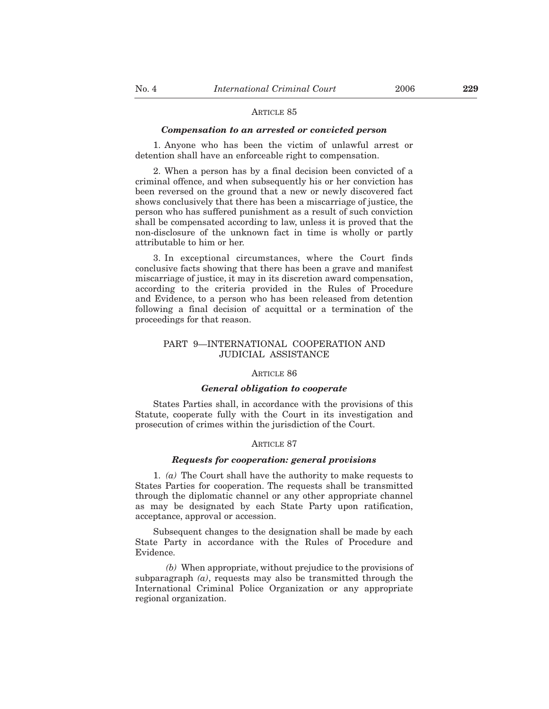#### *Compensation to an arrested or convicted person*

1. Anyone who has been the victim of unlawful arrest or detention shall have an enforceable right to compensation.

2. When a person has by a final decision been convicted of a criminal offence, and when subsequently his or her conviction has been reversed on the ground that a new or newly discovered fact shows conclusively that there has been a miscarriage of justice, the person who has suffered punishment as a result of such conviction shall be compensated according to law, unless it is proved that the non-disclosure of the unknown fact in time is wholly or partly attributable to him or her.

3. In exceptional circumstances, where the Court finds conclusive facts showing that there has been a grave and manifest miscarriage of justice, it may in its discretion award compensation, according to the criteria provided in the Rules of Procedure and Evidence, to a person who has been released from detention following a final decision of acquittal or a termination of the proceedings for that reason.

# PART 9—INTERNATIONAL COOPERATION AND JUDICIAL ASSISTANCE

### ARTICLE 86

# *General obligation to cooperate*

States Parties shall, in accordance with the provisions of this Statute, cooperate fully with the Court in its investigation and prosecution of crimes within the jurisdiction of the Court.

#### ARTICLE 87

### *Requests for cooperation: general provisions*

1. *(a)* The Court shall have the authority to make requests to States Parties for cooperation. The requests shall be transmitted through the diplomatic channel or any other appropriate channel as may be designated by each State Party upon ratification, acceptance, approval or accession.

Subsequent changes to the designation shall be made by each State Party in accordance with the Rules of Procedure and Evidence.

*(b)* When appropriate, without prejudice to the provisions of subparagraph *(a)*, requests may also be transmitted through the International Criminal Police Organization or any appropriate regional organization.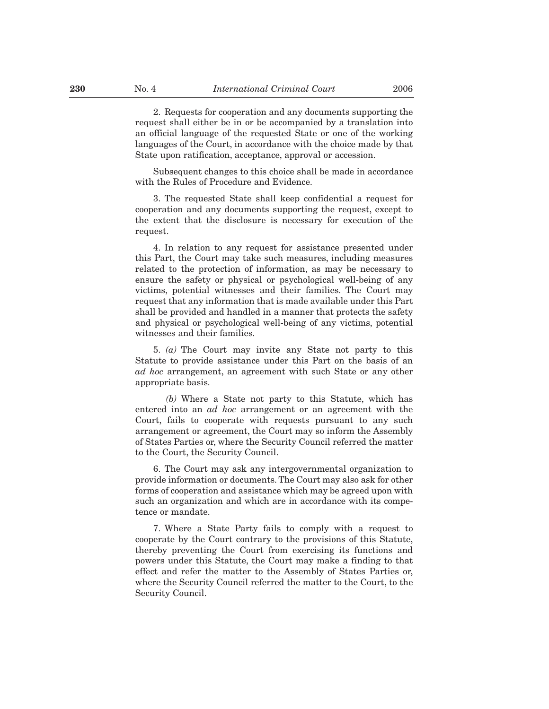2. Requests for cooperation and any documents supporting the request shall either be in or be accompanied by a translation into an official language of the requested State or one of the working languages of the Court, in accordance with the choice made by that State upon ratification, acceptance, approval or accession.

Subsequent changes to this choice shall be made in accordance with the Rules of Procedure and Evidence.

3. The requested State shall keep confidential a request for cooperation and any documents supporting the request, except to the extent that the disclosure is necessary for execution of the request.

4. In relation to any request for assistance presented under this Part, the Court may take such measures, including measures related to the protection of information, as may be necessary to ensure the safety or physical or psychological well-being of any victims, potential witnesses and their families. The Court may request that any information that is made available under this Part shall be provided and handled in a manner that protects the safety and physical or psychological well-being of any victims, potential witnesses and their families.

5. *(a)* The Court may invite any State not party to this Statute to provide assistance under this Part on the basis of an *ad hoc* arrangement, an agreement with such State or any other appropriate basis.

*(b)* Where a State not party to this Statute, which has entered into an *ad hoc* arrangement or an agreement with the Court, fails to cooperate with requests pursuant to any such arrangement or agreement, the Court may so inform the Assembly of States Parties or, where the Security Council referred the matter to the Court, the Security Council.

6. The Court may ask any intergovernmental organization to provide information or documents. The Court may also ask for other forms of cooperation and assistance which may be agreed upon with such an organization and which are in accordance with its competence or mandate.

7. Where a State Party fails to comply with a request to cooperate by the Court contrary to the provisions of this Statute, thereby preventing the Court from exercising its functions and powers under this Statute, the Court may make a finding to that effect and refer the matter to the Assembly of States Parties or, where the Security Council referred the matter to the Court, to the Security Council.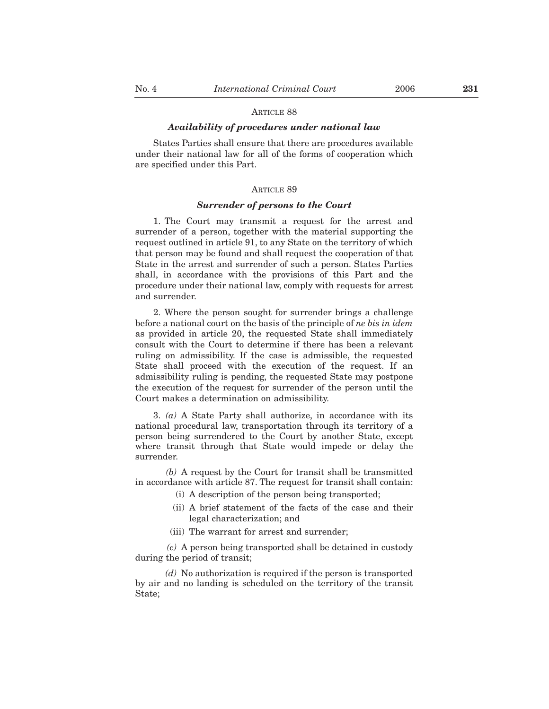## *Availability of procedures under national law*

States Parties shall ensure that there are procedures available under their national law for all of the forms of cooperation which are specified under this Part.

### ARTICLE 89

### *Surrender of persons to the Court*

1. The Court may transmit a request for the arrest and surrender of a person, together with the material supporting the request outlined in article 91, to any State on the territory of which that person may be found and shall request the cooperation of that State in the arrest and surrender of such a person. States Parties shall, in accordance with the provisions of this Part and the procedure under their national law, comply with requests for arrest and surrender.

2. Where the person sought for surrender brings a challenge before a national court on the basis of the principle of *ne bis in idem* as provided in article 20, the requested State shall immediately consult with the Court to determine if there has been a relevant ruling on admissibility. If the case is admissible, the requested State shall proceed with the execution of the request. If an admissibility ruling is pending, the requested State may postpone the execution of the request for surrender of the person until the Court makes a determination on admissibility.

3. *(a)* A State Party shall authorize, in accordance with its national procedural law, transportation through its territory of a person being surrendered to the Court by another State, except where transit through that State would impede or delay the surrender.

*(b)* A request by the Court for transit shall be transmitted in accordance with article 87. The request for transit shall contain:

(i) A description of the person being transported;

- (ii) A brief statement of the facts of the case and their legal characterization; and
- (iii) The warrant for arrest and surrender;

*(c)* A person being transported shall be detained in custody during the period of transit;

*(d)* No authorization is required if the person is transported by air and no landing is scheduled on the territory of the transit State;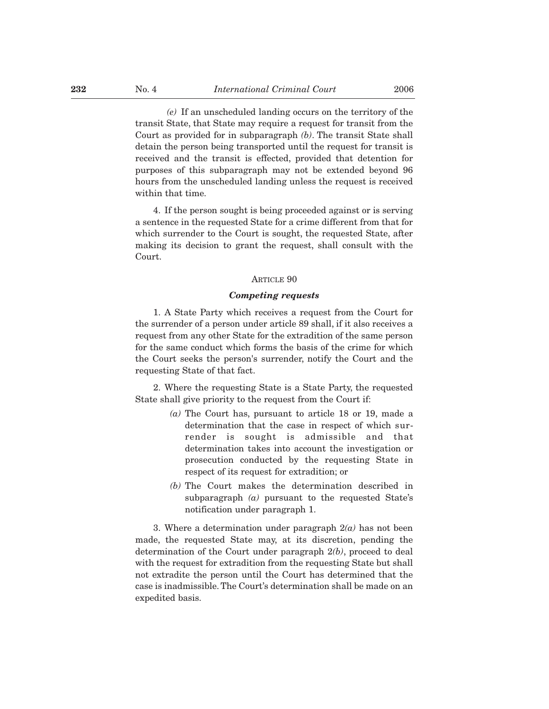*(e)* If an unscheduled landing occurs on the territory of the transit State, that State may require a request for transit from the Court as provided for in subparagraph *(b)*. The transit State shall detain the person being transported until the request for transit is received and the transit is effected, provided that detention for purposes of this subparagraph may not be extended beyond 96 hours from the unscheduled landing unless the request is received within that time.

4. If the person sought is being proceeded against or is serving a sentence in the requested State for a crime different from that for which surrender to the Court is sought, the requested State, after making its decision to grant the request, shall consult with the Court.

### ARTICLE 90

## *Competing requests*

1. A State Party which receives a request from the Court for the surrender of a person under article 89 shall, if it also receives a request from any other State for the extradition of the same person for the same conduct which forms the basis of the crime for which the Court seeks the person's surrender, notify the Court and the requesting State of that fact.

2. Where the requesting State is a State Party, the requested State shall give priority to the request from the Court if:

- *(a)* The Court has, pursuant to article 18 or 19, made a determination that the case in respect of which surrender is sought is admissible and that determination takes into account the investigation or prosecution conducted by the requesting State in respect of its request for extradition; or
- *(b)* The Court makes the determination described in subparagraph *(a)* pursuant to the requested State's notification under paragraph 1.

3. Where a determination under paragraph 2*(a)* has not been made, the requested State may, at its discretion, pending the determination of the Court under paragraph 2*(b)*, proceed to deal with the request for extradition from the requesting State but shall not extradite the person until the Court has determined that the case is inadmissible. The Court's determination shall be made on an expedited basis.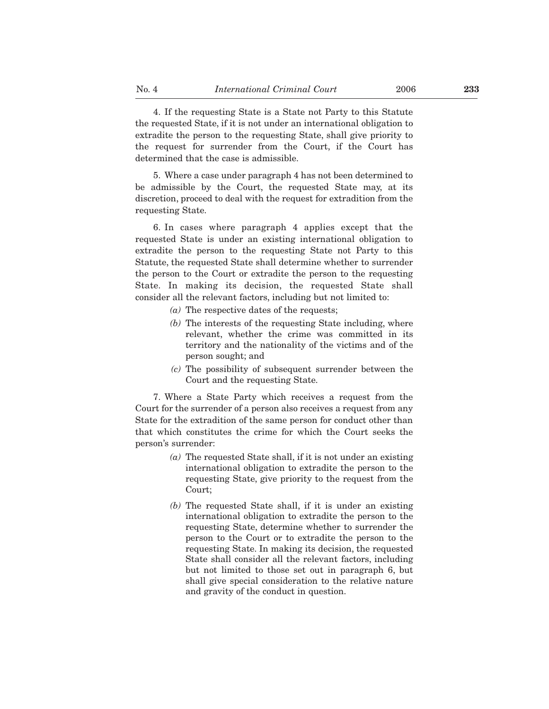4. If the requesting State is a State not Party to this Statute the requested State, if it is not under an international obligation to extradite the person to the requesting State, shall give priority to the request for surrender from the Court, if the Court has determined that the case is admissible.

5. Where a case under paragraph 4 has not been determined to be admissible by the Court, the requested State may, at its discretion, proceed to deal with the request for extradition from the requesting State.

6. In cases where paragraph 4 applies except that the requested State is under an existing international obligation to extradite the person to the requesting State not Party to this Statute, the requested State shall determine whether to surrender the person to the Court or extradite the person to the requesting State. In making its decision, the requested State shall consider all the relevant factors, including but not limited to:

- *(a)* The respective dates of the requests;
- *(b)* The interests of the requesting State including, where relevant, whether the crime was committed in its territory and the nationality of the victims and of the person sought; and
- *(c)* The possibility of subsequent surrender between the Court and the requesting State.

7. Where a State Party which receives a request from the Court for the surrender of a person also receives a request from any State for the extradition of the same person for conduct other than that which constitutes the crime for which the Court seeks the person's surrender:

- *(a)* The requested State shall, if it is not under an existing international obligation to extradite the person to the requesting State, give priority to the request from the Court;
- *(b)* The requested State shall, if it is under an existing international obligation to extradite the person to the requesting State, determine whether to surrender the person to the Court or to extradite the person to the requesting State. In making its decision, the requested State shall consider all the relevant factors, including but not limited to those set out in paragraph 6, but shall give special consideration to the relative nature and gravity of the conduct in question.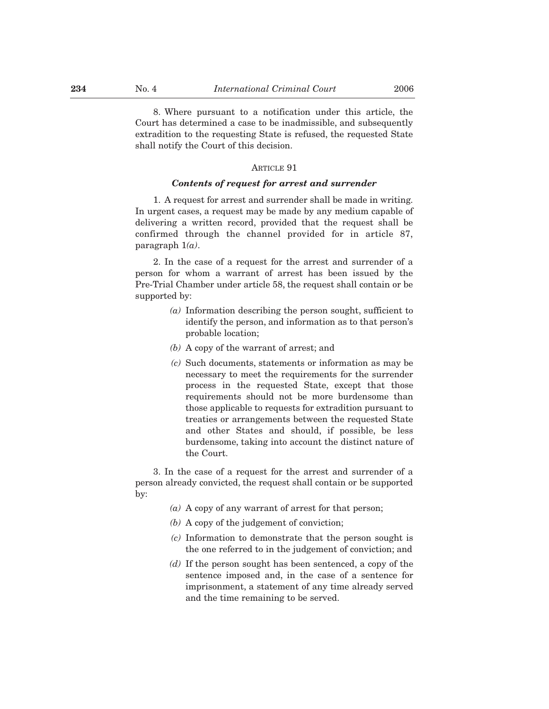8. Where pursuant to a notification under this article, the Court has determined a case to be inadmissible, and subsequently extradition to the requesting State is refused, the requested State shall notify the Court of this decision.

## ARTICLE 91

# *Contents of request for arrest and surrender*

1. A request for arrest and surrender shall be made in writing. In urgent cases, a request may be made by any medium capable of delivering a written record, provided that the request shall be confirmed through the channel provided for in article 87, paragraph 1*(a)*.

2. In the case of a request for the arrest and surrender of a person for whom a warrant of arrest has been issued by the Pre-Trial Chamber under article 58, the request shall contain or be supported by:

- *(a)* Information describing the person sought, sufficient to identify the person, and information as to that person's probable location;
- *(b)* A copy of the warrant of arrest; and
- *(c)* Such documents, statements or information as may be necessary to meet the requirements for the surrender process in the requested State, except that those requirements should not be more burdensome than those applicable to requests for extradition pursuant to treaties or arrangements between the requested State and other States and should, if possible, be less burdensome, taking into account the distinct nature of the Court.

3. In the case of a request for the arrest and surrender of a person already convicted, the request shall contain or be supported by:

- *(a)* A copy of any warrant of arrest for that person;
- *(b)* A copy of the judgement of conviction;
- *(c)* Information to demonstrate that the person sought is the one referred to in the judgement of conviction; and
- *(d)* If the person sought has been sentenced, a copy of the sentence imposed and, in the case of a sentence for imprisonment, a statement of any time already served and the time remaining to be served.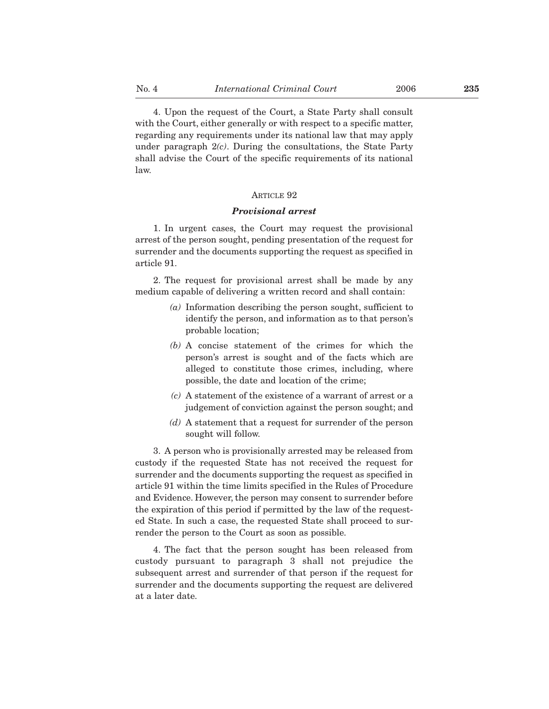4. Upon the request of the Court, a State Party shall consult with the Court, either generally or with respect to a specific matter, regarding any requirements under its national law that may apply under paragraph 2*(c)*. During the consultations, the State Party shall advise the Court of the specific requirements of its national law.

## ARTICLE 92

## *Provisional arrest*

1. In urgent cases, the Court may request the provisional arrest of the person sought, pending presentation of the request for surrender and the documents supporting the request as specified in article 91.

2. The request for provisional arrest shall be made by any medium capable of delivering a written record and shall contain:

- *(a)* Information describing the person sought, sufficient to identify the person, and information as to that person's probable location;
- *(b)* A concise statement of the crimes for which the person's arrest is sought and of the facts which are alleged to constitute those crimes, including, where possible, the date and location of the crime;
- *(c)* A statement of the existence of a warrant of arrest or a judgement of conviction against the person sought; and
- *(d)* A statement that a request for surrender of the person sought will follow.

3. A person who is provisionally arrested may be released from custody if the requested State has not received the request for surrender and the documents supporting the request as specified in article 91 within the time limits specified in the Rules of Procedure and Evidence. However, the person may consent to surrender before the expiration of this period if permitted by the law of the requested State. In such a case, the requested State shall proceed to surrender the person to the Court as soon as possible.

4. The fact that the person sought has been released from custody pursuant to paragraph 3 shall not prejudice the subsequent arrest and surrender of that person if the request for surrender and the documents supporting the request are delivered at a later date.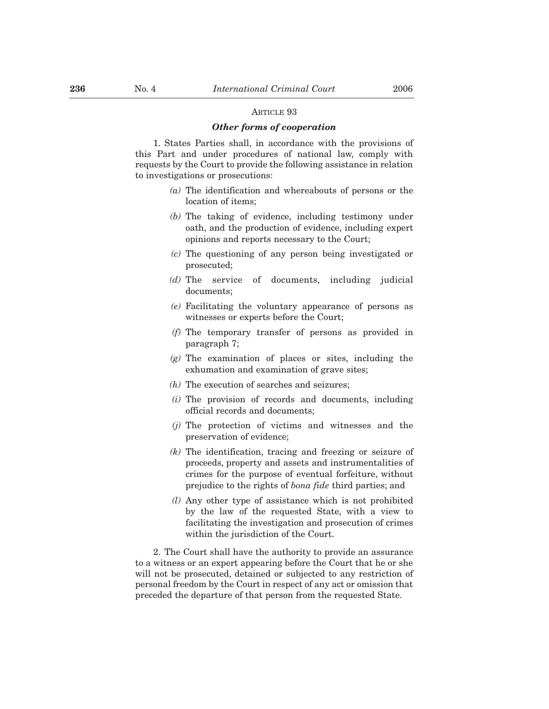## ARTICLE 93

# *Other forms of cooperation*

1. States Parties shall, in accordance with the provisions of this Part and under procedures of national law, comply with requests by the Court to provide the following assistance in relation to investigations or prosecutions:

- *(a)* The identification and whereabouts of persons or the location of items;
- *(b)* The taking of evidence, including testimony under oath, and the production of evidence, including expert opinions and reports necessary to the Court;
- *(c)* The questioning of any person being investigated or prosecuted;
- *(d)* The service of documents, including judicial documents;
- *(e)* Facilitating the voluntary appearance of persons as witnesses or experts before the Court;
- *(f)* The temporary transfer of persons as provided in paragraph 7;
- *(g)* The examination of places or sites, including the exhumation and examination of grave sites;
- *(h)* The execution of searches and seizures;
- *(i)* The provision of records and documents, including official records and documents;
- *(j)* The protection of victims and witnesses and the preservation of evidence;
- *(k)* The identification, tracing and freezing or seizure of proceeds, property and assets and instrumentalities of crimes for the purpose of eventual forfeiture, without prejudice to the rights of *bona fide* third parties; and
- *(l)* Any other type of assistance which is not prohibited by the law of the requested State, with a view to facilitating the investigation and prosecution of crimes within the jurisdiction of the Court.

2. The Court shall have the authority to provide an assurance to a witness or an expert appearing before the Court that he or she will not be prosecuted, detained or subjected to any restriction of personal freedom by the Court in respect of any act or omission that preceded the departure of that person from the requested State.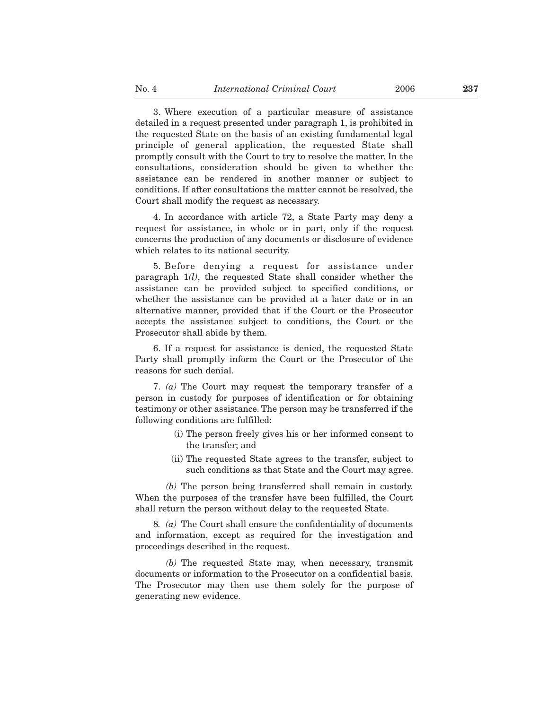3. Where execution of a particular measure of assistance detailed in a request presented under paragraph 1, is prohibited in the requested State on the basis of an existing fundamental legal principle of general application, the requested State shall promptly consult with the Court to try to resolve the matter. In the consultations, consideration should be given to whether the assistance can be rendered in another manner or subject to conditions. If after consultations the matter cannot be resolved, the Court shall modify the request as necessary.

4. In accordance with article 72, a State Party may deny a request for assistance, in whole or in part, only if the request concerns the production of any documents or disclosure of evidence which relates to its national security.

5. Before denying a request for assistance under paragraph 1*(l)*, the requested State shall consider whether the assistance can be provided subject to specified conditions, or whether the assistance can be provided at a later date or in an alternative manner, provided that if the Court or the Prosecutor accepts the assistance subject to conditions, the Court or the Prosecutor shall abide by them.

6. If a request for assistance is denied, the requested State Party shall promptly inform the Court or the Prosecutor of the reasons for such denial.

7. *(a)* The Court may request the temporary transfer of a person in custody for purposes of identification or for obtaining testimony or other assistance. The person may be transferred if the following conditions are fulfilled:

- (i) The person freely gives his or her informed consent to the transfer; and
- (ii) The requested State agrees to the transfer, subject to such conditions as that State and the Court may agree.

*(b)* The person being transferred shall remain in custody. When the purposes of the transfer have been fulfilled, the Court shall return the person without delay to the requested State.

8*. (a)* The Court shall ensure the confidentiality of documents and information, except as required for the investigation and proceedings described in the request.

*(b)* The requested State may, when necessary, transmit documents or information to the Prosecutor on a confidential basis. The Prosecutor may then use them solely for the purpose of generating new evidence.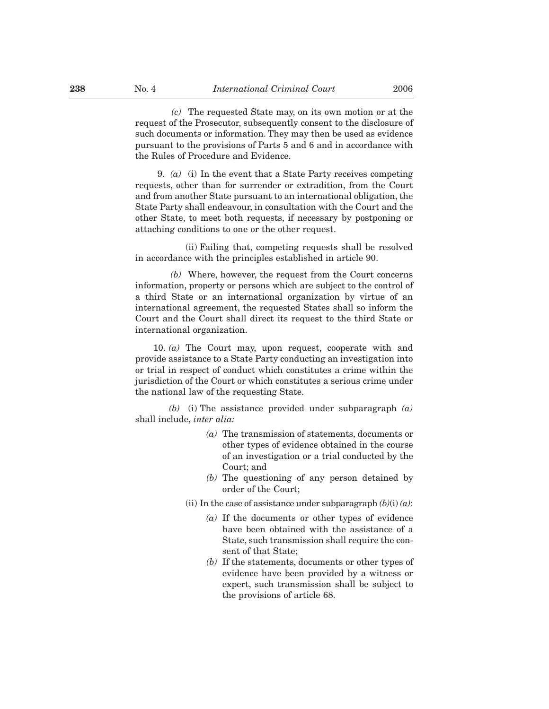*(c)* The requested State may, on its own motion or at the request of the Prosecutor, subsequently consent to the disclosure of such documents or information. They may then be used as evidence pursuant to the provisions of Parts 5 and 6 and in accordance with the Rules of Procedure and Evidence.

9. *(a)* (i) In the event that a State Party receives competing requests, other than for surrender or extradition, from the Court and from another State pursuant to an international obligation, the State Party shall endeavour, in consultation with the Court and the other State, to meet both requests, if necessary by postponing or attaching conditions to one or the other request.

(ii) Failing that, competing requests shall be resolved in accordance with the principles established in article 90.

*(b)* Where, however, the request from the Court concerns information, property or persons which are subject to the control of a third State or an international organization by virtue of an international agreement, the requested States shall so inform the Court and the Court shall direct its request to the third State or international organization.

10. *(a)* The Court may, upon request, cooperate with and provide assistance to a State Party conducting an investigation into or trial in respect of conduct which constitutes a crime within the jurisdiction of the Court or which constitutes a serious crime under the national law of the requesting State.

*(b)* (i) The assistance provided under subparagraph *(a)* shall include, *inter alia:*

- *(a)* The transmission of statements, documents or other types of evidence obtained in the course of an investigation or a trial conducted by the Court; and
- *(b)* The questioning of any person detained by order of the Court;
- (ii) In the case of assistance under subparagraph  $(b)(i)(a)$ :
	- *(a)* If the documents or other types of evidence have been obtained with the assistance of a State, such transmission shall require the consent of that State;
	- *(b)* If the statements, documents or other types of evidence have been provided by a witness or expert, such transmission shall be subject to the provisions of article 68.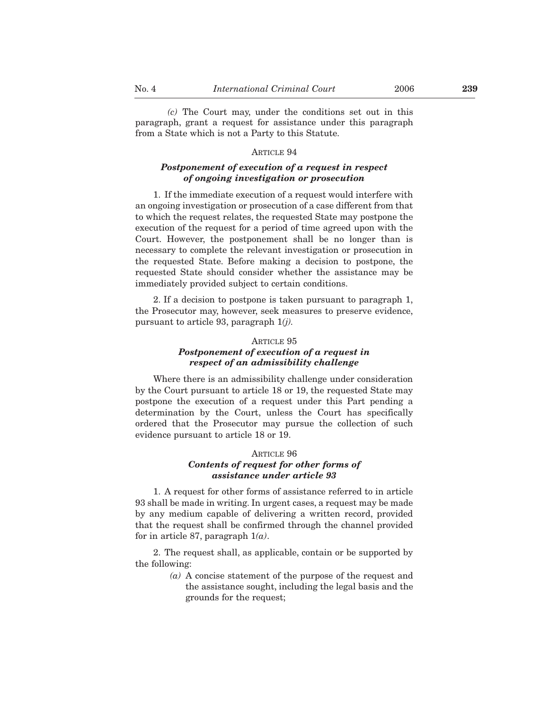*(c)* The Court may, under the conditions set out in this paragraph, grant a request for assistance under this paragraph from a State which is not a Party to this Statute.

# ARTICLE 94

# *Postponement of execution of a request in respect of ongoing investigation or prosecution*

1. If the immediate execution of a request would interfere with an ongoing investigation or prosecution of a case different from that to which the request relates, the requested State may postpone the execution of the request for a period of time agreed upon with the Court. However, the postponement shall be no longer than is necessary to complete the relevant investigation or prosecution in the requested State. Before making a decision to postpone, the requested State should consider whether the assistance may be immediately provided subject to certain conditions.

2. If a decision to postpone is taken pursuant to paragraph 1, the Prosecutor may, however, seek measures to preserve evidence, pursuant to article 93, paragraph 1*(j).*

# ARTICLE 95 *Postponement of execution of a request in respect of an admissibility challenge*

Where there is an admissibility challenge under consideration by the Court pursuant to article 18 or 19, the requested State may postpone the execution of a request under this Part pending a determination by the Court, unless the Court has specifically ordered that the Prosecutor may pursue the collection of such evidence pursuant to article 18 or 19.

# ARTICLE 96 *Contents of request for other forms of assistance under article 93*

1. A request for other forms of assistance referred to in article 93 shall be made in writing. In urgent cases, a request may be made by any medium capable of delivering a written record, provided that the request shall be confirmed through the channel provided for in article 87, paragraph 1*(a)*.

2. The request shall, as applicable, contain or be supported by the following:

> *(a)* A concise statement of the purpose of the request and the assistance sought, including the legal basis and the grounds for the request;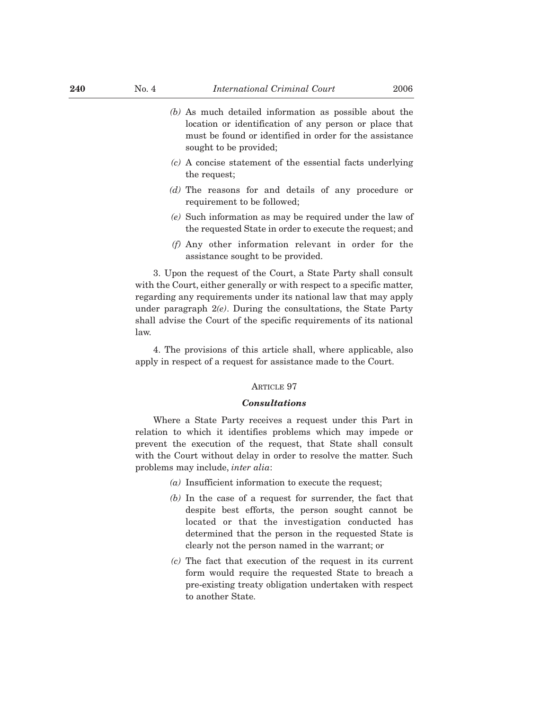- *(b)* As much detailed information as possible about the location or identification of any person or place that must be found or identified in order for the assistance sought to be provided;
- *(c)* A concise statement of the essential facts underlying the request;
- *(d)* The reasons for and details of any procedure or requirement to be followed;
- *(e)* Such information as may be required under the law of the requested State in order to execute the request; and
- *(f)* Any other information relevant in order for the assistance sought to be provided.

3. Upon the request of the Court, a State Party shall consult with the Court, either generally or with respect to a specific matter, regarding any requirements under its national law that may apply under paragraph 2*(e)*. During the consultations, the State Party shall advise the Court of the specific requirements of its national law.

4. The provisions of this article shall, where applicable, also apply in respect of a request for assistance made to the Court.

## ARTICLE 97

# *Consultations*

Where a State Party receives a request under this Part in relation to which it identifies problems which may impede or prevent the execution of the request, that State shall consult with the Court without delay in order to resolve the matter. Such problems may include, *inter alia*:

- *(a)* Insufficient information to execute the request;
- *(b)* In the case of a request for surrender, the fact that despite best efforts, the person sought cannot be located or that the investigation conducted has determined that the person in the requested State is clearly not the person named in the warrant; or
- *(c)* The fact that execution of the request in its current form would require the requested State to breach a pre-existing treaty obligation undertaken with respect to another State.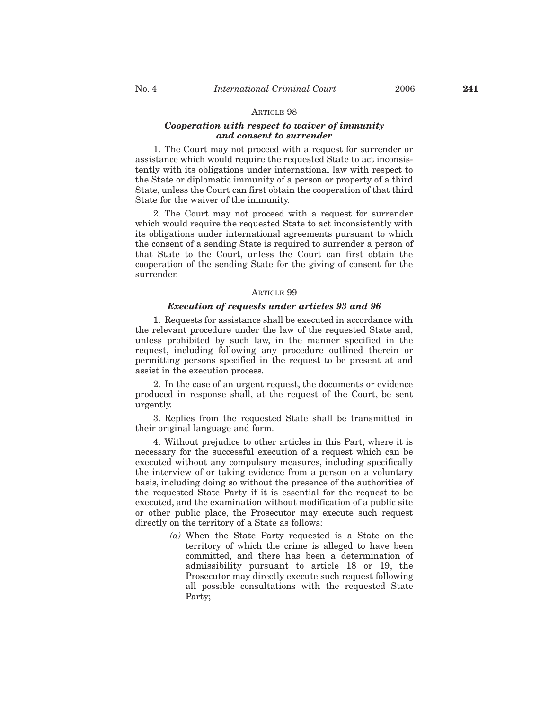#### ARTICLE 98

## *Cooperation with respect to waiver of immunity and consent to surrender*

1. The Court may not proceed with a request for surrender or assistance which would require the requested State to act inconsistently with its obligations under international law with respect to the State or diplomatic immunity of a person or property of a third State, unless the Court can first obtain the cooperation of that third State for the waiver of the immunity.

2. The Court may not proceed with a request for surrender which would require the requested State to act inconsistently with its obligations under international agreements pursuant to which the consent of a sending State is required to surrender a person of that State to the Court, unless the Court can first obtain the cooperation of the sending State for the giving of consent for the surrender.

#### ARTICLE 99

#### *Execution of requests under articles 93 and 96*

1. Requests for assistance shall be executed in accordance with the relevant procedure under the law of the requested State and, unless prohibited by such law, in the manner specified in the request, including following any procedure outlined therein or permitting persons specified in the request to be present at and assist in the execution process.

2. In the case of an urgent request, the documents or evidence produced in response shall, at the request of the Court, be sent urgently.

3. Replies from the requested State shall be transmitted in their original language and form.

4. Without prejudice to other articles in this Part, where it is necessary for the successful execution of a request which can be executed without any compulsory measures, including specifically the interview of or taking evidence from a person on a voluntary basis, including doing so without the presence of the authorities of the requested State Party if it is essential for the request to be executed, and the examination without modification of a public site or other public place, the Prosecutor may execute such request directly on the territory of a State as follows:

> *(a)* When the State Party requested is a State on the territory of which the crime is alleged to have been committed, and there has been a determination of admissibility pursuant to article 18 or 19, the Prosecutor may directly execute such request following all possible consultations with the requested State Party;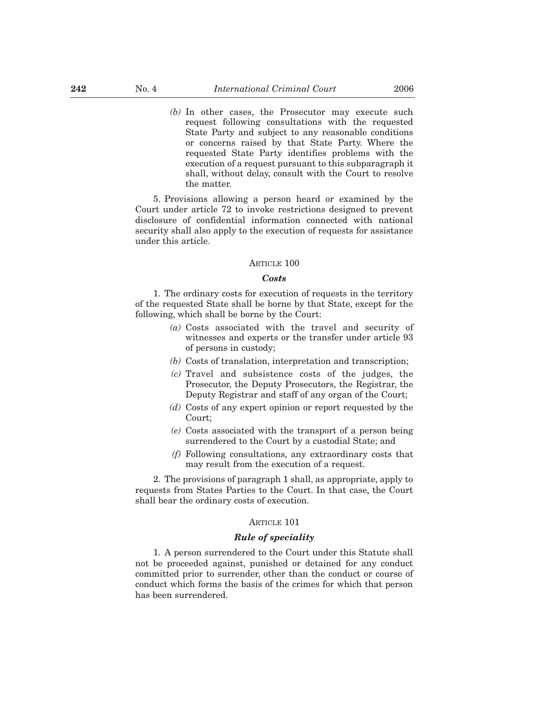*(b)* In other cases, the Prosecutor may execute such request following consultations with the requested State Party and subject to any reasonable conditions or concerns raised by that State Party. Where the requested State Party identifies problems with the execution of a request pursuant to this subparagraph it shall, without delay, consult with the Court to resolve the matter.

5. Provisions allowing a person heard or examined by the Court under article 72 to invoke restrictions designed to prevent disclosure of confidential information connected with national security shall also apply to the execution of requests for assistance under this article.

### ARTICLE 100

#### *Costs*

1. The ordinary costs for execution of requests in the territory of the requested State shall be borne by that State, except for the following, which shall be borne by the Court:

- *(a)* Costs associated with the travel and security of witnesses and experts or the transfer under article 93 of persons in custody;
- *(b)* Costs of translation, interpretation and transcription;
- *(c)* Travel and subsistence costs of the judges, the Prosecutor, the Deputy Prosecutors, the Registrar, the Deputy Registrar and staff of any organ of the Court;
- *(d)* Costs of any expert opinion or report requested by the Court;
- *(e)* Costs associated with the transport of a person being surrendered to the Court by a custodial State; and
- *(f)* Following consultations, any extraordinary costs that may result from the execution of a request.

2. The provisions of paragraph 1 shall, as appropriate, apply to requests from States Parties to the Court. In that case, the Court shall bear the ordinary costs of execution.

## ARTICLE 101

## *Rule of speciality*

1. A person surrendered to the Court under this Statute shall not be proceeded against, punished or detained for any conduct committed prior to surrender, other than the conduct or course of conduct which forms the basis of the crimes for which that person has been surrendered.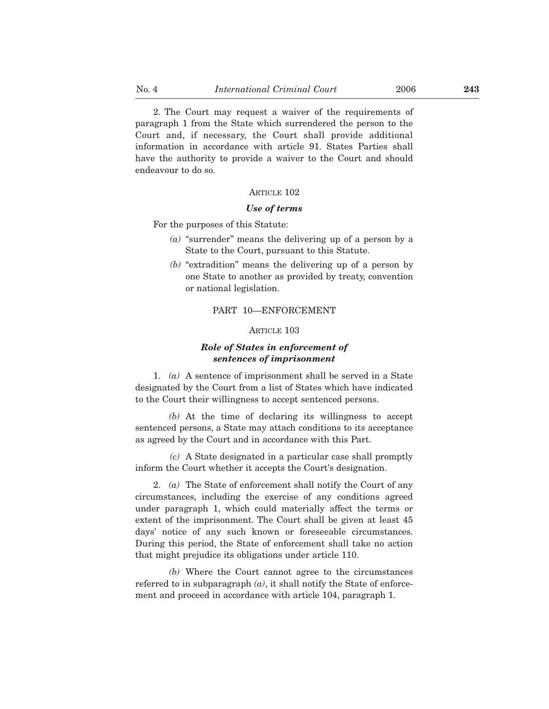2. The Court may request a waiver of the requirements of paragraph 1 from the State which surrendered the person to the Court and, if necessary, the Court shall provide additional information in accordance with article 91. States Parties shall have the authority to provide a waiver to the Court and should endeavour to do so.

# ARTICLE 102

# *Use of terms*

For the purposes of this Statute:

- *(a)* "surrender" means the delivering up of a person by a State to the Court, pursuant to this Statute.
- *(b)* "extradition" means the delivering up of a person by one State to another as provided by treaty, convention or national legislation.

## PART 10—ENFORCEMENT

# ARTICLE 103

# *Role of States in enforcement of sentences of imprisonment*

1. *(a)* A sentence of imprisonment shall be served in a State designated by the Court from a list of States which have indicated to the Court their willingness to accept sentenced persons.

*(b)* At the time of declaring its willingness to accept sentenced persons, a State may attach conditions to its acceptance as agreed by the Court and in accordance with this Part.

*(c)* A State designated in a particular case shall promptly inform the Court whether it accepts the Court's designation.

2. *(a)* The State of enforcement shall notify the Court of any circumstances, including the exercise of any conditions agreed under paragraph 1, which could materially affect the terms or extent of the imprisonment. The Court shall be given at least 45 days' notice of any such known or foreseeable circumstances. During this period, the State of enforcement shall take no action that might prejudice its obligations under article 110.

*(b)* Where the Court cannot agree to the circumstances referred to in subparagraph  $(a)$ , it shall notify the State of enforcement and proceed in accordance with article 104, paragraph 1.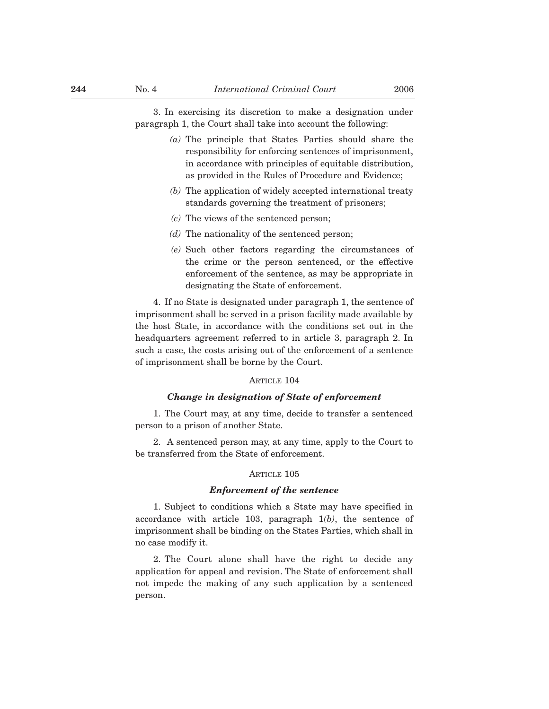3. In exercising its discretion to make a designation under paragraph 1, the Court shall take into account the following:

- *(a)* The principle that States Parties should share the responsibility for enforcing sentences of imprisonment, in accordance with principles of equitable distribution, as provided in the Rules of Procedure and Evidence;
- *(b)* The application of widely accepted international treaty standards governing the treatment of prisoners;
- *(c)* The views of the sentenced person;
- *(d)* The nationality of the sentenced person;
- *(e)* Such other factors regarding the circumstances of the crime or the person sentenced, or the effective enforcement of the sentence, as may be appropriate in designating the State of enforcement.

4. If no State is designated under paragraph 1, the sentence of imprisonment shall be served in a prison facility made available by the host State, in accordance with the conditions set out in the headquarters agreement referred to in article 3, paragraph 2. In such a case, the costs arising out of the enforcement of a sentence of imprisonment shall be borne by the Court.

## ARTICLE 104

### *Change in designation of State of enforcement*

1. The Court may, at any time, decide to transfer a sentenced person to a prison of another State.

2. A sentenced person may, at any time, apply to the Court to be transferred from the State of enforcement.

# ARTICLE 105

# *Enforcement of the sentence*

1. Subject to conditions which a State may have specified in accordance with article 103, paragraph 1*(b)*, the sentence of imprisonment shall be binding on the States Parties, which shall in no case modify it.

2. The Court alone shall have the right to decide any application for appeal and revision. The State of enforcement shall not impede the making of any such application by a sentenced person.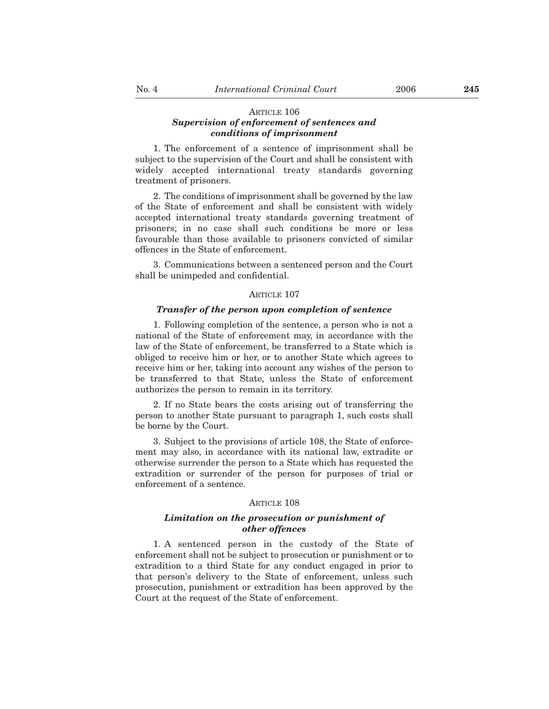# ARTICLE 106 *Supervision of enforcement of sentences and conditions of imprisonment*

1. The enforcement of a sentence of imprisonment shall be subject to the supervision of the Court and shall be consistent with widely accepted international treaty standards governing treatment of prisoners.

2. The conditions of imprisonment shall be governed by the law of the State of enforcement and shall be consistent with widely accepted international treaty standards governing treatment of prisoners; in no case shall such conditions be more or less favourable than those available to prisoners convicted of similar offences in the State of enforcement.

3. Communications between a sentenced person and the Court shall be unimpeded and confidential.

#### ARTICLE 107

## *Transfer of the person upon completion of sentence*

1. Following completion of the sentence, a person who is not a national of the State of enforcement may, in accordance with the law of the State of enforcement, be transferred to a State which is obliged to receive him or her, or to another State which agrees to receive him or her, taking into account any wishes of the person to be transferred to that State, unless the State of enforcement authorizes the person to remain in its territory.

2. If no State bears the costs arising out of transferring the person to another State pursuant to paragraph 1, such costs shall be borne by the Court.

3. Subject to the provisions of article 108, the State of enforcement may also, in accordance with its national law, extradite or otherwise surrender the person to a State which has requested the extradition or surrender of the person for purposes of trial or enforcement of a sentence.

### ARTICLE 108

# *Limitation on the prosecution or punishment of other offences*

1. A sentenced person in the custody of the State of enforcement shall not be subject to prosecution or punishment or to extradition to a third State for any conduct engaged in prior to that person's delivery to the State of enforcement, unless such prosecution, punishment or extradition has been approved by the Court at the request of the State of enforcement.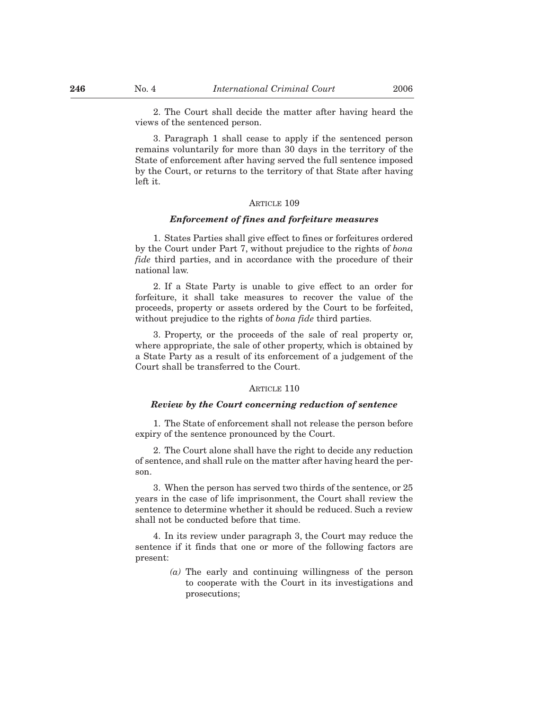2. The Court shall decide the matter after having heard the views of the sentenced person.

3. Paragraph 1 shall cease to apply if the sentenced person remains voluntarily for more than 30 days in the territory of the State of enforcement after having served the full sentence imposed by the Court, or returns to the territory of that State after having left it.

### ARTICLE 109

## *Enforcement of fines and forfeiture measures*

1. States Parties shall give effect to fines or forfeitures ordered by the Court under Part 7, without prejudice to the rights of *bona fide* third parties, and in accordance with the procedure of their national law.

2. If a State Party is unable to give effect to an order for forfeiture, it shall take measures to recover the value of the proceeds, property or assets ordered by the Court to be forfeited, without prejudice to the rights of *bona fide* third parties.

3. Property, or the proceeds of the sale of real property or, where appropriate, the sale of other property, which is obtained by a State Party as a result of its enforcement of a judgement of the Court shall be transferred to the Court.

## ARTICLE 110

# *Review by the Court concerning reduction of sentence*

1. The State of enforcement shall not release the person before expiry of the sentence pronounced by the Court.

2. The Court alone shall have the right to decide any reduction of sentence, and shall rule on the matter after having heard the person.

3. When the person has served two thirds of the sentence, or 25 years in the case of life imprisonment, the Court shall review the sentence to determine whether it should be reduced. Such a review shall not be conducted before that time.

4. In its review under paragraph 3, the Court may reduce the sentence if it finds that one or more of the following factors are present:

> *(a)* The early and continuing willingness of the person to cooperate with the Court in its investigations and prosecutions;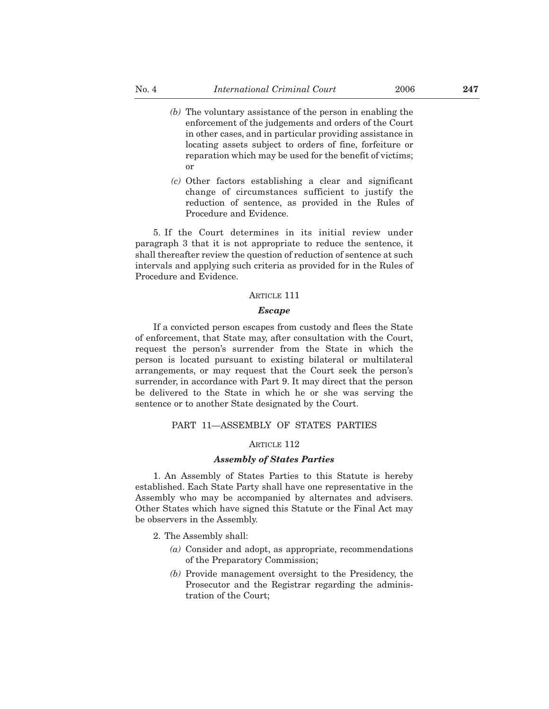- *(b)* The voluntary assistance of the person in enabling the enforcement of the judgements and orders of the Court in other cases, and in particular providing assistance in locating assets subject to orders of fine, forfeiture or reparation which may be used for the benefit of victims; or
- *(c)* Other factors establishing a clear and significant change of circumstances sufficient to justify the reduction of sentence, as provided in the Rules of Procedure and Evidence.

5. If the Court determines in its initial review under paragraph 3 that it is not appropriate to reduce the sentence, it shall thereafter review the question of reduction of sentence at such intervals and applying such criteria as provided for in the Rules of Procedure and Evidence.

### ARTICLE 111

### *Escape*

If a convicted person escapes from custody and flees the State of enforcement, that State may, after consultation with the Court, request the person's surrender from the State in which the person is located pursuant to existing bilateral or multilateral arrangements, or may request that the Court seek the person's surrender, in accordance with Part 9. It may direct that the person be delivered to the State in which he or she was serving the sentence or to another State designated by the Court.

## PART 11—ASSEMBLY OF STATES PARTIES

#### ARTICLE 112

# *Assembly of States Parties*

1. An Assembly of States Parties to this Statute is hereby established. Each State Party shall have one representative in the Assembly who may be accompanied by alternates and advisers. Other States which have signed this Statute or the Final Act may be observers in the Assembly.

- 2. The Assembly shall:
	- *(a)* Consider and adopt, as appropriate, recommendations of the Preparatory Commission;
	- *(b)* Provide management oversight to the Presidency, the Prosecutor and the Registrar regarding the administration of the Court;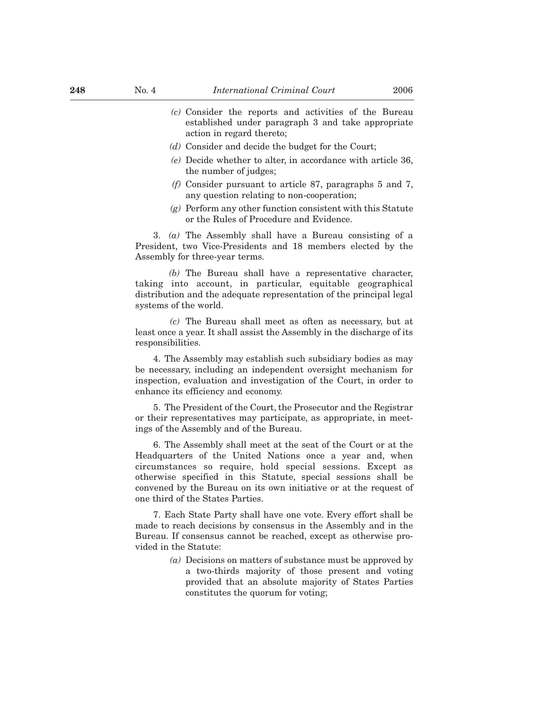- *(c)* Consider the reports and activities of the Bureau established under paragraph 3 and take appropriate action in regard thereto;
- *(d)* Consider and decide the budget for the Court;
- *(e)* Decide whether to alter, in accordance with article 36, the number of judges;
- *(f)* Consider pursuant to article 87, paragraphs 5 and 7, any question relating to non-cooperation;
- *(g)* Perform any other function consistent with this Statute or the Rules of Procedure and Evidence.

3. *(a)* The Assembly shall have a Bureau consisting of a President, two Vice-Presidents and 18 members elected by the Assembly for three-year terms.

*(b)* The Bureau shall have a representative character, taking into account, in particular, equitable geographical distribution and the adequate representation of the principal legal systems of the world.

*(c)* The Bureau shall meet as often as necessary, but at least once a year. It shall assist the Assembly in the discharge of its responsibilities.

4. The Assembly may establish such subsidiary bodies as may be necessary, including an independent oversight mechanism for inspection, evaluation and investigation of the Court, in order to enhance its efficiency and economy.

5. The President of the Court, the Prosecutor and the Registrar or their representatives may participate, as appropriate, in meetings of the Assembly and of the Bureau.

6. The Assembly shall meet at the seat of the Court or at the Headquarters of the United Nations once a year and, when circumstances so require, hold special sessions. Except as otherwise specified in this Statute, special sessions shall be convened by the Bureau on its own initiative or at the request of one third of the States Parties.

7. Each State Party shall have one vote. Every effort shall be made to reach decisions by consensus in the Assembly and in the Bureau. If consensus cannot be reached, except as otherwise provided in the Statute:

> *(a)* Decisions on matters of substance must be approved by a two-thirds majority of those present and voting provided that an absolute majority of States Parties constitutes the quorum for voting;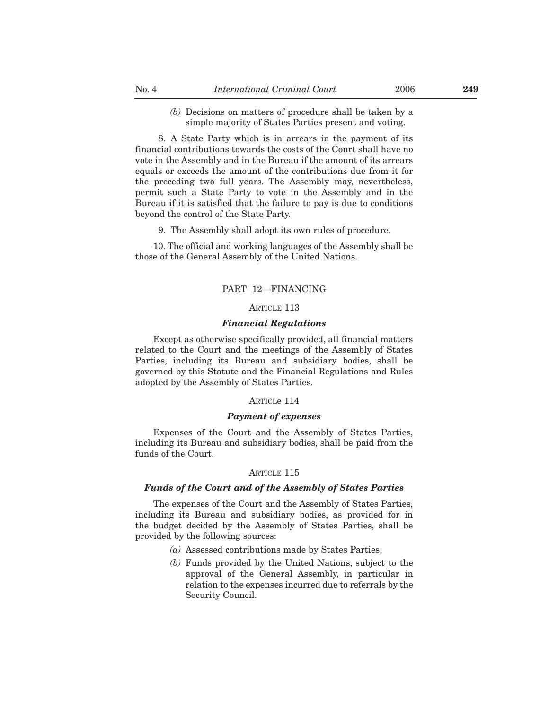*(b)* Decisions on matters of procedure shall be taken by a simple majority of States Parties present and voting.

8. A State Party which is in arrears in the payment of its financial contributions towards the costs of the Court shall have no vote in the Assembly and in the Bureau if the amount of its arrears equals or exceeds the amount of the contributions due from it for the preceding two full years. The Assembly may, nevertheless, permit such a State Party to vote in the Assembly and in the Bureau if it is satisfied that the failure to pay is due to conditions beyond the control of the State Party.

9. The Assembly shall adopt its own rules of procedure.

10. The official and working languages of the Assembly shall be those of the General Assembly of the United Nations.

## PART 12—FINANCING

### ARTICLE 113

# *Financial Regulations*

Except as otherwise specifically provided, all financial matters related to the Court and the meetings of the Assembly of States Parties, including its Bureau and subsidiary bodies, shall be governed by this Statute and the Financial Regulations and Rules adopted by the Assembly of States Parties.

### ARTICLe 114

## *Payment of expenses*

Expenses of the Court and the Assembly of States Parties, including its Bureau and subsidiary bodies, shall be paid from the funds of the Court.

### ARTICLE 115

# *Funds of the Court and of the Assembly of States Parties*

The expenses of the Court and the Assembly of States Parties, including its Bureau and subsidiary bodies, as provided for in the budget decided by the Assembly of States Parties, shall be provided by the following sources:

- *(a)* Assessed contributions made by States Parties;
- *(b)* Funds provided by the United Nations, subject to the approval of the General Assembly, in particular in relation to the expenses incurred due to referrals by the Security Council.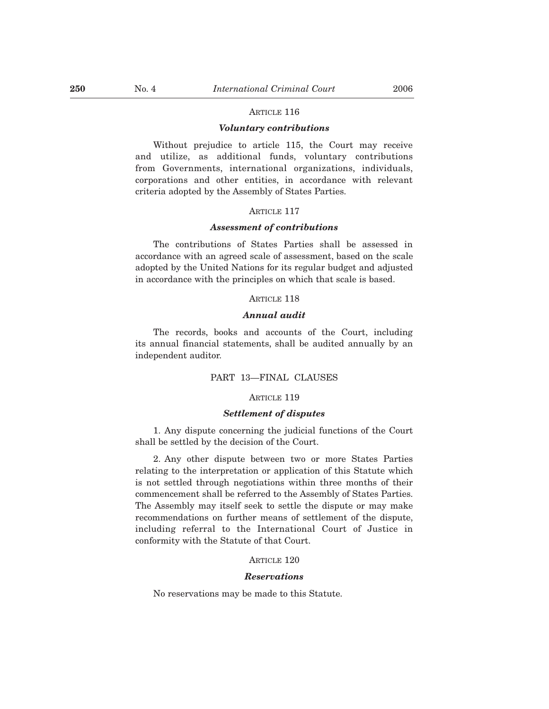### *Voluntary contributions*

Without prejudice to article 115, the Court may receive and utilize, as additional funds, voluntary contributions from Governments, international organizations, individuals, corporations and other entities, in accordance with relevant criteria adopted by the Assembly of States Parties.

# ARTICLE 117

# *Assessment of contributions*

The contributions of States Parties shall be assessed in accordance with an agreed scale of assessment, based on the scale adopted by the United Nations for its regular budget and adjusted in accordance with the principles on which that scale is based.

### ARTICLE 118

# *Annual audit*

The records, books and accounts of the Court, including its annual financial statements, shall be audited annually by an independent auditor.

### PART 13—FINAL CLAUSES

#### ARTICLE 119

### *Settlement of disputes*

1. Any dispute concerning the judicial functions of the Court shall be settled by the decision of the Court.

2. Any other dispute between two or more States Parties relating to the interpretation or application of this Statute which is not settled through negotiations within three months of their commencement shall be referred to the Assembly of States Parties. The Assembly may itself seek to settle the dispute or may make recommendations on further means of settlement of the dispute, including referral to the International Court of Justice in conformity with the Statute of that Court.

## ARTICLE 120

## *Reservations*

No reservations may be made to this Statute.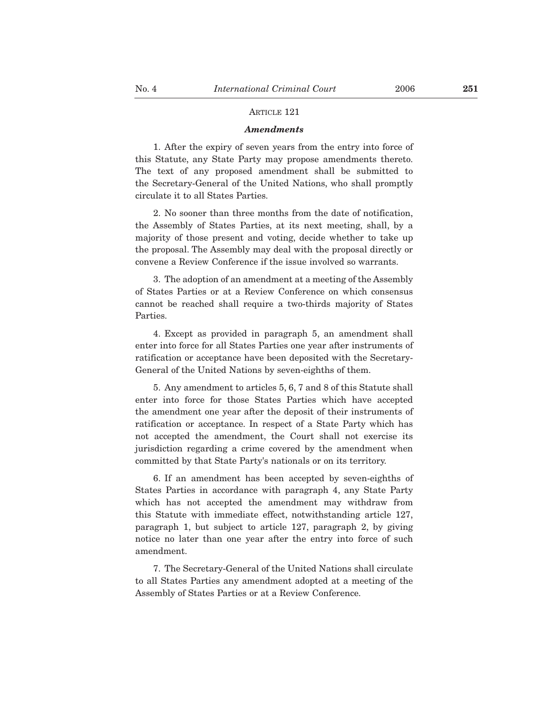## ARTICLE 121

#### *Amendments*

1. After the expiry of seven years from the entry into force of this Statute, any State Party may propose amendments thereto. The text of any proposed amendment shall be submitted to the Secretary-General of the United Nations, who shall promptly circulate it to all States Parties.

2. No sooner than three months from the date of notification, the Assembly of States Parties, at its next meeting, shall, by a majority of those present and voting, decide whether to take up the proposal. The Assembly may deal with the proposal directly or convene a Review Conference if the issue involved so warrants.

3. The adoption of an amendment at a meeting of the Assembly of States Parties or at a Review Conference on which consensus cannot be reached shall require a two-thirds majority of States Parties.

4. Except as provided in paragraph 5, an amendment shall enter into force for all States Parties one year after instruments of ratification or acceptance have been deposited with the Secretary-General of the United Nations by seven-eighths of them.

5. Any amendment to articles 5, 6, 7 and 8 of this Statute shall enter into force for those States Parties which have accepted the amendment one year after the deposit of their instruments of ratification or acceptance. In respect of a State Party which has not accepted the amendment, the Court shall not exercise its jurisdiction regarding a crime covered by the amendment when committed by that State Party's nationals or on its territory.

6. If an amendment has been accepted by seven-eighths of States Parties in accordance with paragraph 4, any State Party which has not accepted the amendment may withdraw from this Statute with immediate effect, notwithstanding article 127, paragraph 1, but subject to article 127, paragraph 2, by giving notice no later than one year after the entry into force of such amendment.

7. The Secretary-General of the United Nations shall circulate to all States Parties any amendment adopted at a meeting of the Assembly of States Parties or at a Review Conference.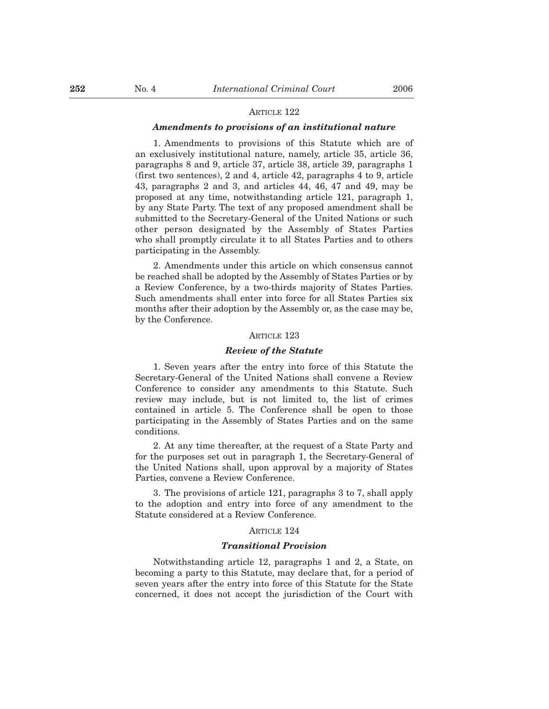### *Amendments to provisions of an institutional nature*

1. Amendments to provisions of this Statute which are of an exclusively institutional nature, namely, article 35, article 36, paragraphs 8 and 9, article 37, article 38, article 39, paragraphs 1 (first two sentences), 2 and 4, article 42, paragraphs 4 to 9, article 43, paragraphs 2 and 3, and articles 44, 46, 47 and 49, may be proposed at any time, notwithstanding article 121, paragraph 1, by any State Party. The text of any proposed amendment shall be submitted to the Secretary-General of the United Nations or such other person designated by the Assembly of States Parties who shall promptly circulate it to all States Parties and to others participating in the Assembly.

2. Amendments under this article on which consensus cannot be reached shall be adopted by the Assembly of States Parties or by a Review Conference, by a two-thirds majority of States Parties. Such amendments shall enter into force for all States Parties six months after their adoption by the Assembly or, as the case may be, by the Conference.

### ARTICLE 123

# *Review of the Statute*

1. Seven years after the entry into force of this Statute the Secretary-General of the United Nations shall convene a Review Conference to consider any amendments to this Statute. Such review may include, but is not limited to, the list of crimes contained in article 5. The Conference shall be open to those participating in the Assembly of States Parties and on the same conditions.

2. At any time thereafter, at the request of a State Party and for the purposes set out in paragraph 1, the Secretary-General of the United Nations shall, upon approval by a majority of States Parties, convene a Review Conference.

3. The provisions of article 121, paragraphs 3 to 7, shall apply to the adoption and entry into force of any amendment to the Statute considered at a Review Conference.

### ARTICLE 124

### *Transitional Provision*

Notwithstanding article 12, paragraphs 1 and 2, a State, on becoming a party to this Statute, may declare that, for a period of seven years after the entry into force of this Statute for the State concerned, it does not accept the jurisdiction of the Court with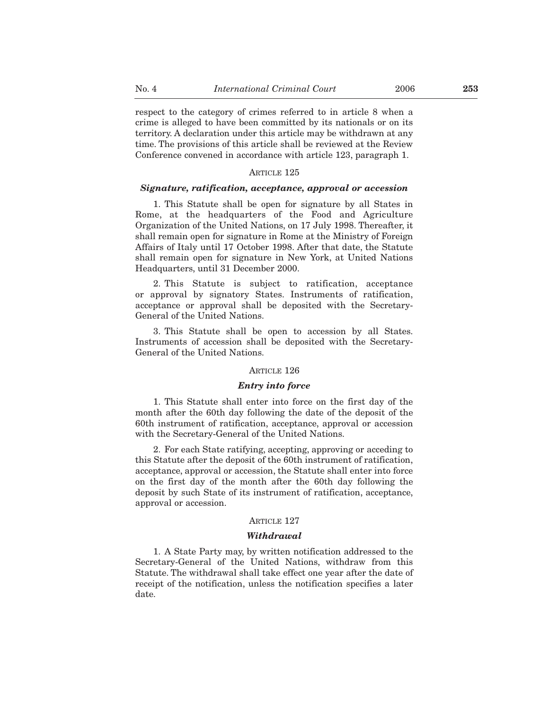respect to the category of crimes referred to in article 8 when a crime is alleged to have been committed by its nationals or on its territory. A declaration under this article may be withdrawn at any time. The provisions of this article shall be reviewed at the Review Conference convened in accordance with article 123, paragraph 1.

# ARTICLE 125

## *Signature, ratification, acceptance, approval or accession*

1. This Statute shall be open for signature by all States in Rome, at the headquarters of the Food and Agriculture Organization of the United Nations, on 17 July 1998. Thereafter, it shall remain open for signature in Rome at the Ministry of Foreign Affairs of Italy until 17 October 1998. After that date, the Statute shall remain open for signature in New York, at United Nations Headquarters, until 31 December 2000.

2. This Statute is subject to ratification, acceptance or approval by signatory States. Instruments of ratification, acceptance or approval shall be deposited with the Secretary-General of the United Nations.

3. This Statute shall be open to accession by all States. Instruments of accession shall be deposited with the Secretary-General of the United Nations.

### ARTICLE 126

### *Entry into force*

1. This Statute shall enter into force on the first day of the month after the 60th day following the date of the deposit of the 60th instrument of ratification, acceptance, approval or accession with the Secretary-General of the United Nations.

2. For each State ratifying, accepting, approving or acceding to this Statute after the deposit of the 60th instrument of ratification, acceptance, approval or accession, the Statute shall enter into force on the first day of the month after the 60th day following the deposit by such State of its instrument of ratification, acceptance, approval or accession.

### ARTICLE 127

## *Withdrawal*

1. A State Party may, by written notification addressed to the Secretary-General of the United Nations, withdraw from this Statute. The withdrawal shall take effect one year after the date of receipt of the notification, unless the notification specifies a later date.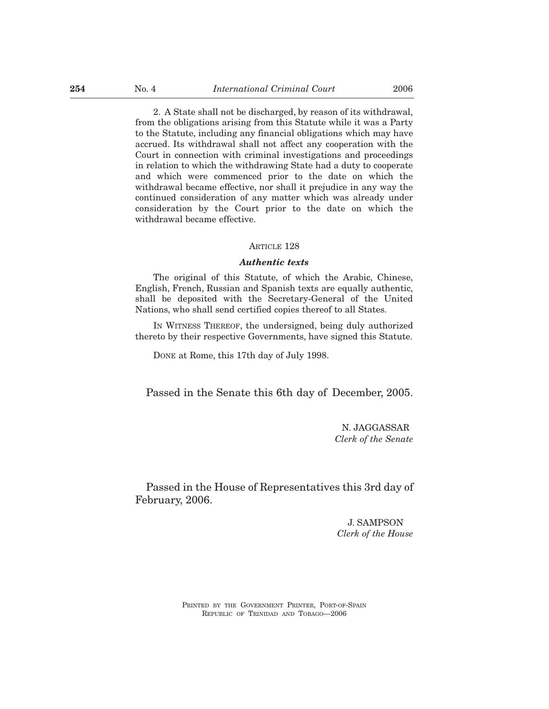2. A State shall not be discharged, by reason of its withdrawal, from the obligations arising from this Statute while it was a Party to the Statute, including any financial obligations which may have accrued. Its withdrawal shall not affect any cooperation with the Court in connection with criminal investigations and proceedings in relation to which the withdrawing State had a duty to cooperate and which were commenced prior to the date on which the withdrawal became effective, nor shall it prejudice in any way the continued consideration of any matter which was already under consideration by the Court prior to the date on which the withdrawal became effective.

### ARTICLE 128

#### *Authentic texts*

The original of this Statute, of which the Arabic, Chinese, English, French, Russian and Spanish texts are equally authentic, shall be deposited with the Secretary-General of the United Nations, who shall send certified copies thereof to all States.

IN WITNESS THEREOF, the undersigned, being duly authorized thereto by their respective Governments, have signed this Statute.

DONE at Rome, this 17th day of July 1998.

Passed in the Senate this 6th day of December, 2005.

N. JAGGASSAR *Clerk of the Senate*

Passed in the House of Representatives this 3rd day of February, 2006.

> J. SAMPSON *Clerk of the House*

PRINTED BY THE GOVERNMENT PRINTER, PORT-OF-SPAIN REPUBLIC OF TRINIDAD AND TOBAGO—2006